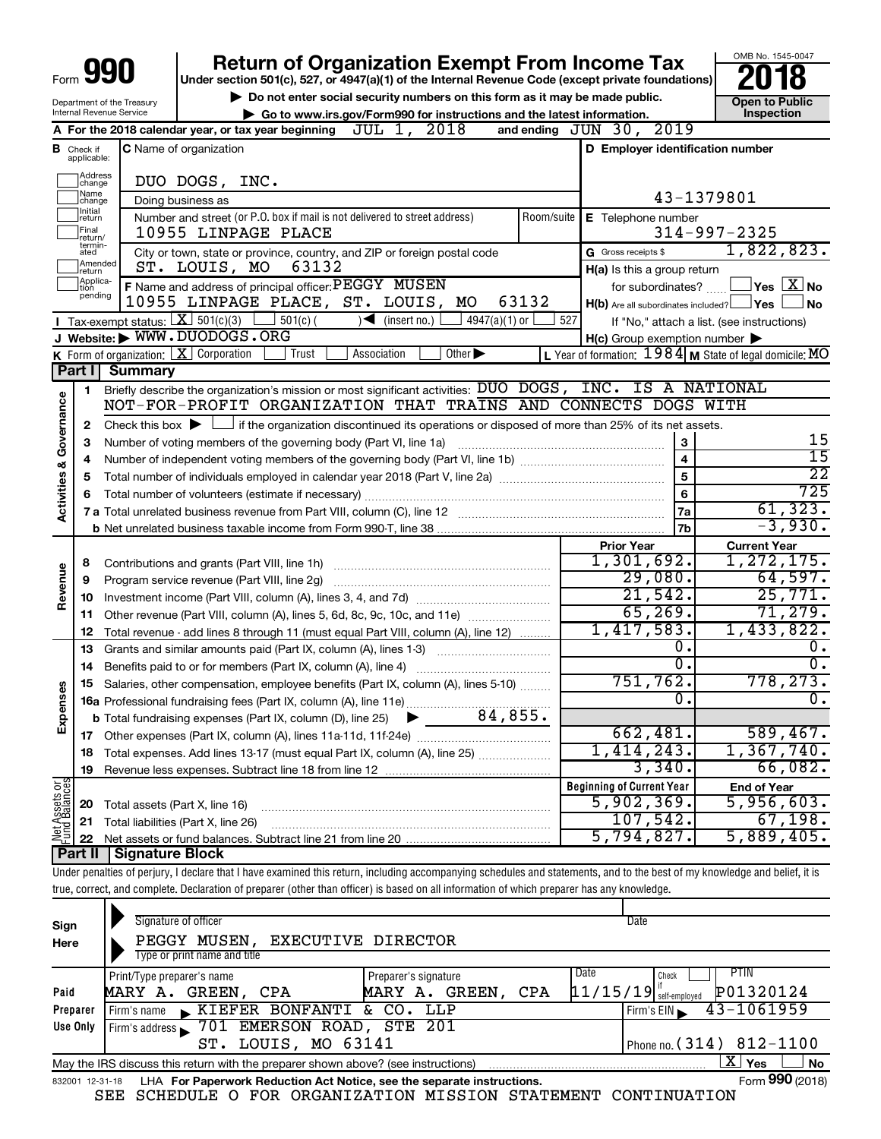| Form $\bar{\mathbf{u}}$ |  | 990 |
|-------------------------|--|-----|
|-------------------------|--|-----|

# **Return of Organization Exempt From Income Tax**<br>r section 501(c), 527, or 4947(a)(1) of the Internal Revenue Code (except private foundations)<br>**2018**

**Under section 501(c), 527, or 4947(a)(1) of the Internal Revenue Code (except private foundations)**

Department of the Treasury Internal Revenue Service

▶ Do not enter social security numbers on this form as it may be made public. <br>● Go to www.irs.gov/Form990 for instructions and the latest information. **Department in the latest** information. **| Go to www.irs.gov/Form990 for instructions and the latest information. Inspection**

OMB No. 1545-0047

|                                |                               | 2018<br>JUL 1,<br>A For the 2018 calendar year, or tax year beginning                                                                                                      |            | and ending JUN 30, 2019                                 |                                                                                                                             |  |  |  |  |
|--------------------------------|-------------------------------|----------------------------------------------------------------------------------------------------------------------------------------------------------------------------|------------|---------------------------------------------------------|-----------------------------------------------------------------------------------------------------------------------------|--|--|--|--|
|                                | <b>B</b> Check if applicable: | C Name of organization                                                                                                                                                     |            | D Employer identification number                        |                                                                                                                             |  |  |  |  |
|                                | Address<br> change            | DUO DOGS, INC.                                                                                                                                                             |            |                                                         |                                                                                                                             |  |  |  |  |
|                                | Name<br>change                | 43-1379801<br>Doing business as                                                                                                                                            |            |                                                         |                                                                                                                             |  |  |  |  |
|                                | Initial<br>return             | Number and street (or P.O. box if mail is not delivered to street address)                                                                                                 | Room/suite | E Telephone number                                      |                                                                                                                             |  |  |  |  |
|                                | Final<br>return/              | 10955 LINPAGE PLACE                                                                                                                                                        |            |                                                         | $314 - 997 - 2325$                                                                                                          |  |  |  |  |
|                                | termin-<br>ated               | City or town, state or province, country, and ZIP or foreign postal code                                                                                                   |            | G Gross receipts \$                                     | 1,822,823.                                                                                                                  |  |  |  |  |
|                                | Amended<br>return             | 63132<br>ST. LOUIS, MO                                                                                                                                                     |            | H(a) Is this a group return                             |                                                                                                                             |  |  |  |  |
|                                | Applica-<br>tion<br>pending   | F Name and address of principal officer: PEGGY MUSEN                                                                                                                       |            |                                                         | for subordinates? $\begin{array}{c} \begin{array}{c} \end{array}$ Yes $\begin{array}{ c c } \hline \text{X} \end{array}$ No |  |  |  |  |
|                                |                               | 10955 LINPAGE PLACE, ST. LOUIS, MO                                                                                                                                         | 63132      | $H(b)$ Are all subordinates included? $\Box$ Yes $\Box$ | ⊿No                                                                                                                         |  |  |  |  |
|                                |                               | <b>I</b> Tax-exempt status: $X \overline{3}$ 501(c)(3)<br>$\frac{1}{2}$ 501(c) (<br>$\sqrt{\frac{1}{1}}$ (insert no.)<br>$4947(a)(1)$ or                                   | 527        |                                                         | If "No," attach a list. (see instructions)                                                                                  |  |  |  |  |
|                                |                               | J Website: WWW.DUODOGS.ORG<br>Association<br>Other $\blacktriangleright$                                                                                                   |            | $H(c)$ Group exemption number $\blacktriangleright$     |                                                                                                                             |  |  |  |  |
|                                | Part I                        | <b>K</b> Form of organization: $\boxed{\mathbf{X}}$ Corporation<br>Trust<br><b>Summary</b>                                                                                 |            |                                                         | L Year of formation: $1984$ M State of legal domicile: MO                                                                   |  |  |  |  |
|                                |                               | Briefly describe the organization's mission or most significant activities: DUO DOGS, INC. IS A NATIONAL                                                                   |            |                                                         |                                                                                                                             |  |  |  |  |
|                                | 1.                            | NOT-FOR-PROFIT ORGANIZATION THAT TRAINS AND CONNECTS DOGS WITH                                                                                                             |            |                                                         |                                                                                                                             |  |  |  |  |
|                                | 2                             | Check this box $\blacktriangleright$ $\Box$ if the organization discontinued its operations or disposed of more than 25% of its net assets.                                |            |                                                         |                                                                                                                             |  |  |  |  |
| Governance                     | 3                             | Number of voting members of the governing body (Part VI, line 1a)                                                                                                          |            | 3                                                       | 15                                                                                                                          |  |  |  |  |
|                                | 4                             |                                                                                                                                                                            |            | $\overline{4}$                                          | $\overline{15}$                                                                                                             |  |  |  |  |
|                                | 5                             |                                                                                                                                                                            |            | $\overline{5}$                                          | $\overline{22}$                                                                                                             |  |  |  |  |
|                                | 6                             |                                                                                                                                                                            |            | 6                                                       | 725                                                                                                                         |  |  |  |  |
| Activities &                   |                               |                                                                                                                                                                            |            | 7a                                                      | 61, 323.                                                                                                                    |  |  |  |  |
|                                |                               |                                                                                                                                                                            |            | 7b                                                      | $-3,930.$                                                                                                                   |  |  |  |  |
|                                |                               |                                                                                                                                                                            |            | <b>Prior Year</b>                                       | <b>Current Year</b>                                                                                                         |  |  |  |  |
|                                | 8                             |                                                                                                                                                                            |            | 1,301,692.                                              | 1,272,175.                                                                                                                  |  |  |  |  |
| Revenue                        | 9                             | Program service revenue (Part VIII, line 2g)                                                                                                                               |            | 29,080.                                                 | 64,597.                                                                                                                     |  |  |  |  |
|                                | 10                            |                                                                                                                                                                            |            | 21,542.                                                 | 25,771.                                                                                                                     |  |  |  |  |
|                                |                               | 11 Other revenue (Part VIII, column (A), lines 5, 6d, 8c, 9c, 10c, and 11e)                                                                                                |            | 65, 269.                                                | 71,279.                                                                                                                     |  |  |  |  |
|                                | 12                            | Total revenue - add lines 8 through 11 (must equal Part VIII, column (A), line 12)                                                                                         |            | 1,417,583.                                              | 1,433,822.                                                                                                                  |  |  |  |  |
|                                | 13                            | Grants and similar amounts paid (Part IX, column (A), lines 1-3)                                                                                                           |            | о.                                                      | υ.                                                                                                                          |  |  |  |  |
|                                | 14                            |                                                                                                                                                                            |            | 0.                                                      | 0.                                                                                                                          |  |  |  |  |
|                                | 15                            | Salaries, other compensation, employee benefits (Part IX, column (A), lines 5-10)                                                                                          |            | 751,762.<br>0.                                          | 778,273.<br>$\overline{0}$ .                                                                                                |  |  |  |  |
| Expenses                       |                               | 84,855.                                                                                                                                                                    |            |                                                         |                                                                                                                             |  |  |  |  |
|                                |                               | <b>b</b> Total fundraising expenses (Part IX, column (D), line 25) $\triangleright$                                                                                        |            | 662,481.                                                | 589,467.                                                                                                                    |  |  |  |  |
|                                |                               |                                                                                                                                                                            |            | 1,414,243.                                              | $1,367,740$ .                                                                                                               |  |  |  |  |
|                                |                               | 18 Total expenses. Add lines 13-17 (must equal Part IX, column (A), line 25)                                                                                               |            | 3,340.                                                  | 66,082.                                                                                                                     |  |  |  |  |
|                                | 19                            |                                                                                                                                                                            |            | <b>Beginning of Current Year</b>                        | <b>End of Year</b>                                                                                                          |  |  |  |  |
|                                | 20                            | Total assets (Part X, line 16)                                                                                                                                             |            | 5,902,369.                                              | 5,956,603.                                                                                                                  |  |  |  |  |
|                                | 21                            | Total liabilities (Part X, line 26)                                                                                                                                        |            | 107,542.                                                | 67,198.                                                                                                                     |  |  |  |  |
| Net Assets or<br>Fund Balances | 22                            | Net assets or fund balances. Subtract line 21 from line 20                                                                                                                 |            | 5,794,827.                                              | 5,889,405.                                                                                                                  |  |  |  |  |
|                                | Part II                       | <b>Signature Block</b>                                                                                                                                                     |            |                                                         |                                                                                                                             |  |  |  |  |
|                                |                               | Under penalties of perjury, I declare that I have examined this return, including accompanying schedules and statements, and to the best of my knowledge and belief, it is |            |                                                         |                                                                                                                             |  |  |  |  |

true, correct, and complete. Declaration of preparer (other than officer) is based on all information of which preparer has any knowledge.

|          | Signature of officer                                                                                         |                          | Date                                  |  |  |  |  |  |
|----------|--------------------------------------------------------------------------------------------------------------|--------------------------|---------------------------------------|--|--|--|--|--|
| Sign     |                                                                                                              |                          |                                       |  |  |  |  |  |
| Here     | PEGGY MUSEN, EXECUTIVE DIRECTOR                                                                              |                          |                                       |  |  |  |  |  |
|          | Type or print name and title                                                                                 |                          |                                       |  |  |  |  |  |
|          | Print/Type preparer's name                                                                                   | Preparer's signature     | Date<br><b>PTIN</b><br>Check          |  |  |  |  |  |
| Paid     | MARY A. GREEN, CPA                                                                                           | GREEN,<br>CPA<br>MARY A. | P01320124<br>$11/15/19$ self-employed |  |  |  |  |  |
| Preparer | $\blacktriangleright$ KIEFER BONFANTI &<br>Firm's name                                                       | CO.<br>LLP               | $43 - 1061959$<br>Firm's EIN          |  |  |  |  |  |
| Use Only | Firm's address 5 701 EMERSON ROAD, STE 201                                                                   |                          |                                       |  |  |  |  |  |
|          | LOUIS, MO 63141<br>ST.                                                                                       |                          | Phone no. (314) 812-1100              |  |  |  |  |  |
|          | ΧI<br>Yes<br><b>No</b><br>May the IRS discuss this return with the preparer shown above? (see instructions)  |                          |                                       |  |  |  |  |  |
|          | Form 990 (2018)<br>LHA For Paperwork Reduction Act Notice, see the separate instructions.<br>832001 12-31-18 |                          |                                       |  |  |  |  |  |

SEE SCHEDULE O FOR ORGANIZATION MISSION STATEMENT CONTINUATION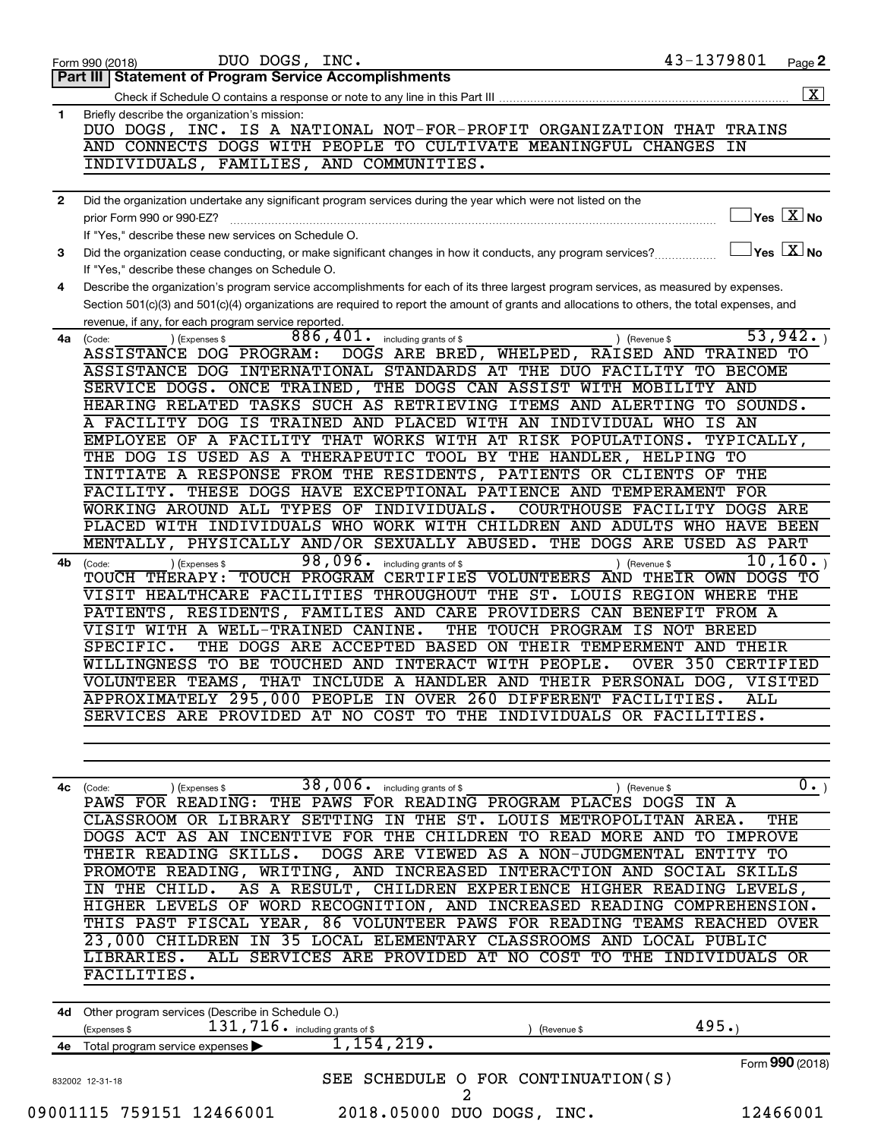| Part III   Statement of Program Service Accomplishments<br>Briefly describe the organization's mission:<br>DUO DOGS, INC. IS A NATIONAL NOT-FOR-PROFIT ORGANIZATION THAT TRAINS<br>AND CONNECTS DOGS WITH PEOPLE TO CULTIVATE MEANINGFUL CHANGES<br>ΙN<br>INDIVIDUALS, FAMILIES, AND COMMUNITIES.<br>Did the organization undertake any significant program services during the year which were not listed on the<br>$\overline{\ }$ Yes $\overline{\rm X}$ No<br>prior Form 990 or 990-EZ?<br>If "Yes," describe these new services on Schedule O.<br>$\Box$ Yes $\boxed{\text{X}}$ No<br>Did the organization cease conducting, or make significant changes in how it conducts, any program services?<br>If "Yes," describe these changes on Schedule O.<br>Describe the organization's program service accomplishments for each of its three largest program services, as measured by expenses.<br>Section 501(c)(3) and 501(c)(4) organizations are required to report the amount of grants and allocations to others, the total expenses, and<br>revenue, if any, for each program service reported.<br>53,942.<br>$886, 401$ . including grants of \$<br>) (Expenses \$<br>) (Revenue \$<br>4a<br>(Code:<br>DOGS ARE BRED, WHELPED, RAISED AND TRAINED TO<br>ASSISTANCE DOG PROGRAM:<br>ASSISTANCE DOG INTERNATIONAL STANDARDS AT THE DUO FACILITY TO BECOME<br>SERVICE DOGS. ONCE TRAINED, THE DOGS CAN ASSIST WITH MOBILITY AND<br>HEARING RELATED TASKS SUCH AS RETRIEVING ITEMS AND ALERTING TO SOUNDS.<br>A FACILITY DOG IS TRAINED AND PLACED WITH AN INDIVIDUAL WHO IS AN<br>EMPLOYEE OF A FACILITY THAT WORKS WITH AT RISK POPULATIONS. TYPICALLY,<br>THE DOG IS USED AS A THERAPEUTIC TOOL BY THE HANDLER, HELPING TO<br>INITIATE A RESPONSE FROM THE RESIDENTS, PATIENTS OR CLIENTS OF THE<br>FACILITY. THESE DOGS HAVE EXCEPTIONAL PATIENCE AND TEMPERAMENT FOR<br>WORKING AROUND ALL TYPES OF INDIVIDUALS.<br>COURTHOUSE FACILITY DOGS ARE<br>PLACED WITH INDIVIDUALS WHO WORK WITH CHILDREN AND ADULTS WHO HAVE BEEN<br>MENTALLY, PHYSICALLY AND/OR SEXUALLY ABUSED. THE DOGS ARE<br>USED AS PART<br>98,096.<br>10, 160.<br>including grants of \$<br>4b<br>) (Expenses \$<br>) (Revenue \$<br>(Code:<br>TOUCH THERAPY: TOUCH PROGRAM CERTIFIES VOLUNTEERS AND THEIR OWN DOGS TO<br>VISIT HEALTHCARE FACILITIES THROUGHOUT THE ST. LOUIS REGION WHERE THE<br>PATIENTS, RESIDENTS, FAMILIES AND CARE PROVIDERS CAN BENEFIT FROM A<br>VISIT WITH A WELL-TRAINED CANINE.<br>THE TOUCH PROGRAM IS NOT BREED<br>THE DOGS ARE ACCEPTED BASED ON THEIR TEMPERMENT AND THEIR<br>SPECIFIC.<br>WILLINGNESS TO BE TOUCHED AND INTERACT WITH PEOPLE.<br><b>OVER 350 CERTIFIED</b><br>VOLUNTEER TEAMS, THAT INCLUDE A HANDLER AND THEIR PERSONAL DOG, VISITED<br>APPROXIMATELY 295,000 PEOPLE IN OVER 260 DIFFERENT FACILITIES.<br><b>ALL</b><br>SERVICES ARE PROVIDED AT NO COST TO THE INDIVIDUALS OR FACILITIES.<br>38,006.<br>$\overline{0}$ . $\overline{0}$<br>including grants of \$<br>) (Expenses \$<br>) (Revenue \$<br>4c<br>(Code:<br>PAWS FOR READING: THE PAWS FOR READING PROGRAM PLACES DOGS IN A<br>CLASSROOM OR LIBRARY SETTING IN THE ST. LOUIS METROPOLITAN AREA.<br>THE<br>DOGS ACT AS AN INCENTIVE FOR THE CHILDREN TO READ MORE AND TO IMPROVE<br>THEIR READING SKILLS.<br>DOGS ARE VIEWED AS A NON-JUDGMENTAL ENTITY TO<br>PROMOTE READING, WRITING, AND INCREASED INTERACTION AND SOCIAL SKILLS<br>AS A RESULT, CHILDREN EXPERIENCE HIGHER READING LEVELS,<br>IN THE CHILD.<br>HIGHER LEVELS OF WORD RECOGNITION, AND INCREASED READING COMPREHENSION.<br>THIS PAST FISCAL YEAR, 86 VOLUNTEER PAWS FOR READING TEAMS REACHED OVER<br>23,000 CHILDREN IN 35 LOCAL ELEMENTARY CLASSROOMS AND LOCAL PUBLIC<br>ALL SERVICES ARE PROVIDED AT NO COST TO THE INDIVIDUALS OR<br>LIBRARIES.<br>FACILITIES.<br>4d Other program services (Describe in Schedule O.)<br>495.<br>$131,716$ $\cdot$ including grants of \$<br>(Expenses \$<br>(Revenue \$<br>1,154,219.<br>4e Total program service expenses<br>Form 990 (2018)<br>SEE SCHEDULE O FOR CONTINUATION(S)<br>832002 12-31-18<br>$\overline{a}$<br>09001115 759151 12466001<br>2018.05000 DUO DOGS, INC.<br>12466001 |              | 43-1379801<br>DUO DOGS, INC.<br>Form 990 (2018) | Page 2             |
|---------------------------------------------------------------------------------------------------------------------------------------------------------------------------------------------------------------------------------------------------------------------------------------------------------------------------------------------------------------------------------------------------------------------------------------------------------------------------------------------------------------------------------------------------------------------------------------------------------------------------------------------------------------------------------------------------------------------------------------------------------------------------------------------------------------------------------------------------------------------------------------------------------------------------------------------------------------------------------------------------------------------------------------------------------------------------------------------------------------------------------------------------------------------------------------------------------------------------------------------------------------------------------------------------------------------------------------------------------------------------------------------------------------------------------------------------------------------------------------------------------------------------------------------------------------------------------------------------------------------------------------------------------------------------------------------------------------------------------------------------------------------------------------------------------------------------------------------------------------------------------------------------------------------------------------------------------------------------------------------------------------------------------------------------------------------------------------------------------------------------------------------------------------------------------------------------------------------------------------------------------------------------------------------------------------------------------------------------------------------------------------------------------------------------------------------------------------------------------------------------------------------------------------------------------------------------------------------------------------------------------------------------------------------------------------------------------------------------------------------------------------------------------------------------------------------------------------------------------------------------------------------------------------------------------------------------------------------------------------------------------------------------------------------------------------------------------------------------------------------------------------------------------------------------------------------------------------------------------------------------------------------------------------------------------------------------------------------------------------------------------------------------------------------------------------------------------------------------------------------------------------------------------------------------------------------------------------------------------------------------------------------------------------------------------------------------------------------------------------------------------------------------------------------------------------------------------------------------------------------------------------------------------------------------------------------------------------------------------------------------------------------------------------------------------------------------------------------------------------------------------------------------------------------------------------------------|--------------|-------------------------------------------------|--------------------|
|                                                                                                                                                                                                                                                                                                                                                                                                                                                                                                                                                                                                                                                                                                                                                                                                                                                                                                                                                                                                                                                                                                                                                                                                                                                                                                                                                                                                                                                                                                                                                                                                                                                                                                                                                                                                                                                                                                                                                                                                                                                                                                                                                                                                                                                                                                                                                                                                                                                                                                                                                                                                                                                                                                                                                                                                                                                                                                                                                                                                                                                                                                                                                                                                                                                                                                                                                                                                                                                                                                                                                                                                                                                                                                                                                                                                                                                                                                                                                                                                                                                                                                                                                                                                   |              |                                                 |                    |
|                                                                                                                                                                                                                                                                                                                                                                                                                                                                                                                                                                                                                                                                                                                                                                                                                                                                                                                                                                                                                                                                                                                                                                                                                                                                                                                                                                                                                                                                                                                                                                                                                                                                                                                                                                                                                                                                                                                                                                                                                                                                                                                                                                                                                                                                                                                                                                                                                                                                                                                                                                                                                                                                                                                                                                                                                                                                                                                                                                                                                                                                                                                                                                                                                                                                                                                                                                                                                                                                                                                                                                                                                                                                                                                                                                                                                                                                                                                                                                                                                                                                                                                                                                                                   |              |                                                 | $\boxed{\text{X}}$ |
|                                                                                                                                                                                                                                                                                                                                                                                                                                                                                                                                                                                                                                                                                                                                                                                                                                                                                                                                                                                                                                                                                                                                                                                                                                                                                                                                                                                                                                                                                                                                                                                                                                                                                                                                                                                                                                                                                                                                                                                                                                                                                                                                                                                                                                                                                                                                                                                                                                                                                                                                                                                                                                                                                                                                                                                                                                                                                                                                                                                                                                                                                                                                                                                                                                                                                                                                                                                                                                                                                                                                                                                                                                                                                                                                                                                                                                                                                                                                                                                                                                                                                                                                                                                                   | $\mathbf{1}$ |                                                 |                    |
|                                                                                                                                                                                                                                                                                                                                                                                                                                                                                                                                                                                                                                                                                                                                                                                                                                                                                                                                                                                                                                                                                                                                                                                                                                                                                                                                                                                                                                                                                                                                                                                                                                                                                                                                                                                                                                                                                                                                                                                                                                                                                                                                                                                                                                                                                                                                                                                                                                                                                                                                                                                                                                                                                                                                                                                                                                                                                                                                                                                                                                                                                                                                                                                                                                                                                                                                                                                                                                                                                                                                                                                                                                                                                                                                                                                                                                                                                                                                                                                                                                                                                                                                                                                                   |              |                                                 |                    |
|                                                                                                                                                                                                                                                                                                                                                                                                                                                                                                                                                                                                                                                                                                                                                                                                                                                                                                                                                                                                                                                                                                                                                                                                                                                                                                                                                                                                                                                                                                                                                                                                                                                                                                                                                                                                                                                                                                                                                                                                                                                                                                                                                                                                                                                                                                                                                                                                                                                                                                                                                                                                                                                                                                                                                                                                                                                                                                                                                                                                                                                                                                                                                                                                                                                                                                                                                                                                                                                                                                                                                                                                                                                                                                                                                                                                                                                                                                                                                                                                                                                                                                                                                                                                   |              |                                                 |                    |
|                                                                                                                                                                                                                                                                                                                                                                                                                                                                                                                                                                                                                                                                                                                                                                                                                                                                                                                                                                                                                                                                                                                                                                                                                                                                                                                                                                                                                                                                                                                                                                                                                                                                                                                                                                                                                                                                                                                                                                                                                                                                                                                                                                                                                                                                                                                                                                                                                                                                                                                                                                                                                                                                                                                                                                                                                                                                                                                                                                                                                                                                                                                                                                                                                                                                                                                                                                                                                                                                                                                                                                                                                                                                                                                                                                                                                                                                                                                                                                                                                                                                                                                                                                                                   |              |                                                 |                    |
|                                                                                                                                                                                                                                                                                                                                                                                                                                                                                                                                                                                                                                                                                                                                                                                                                                                                                                                                                                                                                                                                                                                                                                                                                                                                                                                                                                                                                                                                                                                                                                                                                                                                                                                                                                                                                                                                                                                                                                                                                                                                                                                                                                                                                                                                                                                                                                                                                                                                                                                                                                                                                                                                                                                                                                                                                                                                                                                                                                                                                                                                                                                                                                                                                                                                                                                                                                                                                                                                                                                                                                                                                                                                                                                                                                                                                                                                                                                                                                                                                                                                                                                                                                                                   |              |                                                 |                    |
|                                                                                                                                                                                                                                                                                                                                                                                                                                                                                                                                                                                                                                                                                                                                                                                                                                                                                                                                                                                                                                                                                                                                                                                                                                                                                                                                                                                                                                                                                                                                                                                                                                                                                                                                                                                                                                                                                                                                                                                                                                                                                                                                                                                                                                                                                                                                                                                                                                                                                                                                                                                                                                                                                                                                                                                                                                                                                                                                                                                                                                                                                                                                                                                                                                                                                                                                                                                                                                                                                                                                                                                                                                                                                                                                                                                                                                                                                                                                                                                                                                                                                                                                                                                                   | 2            |                                                 |                    |
|                                                                                                                                                                                                                                                                                                                                                                                                                                                                                                                                                                                                                                                                                                                                                                                                                                                                                                                                                                                                                                                                                                                                                                                                                                                                                                                                                                                                                                                                                                                                                                                                                                                                                                                                                                                                                                                                                                                                                                                                                                                                                                                                                                                                                                                                                                                                                                                                                                                                                                                                                                                                                                                                                                                                                                                                                                                                                                                                                                                                                                                                                                                                                                                                                                                                                                                                                                                                                                                                                                                                                                                                                                                                                                                                                                                                                                                                                                                                                                                                                                                                                                                                                                                                   |              |                                                 |                    |
|                                                                                                                                                                                                                                                                                                                                                                                                                                                                                                                                                                                                                                                                                                                                                                                                                                                                                                                                                                                                                                                                                                                                                                                                                                                                                                                                                                                                                                                                                                                                                                                                                                                                                                                                                                                                                                                                                                                                                                                                                                                                                                                                                                                                                                                                                                                                                                                                                                                                                                                                                                                                                                                                                                                                                                                                                                                                                                                                                                                                                                                                                                                                                                                                                                                                                                                                                                                                                                                                                                                                                                                                                                                                                                                                                                                                                                                                                                                                                                                                                                                                                                                                                                                                   |              |                                                 |                    |
|                                                                                                                                                                                                                                                                                                                                                                                                                                                                                                                                                                                                                                                                                                                                                                                                                                                                                                                                                                                                                                                                                                                                                                                                                                                                                                                                                                                                                                                                                                                                                                                                                                                                                                                                                                                                                                                                                                                                                                                                                                                                                                                                                                                                                                                                                                                                                                                                                                                                                                                                                                                                                                                                                                                                                                                                                                                                                                                                                                                                                                                                                                                                                                                                                                                                                                                                                                                                                                                                                                                                                                                                                                                                                                                                                                                                                                                                                                                                                                                                                                                                                                                                                                                                   | 3            |                                                 |                    |
|                                                                                                                                                                                                                                                                                                                                                                                                                                                                                                                                                                                                                                                                                                                                                                                                                                                                                                                                                                                                                                                                                                                                                                                                                                                                                                                                                                                                                                                                                                                                                                                                                                                                                                                                                                                                                                                                                                                                                                                                                                                                                                                                                                                                                                                                                                                                                                                                                                                                                                                                                                                                                                                                                                                                                                                                                                                                                                                                                                                                                                                                                                                                                                                                                                                                                                                                                                                                                                                                                                                                                                                                                                                                                                                                                                                                                                                                                                                                                                                                                                                                                                                                                                                                   |              |                                                 |                    |
|                                                                                                                                                                                                                                                                                                                                                                                                                                                                                                                                                                                                                                                                                                                                                                                                                                                                                                                                                                                                                                                                                                                                                                                                                                                                                                                                                                                                                                                                                                                                                                                                                                                                                                                                                                                                                                                                                                                                                                                                                                                                                                                                                                                                                                                                                                                                                                                                                                                                                                                                                                                                                                                                                                                                                                                                                                                                                                                                                                                                                                                                                                                                                                                                                                                                                                                                                                                                                                                                                                                                                                                                                                                                                                                                                                                                                                                                                                                                                                                                                                                                                                                                                                                                   | 4            |                                                 |                    |
|                                                                                                                                                                                                                                                                                                                                                                                                                                                                                                                                                                                                                                                                                                                                                                                                                                                                                                                                                                                                                                                                                                                                                                                                                                                                                                                                                                                                                                                                                                                                                                                                                                                                                                                                                                                                                                                                                                                                                                                                                                                                                                                                                                                                                                                                                                                                                                                                                                                                                                                                                                                                                                                                                                                                                                                                                                                                                                                                                                                                                                                                                                                                                                                                                                                                                                                                                                                                                                                                                                                                                                                                                                                                                                                                                                                                                                                                                                                                                                                                                                                                                                                                                                                                   |              |                                                 |                    |
|                                                                                                                                                                                                                                                                                                                                                                                                                                                                                                                                                                                                                                                                                                                                                                                                                                                                                                                                                                                                                                                                                                                                                                                                                                                                                                                                                                                                                                                                                                                                                                                                                                                                                                                                                                                                                                                                                                                                                                                                                                                                                                                                                                                                                                                                                                                                                                                                                                                                                                                                                                                                                                                                                                                                                                                                                                                                                                                                                                                                                                                                                                                                                                                                                                                                                                                                                                                                                                                                                                                                                                                                                                                                                                                                                                                                                                                                                                                                                                                                                                                                                                                                                                                                   |              |                                                 |                    |
|                                                                                                                                                                                                                                                                                                                                                                                                                                                                                                                                                                                                                                                                                                                                                                                                                                                                                                                                                                                                                                                                                                                                                                                                                                                                                                                                                                                                                                                                                                                                                                                                                                                                                                                                                                                                                                                                                                                                                                                                                                                                                                                                                                                                                                                                                                                                                                                                                                                                                                                                                                                                                                                                                                                                                                                                                                                                                                                                                                                                                                                                                                                                                                                                                                                                                                                                                                                                                                                                                                                                                                                                                                                                                                                                                                                                                                                                                                                                                                                                                                                                                                                                                                                                   |              |                                                 |                    |
|                                                                                                                                                                                                                                                                                                                                                                                                                                                                                                                                                                                                                                                                                                                                                                                                                                                                                                                                                                                                                                                                                                                                                                                                                                                                                                                                                                                                                                                                                                                                                                                                                                                                                                                                                                                                                                                                                                                                                                                                                                                                                                                                                                                                                                                                                                                                                                                                                                                                                                                                                                                                                                                                                                                                                                                                                                                                                                                                                                                                                                                                                                                                                                                                                                                                                                                                                                                                                                                                                                                                                                                                                                                                                                                                                                                                                                                                                                                                                                                                                                                                                                                                                                                                   |              |                                                 |                    |
|                                                                                                                                                                                                                                                                                                                                                                                                                                                                                                                                                                                                                                                                                                                                                                                                                                                                                                                                                                                                                                                                                                                                                                                                                                                                                                                                                                                                                                                                                                                                                                                                                                                                                                                                                                                                                                                                                                                                                                                                                                                                                                                                                                                                                                                                                                                                                                                                                                                                                                                                                                                                                                                                                                                                                                                                                                                                                                                                                                                                                                                                                                                                                                                                                                                                                                                                                                                                                                                                                                                                                                                                                                                                                                                                                                                                                                                                                                                                                                                                                                                                                                                                                                                                   |              |                                                 |                    |
|                                                                                                                                                                                                                                                                                                                                                                                                                                                                                                                                                                                                                                                                                                                                                                                                                                                                                                                                                                                                                                                                                                                                                                                                                                                                                                                                                                                                                                                                                                                                                                                                                                                                                                                                                                                                                                                                                                                                                                                                                                                                                                                                                                                                                                                                                                                                                                                                                                                                                                                                                                                                                                                                                                                                                                                                                                                                                                                                                                                                                                                                                                                                                                                                                                                                                                                                                                                                                                                                                                                                                                                                                                                                                                                                                                                                                                                                                                                                                                                                                                                                                                                                                                                                   |              |                                                 |                    |
|                                                                                                                                                                                                                                                                                                                                                                                                                                                                                                                                                                                                                                                                                                                                                                                                                                                                                                                                                                                                                                                                                                                                                                                                                                                                                                                                                                                                                                                                                                                                                                                                                                                                                                                                                                                                                                                                                                                                                                                                                                                                                                                                                                                                                                                                                                                                                                                                                                                                                                                                                                                                                                                                                                                                                                                                                                                                                                                                                                                                                                                                                                                                                                                                                                                                                                                                                                                                                                                                                                                                                                                                                                                                                                                                                                                                                                                                                                                                                                                                                                                                                                                                                                                                   |              |                                                 |                    |
|                                                                                                                                                                                                                                                                                                                                                                                                                                                                                                                                                                                                                                                                                                                                                                                                                                                                                                                                                                                                                                                                                                                                                                                                                                                                                                                                                                                                                                                                                                                                                                                                                                                                                                                                                                                                                                                                                                                                                                                                                                                                                                                                                                                                                                                                                                                                                                                                                                                                                                                                                                                                                                                                                                                                                                                                                                                                                                                                                                                                                                                                                                                                                                                                                                                                                                                                                                                                                                                                                                                                                                                                                                                                                                                                                                                                                                                                                                                                                                                                                                                                                                                                                                                                   |              |                                                 |                    |
|                                                                                                                                                                                                                                                                                                                                                                                                                                                                                                                                                                                                                                                                                                                                                                                                                                                                                                                                                                                                                                                                                                                                                                                                                                                                                                                                                                                                                                                                                                                                                                                                                                                                                                                                                                                                                                                                                                                                                                                                                                                                                                                                                                                                                                                                                                                                                                                                                                                                                                                                                                                                                                                                                                                                                                                                                                                                                                                                                                                                                                                                                                                                                                                                                                                                                                                                                                                                                                                                                                                                                                                                                                                                                                                                                                                                                                                                                                                                                                                                                                                                                                                                                                                                   |              |                                                 |                    |
|                                                                                                                                                                                                                                                                                                                                                                                                                                                                                                                                                                                                                                                                                                                                                                                                                                                                                                                                                                                                                                                                                                                                                                                                                                                                                                                                                                                                                                                                                                                                                                                                                                                                                                                                                                                                                                                                                                                                                                                                                                                                                                                                                                                                                                                                                                                                                                                                                                                                                                                                                                                                                                                                                                                                                                                                                                                                                                                                                                                                                                                                                                                                                                                                                                                                                                                                                                                                                                                                                                                                                                                                                                                                                                                                                                                                                                                                                                                                                                                                                                                                                                                                                                                                   |              |                                                 |                    |
|                                                                                                                                                                                                                                                                                                                                                                                                                                                                                                                                                                                                                                                                                                                                                                                                                                                                                                                                                                                                                                                                                                                                                                                                                                                                                                                                                                                                                                                                                                                                                                                                                                                                                                                                                                                                                                                                                                                                                                                                                                                                                                                                                                                                                                                                                                                                                                                                                                                                                                                                                                                                                                                                                                                                                                                                                                                                                                                                                                                                                                                                                                                                                                                                                                                                                                                                                                                                                                                                                                                                                                                                                                                                                                                                                                                                                                                                                                                                                                                                                                                                                                                                                                                                   |              |                                                 |                    |
|                                                                                                                                                                                                                                                                                                                                                                                                                                                                                                                                                                                                                                                                                                                                                                                                                                                                                                                                                                                                                                                                                                                                                                                                                                                                                                                                                                                                                                                                                                                                                                                                                                                                                                                                                                                                                                                                                                                                                                                                                                                                                                                                                                                                                                                                                                                                                                                                                                                                                                                                                                                                                                                                                                                                                                                                                                                                                                                                                                                                                                                                                                                                                                                                                                                                                                                                                                                                                                                                                                                                                                                                                                                                                                                                                                                                                                                                                                                                                                                                                                                                                                                                                                                                   |              |                                                 |                    |
|                                                                                                                                                                                                                                                                                                                                                                                                                                                                                                                                                                                                                                                                                                                                                                                                                                                                                                                                                                                                                                                                                                                                                                                                                                                                                                                                                                                                                                                                                                                                                                                                                                                                                                                                                                                                                                                                                                                                                                                                                                                                                                                                                                                                                                                                                                                                                                                                                                                                                                                                                                                                                                                                                                                                                                                                                                                                                                                                                                                                                                                                                                                                                                                                                                                                                                                                                                                                                                                                                                                                                                                                                                                                                                                                                                                                                                                                                                                                                                                                                                                                                                                                                                                                   |              |                                                 |                    |
|                                                                                                                                                                                                                                                                                                                                                                                                                                                                                                                                                                                                                                                                                                                                                                                                                                                                                                                                                                                                                                                                                                                                                                                                                                                                                                                                                                                                                                                                                                                                                                                                                                                                                                                                                                                                                                                                                                                                                                                                                                                                                                                                                                                                                                                                                                                                                                                                                                                                                                                                                                                                                                                                                                                                                                                                                                                                                                                                                                                                                                                                                                                                                                                                                                                                                                                                                                                                                                                                                                                                                                                                                                                                                                                                                                                                                                                                                                                                                                                                                                                                                                                                                                                                   |              |                                                 |                    |
|                                                                                                                                                                                                                                                                                                                                                                                                                                                                                                                                                                                                                                                                                                                                                                                                                                                                                                                                                                                                                                                                                                                                                                                                                                                                                                                                                                                                                                                                                                                                                                                                                                                                                                                                                                                                                                                                                                                                                                                                                                                                                                                                                                                                                                                                                                                                                                                                                                                                                                                                                                                                                                                                                                                                                                                                                                                                                                                                                                                                                                                                                                                                                                                                                                                                                                                                                                                                                                                                                                                                                                                                                                                                                                                                                                                                                                                                                                                                                                                                                                                                                                                                                                                                   |              |                                                 |                    |
|                                                                                                                                                                                                                                                                                                                                                                                                                                                                                                                                                                                                                                                                                                                                                                                                                                                                                                                                                                                                                                                                                                                                                                                                                                                                                                                                                                                                                                                                                                                                                                                                                                                                                                                                                                                                                                                                                                                                                                                                                                                                                                                                                                                                                                                                                                                                                                                                                                                                                                                                                                                                                                                                                                                                                                                                                                                                                                                                                                                                                                                                                                                                                                                                                                                                                                                                                                                                                                                                                                                                                                                                                                                                                                                                                                                                                                                                                                                                                                                                                                                                                                                                                                                                   |              |                                                 |                    |
|                                                                                                                                                                                                                                                                                                                                                                                                                                                                                                                                                                                                                                                                                                                                                                                                                                                                                                                                                                                                                                                                                                                                                                                                                                                                                                                                                                                                                                                                                                                                                                                                                                                                                                                                                                                                                                                                                                                                                                                                                                                                                                                                                                                                                                                                                                                                                                                                                                                                                                                                                                                                                                                                                                                                                                                                                                                                                                                                                                                                                                                                                                                                                                                                                                                                                                                                                                                                                                                                                                                                                                                                                                                                                                                                                                                                                                                                                                                                                                                                                                                                                                                                                                                                   |              |                                                 |                    |
|                                                                                                                                                                                                                                                                                                                                                                                                                                                                                                                                                                                                                                                                                                                                                                                                                                                                                                                                                                                                                                                                                                                                                                                                                                                                                                                                                                                                                                                                                                                                                                                                                                                                                                                                                                                                                                                                                                                                                                                                                                                                                                                                                                                                                                                                                                                                                                                                                                                                                                                                                                                                                                                                                                                                                                                                                                                                                                                                                                                                                                                                                                                                                                                                                                                                                                                                                                                                                                                                                                                                                                                                                                                                                                                                                                                                                                                                                                                                                                                                                                                                                                                                                                                                   |              |                                                 |                    |
|                                                                                                                                                                                                                                                                                                                                                                                                                                                                                                                                                                                                                                                                                                                                                                                                                                                                                                                                                                                                                                                                                                                                                                                                                                                                                                                                                                                                                                                                                                                                                                                                                                                                                                                                                                                                                                                                                                                                                                                                                                                                                                                                                                                                                                                                                                                                                                                                                                                                                                                                                                                                                                                                                                                                                                                                                                                                                                                                                                                                                                                                                                                                                                                                                                                                                                                                                                                                                                                                                                                                                                                                                                                                                                                                                                                                                                                                                                                                                                                                                                                                                                                                                                                                   |              |                                                 |                    |
|                                                                                                                                                                                                                                                                                                                                                                                                                                                                                                                                                                                                                                                                                                                                                                                                                                                                                                                                                                                                                                                                                                                                                                                                                                                                                                                                                                                                                                                                                                                                                                                                                                                                                                                                                                                                                                                                                                                                                                                                                                                                                                                                                                                                                                                                                                                                                                                                                                                                                                                                                                                                                                                                                                                                                                                                                                                                                                                                                                                                                                                                                                                                                                                                                                                                                                                                                                                                                                                                                                                                                                                                                                                                                                                                                                                                                                                                                                                                                                                                                                                                                                                                                                                                   |              |                                                 |                    |
|                                                                                                                                                                                                                                                                                                                                                                                                                                                                                                                                                                                                                                                                                                                                                                                                                                                                                                                                                                                                                                                                                                                                                                                                                                                                                                                                                                                                                                                                                                                                                                                                                                                                                                                                                                                                                                                                                                                                                                                                                                                                                                                                                                                                                                                                                                                                                                                                                                                                                                                                                                                                                                                                                                                                                                                                                                                                                                                                                                                                                                                                                                                                                                                                                                                                                                                                                                                                                                                                                                                                                                                                                                                                                                                                                                                                                                                                                                                                                                                                                                                                                                                                                                                                   |              |                                                 |                    |
|                                                                                                                                                                                                                                                                                                                                                                                                                                                                                                                                                                                                                                                                                                                                                                                                                                                                                                                                                                                                                                                                                                                                                                                                                                                                                                                                                                                                                                                                                                                                                                                                                                                                                                                                                                                                                                                                                                                                                                                                                                                                                                                                                                                                                                                                                                                                                                                                                                                                                                                                                                                                                                                                                                                                                                                                                                                                                                                                                                                                                                                                                                                                                                                                                                                                                                                                                                                                                                                                                                                                                                                                                                                                                                                                                                                                                                                                                                                                                                                                                                                                                                                                                                                                   |              |                                                 |                    |
|                                                                                                                                                                                                                                                                                                                                                                                                                                                                                                                                                                                                                                                                                                                                                                                                                                                                                                                                                                                                                                                                                                                                                                                                                                                                                                                                                                                                                                                                                                                                                                                                                                                                                                                                                                                                                                                                                                                                                                                                                                                                                                                                                                                                                                                                                                                                                                                                                                                                                                                                                                                                                                                                                                                                                                                                                                                                                                                                                                                                                                                                                                                                                                                                                                                                                                                                                                                                                                                                                                                                                                                                                                                                                                                                                                                                                                                                                                                                                                                                                                                                                                                                                                                                   |              |                                                 |                    |
|                                                                                                                                                                                                                                                                                                                                                                                                                                                                                                                                                                                                                                                                                                                                                                                                                                                                                                                                                                                                                                                                                                                                                                                                                                                                                                                                                                                                                                                                                                                                                                                                                                                                                                                                                                                                                                                                                                                                                                                                                                                                                                                                                                                                                                                                                                                                                                                                                                                                                                                                                                                                                                                                                                                                                                                                                                                                                                                                                                                                                                                                                                                                                                                                                                                                                                                                                                                                                                                                                                                                                                                                                                                                                                                                                                                                                                                                                                                                                                                                                                                                                                                                                                                                   |              |                                                 |                    |
|                                                                                                                                                                                                                                                                                                                                                                                                                                                                                                                                                                                                                                                                                                                                                                                                                                                                                                                                                                                                                                                                                                                                                                                                                                                                                                                                                                                                                                                                                                                                                                                                                                                                                                                                                                                                                                                                                                                                                                                                                                                                                                                                                                                                                                                                                                                                                                                                                                                                                                                                                                                                                                                                                                                                                                                                                                                                                                                                                                                                                                                                                                                                                                                                                                                                                                                                                                                                                                                                                                                                                                                                                                                                                                                                                                                                                                                                                                                                                                                                                                                                                                                                                                                                   |              |                                                 |                    |
|                                                                                                                                                                                                                                                                                                                                                                                                                                                                                                                                                                                                                                                                                                                                                                                                                                                                                                                                                                                                                                                                                                                                                                                                                                                                                                                                                                                                                                                                                                                                                                                                                                                                                                                                                                                                                                                                                                                                                                                                                                                                                                                                                                                                                                                                                                                                                                                                                                                                                                                                                                                                                                                                                                                                                                                                                                                                                                                                                                                                                                                                                                                                                                                                                                                                                                                                                                                                                                                                                                                                                                                                                                                                                                                                                                                                                                                                                                                                                                                                                                                                                                                                                                                                   |              |                                                 |                    |
|                                                                                                                                                                                                                                                                                                                                                                                                                                                                                                                                                                                                                                                                                                                                                                                                                                                                                                                                                                                                                                                                                                                                                                                                                                                                                                                                                                                                                                                                                                                                                                                                                                                                                                                                                                                                                                                                                                                                                                                                                                                                                                                                                                                                                                                                                                                                                                                                                                                                                                                                                                                                                                                                                                                                                                                                                                                                                                                                                                                                                                                                                                                                                                                                                                                                                                                                                                                                                                                                                                                                                                                                                                                                                                                                                                                                                                                                                                                                                                                                                                                                                                                                                                                                   |              |                                                 |                    |
|                                                                                                                                                                                                                                                                                                                                                                                                                                                                                                                                                                                                                                                                                                                                                                                                                                                                                                                                                                                                                                                                                                                                                                                                                                                                                                                                                                                                                                                                                                                                                                                                                                                                                                                                                                                                                                                                                                                                                                                                                                                                                                                                                                                                                                                                                                                                                                                                                                                                                                                                                                                                                                                                                                                                                                                                                                                                                                                                                                                                                                                                                                                                                                                                                                                                                                                                                                                                                                                                                                                                                                                                                                                                                                                                                                                                                                                                                                                                                                                                                                                                                                                                                                                                   |              |                                                 |                    |
|                                                                                                                                                                                                                                                                                                                                                                                                                                                                                                                                                                                                                                                                                                                                                                                                                                                                                                                                                                                                                                                                                                                                                                                                                                                                                                                                                                                                                                                                                                                                                                                                                                                                                                                                                                                                                                                                                                                                                                                                                                                                                                                                                                                                                                                                                                                                                                                                                                                                                                                                                                                                                                                                                                                                                                                                                                                                                                                                                                                                                                                                                                                                                                                                                                                                                                                                                                                                                                                                                                                                                                                                                                                                                                                                                                                                                                                                                                                                                                                                                                                                                                                                                                                                   |              |                                                 |                    |
|                                                                                                                                                                                                                                                                                                                                                                                                                                                                                                                                                                                                                                                                                                                                                                                                                                                                                                                                                                                                                                                                                                                                                                                                                                                                                                                                                                                                                                                                                                                                                                                                                                                                                                                                                                                                                                                                                                                                                                                                                                                                                                                                                                                                                                                                                                                                                                                                                                                                                                                                                                                                                                                                                                                                                                                                                                                                                                                                                                                                                                                                                                                                                                                                                                                                                                                                                                                                                                                                                                                                                                                                                                                                                                                                                                                                                                                                                                                                                                                                                                                                                                                                                                                                   |              |                                                 |                    |
|                                                                                                                                                                                                                                                                                                                                                                                                                                                                                                                                                                                                                                                                                                                                                                                                                                                                                                                                                                                                                                                                                                                                                                                                                                                                                                                                                                                                                                                                                                                                                                                                                                                                                                                                                                                                                                                                                                                                                                                                                                                                                                                                                                                                                                                                                                                                                                                                                                                                                                                                                                                                                                                                                                                                                                                                                                                                                                                                                                                                                                                                                                                                                                                                                                                                                                                                                                                                                                                                                                                                                                                                                                                                                                                                                                                                                                                                                                                                                                                                                                                                                                                                                                                                   |              |                                                 |                    |
|                                                                                                                                                                                                                                                                                                                                                                                                                                                                                                                                                                                                                                                                                                                                                                                                                                                                                                                                                                                                                                                                                                                                                                                                                                                                                                                                                                                                                                                                                                                                                                                                                                                                                                                                                                                                                                                                                                                                                                                                                                                                                                                                                                                                                                                                                                                                                                                                                                                                                                                                                                                                                                                                                                                                                                                                                                                                                                                                                                                                                                                                                                                                                                                                                                                                                                                                                                                                                                                                                                                                                                                                                                                                                                                                                                                                                                                                                                                                                                                                                                                                                                                                                                                                   |              |                                                 |                    |
|                                                                                                                                                                                                                                                                                                                                                                                                                                                                                                                                                                                                                                                                                                                                                                                                                                                                                                                                                                                                                                                                                                                                                                                                                                                                                                                                                                                                                                                                                                                                                                                                                                                                                                                                                                                                                                                                                                                                                                                                                                                                                                                                                                                                                                                                                                                                                                                                                                                                                                                                                                                                                                                                                                                                                                                                                                                                                                                                                                                                                                                                                                                                                                                                                                                                                                                                                                                                                                                                                                                                                                                                                                                                                                                                                                                                                                                                                                                                                                                                                                                                                                                                                                                                   |              |                                                 |                    |
|                                                                                                                                                                                                                                                                                                                                                                                                                                                                                                                                                                                                                                                                                                                                                                                                                                                                                                                                                                                                                                                                                                                                                                                                                                                                                                                                                                                                                                                                                                                                                                                                                                                                                                                                                                                                                                                                                                                                                                                                                                                                                                                                                                                                                                                                                                                                                                                                                                                                                                                                                                                                                                                                                                                                                                                                                                                                                                                                                                                                                                                                                                                                                                                                                                                                                                                                                                                                                                                                                                                                                                                                                                                                                                                                                                                                                                                                                                                                                                                                                                                                                                                                                                                                   |              |                                                 |                    |
|                                                                                                                                                                                                                                                                                                                                                                                                                                                                                                                                                                                                                                                                                                                                                                                                                                                                                                                                                                                                                                                                                                                                                                                                                                                                                                                                                                                                                                                                                                                                                                                                                                                                                                                                                                                                                                                                                                                                                                                                                                                                                                                                                                                                                                                                                                                                                                                                                                                                                                                                                                                                                                                                                                                                                                                                                                                                                                                                                                                                                                                                                                                                                                                                                                                                                                                                                                                                                                                                                                                                                                                                                                                                                                                                                                                                                                                                                                                                                                                                                                                                                                                                                                                                   |              |                                                 |                    |
|                                                                                                                                                                                                                                                                                                                                                                                                                                                                                                                                                                                                                                                                                                                                                                                                                                                                                                                                                                                                                                                                                                                                                                                                                                                                                                                                                                                                                                                                                                                                                                                                                                                                                                                                                                                                                                                                                                                                                                                                                                                                                                                                                                                                                                                                                                                                                                                                                                                                                                                                                                                                                                                                                                                                                                                                                                                                                                                                                                                                                                                                                                                                                                                                                                                                                                                                                                                                                                                                                                                                                                                                                                                                                                                                                                                                                                                                                                                                                                                                                                                                                                                                                                                                   |              |                                                 |                    |
|                                                                                                                                                                                                                                                                                                                                                                                                                                                                                                                                                                                                                                                                                                                                                                                                                                                                                                                                                                                                                                                                                                                                                                                                                                                                                                                                                                                                                                                                                                                                                                                                                                                                                                                                                                                                                                                                                                                                                                                                                                                                                                                                                                                                                                                                                                                                                                                                                                                                                                                                                                                                                                                                                                                                                                                                                                                                                                                                                                                                                                                                                                                                                                                                                                                                                                                                                                                                                                                                                                                                                                                                                                                                                                                                                                                                                                                                                                                                                                                                                                                                                                                                                                                                   |              |                                                 |                    |
|                                                                                                                                                                                                                                                                                                                                                                                                                                                                                                                                                                                                                                                                                                                                                                                                                                                                                                                                                                                                                                                                                                                                                                                                                                                                                                                                                                                                                                                                                                                                                                                                                                                                                                                                                                                                                                                                                                                                                                                                                                                                                                                                                                                                                                                                                                                                                                                                                                                                                                                                                                                                                                                                                                                                                                                                                                                                                                                                                                                                                                                                                                                                                                                                                                                                                                                                                                                                                                                                                                                                                                                                                                                                                                                                                                                                                                                                                                                                                                                                                                                                                                                                                                                                   |              |                                                 |                    |
|                                                                                                                                                                                                                                                                                                                                                                                                                                                                                                                                                                                                                                                                                                                                                                                                                                                                                                                                                                                                                                                                                                                                                                                                                                                                                                                                                                                                                                                                                                                                                                                                                                                                                                                                                                                                                                                                                                                                                                                                                                                                                                                                                                                                                                                                                                                                                                                                                                                                                                                                                                                                                                                                                                                                                                                                                                                                                                                                                                                                                                                                                                                                                                                                                                                                                                                                                                                                                                                                                                                                                                                                                                                                                                                                                                                                                                                                                                                                                                                                                                                                                                                                                                                                   |              |                                                 |                    |
|                                                                                                                                                                                                                                                                                                                                                                                                                                                                                                                                                                                                                                                                                                                                                                                                                                                                                                                                                                                                                                                                                                                                                                                                                                                                                                                                                                                                                                                                                                                                                                                                                                                                                                                                                                                                                                                                                                                                                                                                                                                                                                                                                                                                                                                                                                                                                                                                                                                                                                                                                                                                                                                                                                                                                                                                                                                                                                                                                                                                                                                                                                                                                                                                                                                                                                                                                                                                                                                                                                                                                                                                                                                                                                                                                                                                                                                                                                                                                                                                                                                                                                                                                                                                   |              |                                                 |                    |
|                                                                                                                                                                                                                                                                                                                                                                                                                                                                                                                                                                                                                                                                                                                                                                                                                                                                                                                                                                                                                                                                                                                                                                                                                                                                                                                                                                                                                                                                                                                                                                                                                                                                                                                                                                                                                                                                                                                                                                                                                                                                                                                                                                                                                                                                                                                                                                                                                                                                                                                                                                                                                                                                                                                                                                                                                                                                                                                                                                                                                                                                                                                                                                                                                                                                                                                                                                                                                                                                                                                                                                                                                                                                                                                                                                                                                                                                                                                                                                                                                                                                                                                                                                                                   |              |                                                 |                    |
|                                                                                                                                                                                                                                                                                                                                                                                                                                                                                                                                                                                                                                                                                                                                                                                                                                                                                                                                                                                                                                                                                                                                                                                                                                                                                                                                                                                                                                                                                                                                                                                                                                                                                                                                                                                                                                                                                                                                                                                                                                                                                                                                                                                                                                                                                                                                                                                                                                                                                                                                                                                                                                                                                                                                                                                                                                                                                                                                                                                                                                                                                                                                                                                                                                                                                                                                                                                                                                                                                                                                                                                                                                                                                                                                                                                                                                                                                                                                                                                                                                                                                                                                                                                                   |              |                                                 |                    |
|                                                                                                                                                                                                                                                                                                                                                                                                                                                                                                                                                                                                                                                                                                                                                                                                                                                                                                                                                                                                                                                                                                                                                                                                                                                                                                                                                                                                                                                                                                                                                                                                                                                                                                                                                                                                                                                                                                                                                                                                                                                                                                                                                                                                                                                                                                                                                                                                                                                                                                                                                                                                                                                                                                                                                                                                                                                                                                                                                                                                                                                                                                                                                                                                                                                                                                                                                                                                                                                                                                                                                                                                                                                                                                                                                                                                                                                                                                                                                                                                                                                                                                                                                                                                   |              |                                                 |                    |
|                                                                                                                                                                                                                                                                                                                                                                                                                                                                                                                                                                                                                                                                                                                                                                                                                                                                                                                                                                                                                                                                                                                                                                                                                                                                                                                                                                                                                                                                                                                                                                                                                                                                                                                                                                                                                                                                                                                                                                                                                                                                                                                                                                                                                                                                                                                                                                                                                                                                                                                                                                                                                                                                                                                                                                                                                                                                                                                                                                                                                                                                                                                                                                                                                                                                                                                                                                                                                                                                                                                                                                                                                                                                                                                                                                                                                                                                                                                                                                                                                                                                                                                                                                                                   |              |                                                 |                    |
|                                                                                                                                                                                                                                                                                                                                                                                                                                                                                                                                                                                                                                                                                                                                                                                                                                                                                                                                                                                                                                                                                                                                                                                                                                                                                                                                                                                                                                                                                                                                                                                                                                                                                                                                                                                                                                                                                                                                                                                                                                                                                                                                                                                                                                                                                                                                                                                                                                                                                                                                                                                                                                                                                                                                                                                                                                                                                                                                                                                                                                                                                                                                                                                                                                                                                                                                                                                                                                                                                                                                                                                                                                                                                                                                                                                                                                                                                                                                                                                                                                                                                                                                                                                                   |              |                                                 |                    |
|                                                                                                                                                                                                                                                                                                                                                                                                                                                                                                                                                                                                                                                                                                                                                                                                                                                                                                                                                                                                                                                                                                                                                                                                                                                                                                                                                                                                                                                                                                                                                                                                                                                                                                                                                                                                                                                                                                                                                                                                                                                                                                                                                                                                                                                                                                                                                                                                                                                                                                                                                                                                                                                                                                                                                                                                                                                                                                                                                                                                                                                                                                                                                                                                                                                                                                                                                                                                                                                                                                                                                                                                                                                                                                                                                                                                                                                                                                                                                                                                                                                                                                                                                                                                   |              |                                                 |                    |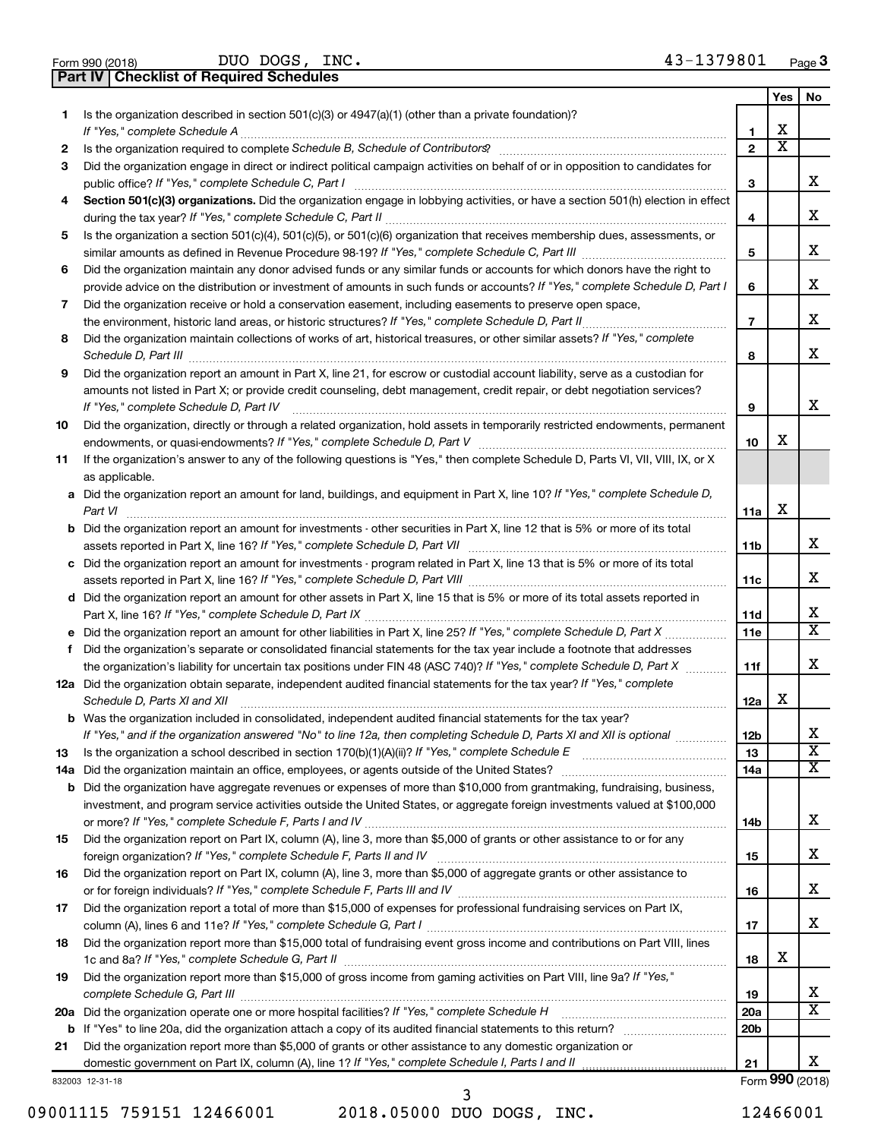| Form 990 (2018) |  |
|-----------------|--|

**Part IV Checklist of Required Schedules** DUO DOGS, INC.

|     |                                                                                                                                      |                 | Yes | No                      |
|-----|--------------------------------------------------------------------------------------------------------------------------------------|-----------------|-----|-------------------------|
| 1.  | Is the organization described in section $501(c)(3)$ or $4947(a)(1)$ (other than a private foundation)?                              |                 |     |                         |
|     |                                                                                                                                      | 1               | х   |                         |
| 2   |                                                                                                                                      | $\mathbf{2}$    | х   |                         |
| З   | Did the organization engage in direct or indirect political campaign activities on behalf of or in opposition to candidates for      |                 |     |                         |
|     | public office? If "Yes," complete Schedule C, Part I                                                                                 | 3               |     | x.                      |
| 4   | Section 501(c)(3) organizations. Did the organization engage in lobbying activities, or have a section 501(h) election in effect     |                 |     |                         |
|     |                                                                                                                                      | 4               |     | х                       |
| 5   | Is the organization a section 501(c)(4), 501(c)(5), or 501(c)(6) organization that receives membership dues, assessments, or         |                 |     | х                       |
|     |                                                                                                                                      | 5               |     |                         |
| 6   | Did the organization maintain any donor advised funds or any similar funds or accounts for which donors have the right to            |                 |     | х                       |
|     | provide advice on the distribution or investment of amounts in such funds or accounts? If "Yes," complete Schedule D, Part I         | 6               |     |                         |
| 7   | Did the organization receive or hold a conservation easement, including easements to preserve open space,                            | $\overline{7}$  |     | х                       |
| 8   | Did the organization maintain collections of works of art, historical treasures, or other similar assets? If "Yes," complete         |                 |     |                         |
|     |                                                                                                                                      | 8               |     | x                       |
| 9   | Did the organization report an amount in Part X, line 21, for escrow or custodial account liability, serve as a custodian for        |                 |     |                         |
|     | amounts not listed in Part X; or provide credit counseling, debt management, credit repair, or debt negotiation services?            |                 |     |                         |
|     | If "Yes," complete Schedule D, Part IV                                                                                               | 9               |     | х                       |
| 10  | Did the organization, directly or through a related organization, hold assets in temporarily restricted endowments, permanent        |                 |     |                         |
|     |                                                                                                                                      | 10              | х   |                         |
| 11  | If the organization's answer to any of the following questions is "Yes," then complete Schedule D, Parts VI, VII, VIII, IX, or X     |                 |     |                         |
|     | as applicable.                                                                                                                       |                 |     |                         |
|     | a Did the organization report an amount for land, buildings, and equipment in Part X, line 10? If "Yes," complete Schedule D,        |                 |     |                         |
|     | Part VI                                                                                                                              | 11a             | X   |                         |
|     | <b>b</b> Did the organization report an amount for investments - other securities in Part X, line 12 that is 5% or more of its total |                 |     |                         |
|     | assets reported in Part X, line 16? If "Yes," complete Schedule D, Part VII [11] [11] [12] [12] [12] [12] [13] [                     | 11b             |     | x                       |
|     | c Did the organization report an amount for investments - program related in Part X, line 13 that is 5% or more of its total         |                 |     |                         |
|     |                                                                                                                                      | 11c             |     | х                       |
|     | d Did the organization report an amount for other assets in Part X, line 15 that is 5% or more of its total assets reported in       |                 |     |                         |
|     |                                                                                                                                      | 11d             |     | х                       |
|     |                                                                                                                                      | 11e             |     | x                       |
| f   | Did the organization's separate or consolidated financial statements for the tax year include a footnote that addresses              |                 |     |                         |
|     | the organization's liability for uncertain tax positions under FIN 48 (ASC 740)? If "Yes," complete Schedule D, Part X               | 11f             |     | х                       |
|     | 12a Did the organization obtain separate, independent audited financial statements for the tax year? If "Yes," complete              |                 |     |                         |
|     | Schedule D, Parts XI and XII                                                                                                         | 12a             | X   |                         |
|     | <b>b</b> Was the organization included in consolidated, independent audited financial statements for the tax year?                   |                 |     |                         |
|     | If "Yes," and if the organization answered "No" to line 12a, then completing Schedule D, Parts XI and XII is optional                | 12 <sub>b</sub> |     | х                       |
| 13  |                                                                                                                                      | 13              |     | $\overline{\textbf{x}}$ |
| 14a |                                                                                                                                      | 14a             |     | x                       |
| b   | Did the organization have aggregate revenues or expenses of more than \$10,000 from grantmaking, fundraising, business,              |                 |     |                         |
|     | investment, and program service activities outside the United States, or aggregate foreign investments valued at \$100,000           |                 |     | х                       |
| 15  | Did the organization report on Part IX, column (A), line 3, more than \$5,000 of grants or other assistance to or for any            | 14b             |     |                         |
|     |                                                                                                                                      | 15              |     | х                       |
| 16  | Did the organization report on Part IX, column (A), line 3, more than \$5,000 of aggregate grants or other assistance to             |                 |     |                         |
|     |                                                                                                                                      | 16              |     | х                       |
| 17  | Did the organization report a total of more than \$15,000 of expenses for professional fundraising services on Part IX,              |                 |     |                         |
|     |                                                                                                                                      | 17              |     | х                       |
| 18  | Did the organization report more than \$15,000 total of fundraising event gross income and contributions on Part VIII, lines         |                 |     |                         |
|     |                                                                                                                                      | 18              | X   |                         |
| 19  | Did the organization report more than \$15,000 of gross income from gaming activities on Part VIII, line 9a? If "Yes,"               |                 |     |                         |
|     |                                                                                                                                      | 19              |     | x                       |
|     | 20a Did the organization operate one or more hospital facilities? If "Yes," complete Schedule H                                      | 20a             |     | x                       |
|     |                                                                                                                                      | 20 <sub>b</sub> |     |                         |
| 21  | Did the organization report more than \$5,000 of grants or other assistance to any domestic organization or                          |                 |     |                         |
|     |                                                                                                                                      | 21              |     | x                       |
|     | 832003 12-31-18                                                                                                                      |                 |     | Form 990 (2018)         |

09001115 759151 12466001 2018.05000 DUO DOGS, INC. 12466001 3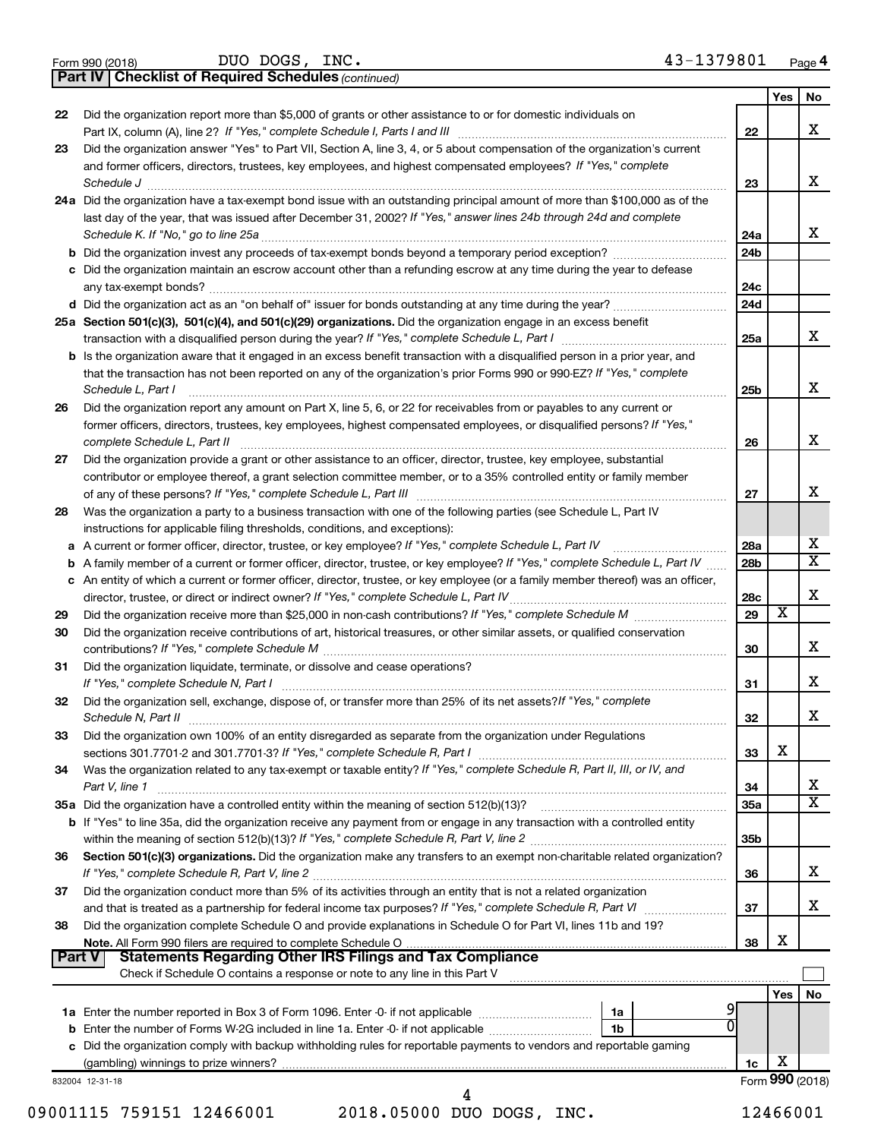|  | Form 990 (2018) |
|--|-----------------|
|  |                 |

DUO DOGS, INC. 43-1379801

**Part IV Checklist of Required Schedules**

*(continued)*

|        |                                                                                                                                     |                 | Yes        | No                      |
|--------|-------------------------------------------------------------------------------------------------------------------------------------|-----------------|------------|-------------------------|
| 22     | Did the organization report more than \$5,000 of grants or other assistance to or for domestic individuals on                       |                 |            |                         |
|        | Part IX, column (A), line 2? If "Yes," complete Schedule I, Parts I and III [11]] [11]] [11] [11] [11] [11] [1                      | 22              |            | х                       |
| 23     | Did the organization answer "Yes" to Part VII, Section A, line 3, 4, or 5 about compensation of the organization's current          |                 |            |                         |
|        | and former officers, directors, trustees, key employees, and highest compensated employees? If "Yes," complete                      |                 |            |                         |
|        | Schedule J                                                                                                                          | 23              |            | x                       |
|        | 24a Did the organization have a tax-exempt bond issue with an outstanding principal amount of more than \$100,000 as of the         |                 |            |                         |
|        | last day of the year, that was issued after December 31, 2002? If "Yes," answer lines 24b through 24d and complete                  |                 |            |                         |
|        | Schedule K. If "No," go to line 25a                                                                                                 | 24a             |            | x                       |
|        | <b>b</b> Did the organization invest any proceeds of tax-exempt bonds beyond a temporary period exception?                          | 24 <sub>b</sub> |            |                         |
|        | c Did the organization maintain an escrow account other than a refunding escrow at any time during the year to defease              |                 |            |                         |
|        |                                                                                                                                     | 24c             |            |                         |
|        |                                                                                                                                     | 24d             |            |                         |
|        | 25a Section 501(c)(3), 501(c)(4), and 501(c)(29) organizations. Did the organization engage in an excess benefit                    |                 |            |                         |
|        |                                                                                                                                     | 25a             |            | x                       |
|        | <b>b</b> Is the organization aware that it engaged in an excess benefit transaction with a disqualified person in a prior year, and |                 |            |                         |
|        | that the transaction has not been reported on any of the organization's prior Forms 990 or 990-EZ? If "Yes," complete               |                 |            |                         |
|        | Schedule L, Part I                                                                                                                  | 25b             |            | x                       |
| 26     | Did the organization report any amount on Part X, line 5, 6, or 22 for receivables from or payables to any current or               |                 |            |                         |
|        | former officers, directors, trustees, key employees, highest compensated employees, or disqualified persons? If "Yes,"              |                 |            |                         |
|        | complete Schedule L, Part II                                                                                                        | 26              |            | х                       |
| 27     | Did the organization provide a grant or other assistance to an officer, director, trustee, key employee, substantial                |                 |            |                         |
|        | contributor or employee thereof, a grant selection committee member, or to a 35% controlled entity or family member                 |                 |            |                         |
|        |                                                                                                                                     | 27              |            | x                       |
| 28     | Was the organization a party to a business transaction with one of the following parties (see Schedule L, Part IV                   |                 |            |                         |
|        | instructions for applicable filing thresholds, conditions, and exceptions):                                                         |                 |            |                         |
|        | a A current or former officer, director, trustee, or key employee? If "Yes," complete Schedule L, Part IV                           | 28a             |            | х                       |
| b      | A family member of a current or former officer, director, trustee, or key employee? If "Yes," complete Schedule L, Part IV          | 28b             |            | $\overline{\mathtt{x}}$ |
|        | c An entity of which a current or former officer, director, trustee, or key employee (or a family member thereof) was an officer,   |                 |            |                         |
|        | director, trustee, or direct or indirect owner? If "Yes," complete Schedule L, Part IV                                              | 28c             |            | x                       |
| 29     |                                                                                                                                     | 29              | X          |                         |
| 30     | Did the organization receive contributions of art, historical treasures, or other similar assets, or qualified conservation         |                 |            |                         |
|        |                                                                                                                                     | 30              |            | x                       |
| 31     | Did the organization liquidate, terminate, or dissolve and cease operations?                                                        |                 |            |                         |
|        |                                                                                                                                     | 31              |            | X                       |
| 32     | Did the organization sell, exchange, dispose of, or transfer more than 25% of its net assets? If "Yes," complete                    |                 |            |                         |
|        | Schedule N, Part II                                                                                                                 | 32              |            | X                       |
| 33     | Did the organization own 100% of an entity disregarded as separate from the organization under Regulations                          |                 |            |                         |
|        |                                                                                                                                     | 33              | х          |                         |
| 34     | Was the organization related to any tax-exempt or taxable entity? If "Yes," complete Schedule R, Part II, III, or IV, and           |                 |            |                         |
|        | Part V, line 1                                                                                                                      | 34              |            | x                       |
|        | 35a Did the organization have a controlled entity within the meaning of section 512(b)(13)?                                         | 35a             |            | $\overline{\mathtt{x}}$ |
|        | b If "Yes" to line 35a, did the organization receive any payment from or engage in any transaction with a controlled entity         |                 |            |                         |
|        |                                                                                                                                     | 35b             |            |                         |
| 36     | Section 501(c)(3) organizations. Did the organization make any transfers to an exempt non-charitable related organization?          |                 |            |                         |
|        |                                                                                                                                     | 36              |            | x                       |
| 37     | Did the organization conduct more than 5% of its activities through an entity that is not a related organization                    |                 |            |                         |
|        | and that is treated as a partnership for federal income tax purposes? If "Yes," complete Schedule R, Part VI                        | 37              |            | x                       |
| 38     | Did the organization complete Schedule O and provide explanations in Schedule O for Part VI, lines 11b and 19?                      |                 |            |                         |
|        |                                                                                                                                     | 38              | X          |                         |
| Part V | <b>Statements Regarding Other IRS Filings and Tax Compliance</b>                                                                    |                 |            |                         |
|        | Check if Schedule O contains a response or note to any line in this Part V                                                          |                 |            |                         |
|        |                                                                                                                                     |                 | <b>Yes</b> | No                      |
|        | 1a                                                                                                                                  |                 |            |                         |
|        | 1 <sub>b</sub>                                                                                                                      |                 |            |                         |
|        | c Did the organization comply with backup withholding rules for reportable payments to vendors and reportable gaming                |                 |            |                         |
|        |                                                                                                                                     | 1c              | х          |                         |
|        | 832004 12-31-18                                                                                                                     |                 |            | Form 990 (2018)         |
|        | 4                                                                                                                                   |                 |            |                         |

09001115 759151 12466001 2018.05000 DUO DOGS, INC. 12466001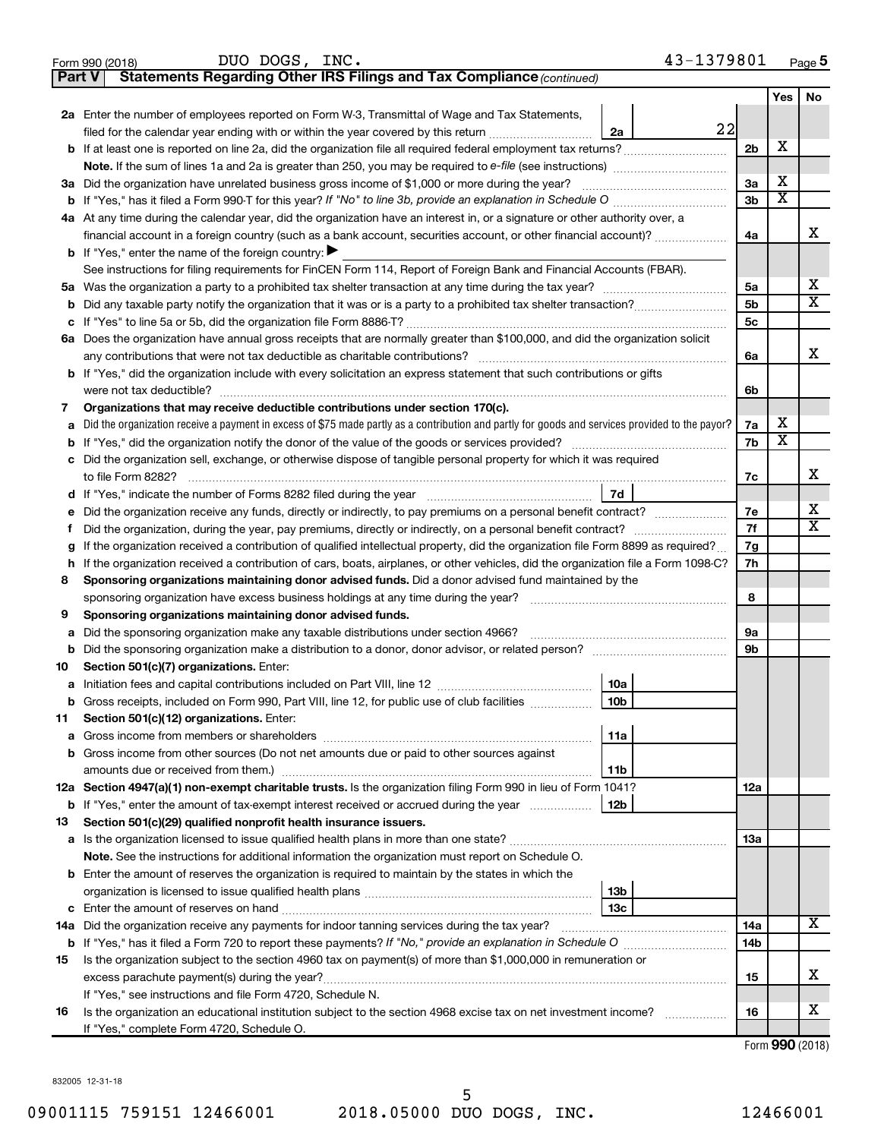|        | 43-1379801<br>DUO DOGS, INC.<br>Form 990 (2018)                                                                                                 |                |                         | Page 5                       |
|--------|-------------------------------------------------------------------------------------------------------------------------------------------------|----------------|-------------------------|------------------------------|
| Part V | Statements Regarding Other IRS Filings and Tax Compliance (continued)                                                                           |                |                         |                              |
|        |                                                                                                                                                 |                | Yes                     | No                           |
|        | 2a Enter the number of employees reported on Form W-3, Transmittal of Wage and Tax Statements,                                                  |                |                         |                              |
|        | 22<br>filed for the calendar year ending with or within the year covered by this return <i>manumumumum</i><br>2a                                |                |                         |                              |
|        |                                                                                                                                                 | 2 <sub>b</sub> | х                       |                              |
|        | Note. If the sum of lines 1a and 2a is greater than 250, you may be required to e-file (see instructions) <i></i>                               |                |                         |                              |
|        | 3a Did the organization have unrelated business gross income of \$1,000 or more during the year?                                                | За             | X                       |                              |
|        | <b>b</b> If "Yes," has it filed a Form 990-T for this year? If "No" to line 3b, provide an explanation in Schedule O manumum                    | 3b             | $\overline{\textbf{x}}$ |                              |
|        | 4a At any time during the calendar year, did the organization have an interest in, or a signature or other authority over, a                    |                |                         |                              |
|        | financial account in a foreign country (such as a bank account, securities account, or other financial account)?                                | 4a             |                         | х                            |
|        | <b>b</b> If "Yes," enter the name of the foreign country: $\blacktriangleright$                                                                 |                |                         |                              |
|        | See instructions for filing requirements for FinCEN Form 114, Report of Foreign Bank and Financial Accounts (FBAR).                             |                |                         |                              |
|        |                                                                                                                                                 | 5a             |                         | х                            |
|        |                                                                                                                                                 | 5 <sub>b</sub> |                         | X                            |
| с      |                                                                                                                                                 | 5c             |                         |                              |
|        | 6a Does the organization have annual gross receipts that are normally greater than \$100,000, and did the organization solicit                  |                |                         |                              |
|        | any contributions that were not tax deductible as charitable contributions?                                                                     | 6a             |                         | x                            |
|        | <b>b</b> If "Yes," did the organization include with every solicitation an express statement that such contributions or gifts                   |                |                         |                              |
|        | were not tax deductible?                                                                                                                        | 6b             |                         |                              |
| 7      | Organizations that may receive deductible contributions under section 170(c).                                                                   |                |                         |                              |
| a      | Did the organization receive a payment in excess of \$75 made partly as a contribution and partly for goods and services provided to the payor? | 7a             | X                       |                              |
| b      |                                                                                                                                                 | 7b             | $\overline{\textbf{x}}$ |                              |
| с      | Did the organization sell, exchange, or otherwise dispose of tangible personal property for which it was required                               |                |                         |                              |
|        | to file Form 8282?                                                                                                                              | 7c             |                         | x                            |
|        | 7d                                                                                                                                              |                |                         |                              |
| е      | Did the organization receive any funds, directly or indirectly, to pay premiums on a personal benefit contract?                                 | 7e<br>7f       |                         | х<br>$\overline{\texttt{x}}$ |
| Ť      | Did the organization, during the year, pay premiums, directly or indirectly, on a personal benefit contract?                                    |                |                         |                              |
| g      | If the organization received a contribution of qualified intellectual property, did the organization file Form 8899 as required?                | 7g             |                         |                              |
| h      | If the organization received a contribution of cars, boats, airplanes, or other vehicles, did the organization file a Form 1098-C?              |                |                         |                              |
| 8      | Sponsoring organizations maintaining donor advised funds. Did a donor advised fund maintained by the                                            |                |                         |                              |
|        | sponsoring organization have excess business holdings at any time during the year?                                                              |                |                         |                              |
| 9      | Sponsoring organizations maintaining donor advised funds.                                                                                       |                |                         |                              |
| а      | Did the sponsoring organization make any taxable distributions under section 4966?                                                              | 9а             |                         |                              |
| b      | Did the sponsoring organization make a distribution to a donor, donor advisor, or related person?                                               | 9b             |                         |                              |
| 10     | Section 501(c)(7) organizations. Enter:                                                                                                         |                |                         |                              |
| а      | 10a                                                                                                                                             |                |                         |                              |
| b      | Gross receipts, included on Form 990, Part VIII, line 12, for public use of club facilities<br>10b                                              |                |                         |                              |
| 11     | Section 501(c)(12) organizations. Enter:                                                                                                        |                |                         |                              |
| а      | 11a                                                                                                                                             |                |                         |                              |
| b      | Gross income from other sources (Do not net amounts due or paid to other sources against                                                        |                |                         |                              |
|        | 11b                                                                                                                                             |                |                         |                              |
|        | 12a Section 4947(a)(1) non-exempt charitable trusts. Is the organization filing Form 990 in lieu of Form 1041?                                  | 12a            |                         |                              |
|        | <b>b</b> If "Yes," enter the amount of tax-exempt interest received or accrued during the year<br>12b                                           |                |                         |                              |
| 13     | Section 501(c)(29) qualified nonprofit health insurance issuers.                                                                                |                |                         |                              |
|        |                                                                                                                                                 | 13a            |                         |                              |
|        | Note. See the instructions for additional information the organization must report on Schedule O.                                               |                |                         |                              |
|        | <b>b</b> Enter the amount of reserves the organization is required to maintain by the states in which the                                       |                |                         |                              |
|        | 13b                                                                                                                                             |                |                         |                              |
|        | 13c                                                                                                                                             |                |                         |                              |
| 14a    | Did the organization receive any payments for indoor tanning services during the tax year?                                                      | 14a            |                         | х                            |
|        |                                                                                                                                                 | 14b            |                         |                              |
| 15     | Is the organization subject to the section 4960 tax on payment(s) of more than \$1,000,000 in remuneration or                                   |                |                         |                              |
|        |                                                                                                                                                 | 15             |                         | х                            |
|        | If "Yes," see instructions and file Form 4720, Schedule N.                                                                                      |                |                         |                              |
| 16     | Is the organization an educational institution subject to the section 4968 excise tax on net investment income?<br>.                            | 16             |                         | х                            |
|        | If "Yes," complete Form 4720, Schedule O.                                                                                                       |                | $\mathbf{a}$            |                              |

|  |  | Form 990 (2018) |
|--|--|-----------------|
|--|--|-----------------|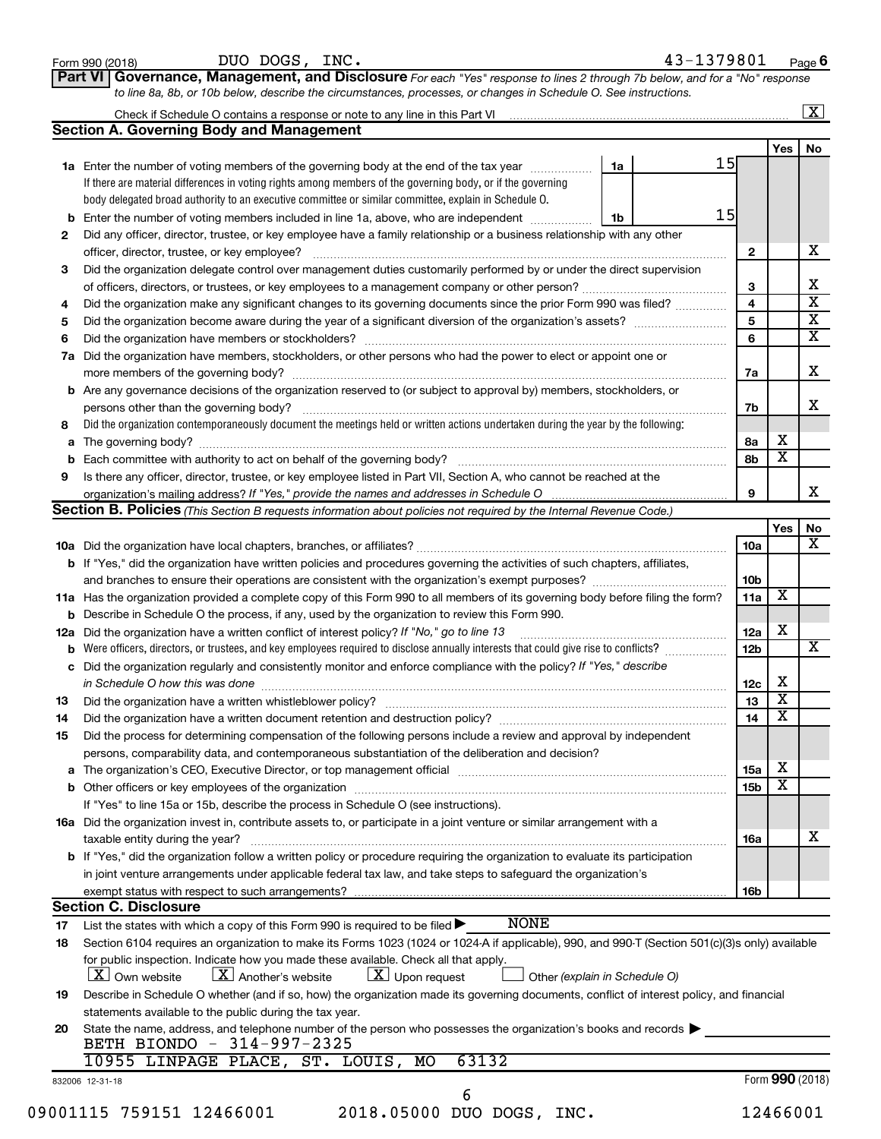|    | DUO DOGS, INC.<br>Form 990 (2018)                                                                                                                                                                                                                  |    | 43-1379801 |                 |                 | Page 6                  |
|----|----------------------------------------------------------------------------------------------------------------------------------------------------------------------------------------------------------------------------------------------------|----|------------|-----------------|-----------------|-------------------------|
|    | Governance, Management, and Disclosure For each "Yes" response to lines 2 through 7b below, and for a "No" response<br>Part VI<br>to line 8a, 8b, or 10b below, describe the circumstances, processes, or changes in Schedule O. See instructions. |    |            |                 |                 |                         |
|    |                                                                                                                                                                                                                                                    |    |            |                 |                 | $\boxed{\textbf{X}}$    |
|    |                                                                                                                                                                                                                                                    |    |            |                 |                 |                         |
|    | <b>Section A. Governing Body and Management</b>                                                                                                                                                                                                    |    |            |                 |                 |                         |
|    |                                                                                                                                                                                                                                                    |    | 15         |                 | Yes             | No                      |
|    | 1a Enter the number of voting members of the governing body at the end of the tax year<br>If there are material differences in voting rights among members of the governing body, or if the governing                                              | 1a |            |                 |                 |                         |
|    | body delegated broad authority to an executive committee or similar committee, explain in Schedule O.                                                                                                                                              |    |            |                 |                 |                         |
|    |                                                                                                                                                                                                                                                    |    | 15         |                 |                 |                         |
|    | <b>b</b> Enter the number of voting members included in line 1a, above, who are independent <i>manumum</i>                                                                                                                                         | 1b |            |                 |                 |                         |
| 2  | Did any officer, director, trustee, or key employee have a family relationship or a business relationship with any other                                                                                                                           |    |            |                 |                 | х                       |
|    |                                                                                                                                                                                                                                                    |    |            | $\mathbf{2}$    |                 |                         |
| 3  | Did the organization delegate control over management duties customarily performed by or under the direct supervision                                                                                                                              |    |            | 3               |                 | Х                       |
|    |                                                                                                                                                                                                                                                    |    |            | 4               |                 | $\overline{\text{x}}$   |
| 4  | Did the organization make any significant changes to its governing documents since the prior Form 990 was filed?                                                                                                                                   |    |            | 5               |                 | $\overline{\mathbf{x}}$ |
| 5  |                                                                                                                                                                                                                                                    |    |            |                 |                 | $\overline{\mathbf{x}}$ |
| 6  |                                                                                                                                                                                                                                                    |    |            | 6               |                 |                         |
|    | 7a Did the organization have members, stockholders, or other persons who had the power to elect or appoint one or                                                                                                                                  |    |            |                 |                 | х                       |
|    |                                                                                                                                                                                                                                                    |    |            | 7a              |                 |                         |
|    | <b>b</b> Are any governance decisions of the organization reserved to (or subject to approval by) members, stockholders, or                                                                                                                        |    |            |                 |                 | X                       |
|    | persons other than the governing body?<br>Did the organization contemporaneously document the meetings held or written actions undertaken during the year by the following:                                                                        |    |            | 7b              |                 |                         |
| 8  |                                                                                                                                                                                                                                                    |    |            |                 | х               |                         |
|    |                                                                                                                                                                                                                                                    |    |            | 8a              | X               |                         |
|    |                                                                                                                                                                                                                                                    |    |            | 8b              |                 |                         |
| 9  | Is there any officer, director, trustee, or key employee listed in Part VII, Section A, who cannot be reached at the                                                                                                                               |    |            |                 |                 | x                       |
|    |                                                                                                                                                                                                                                                    |    |            | 9               |                 |                         |
|    | <b>Section B. Policies</b> (This Section B requests information about policies not required by the Internal Revenue Code.)                                                                                                                         |    |            |                 |                 |                         |
|    |                                                                                                                                                                                                                                                    |    |            |                 | Yes             | No                      |
|    |                                                                                                                                                                                                                                                    |    |            | 10a             |                 | х                       |
|    | b If "Yes," did the organization have written policies and procedures governing the activities of such chapters, affiliates,                                                                                                                       |    |            |                 |                 |                         |
|    |                                                                                                                                                                                                                                                    |    |            | 10b             | X               |                         |
|    | 11a Has the organization provided a complete copy of this Form 990 to all members of its governing body before filing the form?                                                                                                                    |    |            | 11a             |                 |                         |
|    | <b>b</b> Describe in Schedule O the process, if any, used by the organization to review this Form 990.                                                                                                                                             |    |            |                 | X               |                         |
|    | 12a Did the organization have a written conflict of interest policy? If "No," go to line 13                                                                                                                                                        |    |            | 12a             |                 |                         |
|    |                                                                                                                                                                                                                                                    |    |            | 12 <sub>b</sub> |                 | x                       |
|    | c Did the organization regularly and consistently monitor and enforce compliance with the policy? If "Yes," describe                                                                                                                               |    |            |                 |                 |                         |
|    | in Schedule O how this was done <b>construction and construction</b> construction of the state of the state of the state of the state of the state of the state of the state of the state of the state of the state of the state of                |    |            | 12c             | х               |                         |
| 13 | Did the organization have a written whistleblower policy?                                                                                                                                                                                          |    |            | 13              | X.              |                         |
| 14 |                                                                                                                                                                                                                                                    |    |            | 14              | X               |                         |
| 15 | Did the process for determining compensation of the following persons include a review and approval by independent                                                                                                                                 |    |            |                 |                 |                         |
|    | persons, comparability data, and contemporaneous substantiation of the deliberation and decision?                                                                                                                                                  |    |            |                 |                 |                         |
|    |                                                                                                                                                                                                                                                    |    |            | <b>15a</b>      | X               |                         |
|    |                                                                                                                                                                                                                                                    |    |            | 15b             | X               |                         |
|    | If "Yes" to line 15a or 15b, describe the process in Schedule O (see instructions).                                                                                                                                                                |    |            |                 |                 |                         |
|    | 16a Did the organization invest in, contribute assets to, or participate in a joint venture or similar arrangement with a                                                                                                                          |    |            |                 |                 |                         |
|    | taxable entity during the year?                                                                                                                                                                                                                    |    |            | 16a             |                 | x                       |
|    | <b>b</b> If "Yes," did the organization follow a written policy or procedure requiring the organization to evaluate its participation                                                                                                              |    |            |                 |                 |                         |
|    | in joint venture arrangements under applicable federal tax law, and take steps to safeguard the organization's                                                                                                                                     |    |            |                 |                 |                         |
|    |                                                                                                                                                                                                                                                    |    |            | 16b             |                 |                         |
|    | <b>Section C. Disclosure</b>                                                                                                                                                                                                                       |    |            |                 |                 |                         |
| 17 | <b>NONE</b><br>List the states with which a copy of this Form 990 is required to be filed $\blacktriangleright$                                                                                                                                    |    |            |                 |                 |                         |
| 18 | Section 6104 requires an organization to make its Forms 1023 (1024 or 1024 A if applicable), 990, and 990-T (Section 501(c)(3)s only) available                                                                                                    |    |            |                 |                 |                         |
|    | for public inspection. Indicate how you made these available. Check all that apply.                                                                                                                                                                |    |            |                 |                 |                         |
|    | $ \underline{X} $ Upon request<br>$ \mathbf{X} $ Own website<br>$\lfloor X \rfloor$ Another's website<br>Other (explain in Schedule O)                                                                                                             |    |            |                 |                 |                         |
| 19 | Describe in Schedule O whether (and if so, how) the organization made its governing documents, conflict of interest policy, and financial                                                                                                          |    |            |                 |                 |                         |
|    | statements available to the public during the tax year.                                                                                                                                                                                            |    |            |                 |                 |                         |
| 20 | State the name, address, and telephone number of the person who possesses the organization's books and records                                                                                                                                     |    |            |                 |                 |                         |
|    | BETH BIONDO - 314-997-2325                                                                                                                                                                                                                         |    |            |                 |                 |                         |
|    | 63132<br>10955 LINPAGE PLACE, ST. LOUIS, MO                                                                                                                                                                                                        |    |            |                 |                 |                         |
|    | 832006 12-31-18                                                                                                                                                                                                                                    |    |            |                 | Form 990 (2018) |                         |
|    |                                                                                                                                                                                                                                                    |    |            |                 |                 |                         |
|    |                                                                                                                                                                                                                                                    |    |            |                 | 12466001        |                         |
|    | 09001115 759151 12466001<br>2018.05000 DUO DOGS, INC.                                                                                                                                                                                              |    |            |                 |                 |                         |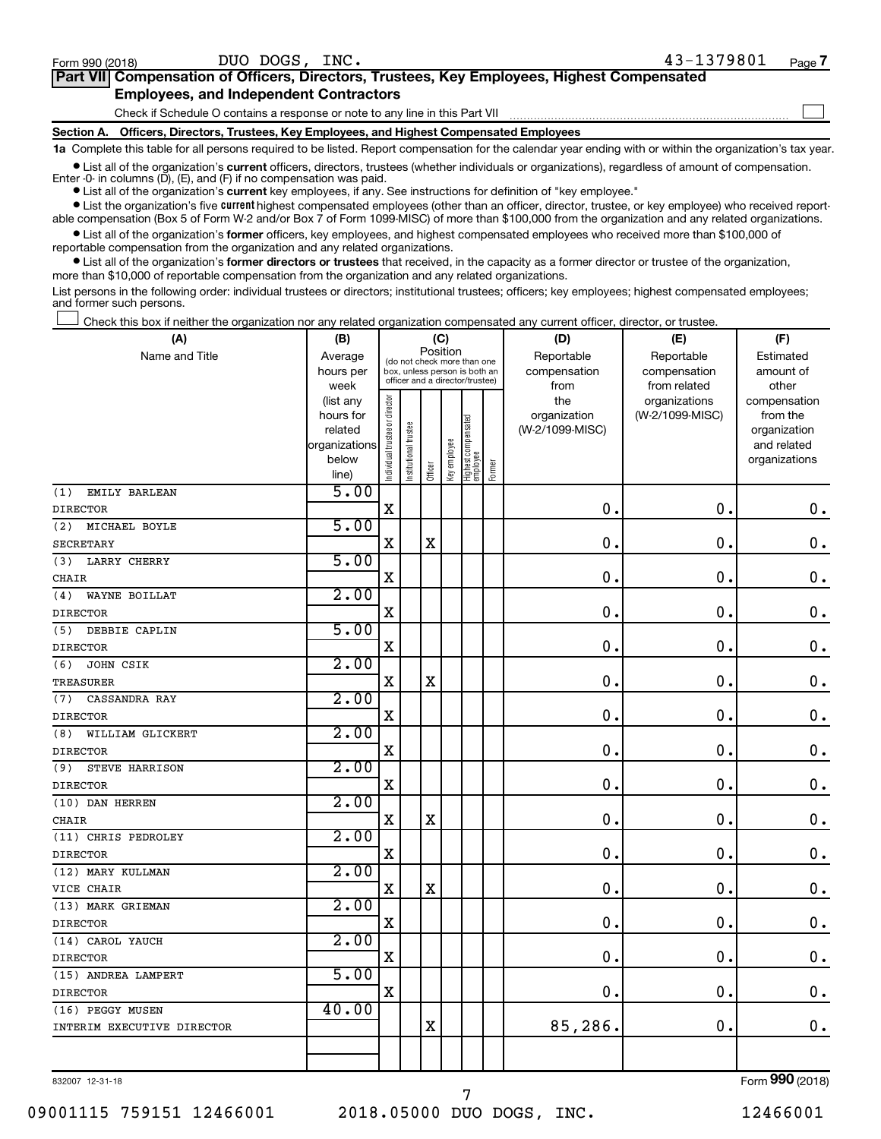| Part VII Compensation of Officers, Directors, Trustees, Key Employees, Highest Compensated |  |
|--------------------------------------------------------------------------------------------|--|
| <b>Employees, and Independent Contractors</b>                                              |  |
| Check if Schedule O contains a response or note to any line in this Part VII               |  |

**Section A. Officers, Directors, Trustees, Key Employees, and Highest Compensated Employees**

**1a**  Complete this table for all persons required to be listed. Report compensation for the calendar year ending with or within the organization's tax year. **•** List all of the organization's current officers, directors, trustees (whether individuals or organizations), regardless of amount of compensation.

Enter -0- in columns  $(D)$ ,  $(E)$ , and  $(F)$  if no compensation was paid.

**•** List all of the organization's **current** key employees, if any. See instructions for definition of "key employee."

**•** List the organization's five current highest compensated employees (other than an officer, director, trustee, or key employee) who received reportable compensation (Box 5 of Form W-2 and/or Box 7 of Form 1099-MISC) of more than \$100,000 from the organization and any related organizations.

**•** List all of the organization's former officers, key employees, and highest compensated employees who received more than \$100,000 of reportable compensation from the organization and any related organizations.

**•** List all of the organization's former directors or trustees that received, in the capacity as a former director or trustee of the organization, more than \$10,000 of reportable compensation from the organization and any related organizations.

List persons in the following order: individual trustees or directors; institutional trustees; officers; key employees; highest compensated employees; and former such persons.

Check this box if neither the organization nor any related organization compensated any current officer, director, or trustee.  $\Box$ 

| (A)                        | (B)                    |                                |                                                                  | (C)      |              |                                   |        | (D)                 | (E)                              | (F)                      |
|----------------------------|------------------------|--------------------------------|------------------------------------------------------------------|----------|--------------|-----------------------------------|--------|---------------------|----------------------------------|--------------------------|
| Name and Title             | Average                |                                | (do not check more than one                                      | Position |              |                                   |        | Reportable          | Reportable                       | Estimated                |
|                            | hours per              |                                | box, unless person is both an<br>officer and a director/trustee) |          |              |                                   |        | compensation        | compensation                     | amount of                |
|                            | week                   |                                |                                                                  |          |              |                                   |        | from                | from related                     | other                    |
|                            | (list any<br>hours for |                                |                                                                  |          |              |                                   |        | the<br>organization | organizations<br>(W-2/1099-MISC) | compensation<br>from the |
|                            | related                |                                |                                                                  |          |              |                                   |        | (W-2/1099-MISC)     |                                  | organization             |
|                            | organizations          |                                |                                                                  |          |              |                                   |        |                     |                                  | and related              |
|                            | below                  | Individual trustee or director | Institutional trustee                                            |          | Key employee |                                   |        |                     |                                  | organizations            |
|                            | line)                  |                                |                                                                  | Officer  |              | Highest compensated<br>  employee | Former |                     |                                  |                          |
| (1)<br>EMILY BARLEAN       | 5.00                   |                                |                                                                  |          |              |                                   |        |                     |                                  |                          |
| <b>DIRECTOR</b>            |                        | $\mathbf X$                    |                                                                  |          |              |                                   |        | $\mathbf 0$ .       | $\mathbf 0$                      | $\mathbf 0$ .            |
| (2)<br>MICHAEL BOYLE       | 5.00                   |                                |                                                                  |          |              |                                   |        |                     |                                  |                          |
| <b>SECRETARY</b>           |                        | $\rm X$                        |                                                                  | X        |              |                                   |        | $\mathbf 0$         | $\mathbf 0$                      | $\mathbf 0$ .            |
| <b>LARRY CHERRY</b><br>(3) | 5.00                   |                                |                                                                  |          |              |                                   |        |                     |                                  |                          |
| <b>CHAIR</b>               |                        | $\rm X$                        |                                                                  |          |              |                                   |        | $\mathbf 0$         | $\mathbf 0$                      | $\mathbf 0$ .            |
| (4)<br>WAYNE BOILLAT       | 2.00                   |                                |                                                                  |          |              |                                   |        |                     |                                  |                          |
| <b>DIRECTOR</b>            |                        | $\rm X$                        |                                                                  |          |              |                                   |        | $\mathbf 0$         | $\mathbf 0$                      | $\mathbf 0$ .            |
| DEBBIE CAPLIN<br>(5)       | 5.00                   |                                |                                                                  |          |              |                                   |        |                     |                                  |                          |
| <b>DIRECTOR</b>            |                        | $\mathbf X$                    |                                                                  |          |              |                                   |        | $\mathbf 0$         | $\mathbf 0$                      | $\mathbf 0$ .            |
| JOHN CSIK<br>(6)           | 2.00                   |                                |                                                                  |          |              |                                   |        |                     |                                  |                          |
| <b>TREASURER</b>           |                        | $\rm X$                        |                                                                  | X        |              |                                   |        | $\mathbf 0$         | $\mathbf 0$                      | $\mathbf 0$ .            |
| (7)<br>CASSANDRA RAY       | 2.00                   |                                |                                                                  |          |              |                                   |        |                     |                                  |                          |
| <b>DIRECTOR</b>            |                        | $\rm X$                        |                                                                  |          |              |                                   |        | 0                   | $\mathbf 0$                      | $\mathbf 0$ .            |
| (8)<br>WILLIAM GLICKERT    | 2.00                   |                                |                                                                  |          |              |                                   |        |                     |                                  |                          |
| <b>DIRECTOR</b>            |                        | $\rm X$                        |                                                                  |          |              |                                   |        | $\mathbf 0$         | $\mathbf 0$                      | $\mathbf 0$ .            |
| (9)<br>STEVE HARRISON      | 2.00                   |                                |                                                                  |          |              |                                   |        |                     |                                  |                          |
| <b>DIRECTOR</b>            |                        | $\mathbf X$                    |                                                                  |          |              |                                   |        | $\mathbf 0$         | $\mathbf 0$                      | $\mathbf 0$ .            |
| (10) DAN HERREN            | 2.00                   |                                |                                                                  |          |              |                                   |        |                     |                                  |                          |
| <b>CHAIR</b>               |                        | $\rm X$                        |                                                                  | X        |              |                                   |        | $\mathbf 0$         | $\mathbf 0$                      | $\mathbf 0$ .            |
| (11) CHRIS PEDROLEY        | 2.00                   |                                |                                                                  |          |              |                                   |        |                     |                                  |                          |
| <b>DIRECTOR</b>            |                        | $\rm X$                        |                                                                  |          |              |                                   |        | 0                   | $\mathbf 0$                      | $\mathbf 0$ .            |
| (12) MARY KULLMAN          | 2.00                   |                                |                                                                  |          |              |                                   |        |                     |                                  |                          |
| VICE CHAIR                 |                        | $\rm X$                        |                                                                  | X        |              |                                   |        | $\mathbf 0$         | $\mathbf 0$                      | $\mathbf 0$ .            |
| (13) MARK GRIEMAN          | 2.00                   |                                |                                                                  |          |              |                                   |        |                     |                                  |                          |
| <b>DIRECTOR</b>            |                        | $\rm X$                        |                                                                  |          |              |                                   |        | $\mathbf 0$         | $\mathbf 0$                      | $\mathbf 0$ .            |
| (14) CAROL YAUCH           | 2.00                   |                                |                                                                  |          |              |                                   |        |                     |                                  |                          |
| <b>DIRECTOR</b>            |                        | $\rm X$                        |                                                                  |          |              |                                   |        | $\mathbf 0$         | $\mathbf 0$                      | $\mathbf 0$ .            |
| (15) ANDREA LAMPERT        | 5.00                   |                                |                                                                  |          |              |                                   |        |                     |                                  |                          |
| <b>DIRECTOR</b>            |                        | $\mathbf X$                    |                                                                  |          |              |                                   |        | $\mathbf 0$         | $\mathbf 0$                      | $\mathbf 0$ .            |
| (16) PEGGY MUSEN           | 40.00                  |                                |                                                                  |          |              |                                   |        |                     |                                  |                          |
| INTERIM EXECUTIVE DIRECTOR |                        |                                |                                                                  | X        |              |                                   |        | 85,286.             | $\mathbf 0$                      | $0$ .                    |
|                            |                        |                                |                                                                  |          |              |                                   |        |                     |                                  |                          |
|                            |                        |                                |                                                                  |          |              |                                   |        |                     |                                  |                          |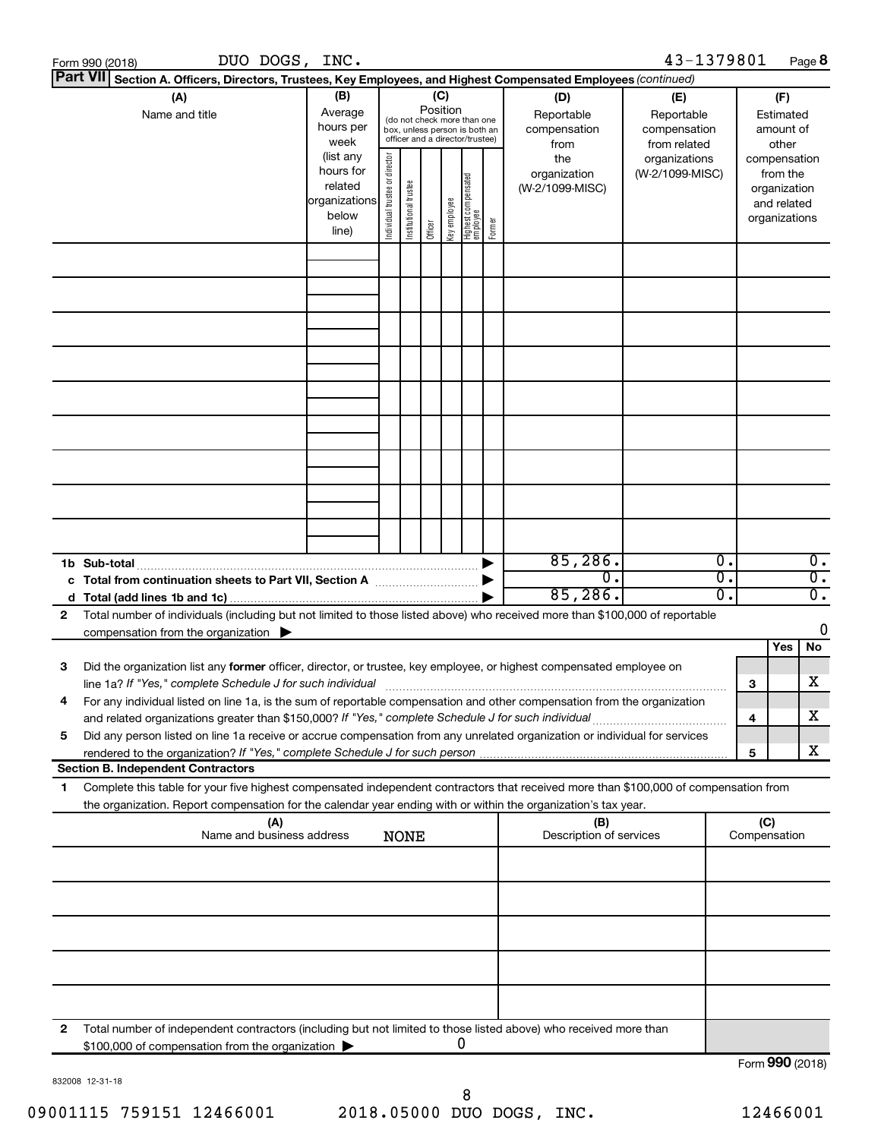|    | DUO DOGS, INC.<br>Form 990 (2018)                                                                                                                                                                                               |                                                         |                                |                       |          |             |                                                                                                 |        |                                                  | 43-1379801                                                         |                                  | Page 8                               |
|----|---------------------------------------------------------------------------------------------------------------------------------------------------------------------------------------------------------------------------------|---------------------------------------------------------|--------------------------------|-----------------------|----------|-------------|-------------------------------------------------------------------------------------------------|--------|--------------------------------------------------|--------------------------------------------------------------------|----------------------------------|--------------------------------------|
|    | <b>Part VII</b><br>Section A. Officers, Directors, Trustees, Key Employees, and Highest Compensated Employees (continued)                                                                                                       |                                                         |                                |                       |          |             |                                                                                                 |        |                                                  |                                                                    |                                  |                                      |
|    | (A)<br>Name and title                                                                                                                                                                                                           | (B)<br>Average<br>hours per<br>week<br>(list any        |                                |                       | Position | (C)         | (do not check more than one<br>box, unless person is both an<br>officer and a director/trustee) |        | (D)<br>Reportable<br>compensation<br>from<br>the | (E)<br>Reportable<br>compensation<br>from related<br>organizations | (F)<br>Estimated<br>compensation | amount of<br>other                   |
|    |                                                                                                                                                                                                                                 | hours for<br>related<br>organizations<br>below<br>line) | Individual trustee or director | Institutional trustee | Officer  | Keyemployee | Highest compensated<br>  employee                                                               | Former | organization<br>(W-2/1099-MISC)                  | (W-2/1099-MISC)                                                    | from the<br>organizations        | organization<br>and related          |
|    |                                                                                                                                                                                                                                 |                                                         |                                |                       |          |             |                                                                                                 |        |                                                  |                                                                    |                                  |                                      |
|    |                                                                                                                                                                                                                                 |                                                         |                                |                       |          |             |                                                                                                 |        |                                                  |                                                                    |                                  |                                      |
|    |                                                                                                                                                                                                                                 |                                                         |                                |                       |          |             |                                                                                                 |        |                                                  |                                                                    |                                  |                                      |
|    |                                                                                                                                                                                                                                 |                                                         |                                |                       |          |             |                                                                                                 |        |                                                  |                                                                    |                                  |                                      |
|    |                                                                                                                                                                                                                                 |                                                         |                                |                       |          |             |                                                                                                 |        |                                                  |                                                                    |                                  |                                      |
|    | 1b Sub-total                                                                                                                                                                                                                    |                                                         |                                |                       |          |             |                                                                                                 | ▶      | 85,286.                                          | 0.                                                                 |                                  | $\overline{0}$ .                     |
|    | c Total from continuation sheets to Part VII, Section A                                                                                                                                                                         |                                                         |                                |                       |          |             |                                                                                                 |        | $\overline{0}$<br>85,286.                        | $\overline{\mathfrak{o}}$ .<br>$\overline{0}$ .                    |                                  | $\overline{0}$ .<br>$\overline{0}$ . |
| 2  | Total number of individuals (including but not limited to those listed above) who received more than \$100,000 of reportable                                                                                                    |                                                         |                                |                       |          |             |                                                                                                 |        |                                                  |                                                                    |                                  |                                      |
|    | compensation from the organization $\blacktriangleright$                                                                                                                                                                        |                                                         |                                |                       |          |             |                                                                                                 |        |                                                  |                                                                    | Yes                              | 0<br>No                              |
| 3  | Did the organization list any former officer, director, or trustee, key employee, or highest compensated employee on                                                                                                            |                                                         |                                |                       |          |             |                                                                                                 |        |                                                  |                                                                    | 3                                | х                                    |
|    | For any individual listed on line 1a, is the sum of reportable compensation and other compensation from the organization<br>and related organizations greater than \$150,000? If "Yes," complete Schedule J for such individual |                                                         |                                |                       |          |             |                                                                                                 |        |                                                  |                                                                    | 4                                | х                                    |
| 5  | Did any person listed on line 1a receive or accrue compensation from any unrelated organization or individual for services                                                                                                      |                                                         |                                |                       |          |             |                                                                                                 |        |                                                  |                                                                    |                                  |                                      |
|    | <b>Section B. Independent Contractors</b>                                                                                                                                                                                       |                                                         |                                |                       |          |             |                                                                                                 |        |                                                  |                                                                    | 5                                | х                                    |
| 1. | Complete this table for your five highest compensated independent contractors that received more than \$100,000 of compensation from                                                                                            |                                                         |                                |                       |          |             |                                                                                                 |        |                                                  |                                                                    |                                  |                                      |
|    | the organization. Report compensation for the calendar year ending with or within the organization's tax year.                                                                                                                  |                                                         |                                |                       |          |             |                                                                                                 |        |                                                  |                                                                    |                                  |                                      |
|    | (A)<br>Name and business address                                                                                                                                                                                                |                                                         |                                | <b>NONE</b>           |          |             |                                                                                                 |        | (B)<br>Description of services                   |                                                                    | (C)<br>Compensation              |                                      |
|    |                                                                                                                                                                                                                                 |                                                         |                                |                       |          |             |                                                                                                 |        |                                                  |                                                                    |                                  |                                      |
|    |                                                                                                                                                                                                                                 |                                                         |                                |                       |          |             |                                                                                                 |        |                                                  |                                                                    |                                  |                                      |
|    |                                                                                                                                                                                                                                 |                                                         |                                |                       |          |             |                                                                                                 |        |                                                  |                                                                    |                                  |                                      |
|    |                                                                                                                                                                                                                                 |                                                         |                                |                       |          |             |                                                                                                 |        |                                                  |                                                                    |                                  |                                      |
| 2  | Total number of independent contractors (including but not limited to those listed above) who received more than<br>\$100,000 of compensation from the organization                                                             |                                                         |                                |                       |          |             | 0                                                                                               |        |                                                  |                                                                    |                                  |                                      |
|    |                                                                                                                                                                                                                                 |                                                         |                                |                       |          |             |                                                                                                 |        |                                                  |                                                                    |                                  | Form 990 (2018)                      |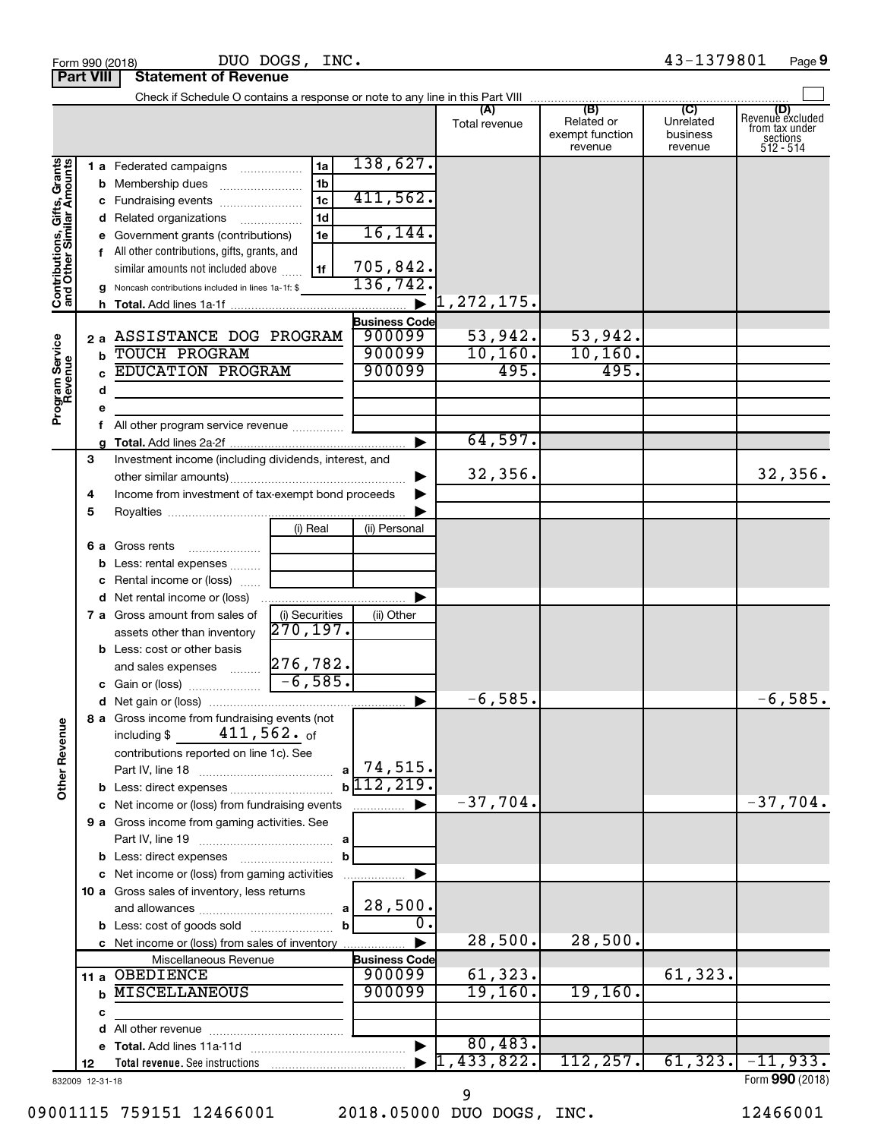|                                                           | 43-1379801<br>DUO DOGS, INC.<br>Page 9<br>Form 990 (2018) |   |                                                       |                            |                       |                                  |                                                 |                                         |                                                                    |
|-----------------------------------------------------------|-----------------------------------------------------------|---|-------------------------------------------------------|----------------------------|-----------------------|----------------------------------|-------------------------------------------------|-----------------------------------------|--------------------------------------------------------------------|
| <b>Part VIII</b>                                          |                                                           |   | <b>Statement of Revenue</b>                           |                            |                       |                                  |                                                 |                                         |                                                                    |
|                                                           |                                                           |   |                                                       |                            |                       |                                  |                                                 |                                         |                                                                    |
|                                                           |                                                           |   |                                                       |                            |                       | (A)<br>Total revenue             | (B)<br>Related or<br>exempt function<br>revenue | (C)<br>Unrelated<br>business<br>revenue | (D)<br>Revenue excluded<br>from tax under<br>sections<br>512 - 514 |
|                                                           |                                                           |   | 1 a Federated campaigns                               | 1a                         | 138,627.              |                                  |                                                 |                                         |                                                                    |
| Contributions, Gifts, Grants<br>and Other Similar Amounts |                                                           |   |                                                       | 1 <sub>b</sub>             |                       |                                  |                                                 |                                         |                                                                    |
|                                                           |                                                           |   | c Fundraising events                                  | $\overline{1c}$            | 411,562.              |                                  |                                                 |                                         |                                                                    |
|                                                           |                                                           |   | d Related organizations                               | 1 <sub>d</sub>             |                       |                                  |                                                 |                                         |                                                                    |
|                                                           |                                                           |   | e Government grants (contributions)                   | 1e                         | 16, 144.              |                                  |                                                 |                                         |                                                                    |
|                                                           |                                                           |   | f All other contributions, gifts, grants, and         |                            |                       |                                  |                                                 |                                         |                                                                    |
|                                                           |                                                           |   | similar amounts not included above                    | 1f                         | 705,842.              |                                  |                                                 |                                         |                                                                    |
|                                                           |                                                           |   | g Noncash contributions included in lines 1a-1f: \$   |                            | 136,742.              |                                  |                                                 |                                         |                                                                    |
|                                                           |                                                           |   |                                                       |                            |                       | $\blacktriangleright$ 1,272,175. |                                                 |                                         |                                                                    |
|                                                           |                                                           |   |                                                       |                            | <b>Business Code</b>  |                                  |                                                 |                                         |                                                                    |
|                                                           |                                                           |   | 2 a ASSISTANCE DOG PROGRAM                            |                            | 900099                | 53,942.                          | 53,942.                                         |                                         |                                                                    |
|                                                           |                                                           |   | <b>b</b> TOUCH PROGRAM                                |                            | 900099                | 10, 160.                         | 10, 160.                                        |                                         |                                                                    |
|                                                           |                                                           |   | <b>EDUCATION PROGRAM</b>                              |                            | 900099                | 495.                             | 495.                                            |                                         |                                                                    |
|                                                           |                                                           |   |                                                       |                            |                       |                                  |                                                 |                                         |                                                                    |
| Program Service<br>Revenue                                |                                                           | d |                                                       |                            |                       |                                  |                                                 |                                         |                                                                    |
|                                                           |                                                           | е |                                                       |                            |                       |                                  |                                                 |                                         |                                                                    |
|                                                           |                                                           |   |                                                       |                            | ▶                     | 64,597.                          |                                                 |                                         |                                                                    |
|                                                           |                                                           | g |                                                       |                            |                       |                                  |                                                 |                                         |                                                                    |
|                                                           | 3                                                         |   | Investment income (including dividends, interest, and |                            |                       | 32,356.                          |                                                 |                                         | 32,356.                                                            |
|                                                           |                                                           |   | Income from investment of tax-exempt bond proceeds    |                            | ▶                     |                                  |                                                 |                                         |                                                                    |
|                                                           | 4                                                         |   |                                                       |                            |                       |                                  |                                                 |                                         |                                                                    |
|                                                           | 5                                                         |   |                                                       |                            |                       |                                  |                                                 |                                         |                                                                    |
|                                                           |                                                           |   |                                                       | (i) Real                   | (ii) Personal         |                                  |                                                 |                                         |                                                                    |
|                                                           |                                                           |   | 6 a Gross rents                                       |                            |                       |                                  |                                                 |                                         |                                                                    |
|                                                           |                                                           |   | <b>b</b> Less: rental expenses                        |                            |                       |                                  |                                                 |                                         |                                                                    |
|                                                           |                                                           |   | <b>c</b> Rental income or (loss)                      |                            |                       |                                  |                                                 |                                         |                                                                    |
|                                                           |                                                           |   | d Net rental income or (loss)                         |                            |                       |                                  |                                                 |                                         |                                                                    |
|                                                           |                                                           |   | 7 a Gross amount from sales of                        | (i) Securities<br>270,197. | (ii) Other            |                                  |                                                 |                                         |                                                                    |
|                                                           |                                                           |   | assets other than inventory                           |                            |                       |                                  |                                                 |                                         |                                                                    |
|                                                           |                                                           |   | <b>b</b> Less: cost or other basis                    |                            |                       |                                  |                                                 |                                         |                                                                    |
|                                                           |                                                           |   |                                                       |                            |                       |                                  |                                                 |                                         |                                                                    |
|                                                           |                                                           |   |                                                       |                            |                       | $-6,585.$                        |                                                 |                                         | $-6,585.$                                                          |
|                                                           |                                                           |   | 8 a Gross income from fundraising events (not         |                            |                       |                                  |                                                 |                                         |                                                                    |
| <b>Other Revenue</b>                                      |                                                           |   | $\mathtt{411}$ ,562. $_\mathsf{of}$<br>including \$   |                            |                       |                                  |                                                 |                                         |                                                                    |
|                                                           |                                                           |   | contributions reported on line 1c). See               |                            |                       |                                  |                                                 |                                         |                                                                    |
|                                                           |                                                           |   |                                                       |                            | $a$ 74,515.           |                                  |                                                 |                                         |                                                                    |
|                                                           |                                                           |   |                                                       |                            | $b\sqrt{112,219}$ .   |                                  |                                                 |                                         |                                                                    |
|                                                           |                                                           |   | c Net income or (loss) from fundraising events        |                            | ▶                     | $-37,704.$                       |                                                 |                                         | $-37,704.$                                                         |
|                                                           |                                                           |   | 9 a Gross income from gaming activities. See          |                            |                       |                                  |                                                 |                                         |                                                                    |
|                                                           |                                                           |   |                                                       |                            |                       |                                  |                                                 |                                         |                                                                    |
|                                                           |                                                           |   |                                                       | b                          |                       |                                  |                                                 |                                         |                                                                    |
|                                                           |                                                           |   | c Net income or (loss) from gaming activities         |                            | ▶                     |                                  |                                                 |                                         |                                                                    |
|                                                           |                                                           |   | 10 a Gross sales of inventory, less returns           |                            |                       |                                  |                                                 |                                         |                                                                    |
|                                                           |                                                           |   |                                                       |                            |                       |                                  |                                                 |                                         |                                                                    |
|                                                           |                                                           |   |                                                       | $\mathbf{b}$               | $\overline{0}$ .      |                                  |                                                 |                                         |                                                                    |
|                                                           |                                                           |   | c Net income or (loss) from sales of inventory        |                            |                       | 28,500.                          | 28,500.                                         |                                         |                                                                    |
|                                                           |                                                           |   | Miscellaneous Revenue                                 |                            | <b>Business Code</b>  |                                  |                                                 |                                         |                                                                    |
|                                                           |                                                           |   | 11 a OBEDIENCE                                        |                            | 900099                | 61,323.                          |                                                 | 61,323.                                 |                                                                    |
|                                                           |                                                           |   | <b>MISCELLANEOUS</b>                                  |                            | 900099                | 19,160.                          | 19,160.                                         |                                         |                                                                    |
|                                                           |                                                           | с |                                                       |                            |                       |                                  |                                                 |                                         |                                                                    |
|                                                           |                                                           |   |                                                       |                            |                       |                                  |                                                 |                                         |                                                                    |
|                                                           |                                                           |   |                                                       |                            | $\blacktriangleright$ | 80,483.                          |                                                 |                                         | $\overline{61,323.}$ $-11,933.$                                    |
|                                                           | 12                                                        |   |                                                       |                            |                       | 1,433,822.                       | 112, 257.                                       |                                         |                                                                    |
| 832009 12-31-18                                           |                                                           |   |                                                       |                            |                       |                                  |                                                 |                                         | Form 990 (2018)                                                    |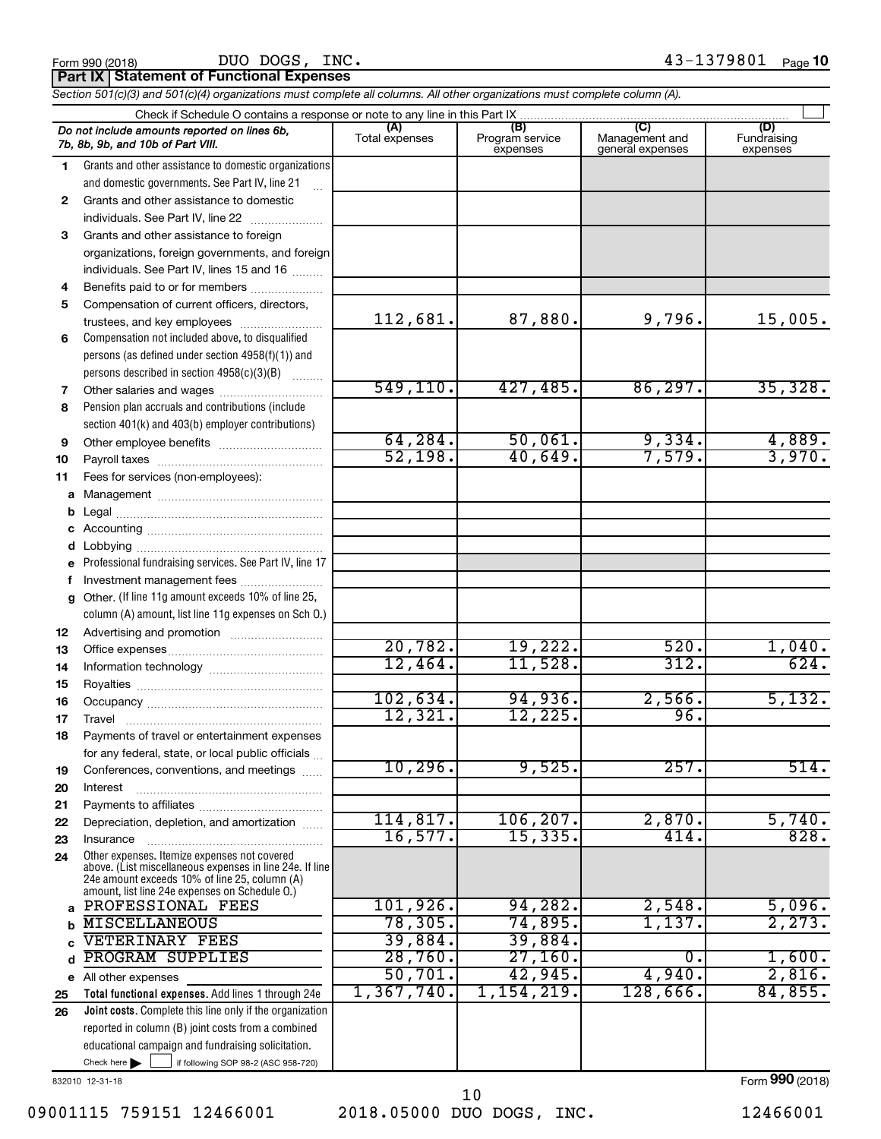DUO DOGS, INC.

**Part IX Statement of Functional Expenses**

*Section 501(c)(3) and 501(c)(4) organizations must complete all columns. All other organizations must complete column (A).*

|          | Check if Schedule O contains a response or note to any line in this Part IX                                                                               |                       |                                    |                                           |                                |  |  |  |  |
|----------|-----------------------------------------------------------------------------------------------------------------------------------------------------------|-----------------------|------------------------------------|-------------------------------------------|--------------------------------|--|--|--|--|
|          | Do not include amounts reported on lines 6b,<br>7b, 8b, 9b, and 10b of Part VIII.                                                                         | (A)<br>Total expenses | (B)<br>Program service<br>expenses | (C)<br>Management and<br>general expenses | (D)<br>Fundraising<br>expenses |  |  |  |  |
| 1.       | Grants and other assistance to domestic organizations                                                                                                     |                       |                                    |                                           |                                |  |  |  |  |
|          | and domestic governments. See Part IV, line 21                                                                                                            |                       |                                    |                                           |                                |  |  |  |  |
| 2        | Grants and other assistance to domestic                                                                                                                   |                       |                                    |                                           |                                |  |  |  |  |
|          | individuals. See Part IV, line 22                                                                                                                         |                       |                                    |                                           |                                |  |  |  |  |
| 3        | Grants and other assistance to foreign                                                                                                                    |                       |                                    |                                           |                                |  |  |  |  |
|          | organizations, foreign governments, and foreign                                                                                                           |                       |                                    |                                           |                                |  |  |  |  |
|          | individuals. See Part IV, lines 15 and 16                                                                                                                 |                       |                                    |                                           |                                |  |  |  |  |
| 4        | Benefits paid to or for members                                                                                                                           |                       |                                    |                                           |                                |  |  |  |  |
| 5        | Compensation of current officers, directors,                                                                                                              |                       |                                    |                                           |                                |  |  |  |  |
|          | trustees, and key employees                                                                                                                               | 112,681.              | 87,880.                            | 9,796.                                    | 15,005.                        |  |  |  |  |
| 6        | Compensation not included above, to disqualified                                                                                                          |                       |                                    |                                           |                                |  |  |  |  |
|          | persons (as defined under section 4958(f)(1)) and                                                                                                         |                       |                                    |                                           |                                |  |  |  |  |
|          | persons described in section 4958(c)(3)(B)                                                                                                                | 549, 110.             | 427,485.                           | 86, 297.                                  | 35,328.                        |  |  |  |  |
| 7        |                                                                                                                                                           |                       |                                    |                                           |                                |  |  |  |  |
| 8        | Pension plan accruals and contributions (include<br>section 401(k) and 403(b) employer contributions)                                                     |                       |                                    |                                           |                                |  |  |  |  |
| 9        |                                                                                                                                                           | 64, 284.              | 50,061.                            | 9,334.                                    |                                |  |  |  |  |
| 10       |                                                                                                                                                           | 52,198.               | 40,649.                            | 7,579.                                    | $\frac{4,889}{3,970}$ .        |  |  |  |  |
| 11       | Fees for services (non-employees):                                                                                                                        |                       |                                    |                                           |                                |  |  |  |  |
| a        |                                                                                                                                                           |                       |                                    |                                           |                                |  |  |  |  |
| b        |                                                                                                                                                           |                       |                                    |                                           |                                |  |  |  |  |
| с        |                                                                                                                                                           |                       |                                    |                                           |                                |  |  |  |  |
| d        |                                                                                                                                                           |                       |                                    |                                           |                                |  |  |  |  |
| e        | Professional fundraising services. See Part IV, line 17                                                                                                   |                       |                                    |                                           |                                |  |  |  |  |
| f        | Investment management fees                                                                                                                                |                       |                                    |                                           |                                |  |  |  |  |
| g        | Other. (If line 11g amount exceeds 10% of line 25,                                                                                                        |                       |                                    |                                           |                                |  |  |  |  |
|          | column (A) amount, list line 11g expenses on Sch O.)                                                                                                      |                       |                                    |                                           |                                |  |  |  |  |
| 12       |                                                                                                                                                           |                       |                                    |                                           |                                |  |  |  |  |
| 13       |                                                                                                                                                           | 20, 782.<br>12,464.   | 19,222.<br>11,528.                 | 520.<br>312.                              | 1,040.<br>624.                 |  |  |  |  |
| 14       |                                                                                                                                                           |                       |                                    |                                           |                                |  |  |  |  |
| 15       |                                                                                                                                                           | 102,634.              | 94,936.                            | 2,566                                     | 5,132.                         |  |  |  |  |
| 16<br>17 | Travel                                                                                                                                                    | 12,321.               | 12, 225.                           | 96.                                       |                                |  |  |  |  |
| 18       | Payments of travel or entertainment expenses                                                                                                              |                       |                                    |                                           |                                |  |  |  |  |
|          | for any federal, state, or local public officials                                                                                                         |                       |                                    |                                           |                                |  |  |  |  |
| 19       | Conferences, conventions, and meetings                                                                                                                    | 10, 296.              | 9,525.                             | 257.                                      | 514.                           |  |  |  |  |
| 20       | Interest                                                                                                                                                  |                       |                                    |                                           |                                |  |  |  |  |
| 21       |                                                                                                                                                           |                       |                                    |                                           |                                |  |  |  |  |
| 22       | Depreciation, depletion, and amortization                                                                                                                 | 114, 817.             | 106, 207.                          | 2,870.                                    | 5,740.                         |  |  |  |  |
| 23       | Insurance                                                                                                                                                 | 16, 577.              | 15, 335.                           | 414                                       | 828.                           |  |  |  |  |
| 24       | Other expenses. Itemize expenses not covered<br>above. (List miscellaneous expenses in line 24e. If line<br>24e amount exceeds 10% of line 25, column (A) |                       |                                    |                                           |                                |  |  |  |  |
|          | amount, list line 24e expenses on Schedule O.)                                                                                                            |                       |                                    |                                           |                                |  |  |  |  |
| a        | PROFESSIONAL FEES                                                                                                                                         | 101,926.              | 94,282.                            | 2,548.                                    | 5,096.                         |  |  |  |  |
| b        | <b>MISCELLANEOUS</b>                                                                                                                                      | 78, 305.              | 74,895.                            | $1$ ,137.                                 | 2,273.                         |  |  |  |  |
| C        | <b>VETERINARY FEES</b>                                                                                                                                    | 39,884.               | 39,884.                            |                                           |                                |  |  |  |  |
| d        | PROGRAM SUPPLIES                                                                                                                                          | 28,760.               | 27,160.                            | 0.                                        | 1,600.                         |  |  |  |  |
|          | e All other expenses                                                                                                                                      | 50,701.<br>1,367,740. | 42,945.<br>1,154,219.              | 4,940<br>128,666                          | 2,816.<br>84, 855.             |  |  |  |  |
| 25       | Total functional expenses. Add lines 1 through 24e                                                                                                        |                       |                                    |                                           |                                |  |  |  |  |
| 26       | Joint costs. Complete this line only if the organization<br>reported in column (B) joint costs from a combined                                            |                       |                                    |                                           |                                |  |  |  |  |
|          | educational campaign and fundraising solicitation.                                                                                                        |                       |                                    |                                           |                                |  |  |  |  |
|          | Check here $\blacktriangleright$<br>if following SOP 98-2 (ASC 958-720)                                                                                   |                       |                                    |                                           |                                |  |  |  |  |
|          |                                                                                                                                                           |                       |                                    |                                           | $000$ ( $0010$ )               |  |  |  |  |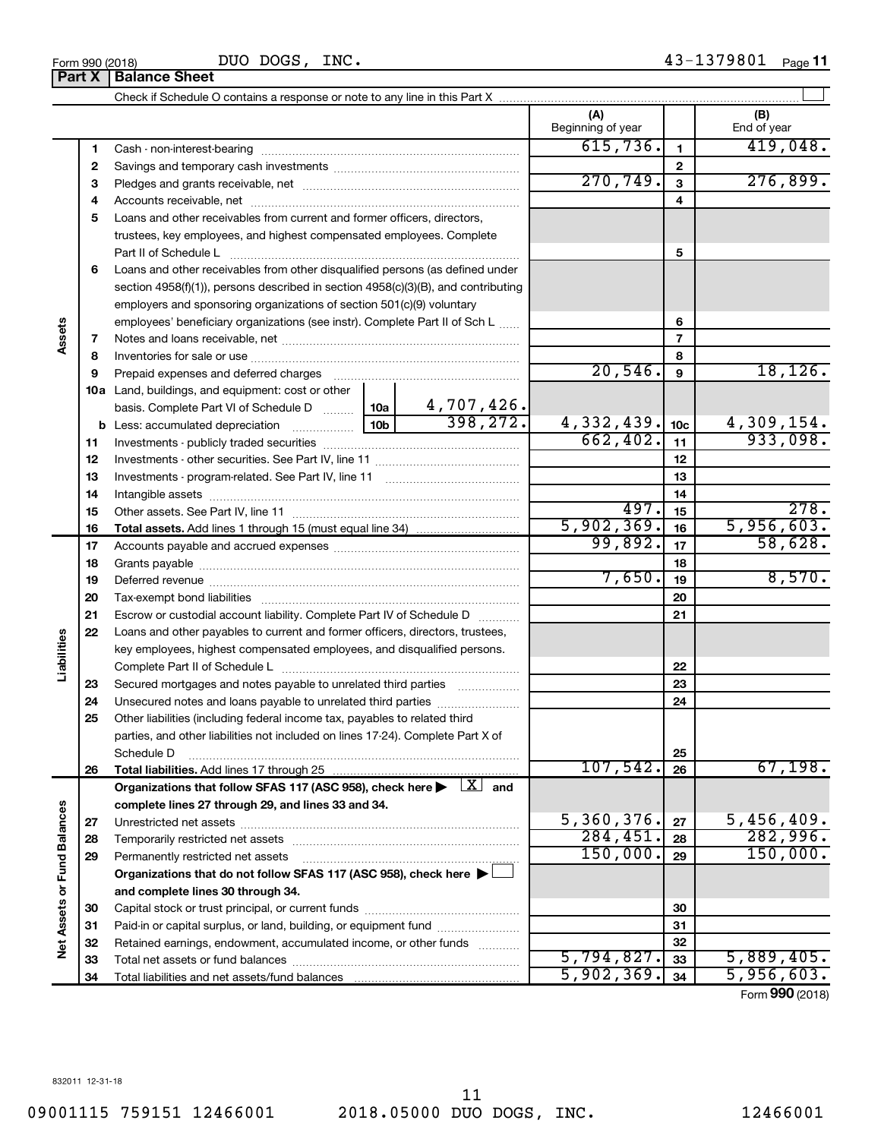|                             |    |                                                                                                                                                                                                                                | (A)<br>Beginning of year |                         | (B)<br>End of year            |
|-----------------------------|----|--------------------------------------------------------------------------------------------------------------------------------------------------------------------------------------------------------------------------------|--------------------------|-------------------------|-------------------------------|
|                             | 1  |                                                                                                                                                                                                                                | 615,736.                 | $\mathbf{1}$            | 419,048.                      |
|                             | 2  |                                                                                                                                                                                                                                |                          | $\mathbf{2}$            |                               |
|                             | з  |                                                                                                                                                                                                                                | 270, 749.                | $\overline{\mathbf{3}}$ | 276,899.                      |
|                             | 4  |                                                                                                                                                                                                                                |                          | 4                       |                               |
|                             | 5  | Loans and other receivables from current and former officers, directors,                                                                                                                                                       |                          |                         |                               |
|                             |    | trustees, key employees, and highest compensated employees. Complete                                                                                                                                                           |                          |                         |                               |
|                             |    | Part II of Schedule L                                                                                                                                                                                                          |                          | 5                       |                               |
|                             | 6  | Loans and other receivables from other disqualified persons (as defined under                                                                                                                                                  |                          |                         |                               |
|                             |    | section 4958(f)(1)), persons described in section 4958(c)(3)(B), and contributing                                                                                                                                              |                          |                         |                               |
|                             |    | employers and sponsoring organizations of section 501(c)(9) voluntary                                                                                                                                                          |                          |                         |                               |
|                             |    | employees' beneficiary organizations (see instr). Complete Part II of Sch L                                                                                                                                                    |                          | 6                       |                               |
| Assets                      | 7  |                                                                                                                                                                                                                                |                          | $\overline{7}$          |                               |
|                             | 8  |                                                                                                                                                                                                                                |                          | 8                       |                               |
|                             | 9  | Prepaid expenses and deferred charges                                                                                                                                                                                          | 20,546.                  | 9                       | 18, 126.                      |
|                             |    | <b>10a</b> Land, buildings, and equipment: cost or other                                                                                                                                                                       |                          |                         |                               |
|                             |    |                                                                                                                                                                                                                                |                          |                         |                               |
|                             |    |                                                                                                                                                                                                                                | 4,332,439.               | 10 <sub>c</sub>         |                               |
|                             | 11 |                                                                                                                                                                                                                                | 662,402.                 | 11                      | $\frac{4,309,154.}{933,098.}$ |
|                             | 12 |                                                                                                                                                                                                                                |                          | 12                      |                               |
|                             | 13 |                                                                                                                                                                                                                                |                          | 13                      |                               |
|                             | 14 |                                                                                                                                                                                                                                |                          | 14                      |                               |
|                             | 15 |                                                                                                                                                                                                                                | 497.                     | 15                      | 278.                          |
|                             | 16 |                                                                                                                                                                                                                                | 5,902,369.               | 16                      | 5,956,603.                    |
|                             | 17 |                                                                                                                                                                                                                                | 99,892.                  | 17                      | 58,628.                       |
|                             | 18 |                                                                                                                                                                                                                                |                          | 18                      |                               |
|                             | 19 | Deferred revenue manual contracts and contracts are all the manual contracts and contracts are contracted and contracts are contracted and contract are contracted and contract are contracted and contract are contracted and | 7,650.                   | 19                      | 8,570.                        |
|                             | 20 |                                                                                                                                                                                                                                |                          | 20                      |                               |
|                             | 21 | Escrow or custodial account liability. Complete Part IV of Schedule D                                                                                                                                                          |                          | 21                      |                               |
|                             | 22 | Loans and other payables to current and former officers, directors, trustees,                                                                                                                                                  |                          |                         |                               |
| Liabilities                 |    | key employees, highest compensated employees, and disqualified persons.                                                                                                                                                        |                          |                         |                               |
|                             |    |                                                                                                                                                                                                                                |                          | 22                      |                               |
|                             | 23 | Secured mortgages and notes payable to unrelated third parties                                                                                                                                                                 |                          | 23                      |                               |
|                             | 24 | Unsecured notes and loans payable to unrelated third parties                                                                                                                                                                   |                          | 24                      |                               |
|                             | 25 | Other liabilities (including federal income tax, payables to related third                                                                                                                                                     |                          |                         |                               |
|                             |    | parties, and other liabilities not included on lines 17-24). Complete Part X of                                                                                                                                                |                          |                         |                               |
|                             |    | Schedule D                                                                                                                                                                                                                     |                          | 25                      |                               |
|                             | 26 |                                                                                                                                                                                                                                | 107,542.                 | 26                      | 67,198.                       |
|                             |    | Organizations that follow SFAS 117 (ASC 958), check here $\blacktriangleright \begin{array}{c} \boxed{X} \end{array}$ and                                                                                                      |                          |                         |                               |
|                             |    | complete lines 27 through 29, and lines 33 and 34.                                                                                                                                                                             |                          |                         |                               |
|                             | 27 |                                                                                                                                                                                                                                | 5,360,376.               | 27                      | 5,456,409.                    |
|                             | 28 |                                                                                                                                                                                                                                | 284, 451.                | 28                      | 282,996.                      |
|                             | 29 | Permanently restricted net assets                                                                                                                                                                                              | 150,000.                 | 29                      | 150,000.                      |
|                             |    | Organizations that do not follow SFAS 117 (ASC 958), check here $\blacktriangleright\Box$                                                                                                                                      |                          |                         |                               |
|                             |    | and complete lines 30 through 34.                                                                                                                                                                                              |                          |                         |                               |
|                             | 30 |                                                                                                                                                                                                                                |                          | 30                      |                               |
|                             | 31 | Paid-in or capital surplus, or land, building, or equipment fund                                                                                                                                                               |                          | 31                      |                               |
| Net Assets or Fund Balances | 32 | Retained earnings, endowment, accumulated income, or other funds                                                                                                                                                               |                          | 32                      |                               |
|                             | 33 |                                                                                                                                                                                                                                | 5,794,827.               | 33                      | 5,889,405.                    |
|                             | 34 |                                                                                                                                                                                                                                | 5,902,369.               | 34                      | 5,956,603.                    |

Form (2018) **990**

**Part X** | Balance Sheet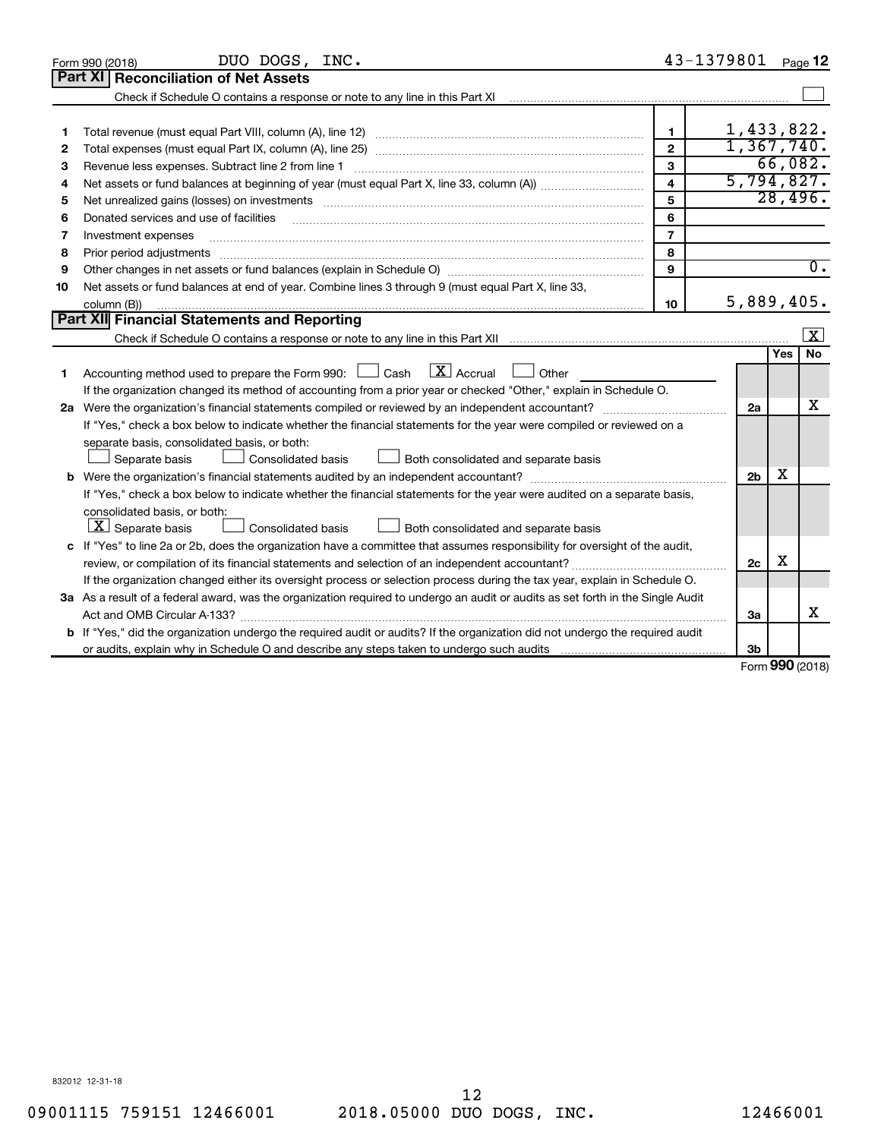|    | DUO DOGS, INC.<br>Form 990 (2018)                                                                                               | 43-1379801     |                |        | Page 12                 |  |  |
|----|---------------------------------------------------------------------------------------------------------------------------------|----------------|----------------|--------|-------------------------|--|--|
|    | <b>Reconciliation of Net Assets</b><br>Part XI                                                                                  |                |                |        |                         |  |  |
|    |                                                                                                                                 |                |                |        |                         |  |  |
|    |                                                                                                                                 |                |                |        |                         |  |  |
| 1  |                                                                                                                                 | 1.             | 1,433,822.     |        |                         |  |  |
| 2  |                                                                                                                                 | $\overline{2}$ | 1,367,740.     |        |                         |  |  |
| з  | Revenue less expenses. Subtract line 2 from line 1                                                                              | 3              |                |        | 66,082.                 |  |  |
| 4  | 5,794,827.<br>$\overline{\mathbf{4}}$                                                                                           |                |                |        |                         |  |  |
| 5  | 5                                                                                                                               |                |                |        |                         |  |  |
| 6  | Donated services and use of facilities                                                                                          | 6              |                |        |                         |  |  |
| 7  | Investment expenses                                                                                                             | $\overline{7}$ |                |        |                         |  |  |
| 8  | Prior period adjustments                                                                                                        | 8              |                |        |                         |  |  |
| 9  |                                                                                                                                 | 9              |                |        | $\overline{0}$ .        |  |  |
| 10 | Net assets or fund balances at end of year. Combine lines 3 through 9 (must equal Part X, line 33,                              |                |                |        |                         |  |  |
|    | column (B))                                                                                                                     | 10             | 5,889,405.     |        |                         |  |  |
|    | <b>Part XII</b> Financial Statements and Reporting                                                                              |                |                |        |                         |  |  |
|    |                                                                                                                                 |                |                |        | $\overline{\mathbf{X}}$ |  |  |
|    |                                                                                                                                 |                |                | Yes    | No                      |  |  |
| 1  | $\boxed{\text{X}}$ Accrual<br>Accounting method used to prepare the Form 990: [130] Cash<br>$\Box$ Other                        |                |                |        |                         |  |  |
|    | If the organization changed its method of accounting from a prior year or checked "Other," explain in Schedule O.               |                |                |        |                         |  |  |
|    | 2a Were the organization's financial statements compiled or reviewed by an independent accountant?                              |                | 2a             |        | х                       |  |  |
|    | If "Yes," check a box below to indicate whether the financial statements for the year were compiled or reviewed on a            |                |                |        |                         |  |  |
|    | separate basis, consolidated basis, or both:                                                                                    |                |                |        |                         |  |  |
|    | Both consolidated and separate basis<br>Separate basis<br>Consolidated basis                                                    |                |                |        |                         |  |  |
|    |                                                                                                                                 |                | 2 <sub>b</sub> | X      |                         |  |  |
|    | If "Yes," check a box below to indicate whether the financial statements for the year were audited on a separate basis,         |                |                |        |                         |  |  |
|    | consolidated basis, or both:                                                                                                    |                |                |        |                         |  |  |
|    | $\lfloor \underline{X} \rfloor$ Separate basis<br>Consolidated basis<br>Both consolidated and separate basis                    |                |                |        |                         |  |  |
|    | c If "Yes" to line 2a or 2b, does the organization have a committee that assumes responsibility for oversight of the audit,     |                |                |        |                         |  |  |
|    | review, or compilation of its financial statements and selection of an independent accountant?                                  |                | 2c             | х      |                         |  |  |
|    | If the organization changed either its oversight process or selection process during the tax year, explain in Schedule O.       |                |                |        |                         |  |  |
|    | 3a As a result of a federal award, was the organization required to undergo an audit or audits as set forth in the Single Audit |                |                |        |                         |  |  |
|    | Act and OMB Circular A-133?                                                                                                     |                | За             |        | x                       |  |  |
|    | b If "Yes," did the organization undergo the required audit or audits? If the organization did not undergo the required audit   |                |                |        |                         |  |  |
|    | or audits, explain why in Schedule O and describe any steps taken to undergo such audits mature entity and the                  |                | 3b             | $\sim$ |                         |  |  |

Form (2018) **990**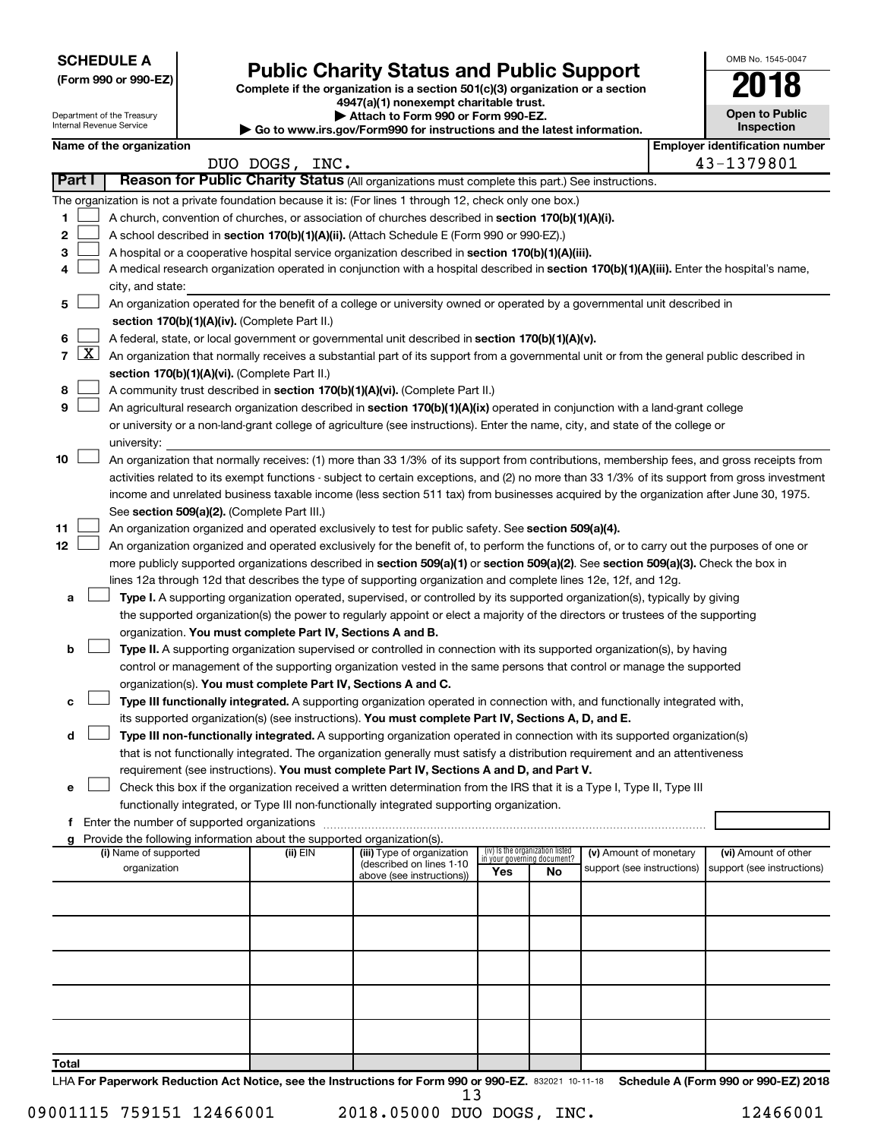| <b>SCHEDULE A</b> |  |
|-------------------|--|
|-------------------|--|

Department of the Treasury Internal Revenue Service

| (Form 990 or 990-EZ) |  |  |  |  |
|----------------------|--|--|--|--|
|----------------------|--|--|--|--|

# Form 990 or 990-EZ)<br>
Complete if the organization is a section 501(c)(3) organization or a section<br> **Public Charity Status and Public Support**

**4947(a)(1) nonexempt charitable trust. | Attach to Form 990 or Form 990-EZ.** 

**| Go to www.irs.gov/Form990 for instructions and the latest information.**

| <b>Open to Public</b><br>Inspection |
|-------------------------------------|
| entification num                    |

OMB No. 1545-0047

|       |              | Name of the organization                                                                                                                      |                |                            |     |                                                                      |                            |  | <b>Employer identification number</b> |
|-------|--------------|-----------------------------------------------------------------------------------------------------------------------------------------------|----------------|----------------------------|-----|----------------------------------------------------------------------|----------------------------|--|---------------------------------------|
|       |              |                                                                                                                                               | DUO DOGS, INC. |                            |     |                                                                      |                            |  | 43-1379801                            |
|       | Part I       | Reason for Public Charity Status (All organizations must complete this part.) See instructions.                                               |                |                            |     |                                                                      |                            |  |                                       |
|       |              | The organization is not a private foundation because it is: (For lines 1 through 12, check only one box.)                                     |                |                            |     |                                                                      |                            |  |                                       |
| 1     |              | A church, convention of churches, or association of churches described in section 170(b)(1)(A)(i).                                            |                |                            |     |                                                                      |                            |  |                                       |
| 2     |              | A school described in section 170(b)(1)(A)(ii). (Attach Schedule E (Form 990 or 990-EZ).)                                                     |                |                            |     |                                                                      |                            |  |                                       |
| 3     |              | A hospital or a cooperative hospital service organization described in section 170(b)(1)(A)(iii).                                             |                |                            |     |                                                                      |                            |  |                                       |
| 4     |              | A medical research organization operated in conjunction with a hospital described in section 170(b)(1)(A)(iii). Enter the hospital's name,    |                |                            |     |                                                                      |                            |  |                                       |
|       |              | city, and state:                                                                                                                              |                |                            |     |                                                                      |                            |  |                                       |
| 5     |              | An organization operated for the benefit of a college or university owned or operated by a governmental unit described in                     |                |                            |     |                                                                      |                            |  |                                       |
|       |              | section 170(b)(1)(A)(iv). (Complete Part II.)                                                                                                 |                |                            |     |                                                                      |                            |  |                                       |
| 6     |              | A federal, state, or local government or governmental unit described in section 170(b)(1)(A)(v).                                              |                |                            |     |                                                                      |                            |  |                                       |
| 7     | $\mathbf{X}$ | An organization that normally receives a substantial part of its support from a governmental unit or from the general public described in     |                |                            |     |                                                                      |                            |  |                                       |
|       |              | section 170(b)(1)(A)(vi). (Complete Part II.)                                                                                                 |                |                            |     |                                                                      |                            |  |                                       |
| 8     |              | A community trust described in section 170(b)(1)(A)(vi). (Complete Part II.)                                                                  |                |                            |     |                                                                      |                            |  |                                       |
| 9     |              | An agricultural research organization described in section 170(b)(1)(A)(ix) operated in conjunction with a land-grant college                 |                |                            |     |                                                                      |                            |  |                                       |
|       |              | or university or a non-land-grant college of agriculture (see instructions). Enter the name, city, and state of the college or                |                |                            |     |                                                                      |                            |  |                                       |
|       |              | university:                                                                                                                                   |                |                            |     |                                                                      |                            |  |                                       |
| 10    |              | An organization that normally receives: (1) more than 33 1/3% of its support from contributions, membership fees, and gross receipts from     |                |                            |     |                                                                      |                            |  |                                       |
|       |              | activities related to its exempt functions - subject to certain exceptions, and (2) no more than 33 1/3% of its support from gross investment |                |                            |     |                                                                      |                            |  |                                       |
|       |              | income and unrelated business taxable income (less section 511 tax) from businesses acquired by the organization after June 30, 1975.         |                |                            |     |                                                                      |                            |  |                                       |
|       |              | See section 509(a)(2). (Complete Part III.)                                                                                                   |                |                            |     |                                                                      |                            |  |                                       |
| 11    |              | An organization organized and operated exclusively to test for public safety. See section 509(a)(4).                                          |                |                            |     |                                                                      |                            |  |                                       |
| 12    |              | An organization organized and operated exclusively for the benefit of, to perform the functions of, or to carry out the purposes of one or    |                |                            |     |                                                                      |                            |  |                                       |
|       |              | more publicly supported organizations described in section 509(a)(1) or section 509(a)(2). See section 509(a)(3). Check the box in            |                |                            |     |                                                                      |                            |  |                                       |
|       |              | lines 12a through 12d that describes the type of supporting organization and complete lines 12e, 12f, and 12g.                                |                |                            |     |                                                                      |                            |  |                                       |
| a     |              | Type I. A supporting organization operated, supervised, or controlled by its supported organization(s), typically by giving                   |                |                            |     |                                                                      |                            |  |                                       |
|       |              | the supported organization(s) the power to regularly appoint or elect a majority of the directors or trustees of the supporting               |                |                            |     |                                                                      |                            |  |                                       |
|       |              | organization. You must complete Part IV, Sections A and B.                                                                                    |                |                            |     |                                                                      |                            |  |                                       |
| b     |              | Type II. A supporting organization supervised or controlled in connection with its supported organization(s), by having                       |                |                            |     |                                                                      |                            |  |                                       |
|       |              | control or management of the supporting organization vested in the same persons that control or manage the supported                          |                |                            |     |                                                                      |                            |  |                                       |
|       |              | organization(s). You must complete Part IV, Sections A and C.                                                                                 |                |                            |     |                                                                      |                            |  |                                       |
|       |              | Type III functionally integrated. A supporting organization operated in connection with, and functionally integrated with,                    |                |                            |     |                                                                      |                            |  |                                       |
|       |              | its supported organization(s) (see instructions). You must complete Part IV, Sections A, D, and E.                                            |                |                            |     |                                                                      |                            |  |                                       |
| d     |              | Type III non-functionally integrated. A supporting organization operated in connection with its supported organization(s)                     |                |                            |     |                                                                      |                            |  |                                       |
|       |              | that is not functionally integrated. The organization generally must satisfy a distribution requirement and an attentiveness                  |                |                            |     |                                                                      |                            |  |                                       |
|       |              | requirement (see instructions). You must complete Part IV, Sections A and D, and Part V.                                                      |                |                            |     |                                                                      |                            |  |                                       |
| е     |              | Check this box if the organization received a written determination from the IRS that it is a Type I, Type II, Type III                       |                |                            |     |                                                                      |                            |  |                                       |
|       |              | functionally integrated, or Type III non-functionally integrated supporting organization.                                                     |                |                            |     |                                                                      |                            |  |                                       |
|       |              |                                                                                                                                               |                |                            |     |                                                                      |                            |  |                                       |
|       |              | Provide the following information about the supported organization(s).<br>(i) Name of supported                                               | (ii) EIN       | (iii) Type of organization |     |                                                                      | (v) Amount of monetary     |  | (vi) Amount of other                  |
|       |              | organization                                                                                                                                  |                | (described on lines 1-10   | Yes | (iv) Is the organization listed<br>in your governing document?<br>No | support (see instructions) |  | support (see instructions)            |
|       |              |                                                                                                                                               |                | above (see instructions))  |     |                                                                      |                            |  |                                       |
|       |              |                                                                                                                                               |                |                            |     |                                                                      |                            |  |                                       |
|       |              |                                                                                                                                               |                |                            |     |                                                                      |                            |  |                                       |
|       |              |                                                                                                                                               |                |                            |     |                                                                      |                            |  |                                       |
|       |              |                                                                                                                                               |                |                            |     |                                                                      |                            |  |                                       |
|       |              |                                                                                                                                               |                |                            |     |                                                                      |                            |  |                                       |
|       |              |                                                                                                                                               |                |                            |     |                                                                      |                            |  |                                       |
|       |              |                                                                                                                                               |                |                            |     |                                                                      |                            |  |                                       |
|       |              |                                                                                                                                               |                |                            |     |                                                                      |                            |  |                                       |
|       |              |                                                                                                                                               |                |                            |     |                                                                      |                            |  |                                       |
| Total |              |                                                                                                                                               |                |                            |     |                                                                      |                            |  |                                       |

LHA For Paperwork Reduction Act Notice, see the Instructions for Form 990 or 990-EZ. 832021 10-11-18 Schedule A (Form 990 or 990-EZ) 2018 13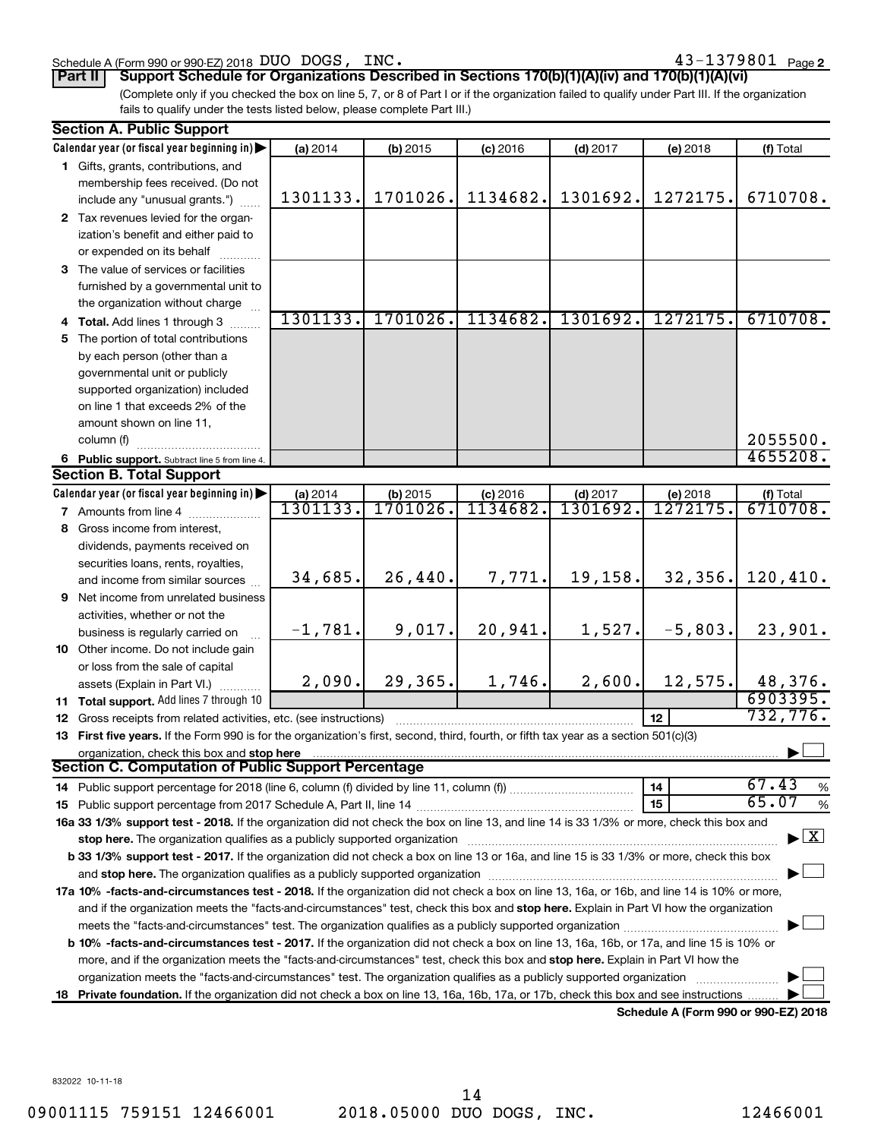#### Schedule A (Form 990 or 990-EZ) 2018 DUO DOGS, INC.  $43-1379801$  Page

43-1379801 Page 2

**Part II Support Schedule for Organizations Described in Sections 170(b)(1)(A)(iv) and 170(b)(1)(A)(vi)**

(Complete only if you checked the box on line 5, 7, or 8 of Part I or if the organization failed to qualify under Part III. If the organization fails to qualify under the tests listed below, please complete Part III.)

|    | <b>Section A. Public Support</b>                                                                                                                                                                                               |                 |          |            |            |           |                    |
|----|--------------------------------------------------------------------------------------------------------------------------------------------------------------------------------------------------------------------------------|-----------------|----------|------------|------------|-----------|--------------------|
|    | Calendar year (or fiscal year beginning in)                                                                                                                                                                                    | (a) 2014        | (b) 2015 | $(c)$ 2016 | $(d)$ 2017 | (e) 2018  | (f) Total          |
|    | 1 Gifts, grants, contributions, and                                                                                                                                                                                            |                 |          |            |            |           |                    |
|    | membership fees received. (Do not                                                                                                                                                                                              |                 |          |            |            |           |                    |
|    | include any "unusual grants.")                                                                                                                                                                                                 | 1301133.        | 1701026. | 1134682.   | 1301692.   | 1272175.  | 6710708.           |
|    | 2 Tax revenues levied for the organ-                                                                                                                                                                                           |                 |          |            |            |           |                    |
|    | ization's benefit and either paid to                                                                                                                                                                                           |                 |          |            |            |           |                    |
|    | or expended on its behalf                                                                                                                                                                                                      |                 |          |            |            |           |                    |
|    | 3 The value of services or facilities                                                                                                                                                                                          |                 |          |            |            |           |                    |
|    | furnished by a governmental unit to                                                                                                                                                                                            |                 |          |            |            |           |                    |
|    | the organization without charge                                                                                                                                                                                                |                 |          |            |            |           |                    |
|    | 4 Total. Add lines 1 through 3                                                                                                                                                                                                 | 1301133.        | 1701026. | 1134682.   | 1301692.   | 1272175.  | 6710708.           |
|    |                                                                                                                                                                                                                                |                 |          |            |            |           |                    |
| 5. | The portion of total contributions                                                                                                                                                                                             |                 |          |            |            |           |                    |
|    | by each person (other than a                                                                                                                                                                                                   |                 |          |            |            |           |                    |
|    | governmental unit or publicly                                                                                                                                                                                                  |                 |          |            |            |           |                    |
|    | supported organization) included                                                                                                                                                                                               |                 |          |            |            |           |                    |
|    | on line 1 that exceeds 2% of the                                                                                                                                                                                               |                 |          |            |            |           |                    |
|    | amount shown on line 11,                                                                                                                                                                                                       |                 |          |            |            |           |                    |
|    | column (f)                                                                                                                                                                                                                     |                 |          |            |            |           | 2055500.           |
|    | 6 Public support. Subtract line 5 from line 4.                                                                                                                                                                                 |                 |          |            |            |           | 4655208.           |
|    | <b>Section B. Total Support</b>                                                                                                                                                                                                |                 |          |            |            |           |                    |
|    | Calendar year (or fiscal year beginning in)                                                                                                                                                                                    | (a) 2014        | (b) 2015 | $(c)$ 2016 | $(d)$ 2017 | (e) 2018  | (f) Total          |
|    | 7 Amounts from line 4                                                                                                                                                                                                          | <u>1301133.</u> | 1701026. | 1134682.   | 1301692.   | 1272175.  | 6710708.           |
|    | 8 Gross income from interest,                                                                                                                                                                                                  |                 |          |            |            |           |                    |
|    | dividends, payments received on                                                                                                                                                                                                |                 |          |            |            |           |                    |
|    | securities loans, rents, royalties,                                                                                                                                                                                            |                 |          |            |            |           |                    |
|    | and income from similar sources                                                                                                                                                                                                | 34,685.         | 26,440.  | 7,771.     | 19,158.    | 32,356.   | 120, 410.          |
|    | 9 Net income from unrelated business                                                                                                                                                                                           |                 |          |            |            |           |                    |
|    | activities, whether or not the                                                                                                                                                                                                 |                 |          |            |            |           |                    |
|    | business is regularly carried on                                                                                                                                                                                               | $-1,781.$       | 9,017.   | 20,941.    | 1,527.     | $-5,803.$ | 23,901.            |
|    | 10 Other income. Do not include gain                                                                                                                                                                                           |                 |          |            |            |           |                    |
|    | or loss from the sale of capital                                                                                                                                                                                               |                 |          |            |            |           |                    |
|    | assets (Explain in Part VI.)                                                                                                                                                                                                   | 2,090.          | 29,365.  | 1,746.     | 2,600.     | 12,575.   | 48,376.            |
|    | 11 Total support. Add lines 7 through 10                                                                                                                                                                                       |                 |          |            |            |           | 6903395.           |
|    | <b>12</b> Gross receipts from related activities, etc. (see instructions)                                                                                                                                                      |                 |          |            |            | 12        | 732, 776.          |
|    | 13 First five years. If the Form 990 is for the organization's first, second, third, fourth, or fifth tax year as a section 501(c)(3)                                                                                          |                 |          |            |            |           |                    |
|    | organization, check this box and stop here                                                                                                                                                                                     |                 |          |            |            |           |                    |
|    | <b>Section C. Computation of Public Support Percentage</b>                                                                                                                                                                     |                 |          |            |            |           |                    |
|    |                                                                                                                                                                                                                                |                 |          |            |            | 14        | 67.43<br>%         |
|    |                                                                                                                                                                                                                                |                 |          |            |            | 15        | 65.07<br>$\%$      |
|    | 16a 33 1/3% support test - 2018. If the organization did not check the box on line 13, and line 14 is 33 1/3% or more, check this box and                                                                                      |                 |          |            |            |           |                    |
|    |                                                                                                                                                                                                                                |                 |          |            |            |           | $\mathbf{X}$       |
|    | b 33 1/3% support test - 2017. If the organization did not check a box on line 13 or 16a, and line 15 is 33 1/3% or more, check this box                                                                                       |                 |          |            |            |           |                    |
|    |                                                                                                                                                                                                                                |                 |          |            |            |           |                    |
|    | and stop here. The organization qualifies as a publicly supported organization [11,111] and stop here. The organization [11] and stop here. The organization [11] and stop here. The organization [11] and stop here is a publ |                 |          |            |            |           |                    |
|    | 17a 10% -facts-and-circumstances test - 2018. If the organization did not check a box on line 13, 16a, or 16b, and line 14 is 10% or more,                                                                                     |                 |          |            |            |           |                    |
|    | and if the organization meets the "facts-and-circumstances" test, check this box and stop here. Explain in Part VI how the organization                                                                                        |                 |          |            |            |           |                    |
|    | meets the "facts-and-circumstances" test. The organization qualifies as a publicly supported organization <i>manumumumumum</i>                                                                                                 |                 |          |            |            |           |                    |
|    | b 10% -facts-and-circumstances test - 2017. If the organization did not check a box on line 13, 16a, 16b, or 17a, and line 15 is 10% or                                                                                        |                 |          |            |            |           |                    |
|    | more, and if the organization meets the "facts-and-circumstances" test, check this box and stop here. Explain in Part VI how the                                                                                               |                 |          |            |            |           |                    |
|    | organization meets the "facts-and-circumstances" test. The organization qualifies as a publicly supported organization                                                                                                         |                 |          |            |            |           |                    |
|    | 18 Private foundation. If the organization did not check a box on line 13, 16a, 16b, 17a, or 17b, check this box and see instructions.                                                                                         |                 |          |            |            |           | $-000 - 000 - 200$ |

**Schedule A (Form 990 or 990-EZ) 2018**

832022 10-11-18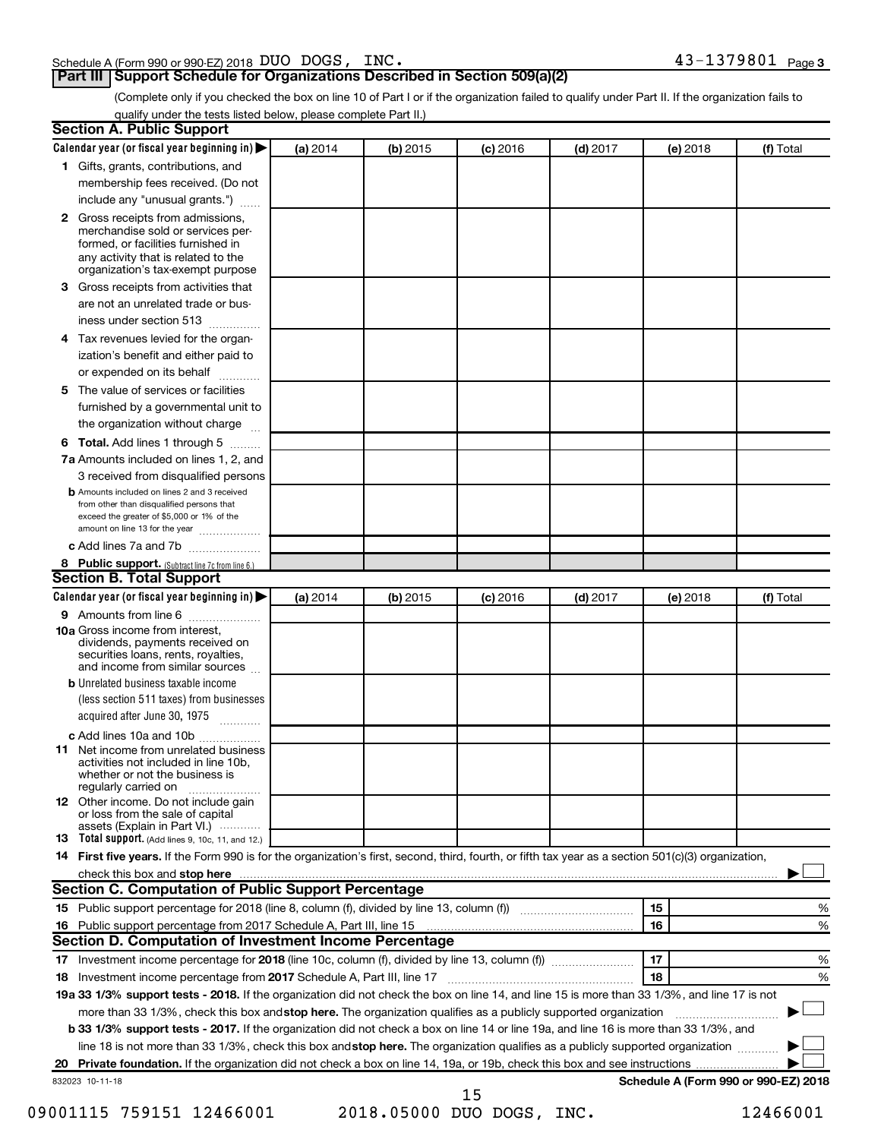| Schedule A (Form 990 or 990-EZ) 2018 DUO DOGS, INC. | $43 - 1379801$ Page 3 |
|-----------------------------------------------------|-----------------------|
|-----------------------------------------------------|-----------------------|

#### **Part III Support Schedule for Organizations Described in Section 509(a)(2)**

(Complete only if you checked the box on line 10 of Part I or if the organization failed to qualify under Part II. If the organization fails to qualify under the tests listed below, please complete Part II.)

|    | <b>Section A. Public Support</b>                                                                                                                                                                                         |          |          |            |            |          |                                      |
|----|--------------------------------------------------------------------------------------------------------------------------------------------------------------------------------------------------------------------------|----------|----------|------------|------------|----------|--------------------------------------|
|    | Calendar year (or fiscal year beginning in)                                                                                                                                                                              | (a) 2014 | (b) 2015 | $(c)$ 2016 | $(d)$ 2017 | (e) 2018 | (f) Total                            |
|    | 1 Gifts, grants, contributions, and                                                                                                                                                                                      |          |          |            |            |          |                                      |
|    | membership fees received. (Do not                                                                                                                                                                                        |          |          |            |            |          |                                      |
|    | include any "unusual grants.")                                                                                                                                                                                           |          |          |            |            |          |                                      |
|    | 2 Gross receipts from admissions,<br>merchandise sold or services per-<br>formed, or facilities furnished in<br>any activity that is related to the<br>organization's tax-exempt purpose                                 |          |          |            |            |          |                                      |
|    | 3 Gross receipts from activities that                                                                                                                                                                                    |          |          |            |            |          |                                      |
|    | are not an unrelated trade or bus-                                                                                                                                                                                       |          |          |            |            |          |                                      |
|    | iness under section 513                                                                                                                                                                                                  |          |          |            |            |          |                                      |
|    | 4 Tax revenues levied for the organ-                                                                                                                                                                                     |          |          |            |            |          |                                      |
|    | ization's benefit and either paid to                                                                                                                                                                                     |          |          |            |            |          |                                      |
|    | or expended on its behalf                                                                                                                                                                                                |          |          |            |            |          |                                      |
|    | 5 The value of services or facilities                                                                                                                                                                                    |          |          |            |            |          |                                      |
|    | furnished by a governmental unit to                                                                                                                                                                                      |          |          |            |            |          |                                      |
|    | the organization without charge                                                                                                                                                                                          |          |          |            |            |          |                                      |
|    |                                                                                                                                                                                                                          |          |          |            |            |          |                                      |
|    | 6 Total. Add lines 1 through 5                                                                                                                                                                                           |          |          |            |            |          |                                      |
|    | 7a Amounts included on lines 1, 2, and                                                                                                                                                                                   |          |          |            |            |          |                                      |
|    | 3 received from disqualified persons<br><b>b</b> Amounts included on lines 2 and 3 received<br>from other than disqualified persons that<br>exceed the greater of \$5,000 or 1% of the<br>amount on line 13 for the year |          |          |            |            |          |                                      |
|    | c Add lines 7a and 7b                                                                                                                                                                                                    |          |          |            |            |          |                                      |
|    | 8 Public support. (Subtract line 7c from line 6.)                                                                                                                                                                        |          |          |            |            |          |                                      |
|    | <b>Section B. Total Support</b>                                                                                                                                                                                          |          |          |            |            |          |                                      |
|    | Calendar year (or fiscal year beginning in)                                                                                                                                                                              | (a) 2014 | (b) 2015 | $(c)$ 2016 | $(d)$ 2017 | (e) 2018 | (f) Total                            |
|    | 9 Amounts from line 6                                                                                                                                                                                                    |          |          |            |            |          |                                      |
|    | <b>10a</b> Gross income from interest,<br>dividends, payments received on<br>securities loans, rents, royalties,<br>and income from similar sources                                                                      |          |          |            |            |          |                                      |
|    | <b>b</b> Unrelated business taxable income                                                                                                                                                                               |          |          |            |            |          |                                      |
|    | (less section 511 taxes) from businesses<br>acquired after June 30, 1975                                                                                                                                                 |          |          |            |            |          |                                      |
|    | c Add lines 10a and 10b                                                                                                                                                                                                  |          |          |            |            |          |                                      |
|    | <b>11</b> Net income from unrelated business<br>activities not included in line 10b.<br>whether or not the business is<br>regularly carried on                                                                           |          |          |            |            |          |                                      |
|    | <b>12</b> Other income. Do not include gain<br>or loss from the sale of capital<br>assets (Explain in Part VI.)                                                                                                          |          |          |            |            |          |                                      |
|    | <b>13</b> Total support. (Add lines 9, 10c, 11, and 12.)                                                                                                                                                                 |          |          |            |            |          |                                      |
|    | 14 First five years. If the Form 990 is for the organization's first, second, third, fourth, or fifth tax year as a section 501(c)(3) organization,                                                                      |          |          |            |            |          |                                      |
|    | check this box and stop here <i>macuum macuum macuum macuum macuum macuum macuum macuum macuum macuum</i>                                                                                                                |          |          |            |            |          |                                      |
|    | Section C. Computation of Public Support Percentage                                                                                                                                                                      |          |          |            |            |          |                                      |
|    |                                                                                                                                                                                                                          |          |          |            |            | 15       | ℅                                    |
|    |                                                                                                                                                                                                                          |          |          |            |            | 16       | %                                    |
|    | Section D. Computation of Investment Income Percentage                                                                                                                                                                   |          |          |            |            |          |                                      |
|    |                                                                                                                                                                                                                          |          |          |            |            | 17       | %                                    |
|    | 18 Investment income percentage from 2017 Schedule A, Part III, line 17                                                                                                                                                  |          |          |            |            | 18       | %                                    |
|    | 19a 33 1/3% support tests - 2018. If the organization did not check the box on line 14, and line 15 is more than 33 1/3%, and line 17 is not                                                                             |          |          |            |            |          |                                      |
|    | more than 33 1/3%, check this box and stop here. The organization qualifies as a publicly supported organization                                                                                                         |          |          |            |            |          |                                      |
|    | b 33 1/3% support tests - 2017. If the organization did not check a box on line 14 or line 19a, and line 16 is more than 33 1/3%, and                                                                                    |          |          |            |            |          |                                      |
|    | line 18 is not more than 33 1/3%, check this box and stop here. The organization qualifies as a publicly supported organization                                                                                          |          |          |            |            |          |                                      |
| 20 |                                                                                                                                                                                                                          |          |          |            |            |          |                                      |
|    | 832023 10-11-18                                                                                                                                                                                                          |          |          | 15         |            |          | Schedule A (Form 990 or 990-EZ) 2018 |

09001115 759151 12466001 2018.05000 DUO DOGS, INC. 12466001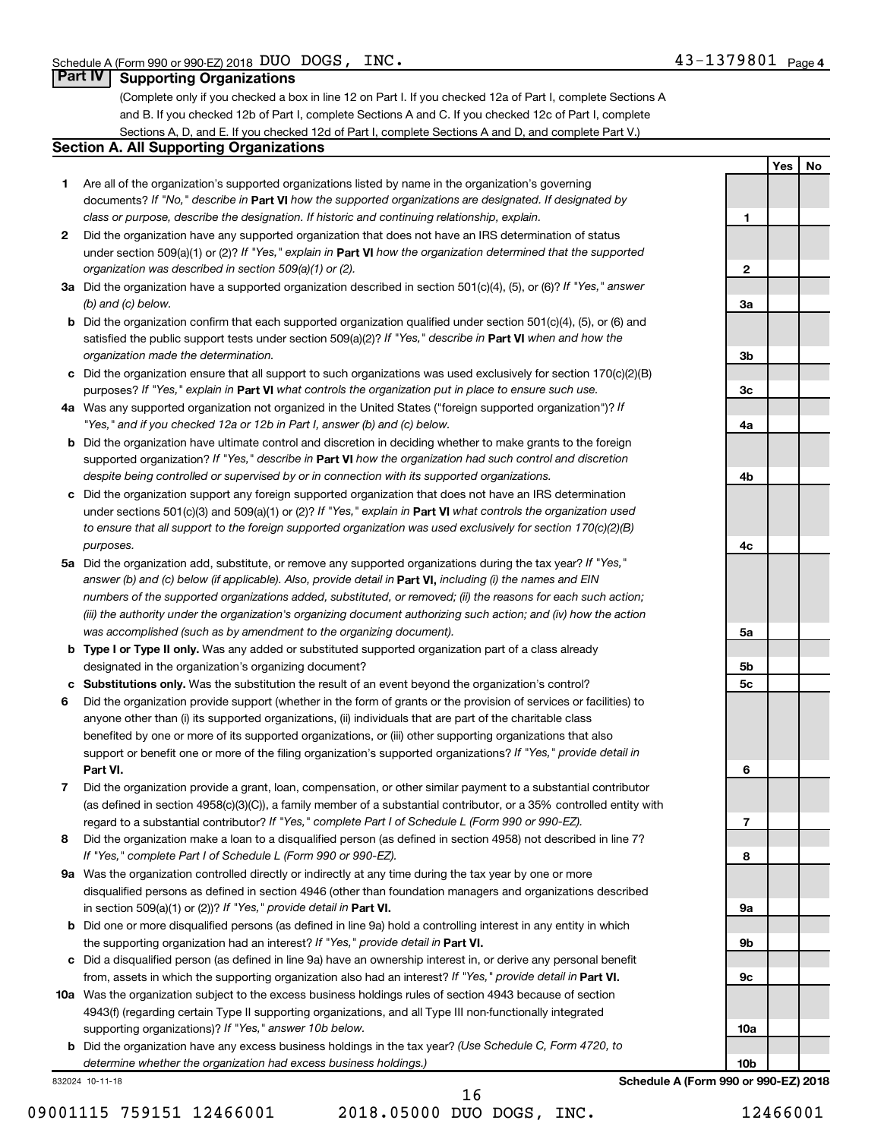**1**

**2**

**3a**

**3b**

**3c**

**4a**

**4b**

**4c**

**5a**

**5b 5c**

**6**

**7**

**8**

**9a**

**9b**

**9c**

**10a**

**Yes No**

#### **Part IV Supporting Organizations**

(Complete only if you checked a box in line 12 on Part I. If you checked 12a of Part I, complete Sections A and B. If you checked 12b of Part I, complete Sections A and C. If you checked 12c of Part I, complete Sections A, D, and E. If you checked 12d of Part I, complete Sections A and D, and complete Part V.)

#### **Section A. All Supporting Organizations**

- **1** Are all of the organization's supported organizations listed by name in the organization's governing documents? If "No," describe in Part VI how the supported organizations are designated. If designated by *class or purpose, describe the designation. If historic and continuing relationship, explain.*
- **2** Did the organization have any supported organization that does not have an IRS determination of status under section 509(a)(1) or (2)? If "Yes," explain in Part **VI** how the organization determined that the supported *organization was described in section 509(a)(1) or (2).*
- **3a** Did the organization have a supported organization described in section 501(c)(4), (5), or (6)? If "Yes," answer *(b) and (c) below.*
- **b** Did the organization confirm that each supported organization qualified under section 501(c)(4), (5), or (6) and satisfied the public support tests under section 509(a)(2)? If "Yes," describe in Part VI when and how the *organization made the determination.*
- **c** Did the organization ensure that all support to such organizations was used exclusively for section 170(c)(2)(B) purposes? If "Yes," explain in Part VI what controls the organization put in place to ensure such use.
- **4 a** *If* Was any supported organization not organized in the United States ("foreign supported organization")? *"Yes," and if you checked 12a or 12b in Part I, answer (b) and (c) below.*
- **b** Did the organization have ultimate control and discretion in deciding whether to make grants to the foreign supported organization? If "Yes," describe in Part VI how the organization had such control and discretion *despite being controlled or supervised by or in connection with its supported organizations.*
- **c** Did the organization support any foreign supported organization that does not have an IRS determination under sections 501(c)(3) and 509(a)(1) or (2)? If "Yes," explain in Part VI what controls the organization used *to ensure that all support to the foreign supported organization was used exclusively for section 170(c)(2)(B) purposes.*
- **5a** Did the organization add, substitute, or remove any supported organizations during the tax year? If "Yes," answer (b) and (c) below (if applicable). Also, provide detail in **Part VI,** including (i) the names and EIN *numbers of the supported organizations added, substituted, or removed; (ii) the reasons for each such action; (iii) the authority under the organization's organizing document authorizing such action; and (iv) how the action was accomplished (such as by amendment to the organizing document).*
- **b** Type I or Type II only. Was any added or substituted supported organization part of a class already designated in the organization's organizing document?
- **c Substitutions only.**  Was the substitution the result of an event beyond the organization's control?
- **6** Did the organization provide support (whether in the form of grants or the provision of services or facilities) to **Part VI.** support or benefit one or more of the filing organization's supported organizations? If "Yes," provide detail in anyone other than (i) its supported organizations, (ii) individuals that are part of the charitable class benefited by one or more of its supported organizations, or (iii) other supporting organizations that also
- **7** Did the organization provide a grant, loan, compensation, or other similar payment to a substantial contributor regard to a substantial contributor? If "Yes," complete Part I of Schedule L (Form 990 or 990-EZ). (as defined in section 4958(c)(3)(C)), a family member of a substantial contributor, or a 35% controlled entity with
- **8** Did the organization make a loan to a disqualified person (as defined in section 4958) not described in line 7? *If "Yes," complete Part I of Schedule L (Form 990 or 990-EZ).*
- **9 a** Was the organization controlled directly or indirectly at any time during the tax year by one or more in section 509(a)(1) or (2))? If "Yes," provide detail in **Part VI.** disqualified persons as defined in section 4946 (other than foundation managers and organizations described
- **b** Did one or more disqualified persons (as defined in line 9a) hold a controlling interest in any entity in which the supporting organization had an interest? If "Yes," provide detail in Part VI.
- **c** Did a disqualified person (as defined in line 9a) have an ownership interest in, or derive any personal benefit from, assets in which the supporting organization also had an interest? If "Yes," provide detail in Part VI.
- **10 a** Was the organization subject to the excess business holdings rules of section 4943 because of section supporting organizations)? If "Yes," answer 10b below. 4943(f) (regarding certain Type II supporting organizations, and all Type III non-functionally integrated
	- **b** Did the organization have any excess business holdings in the tax year? (Use Schedule C, Form 4720, to *determine whether the organization had excess business holdings.)*

832024 10-11-18

09001115 759151 12466001 2018.05000 DUO DOGS, INC. 12466001 16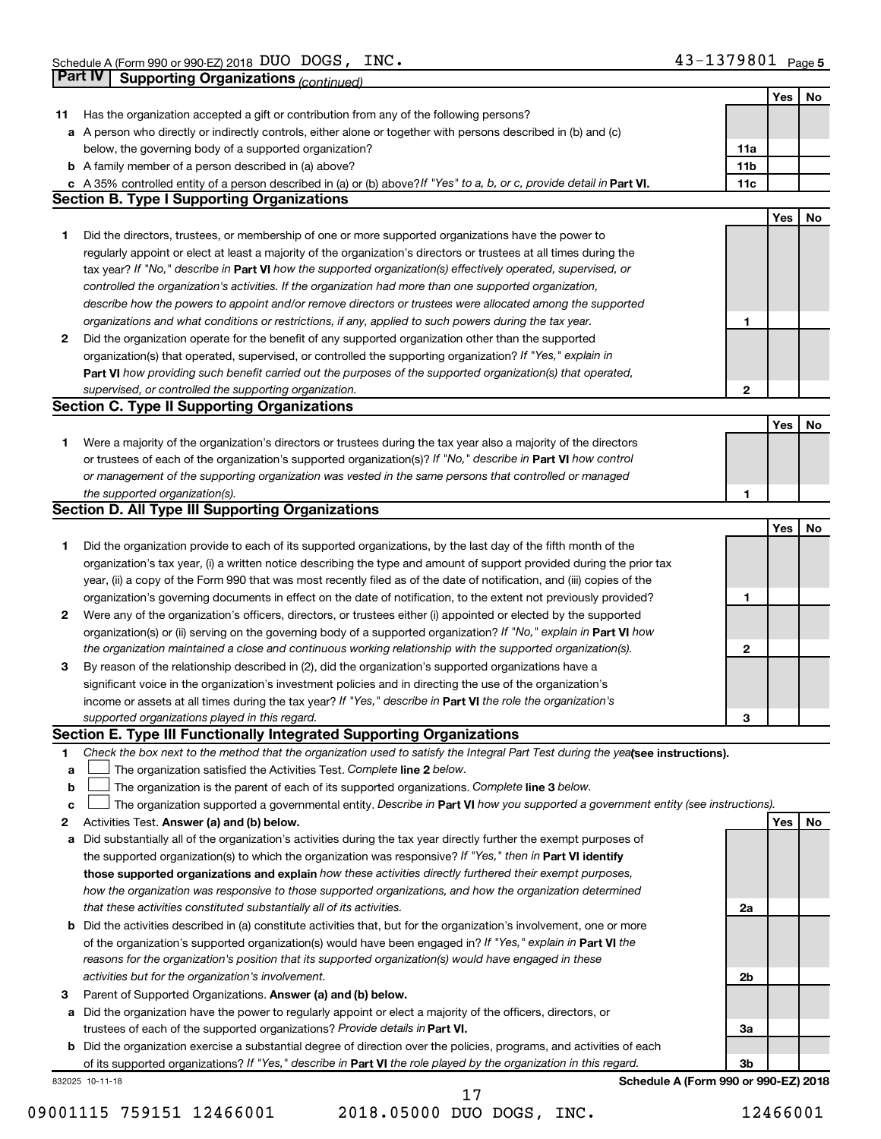|    | Part IV<br><b>Supporting Organizations (continued)</b>                                                                                                       |                 |            |    |
|----|--------------------------------------------------------------------------------------------------------------------------------------------------------------|-----------------|------------|----|
|    |                                                                                                                                                              |                 | Yes        | No |
| 11 | Has the organization accepted a gift or contribution from any of the following persons?                                                                      |                 |            |    |
|    | a A person who directly or indirectly controls, either alone or together with persons described in (b) and (c)                                               |                 |            |    |
|    | below, the governing body of a supported organization?                                                                                                       | 11a             |            |    |
|    | <b>b</b> A family member of a person described in (a) above?                                                                                                 | 11 <sub>b</sub> |            |    |
|    | c A 35% controlled entity of a person described in (a) or (b) above? If "Yes" to a, b, or c, provide detail in Part VI.                                      | 11c             |            |    |
|    | <b>Section B. Type I Supporting Organizations</b>                                                                                                            |                 |            |    |
|    |                                                                                                                                                              |                 | Yes        | No |
| 1  | Did the directors, trustees, or membership of one or more supported organizations have the power to                                                          |                 |            |    |
|    | regularly appoint or elect at least a majority of the organization's directors or trustees at all times during the                                           |                 |            |    |
|    | tax year? If "No," describe in Part VI how the supported organization(s) effectively operated, supervised, or                                                |                 |            |    |
|    | controlled the organization's activities. If the organization had more than one supported organization,                                                      |                 |            |    |
|    | describe how the powers to appoint and/or remove directors or trustees were allocated among the supported                                                    |                 |            |    |
|    | organizations and what conditions or restrictions, if any, applied to such powers during the tax year.                                                       | 1               |            |    |
| 2  | Did the organization operate for the benefit of any supported organization other than the supported                                                          |                 |            |    |
|    | organization(s) that operated, supervised, or controlled the supporting organization? If "Yes," explain in                                                   |                 |            |    |
|    | Part VI how providing such benefit carried out the purposes of the supported organization(s) that operated,                                                  |                 |            |    |
|    | supervised, or controlled the supporting organization.                                                                                                       | $\mathbf{2}$    |            |    |
|    | <b>Section C. Type II Supporting Organizations</b>                                                                                                           |                 |            |    |
|    |                                                                                                                                                              |                 | <b>Yes</b> | No |
| 1. | Were a majority of the organization's directors or trustees during the tax year also a majority of the directors                                             |                 |            |    |
|    | or trustees of each of the organization's supported organization(s)? If "No," describe in Part VI how control                                                |                 |            |    |
|    | or management of the supporting organization was vested in the same persons that controlled or managed                                                       |                 |            |    |
|    | the supported organization(s).                                                                                                                               | 1               |            |    |
|    | <b>Section D. All Type III Supporting Organizations</b>                                                                                                      |                 |            |    |
|    |                                                                                                                                                              |                 | Yes        | No |
| 1  | Did the organization provide to each of its supported organizations, by the last day of the fifth month of the                                               |                 |            |    |
|    | organization's tax year, (i) a written notice describing the type and amount of support provided during the prior tax                                        |                 |            |    |
|    | year, (ii) a copy of the Form 990 that was most recently filed as of the date of notification, and (iii) copies of the                                       |                 |            |    |
|    | organization's governing documents in effect on the date of notification, to the extent not previously provided?                                             | 1               |            |    |
| 2  | Were any of the organization's officers, directors, or trustees either (i) appointed or elected by the supported                                             |                 |            |    |
|    | organization(s) or (ii) serving on the governing body of a supported organization? If "No," explain in Part VI how                                           |                 |            |    |
|    | the organization maintained a close and continuous working relationship with the supported organization(s).                                                  | $\mathbf{2}$    |            |    |
| 3  | By reason of the relationship described in (2), did the organization's supported organizations have a                                                        |                 |            |    |
|    | significant voice in the organization's investment policies and in directing the use of the organization's                                                   |                 |            |    |
|    | income or assets at all times during the tax year? If "Yes," describe in Part VI the role the organization's                                                 |                 |            |    |
|    | supported organizations played in this regard.                                                                                                               | з               |            |    |
|    | Section E. Type III Functionally Integrated Supporting Organizations                                                                                         |                 |            |    |
| 1  | Check the box next to the method that the organization used to satisfy the Integral Part Test during the yealsee instructions).                              |                 |            |    |
| a  | The organization satisfied the Activities Test. Complete line 2 below.                                                                                       |                 |            |    |
| b  | The organization is the parent of each of its supported organizations. Complete line 3 below.                                                                |                 |            |    |
| c  | The organization supported a governmental entity. Describe in Part VI how you supported a government entity (see instructions).                              |                 |            |    |
| 2  | Activities Test. Answer (a) and (b) below.                                                                                                                   |                 | Yes        | No |
| а  | Did substantially all of the organization's activities during the tax year directly further the exempt purposes of                                           |                 |            |    |
|    | the supported organization(s) to which the organization was responsive? If "Yes," then in Part VI identify                                                   |                 |            |    |
|    | those supported organizations and explain how these activities directly furthered their exempt purposes,                                                     |                 |            |    |
|    | how the organization was responsive to those supported organizations, and how the organization determined                                                    |                 |            |    |
|    | that these activities constituted substantially all of its activities.                                                                                       | 2a              |            |    |
| b  | Did the activities described in (a) constitute activities that, but for the organization's involvement, one or more                                          |                 |            |    |
|    | of the organization's supported organization(s) would have been engaged in? If "Yes," explain in Part VI the                                                 |                 |            |    |
|    | reasons for the organization's position that its supported organization(s) would have engaged in these<br>activities but for the organization's involvement. | 2b              |            |    |
| 3  | Parent of Supported Organizations. Answer (a) and (b) below.                                                                                                 |                 |            |    |
| а  | Did the organization have the power to regularly appoint or elect a majority of the officers, directors, or                                                  |                 |            |    |
|    | trustees of each of the supported organizations? Provide details in Part VI.                                                                                 | За              |            |    |
|    | <b>b</b> Did the organization exercise a substantial degree of direction over the policies, programs, and activities of each                                 |                 |            |    |
|    | of its supported organizations? If "Yes," describe in Part VI the role played by the organization in this regard.                                            | 3b              |            |    |
|    | Schedule A (Form 990 or 990-EZ) 2018<br>832025 10-11-18                                                                                                      |                 |            |    |
|    | 17                                                                                                                                                           |                 |            |    |

<sup>09001115 759151 12466001 2018.05000</sup> DUO DOGS, INC. 12466001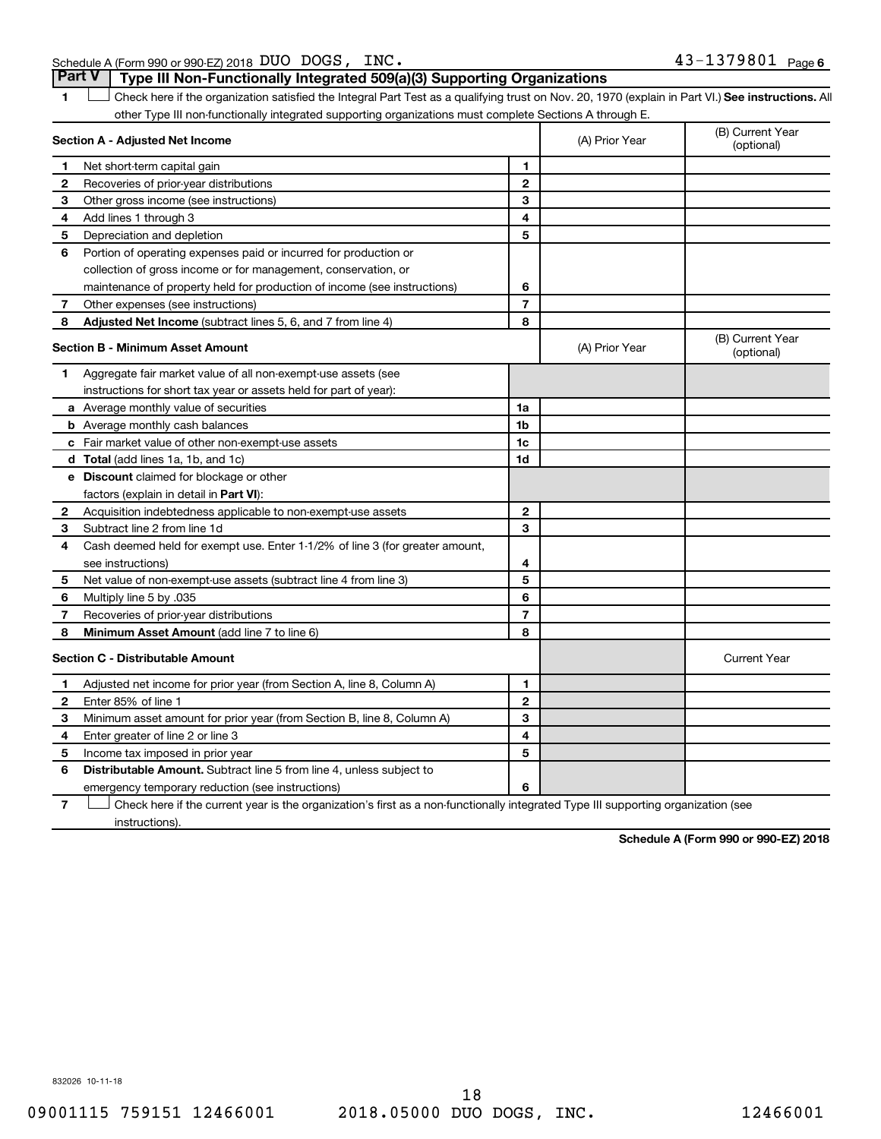Schedule A (Form 990 or 990-EZ) 2018 DUO DOGS,  $INC$ **Part V Type III Non-Functionally Integrated 509(a)(3) Supporting Organizations** 

1 **Letter See instructions.** All Check here if the organization satisfied the Integral Part Test as a qualifying trust on Nov. 20, 1970 (explain in Part VI.) See instructions. All other Type III non-functionally integrated supporting organizations must complete Sections A through E.

|              | Section A - Adjusted Net Income                                              |                | (A) Prior Year | (B) Current Year<br>(optional) |
|--------------|------------------------------------------------------------------------------|----------------|----------------|--------------------------------|
| 1            | Net short-term capital gain                                                  | 1              |                |                                |
| $\mathbf{2}$ | Recoveries of prior-year distributions                                       | $\overline{2}$ |                |                                |
| 3            | Other gross income (see instructions)                                        | 3              |                |                                |
| 4            | Add lines 1 through 3                                                        | 4              |                |                                |
| 5            | Depreciation and depletion                                                   | 5              |                |                                |
| 6            | Portion of operating expenses paid or incurred for production or             |                |                |                                |
|              | collection of gross income or for management, conservation, or               |                |                |                                |
|              | maintenance of property held for production of income (see instructions)     | 6              |                |                                |
| 7            | Other expenses (see instructions)                                            | $\overline{7}$ |                |                                |
| 8            | Adjusted Net Income (subtract lines 5, 6, and 7 from line 4)                 | 8              |                |                                |
|              | <b>Section B - Minimum Asset Amount</b>                                      |                | (A) Prior Year | (B) Current Year<br>(optional) |
| 1            | Aggregate fair market value of all non-exempt-use assets (see                |                |                |                                |
|              | instructions for short tax year or assets held for part of year):            |                |                |                                |
|              | a Average monthly value of securities                                        | 1a             |                |                                |
|              | <b>b</b> Average monthly cash balances                                       | 1b             |                |                                |
|              | c Fair market value of other non-exempt-use assets                           | 1c             |                |                                |
|              | d Total (add lines 1a, 1b, and 1c)                                           | 1d             |                |                                |
|              | <b>e</b> Discount claimed for blockage or other                              |                |                |                                |
|              | factors (explain in detail in Part VI):                                      |                |                |                                |
| 2            | Acquisition indebtedness applicable to non-exempt-use assets                 | $\mathbf{2}$   |                |                                |
| 3            | Subtract line 2 from line 1d                                                 | 3              |                |                                |
| 4            | Cash deemed held for exempt use. Enter 1-1/2% of line 3 (for greater amount, |                |                |                                |
|              | see instructions)                                                            | 4              |                |                                |
| 5            | Net value of non-exempt-use assets (subtract line 4 from line 3)             | 5              |                |                                |
| 6            | Multiply line 5 by .035                                                      | 6              |                |                                |
| 7            | Recoveries of prior-year distributions                                       | $\overline{7}$ |                |                                |
| 8            | Minimum Asset Amount (add line 7 to line 6)                                  | 8              |                |                                |
|              | <b>Section C - Distributable Amount</b>                                      |                |                | <b>Current Year</b>            |
| 1            | Adjusted net income for prior year (from Section A, line 8, Column A)        | 1              |                |                                |
| 2            | Enter 85% of line 1                                                          | $\mathbf{2}$   |                |                                |
| З            | Minimum asset amount for prior year (from Section B, line 8, Column A)       | 3              |                |                                |
| 4            | Enter greater of line 2 or line 3                                            | 4              |                |                                |
| 5            | Income tax imposed in prior year                                             | 5              |                |                                |
| 6            | Distributable Amount. Subtract line 5 from line 4, unless subject to         |                |                |                                |
|              | emergency temporary reduction (see instructions)                             | 6              |                |                                |
|              |                                                                              |                |                |                                |

**7** Check here if the current year is the organization's first as a non-functionally integrated Type III supporting organization (see † instructions).

**Schedule A (Form 990 or 990-EZ) 2018**

832026 10-11-18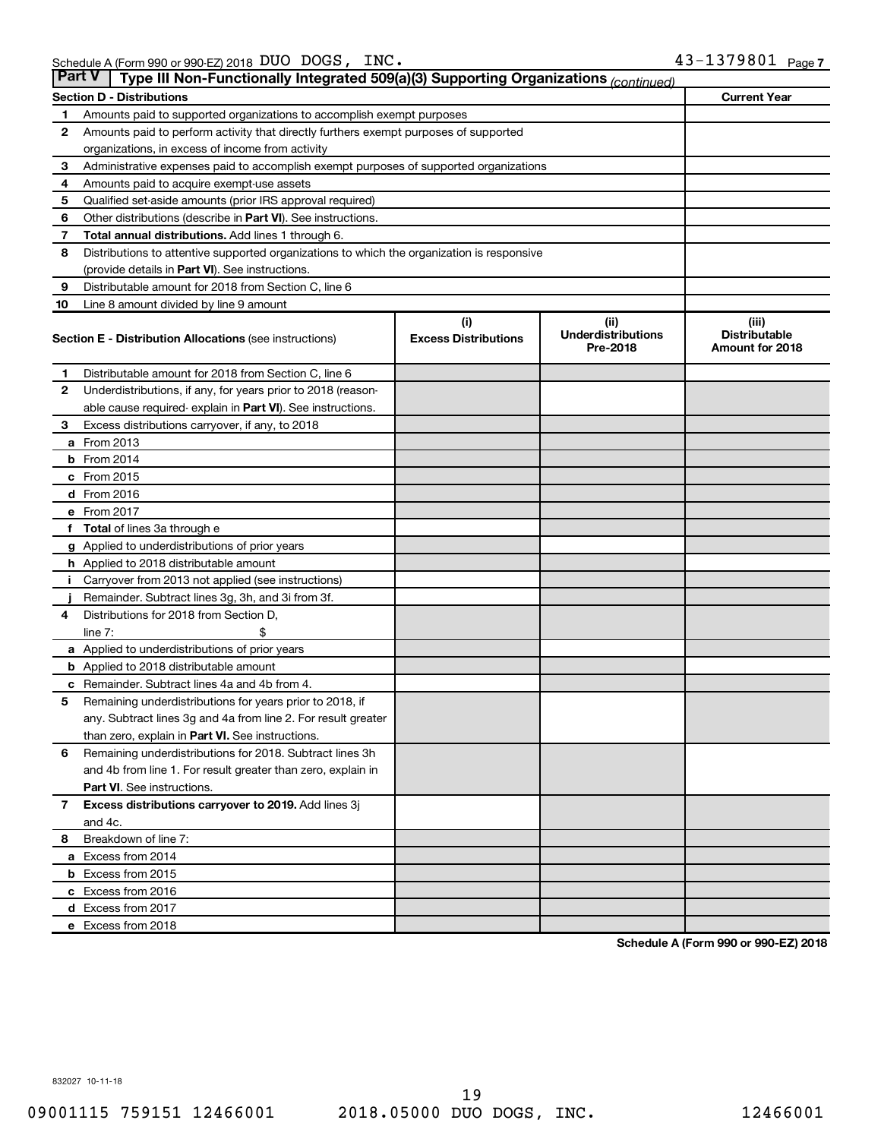| <b>Part V</b><br>Type III Non-Functionally Integrated 509(a)(3) Supporting Organizations (continued) |                                                                                            |                             |                                       |                                                |  |  |  |  |
|------------------------------------------------------------------------------------------------------|--------------------------------------------------------------------------------------------|-----------------------------|---------------------------------------|------------------------------------------------|--|--|--|--|
|                                                                                                      | <b>Section D - Distributions</b>                                                           |                             |                                       | <b>Current Year</b>                            |  |  |  |  |
| 1                                                                                                    | Amounts paid to supported organizations to accomplish exempt purposes                      |                             |                                       |                                                |  |  |  |  |
| $\mathbf{2}$                                                                                         | Amounts paid to perform activity that directly furthers exempt purposes of supported       |                             |                                       |                                                |  |  |  |  |
|                                                                                                      | organizations, in excess of income from activity                                           |                             |                                       |                                                |  |  |  |  |
| 3                                                                                                    | Administrative expenses paid to accomplish exempt purposes of supported organizations      |                             |                                       |                                                |  |  |  |  |
| 4                                                                                                    | Amounts paid to acquire exempt-use assets                                                  |                             |                                       |                                                |  |  |  |  |
| 5                                                                                                    | Qualified set-aside amounts (prior IRS approval required)                                  |                             |                                       |                                                |  |  |  |  |
| 6                                                                                                    | Other distributions (describe in Part VI). See instructions.                               |                             |                                       |                                                |  |  |  |  |
| 7                                                                                                    | Total annual distributions. Add lines 1 through 6.                                         |                             |                                       |                                                |  |  |  |  |
| 8                                                                                                    | Distributions to attentive supported organizations to which the organization is responsive |                             |                                       |                                                |  |  |  |  |
|                                                                                                      | (provide details in Part VI). See instructions.                                            |                             |                                       |                                                |  |  |  |  |
| 9                                                                                                    | Distributable amount for 2018 from Section C, line 6                                       |                             |                                       |                                                |  |  |  |  |
| 10                                                                                                   | Line 8 amount divided by line 9 amount                                                     |                             |                                       |                                                |  |  |  |  |
|                                                                                                      |                                                                                            | (i)                         | (ii)                                  | (iii)                                          |  |  |  |  |
|                                                                                                      | <b>Section E - Distribution Allocations (see instructions)</b>                             | <b>Excess Distributions</b> | <b>Underdistributions</b><br>Pre-2018 | <b>Distributable</b><br><b>Amount for 2018</b> |  |  |  |  |
| 1                                                                                                    | Distributable amount for 2018 from Section C, line 6                                       |                             |                                       |                                                |  |  |  |  |
| $\mathbf{2}$                                                                                         | Underdistributions, if any, for years prior to 2018 (reason-                               |                             |                                       |                                                |  |  |  |  |
|                                                                                                      | able cause required- explain in Part VI). See instructions.                                |                             |                                       |                                                |  |  |  |  |
| 3                                                                                                    | Excess distributions carryover, if any, to 2018                                            |                             |                                       |                                                |  |  |  |  |
|                                                                                                      | a From 2013                                                                                |                             |                                       |                                                |  |  |  |  |
|                                                                                                      | <b>b</b> From 2014                                                                         |                             |                                       |                                                |  |  |  |  |
|                                                                                                      | c From 2015                                                                                |                             |                                       |                                                |  |  |  |  |
|                                                                                                      | d From 2016                                                                                |                             |                                       |                                                |  |  |  |  |
|                                                                                                      | e From 2017                                                                                |                             |                                       |                                                |  |  |  |  |
|                                                                                                      | f Total of lines 3a through e                                                              |                             |                                       |                                                |  |  |  |  |
|                                                                                                      | <b>g</b> Applied to underdistributions of prior years                                      |                             |                                       |                                                |  |  |  |  |
|                                                                                                      | h Applied to 2018 distributable amount                                                     |                             |                                       |                                                |  |  |  |  |
| Ť.                                                                                                   | Carryover from 2013 not applied (see instructions)                                         |                             |                                       |                                                |  |  |  |  |
|                                                                                                      | Remainder. Subtract lines 3g, 3h, and 3i from 3f.                                          |                             |                                       |                                                |  |  |  |  |
| 4                                                                                                    | Distributions for 2018 from Section D,                                                     |                             |                                       |                                                |  |  |  |  |
|                                                                                                      | line $7:$                                                                                  |                             |                                       |                                                |  |  |  |  |
|                                                                                                      | a Applied to underdistributions of prior years                                             |                             |                                       |                                                |  |  |  |  |
|                                                                                                      | <b>b</b> Applied to 2018 distributable amount                                              |                             |                                       |                                                |  |  |  |  |
| с                                                                                                    | Remainder. Subtract lines 4a and 4b from 4.                                                |                             |                                       |                                                |  |  |  |  |
| 5                                                                                                    | Remaining underdistributions for years prior to 2018, if                                   |                             |                                       |                                                |  |  |  |  |
|                                                                                                      | any. Subtract lines 3g and 4a from line 2. For result greater                              |                             |                                       |                                                |  |  |  |  |
|                                                                                                      | than zero, explain in Part VI. See instructions.                                           |                             |                                       |                                                |  |  |  |  |
| 6                                                                                                    | Remaining underdistributions for 2018. Subtract lines 3h                                   |                             |                                       |                                                |  |  |  |  |
|                                                                                                      | and 4b from line 1. For result greater than zero, explain in                               |                             |                                       |                                                |  |  |  |  |
|                                                                                                      | <b>Part VI.</b> See instructions.                                                          |                             |                                       |                                                |  |  |  |  |
| $\overline{7}$                                                                                       | Excess distributions carryover to 2019. Add lines 3j                                       |                             |                                       |                                                |  |  |  |  |
|                                                                                                      | and 4c.                                                                                    |                             |                                       |                                                |  |  |  |  |
| 8                                                                                                    | Breakdown of line 7:                                                                       |                             |                                       |                                                |  |  |  |  |
|                                                                                                      | a Excess from 2014                                                                         |                             |                                       |                                                |  |  |  |  |
|                                                                                                      | <b>b</b> Excess from 2015                                                                  |                             |                                       |                                                |  |  |  |  |
|                                                                                                      | c Excess from 2016                                                                         |                             |                                       |                                                |  |  |  |  |
|                                                                                                      | d Excess from 2017                                                                         |                             |                                       |                                                |  |  |  |  |
|                                                                                                      | e Excess from 2018                                                                         |                             |                                       |                                                |  |  |  |  |

**Schedule A (Form 990 or 990-EZ) 2018**

832027 10-11-18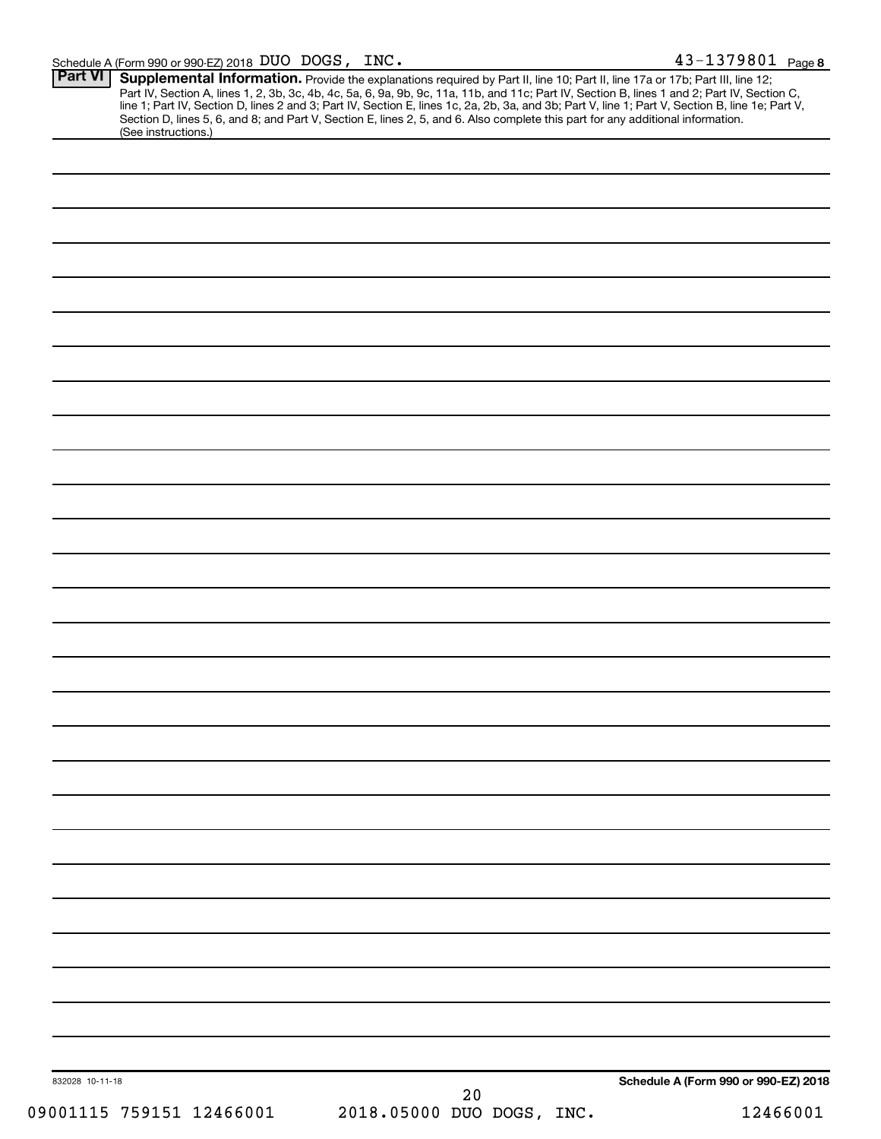| 09001115 759151 12466001 |                                                                                                                                                                                                                                     | 20<br>2018.05000 DUO DOGS, INC. |                                      | 12466001 |
|--------------------------|-------------------------------------------------------------------------------------------------------------------------------------------------------------------------------------------------------------------------------------|---------------------------------|--------------------------------------|----------|
| 832028 10-11-18          |                                                                                                                                                                                                                                     |                                 | Schedule A (Form 990 or 990-EZ) 2018 |          |
|                          |                                                                                                                                                                                                                                     |                                 |                                      |          |
|                          |                                                                                                                                                                                                                                     |                                 |                                      |          |
|                          |                                                                                                                                                                                                                                     |                                 |                                      |          |
|                          |                                                                                                                                                                                                                                     |                                 |                                      |          |
|                          |                                                                                                                                                                                                                                     |                                 |                                      |          |
|                          |                                                                                                                                                                                                                                     |                                 |                                      |          |
|                          |                                                                                                                                                                                                                                     |                                 |                                      |          |
|                          |                                                                                                                                                                                                                                     |                                 |                                      |          |
|                          |                                                                                                                                                                                                                                     |                                 |                                      |          |
|                          |                                                                                                                                                                                                                                     |                                 |                                      |          |
|                          |                                                                                                                                                                                                                                     |                                 |                                      |          |
|                          |                                                                                                                                                                                                                                     |                                 |                                      |          |
|                          |                                                                                                                                                                                                                                     |                                 |                                      |          |
|                          |                                                                                                                                                                                                                                     |                                 |                                      |          |
|                          |                                                                                                                                                                                                                                     |                                 |                                      |          |
|                          |                                                                                                                                                                                                                                     |                                 |                                      |          |
|                          |                                                                                                                                                                                                                                     |                                 |                                      |          |
|                          |                                                                                                                                                                                                                                     |                                 |                                      |          |
|                          |                                                                                                                                                                                                                                     |                                 |                                      |          |
|                          |                                                                                                                                                                                                                                     |                                 |                                      |          |
|                          |                                                                                                                                                                                                                                     |                                 |                                      |          |
|                          |                                                                                                                                                                                                                                     |                                 |                                      |          |
|                          |                                                                                                                                                                                                                                     |                                 |                                      |          |
|                          |                                                                                                                                                                                                                                     |                                 |                                      |          |
|                          |                                                                                                                                                                                                                                     |                                 |                                      |          |
|                          |                                                                                                                                                                                                                                     |                                 |                                      |          |
|                          |                                                                                                                                                                                                                                     |                                 |                                      |          |
| (See instructions.)      | <b>Supplemental Information.</b> Provide the explanations required by Part II, line 10; Part II, line 17a or 17b; Part III, line 12; Part IV, Section A, lines 1, 2, 3b, 3c, 4b, 4c, 5a, 6, 9a, 9b, 9c, 11a, 11b, and 11c; Part IV, |                                 |                                      |          |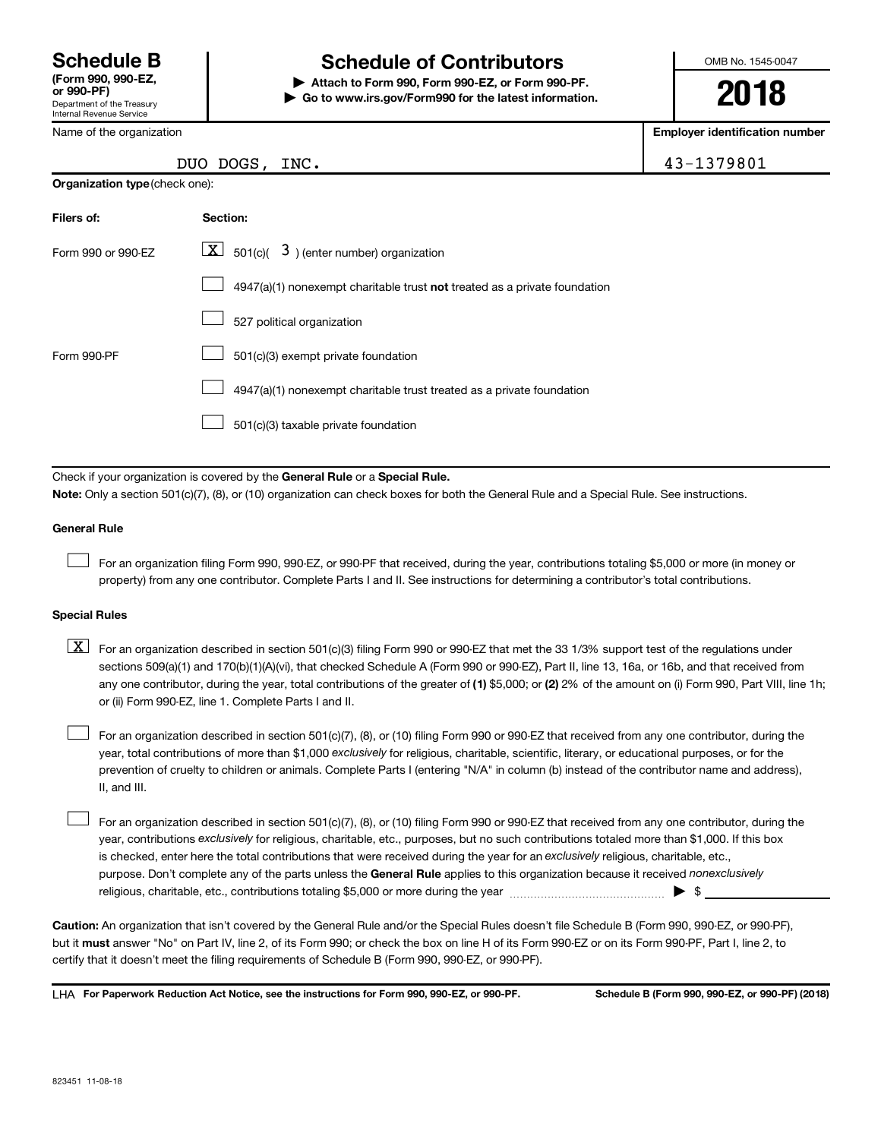Department of the Treasury Internal Revenue Service **(Form 990, 990-EZ,**

Name of the organization

DUO DOGS

### **Schedule B Schedule of Contributors**

**or 990-PF) | Attach to Form 990, Form 990-EZ, or Form 990-PF. | Go to www.irs.gov/Form990 for the latest information.** OMB No. 1545-0047

**2018**

**Employer identification number**

| TNC. |  |  |
|------|--|--|

| 43-1379801 |  |
|------------|--|

| <b>Organization type (check one):</b> |                                                                           |  |  |  |  |
|---------------------------------------|---------------------------------------------------------------------------|--|--|--|--|
| Filers of:                            | Section:                                                                  |  |  |  |  |
| Form 990 or 990-EZ                    | $\underline{X}$ 501(c)( 3) (enter number) organization                    |  |  |  |  |
|                                       | 4947(a)(1) nonexempt charitable trust not treated as a private foundation |  |  |  |  |
|                                       | 527 political organization                                                |  |  |  |  |
| Form 990-PF                           | 501(c)(3) exempt private foundation                                       |  |  |  |  |
|                                       | 4947(a)(1) nonexempt charitable trust treated as a private foundation     |  |  |  |  |
|                                       | 501(c)(3) taxable private foundation                                      |  |  |  |  |

Check if your organization is covered by the General Rule or a Special Rule. **Note:**  Only a section 501(c)(7), (8), or (10) organization can check boxes for both the General Rule and a Special Rule. See instructions.

#### **General Rule**

 $\Box$ 

For an organization filing Form 990, 990-EZ, or 990-PF that received, during the year, contributions totaling \$5,000 or more (in money or property) from any one contributor. Complete Parts I and II. See instructions for determining a contributor's total contributions.

#### **Special Rules**

any one contributor, during the year, total contributions of the greater of (1) \$5,000; or (2) 2% of the amount on (i) Form 990, Part VIII, line 1h;  $\boxed{\text{X}}$  For an organization described in section 501(c)(3) filing Form 990 or 990-EZ that met the 33 1/3% support test of the regulations under sections 509(a)(1) and 170(b)(1)(A)(vi), that checked Schedule A (Form 990 or 990-EZ), Part II, line 13, 16a, or 16b, and that received from or (ii) Form 990-EZ, line 1. Complete Parts I and II.

year, total contributions of more than \$1,000 *exclusively* for religious, charitable, scientific, literary, or educational purposes, or for the For an organization described in section 501(c)(7), (8), or (10) filing Form 990 or 990-EZ that received from any one contributor, during the prevention of cruelty to children or animals. Complete Parts I (entering "N/A" in column (b) instead of the contributor name and address), II, and III.  $\Box$ 

purpose. Don't complete any of the parts unless the General Rule applies to this organization because it received nonexclusively year, contributions exclusively for religious, charitable, etc., purposes, but no such contributions totaled more than \$1,000. If this box is checked, enter here the total contributions that were received during the year for an exclusively religious, charitable, etc., For an organization described in section 501(c)(7), (8), or (10) filing Form 990 or 990-EZ that received from any one contributor, during the religious, charitable, etc., contributions totaling \$5,000 or more during the year  $~\ldots\ldots\ldots\ldots\ldots\ldots\ldots\ldots\ldots\blacktriangleright~$ \$  $\Box$ 

**Caution:**  An organization that isn't covered by the General Rule and/or the Special Rules doesn't file Schedule B (Form 990, 990-EZ, or 990-PF),  **must** but it answer "No" on Part IV, line 2, of its Form 990; or check the box on line H of its Form 990-EZ or on its Form 990-PF, Part I, line 2, to certify that it doesn't meet the filing requirements of Schedule B (Form 990, 990-EZ, or 990-PF).

**For Paperwork Reduction Act Notice, see the instructions for Form 990, 990-EZ, or 990-PF. Schedule B (Form 990, 990-EZ, or 990-PF) (2018)** LHA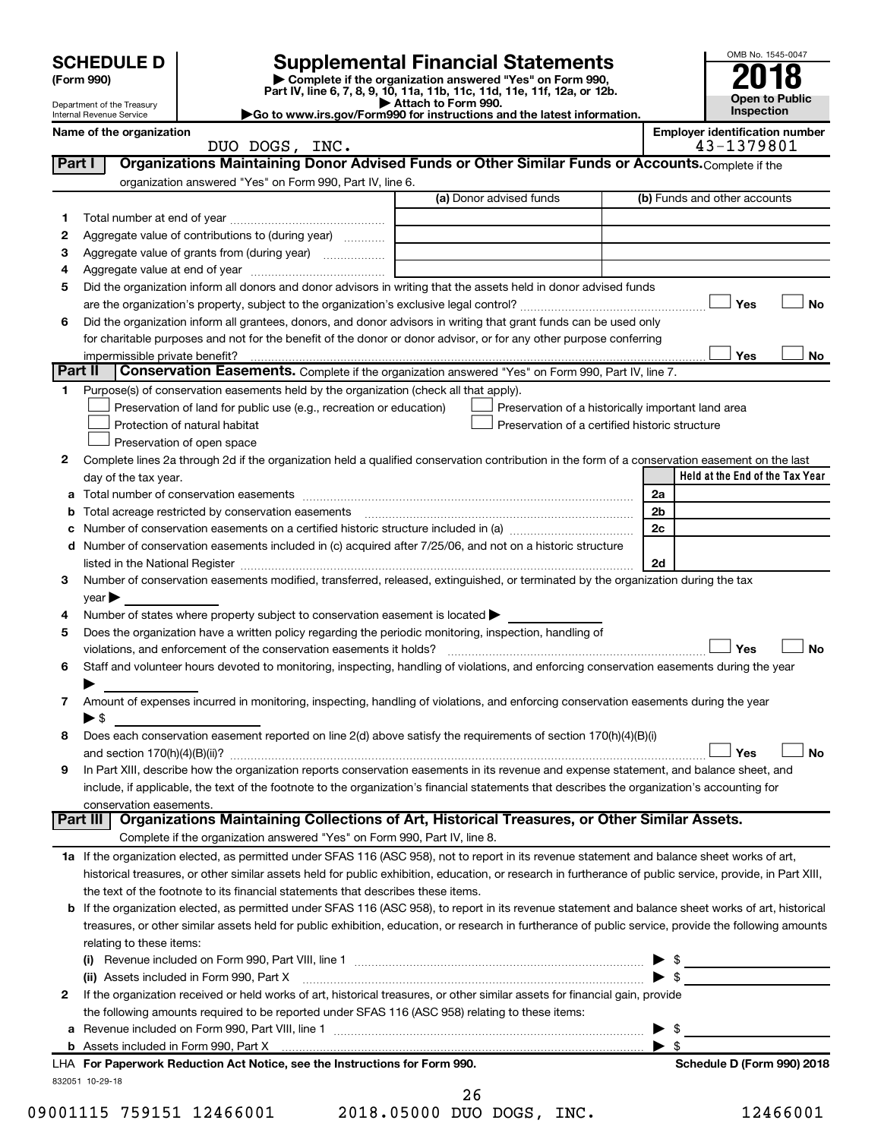| <b>SCHEDULE D</b> |  |
|-------------------|--|
|-------------------|--|

| (Form 990) |  |
|------------|--|
|------------|--|

# **SCHEDULE D Supplemental Financial Statements**<br> **Form 990 2018**<br> **Part IV** line 6.7.8.9.10, 11a, 11b, 11d, 11d, 11d, 11d, 11d, 12a, 0r, 12b

**(Form 990) | Complete if the organization answered "Yes" on Form 990, Part IV, line 6, 7, 8, 9, 10, 11a, 11b, 11c, 11d, 11e, 11f, 12a, or 12b.**

**| Attach to Form 990. |Go to www.irs.gov/Form990 for instructions and the latest information.**



Department of the Treasury Internal Revenue Service **Name of the organization <b>EMPLOYER IDENTIFICATION Employer is a set of the organization**  $\blacksquare$ 

| bloyer identification number |  |                                                                                                                                                                                                                                                                                                                                                                                                                                                                                 |  |  |
|------------------------------|--|---------------------------------------------------------------------------------------------------------------------------------------------------------------------------------------------------------------------------------------------------------------------------------------------------------------------------------------------------------------------------------------------------------------------------------------------------------------------------------|--|--|
|                              |  | $\overline{\phantom{a}}$ $\overline{\phantom{a}}$ $\overline{\phantom{a}}$ $\overline{\phantom{a}}$ $\overline{\phantom{a}}$ $\overline{\phantom{a}}$ $\overline{\phantom{a}}$ $\overline{\phantom{a}}$ $\overline{\phantom{a}}$ $\overline{\phantom{a}}$ $\overline{\phantom{a}}$ $\overline{\phantom{a}}$ $\overline{\phantom{a}}$ $\overline{\phantom{a}}$ $\overline{\phantom{a}}$ $\overline{\phantom{a}}$ $\overline{\phantom{a}}$ $\overline{\phantom{a}}$ $\overline{\$ |  |  |

|         | DUO DOGS, INC.                                                                                                                                             |                                                    | 43-1379801                      |
|---------|------------------------------------------------------------------------------------------------------------------------------------------------------------|----------------------------------------------------|---------------------------------|
| Part I  | Organizations Maintaining Donor Advised Funds or Other Similar Funds or Accounts. Complete if the                                                          |                                                    |                                 |
|         | organization answered "Yes" on Form 990, Part IV, line 6.                                                                                                  |                                                    |                                 |
|         |                                                                                                                                                            | (a) Donor advised funds                            | (b) Funds and other accounts    |
| 1       |                                                                                                                                                            |                                                    |                                 |
| 2       | Aggregate value of contributions to (during year)                                                                                                          |                                                    |                                 |
| З       | Aggregate value of grants from (during year)                                                                                                               |                                                    |                                 |
| 4       |                                                                                                                                                            |                                                    |                                 |
| 5       | Did the organization inform all donors and donor advisors in writing that the assets held in donor advised funds                                           |                                                    |                                 |
|         |                                                                                                                                                            |                                                    | Yes<br>No                       |
| 6       | Did the organization inform all grantees, donors, and donor advisors in writing that grant funds can be used only                                          |                                                    |                                 |
|         | for charitable purposes and not for the benefit of the donor or donor advisor, or for any other purpose conferring                                         |                                                    |                                 |
|         |                                                                                                                                                            |                                                    | Yes<br>No                       |
| Part II | <b>Conservation Easements.</b> Complete if the organization answered "Yes" on Form 990, Part IV, line 7.                                                   |                                                    |                                 |
| 1.      | Purpose(s) of conservation easements held by the organization (check all that apply).                                                                      |                                                    |                                 |
|         | Preservation of land for public use (e.g., recreation or education)                                                                                        | Preservation of a historically important land area |                                 |
|         |                                                                                                                                                            | Preservation of a certified historic structure     |                                 |
|         | Protection of natural habitat                                                                                                                              |                                                    |                                 |
|         | Preservation of open space                                                                                                                                 |                                                    |                                 |
| 2       | Complete lines 2a through 2d if the organization held a qualified conservation contribution in the form of a conservation easement on the last             |                                                    |                                 |
|         | day of the tax year.                                                                                                                                       |                                                    | Held at the End of the Tax Year |
| а       |                                                                                                                                                            |                                                    | 2a                              |
| b       |                                                                                                                                                            |                                                    | 2 <sub>b</sub>                  |
|         |                                                                                                                                                            |                                                    | 2c                              |
|         | d Number of conservation easements included in (c) acquired after 7/25/06, and not on a historic structure                                                 |                                                    |                                 |
|         |                                                                                                                                                            |                                                    | 2d                              |
| 3       | Number of conservation easements modified, transferred, released, extinguished, or terminated by the organization during the tax                           |                                                    |                                 |
|         | $year \triangleright$                                                                                                                                      |                                                    |                                 |
| 4       | Number of states where property subject to conservation easement is located >                                                                              |                                                    |                                 |
| 5       | Does the organization have a written policy regarding the periodic monitoring, inspection, handling of                                                     |                                                    |                                 |
|         | violations, and enforcement of the conservation easements it holds?                                                                                        |                                                    | Yes<br><b>No</b>                |
| 6       | Staff and volunteer hours devoted to monitoring, inspecting, handling of violations, and enforcing conservation easements during the year                  |                                                    |                                 |
|         |                                                                                                                                                            |                                                    |                                 |
| 7       | Amount of expenses incurred in monitoring, inspecting, handling of violations, and enforcing conservation easements during the year                        |                                                    |                                 |
|         | $\blacktriangleright$ \$                                                                                                                                   |                                                    |                                 |
| 8       | Does each conservation easement reported on line 2(d) above satisfy the requirements of section 170(h)(4)(B)(i)                                            |                                                    |                                 |
|         |                                                                                                                                                            |                                                    | No<br>Yes                       |
| 9       | In Part XIII, describe how the organization reports conservation easements in its revenue and expense statement, and balance sheet, and                    |                                                    |                                 |
|         | include, if applicable, the text of the footnote to the organization's financial statements that describes the organization's accounting for               |                                                    |                                 |
|         | conservation easements.                                                                                                                                    |                                                    |                                 |
|         | Organizations Maintaining Collections of Art, Historical Treasures, or Other Similar Assets.<br>Part III                                                   |                                                    |                                 |
|         | Complete if the organization answered "Yes" on Form 990, Part IV, line 8.                                                                                  |                                                    |                                 |
|         | 1a If the organization elected, as permitted under SFAS 116 (ASC 958), not to report in its revenue statement and balance sheet works of art,              |                                                    |                                 |
|         | historical treasures, or other similar assets held for public exhibition, education, or research in furtherance of public service, provide, in Part XIII,  |                                                    |                                 |
|         | the text of the footnote to its financial statements that describes these items.                                                                           |                                                    |                                 |
|         | <b>b</b> If the organization elected, as permitted under SFAS 116 (ASC 958), to report in its revenue statement and balance sheet works of art, historical |                                                    |                                 |
|         | treasures, or other similar assets held for public exhibition, education, or research in furtherance of public service, provide the following amounts      |                                                    |                                 |
|         | relating to these items:                                                                                                                                   |                                                    |                                 |
|         |                                                                                                                                                            |                                                    | $\frac{1}{2}$                   |
|         | (ii) Assets included in Form 990, Part X                                                                                                                   |                                                    | $\triangleright$ \$             |
| 2       | If the organization received or held works of art, historical treasures, or other similar assets for financial gain, provide                               |                                                    |                                 |
|         | the following amounts required to be reported under SFAS 116 (ASC 958) relating to these items:                                                            |                                                    |                                 |
| а       |                                                                                                                                                            |                                                    | -\$<br>▶                        |
|         | b Assets included in Form 990, Part X [111] [2010] [2010] [2010] [2010] [2010] [2010] [2010] [2010] [2010] [20                                             |                                                    | $\blacktriangleright$ s         |
|         | LHA For Paperwork Reduction Act Notice, see the Instructions for Form 990.                                                                                 |                                                    | Schedule D (Form 990) 2018      |
|         | 832051 10-29-18                                                                                                                                            |                                                    |                                 |
|         |                                                                                                                                                            |                                                    |                                 |

26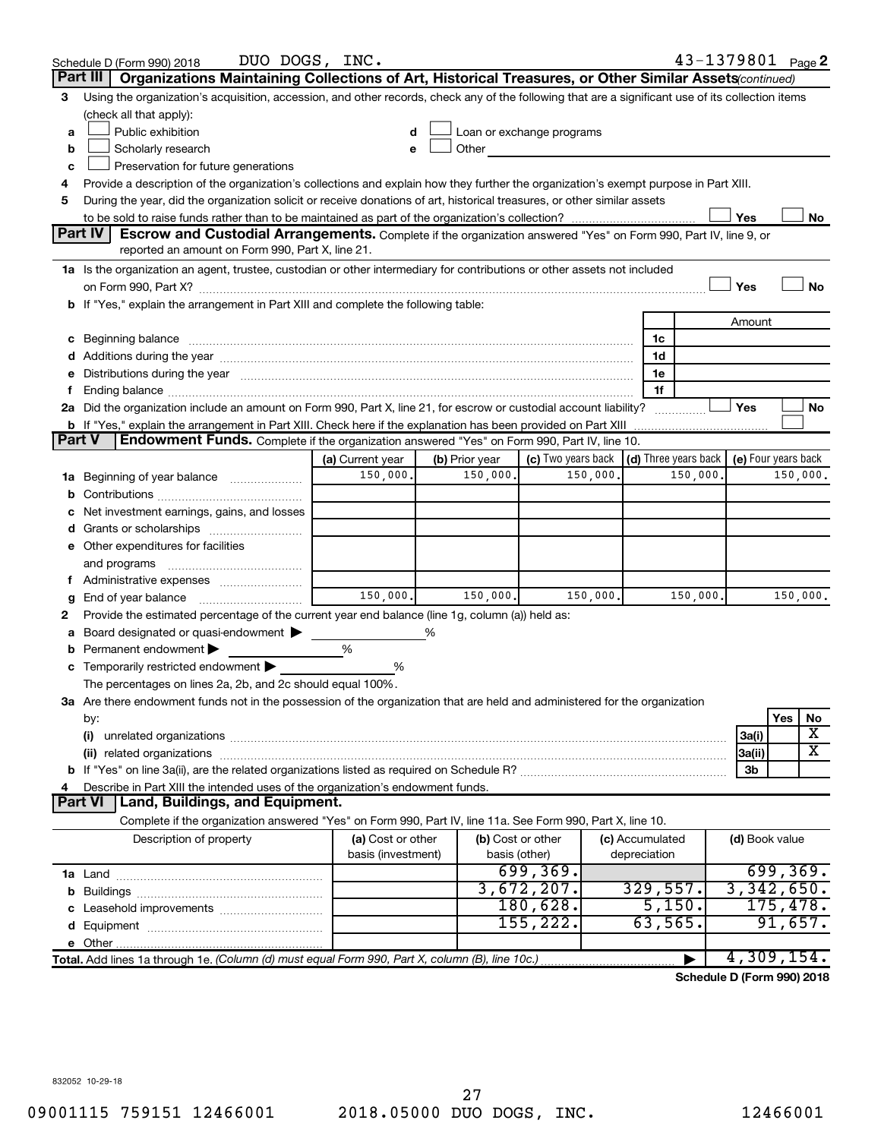|        | DUO DOGS, INC.<br>Schedule D (Form 990) 2018                                                                                                                                                                                   |                                         |                |                                    |                                 | 43-1379801 Page 2                 |
|--------|--------------------------------------------------------------------------------------------------------------------------------------------------------------------------------------------------------------------------------|-----------------------------------------|----------------|------------------------------------|---------------------------------|-----------------------------------|
|        | Organizations Maintaining Collections of Art, Historical Treasures, or Other Similar Assets (continued)<br>Part III                                                                                                            |                                         |                |                                    |                                 |                                   |
| З      | Using the organization's acquisition, accession, and other records, check any of the following that are a significant use of its collection items                                                                              |                                         |                |                                    |                                 |                                   |
|        | (check all that apply):                                                                                                                                                                                                        |                                         |                |                                    |                                 |                                   |
| a      | Public exhibition                                                                                                                                                                                                              |                                         |                | Loan or exchange programs          |                                 |                                   |
| b      | Scholarly research                                                                                                                                                                                                             |                                         | Other          |                                    |                                 |                                   |
| c      | Preservation for future generations                                                                                                                                                                                            |                                         |                |                                    |                                 |                                   |
|        | Provide a description of the organization's collections and explain how they further the organization's exempt purpose in Part XIII.                                                                                           |                                         |                |                                    |                                 |                                   |
| 5      | During the year, did the organization solicit or receive donations of art, historical treasures, or other similar assets                                                                                                       |                                         |                |                                    |                                 |                                   |
|        |                                                                                                                                                                                                                                |                                         |                |                                    |                                 | Yes<br>No                         |
|        | <b>Part IV</b><br>Escrow and Custodial Arrangements. Complete if the organization answered "Yes" on Form 990, Part IV, line 9, or                                                                                              |                                         |                |                                    |                                 |                                   |
|        | reported an amount on Form 990, Part X, line 21.                                                                                                                                                                               |                                         |                |                                    |                                 |                                   |
|        | 1a Is the organization an agent, trustee, custodian or other intermediary for contributions or other assets not included                                                                                                       |                                         |                |                                    |                                 |                                   |
|        |                                                                                                                                                                                                                                |                                         |                |                                    |                                 | Yes<br>No                         |
|        | b If "Yes," explain the arrangement in Part XIII and complete the following table:                                                                                                                                             |                                         |                |                                    |                                 |                                   |
|        |                                                                                                                                                                                                                                |                                         |                |                                    |                                 | Amount                            |
|        |                                                                                                                                                                                                                                |                                         |                |                                    | 1c<br>1d                        |                                   |
|        |                                                                                                                                                                                                                                |                                         |                |                                    | 1е                              |                                   |
|        | e Distributions during the year manufactured and continuum control of the control of the control of the state of the state of the control of the control of the control of the control of the control of the control of the co |                                         |                |                                    | 1f                              |                                   |
|        | 2a Did the organization include an amount on Form 990, Part X, line 21, for escrow or custodial account liability?                                                                                                             |                                         |                |                                    | .                               | Yes<br>No                         |
|        | <b>b</b> If "Yes," explain the arrangement in Part XIII. Check here if the explanation has been provided on Part XIII                                                                                                          |                                         |                |                                    |                                 |                                   |
| Part V | Endowment Funds. Complete if the organization answered "Yes" on Form 990, Part IV, line 10.                                                                                                                                    |                                         |                |                                    |                                 |                                   |
|        |                                                                                                                                                                                                                                | (a) Current year                        | (b) Prior year | (c) Two years back                 | (d) Three years back            | (e) Four years back               |
| 1а     | Beginning of year balance                                                                                                                                                                                                      | 150,000.                                | 150,000.       | 150,000.                           | 150,000.                        | 150,000.                          |
|        |                                                                                                                                                                                                                                |                                         |                |                                    |                                 |                                   |
|        | Net investment earnings, gains, and losses                                                                                                                                                                                     |                                         |                |                                    |                                 |                                   |
|        |                                                                                                                                                                                                                                |                                         |                |                                    |                                 |                                   |
|        | e Other expenditures for facilities                                                                                                                                                                                            |                                         |                |                                    |                                 |                                   |
|        | and programs                                                                                                                                                                                                                   |                                         |                |                                    |                                 |                                   |
|        | Administrative expenses                                                                                                                                                                                                        |                                         |                |                                    |                                 |                                   |
| g      |                                                                                                                                                                                                                                | 150,000.                                | 150,000.       | 150,000.                           | 150,000.                        | 150,000.                          |
|        | Provide the estimated percentage of the current year end balance (line 1g, column (a)) held as:                                                                                                                                |                                         |                |                                    |                                 |                                   |
|        | Board designated or quasi-endowment                                                                                                                                                                                            |                                         | %              |                                    |                                 |                                   |
|        | Permanent endowment                                                                                                                                                                                                            | %                                       |                |                                    |                                 |                                   |
|        | c Temporarily restricted endowment $\blacktriangleright$                                                                                                                                                                       | %                                       |                |                                    |                                 |                                   |
|        | The percentages on lines 2a, 2b, and 2c should equal 100%.                                                                                                                                                                     |                                         |                |                                    |                                 |                                   |
|        | 3a Are there endowment funds not in the possession of the organization that are held and administered for the organization                                                                                                     |                                         |                |                                    |                                 |                                   |
|        | by:                                                                                                                                                                                                                            |                                         |                |                                    |                                 | Yes<br>No                         |
|        | (i)                                                                                                                                                                                                                            |                                         |                |                                    |                                 | х<br>3a(i)                        |
|        |                                                                                                                                                                                                                                |                                         |                |                                    |                                 | $\overline{\textbf{X}}$<br>3a(ii) |
|        |                                                                                                                                                                                                                                |                                         |                |                                    |                                 | 3b                                |
|        | Describe in Part XIII the intended uses of the organization's endowment funds.<br>Land, Buildings, and Equipment.                                                                                                              |                                         |                |                                    |                                 |                                   |
|        | <b>Part VI</b>                                                                                                                                                                                                                 |                                         |                |                                    |                                 |                                   |
|        | Complete if the organization answered "Yes" on Form 990, Part IV, line 11a. See Form 990, Part X, line 10.                                                                                                                     |                                         |                |                                    |                                 |                                   |
|        | Description of property                                                                                                                                                                                                        | (a) Cost or other<br>basis (investment) |                | (b) Cost or other<br>basis (other) | (c) Accumulated<br>depreciation | (d) Book value                    |
|        |                                                                                                                                                                                                                                |                                         |                | 699,369.                           |                                 | 699,369.                          |
|        |                                                                                                                                                                                                                                |                                         |                | 3,672,207.                         | 329,557.                        | 3,342,650.                        |
|        |                                                                                                                                                                                                                                |                                         |                | 180,628.                           | 5,150.                          | 175,478.                          |
|        |                                                                                                                                                                                                                                |                                         |                | 155,222.                           | 63,565                          | 91,657.                           |
|        |                                                                                                                                                                                                                                |                                         |                |                                    |                                 |                                   |
|        | Total. Add lines 1a through 1e. (Column (d) must equal Form 990, Part X, column (B), line 10c.)                                                                                                                                |                                         |                |                                    |                                 | 4,309,154.                        |
|        |                                                                                                                                                                                                                                |                                         |                |                                    |                                 |                                   |

**Schedule D (Form 990) 2018**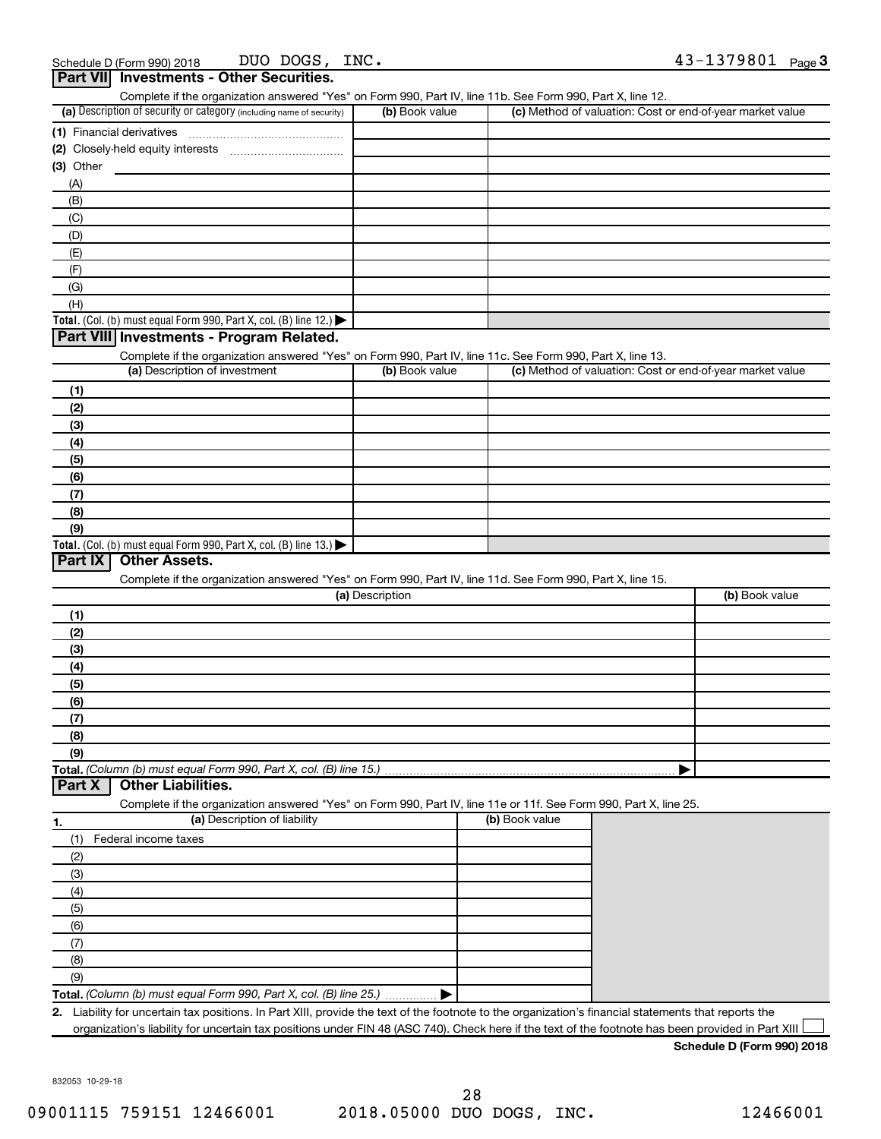| Complete if the organization answered "Yes" on Form 990, Part IV, line 11b. See Form 990, Part X, line 12.                                                                                      |                 |                |                                                           |
|-------------------------------------------------------------------------------------------------------------------------------------------------------------------------------------------------|-----------------|----------------|-----------------------------------------------------------|
| (a) Description of security or category (including name of security)                                                                                                                            | (b) Book value  |                | (c) Method of valuation: Cost or end-of-year market value |
| (1) Financial derivatives                                                                                                                                                                       |                 |                |                                                           |
|                                                                                                                                                                                                 |                 |                |                                                           |
| $(3)$ Other                                                                                                                                                                                     |                 |                |                                                           |
| (A)                                                                                                                                                                                             |                 |                |                                                           |
| (B)                                                                                                                                                                                             |                 |                |                                                           |
| (C)                                                                                                                                                                                             |                 |                |                                                           |
| (D)                                                                                                                                                                                             |                 |                |                                                           |
| (E)                                                                                                                                                                                             |                 |                |                                                           |
| (F)                                                                                                                                                                                             |                 |                |                                                           |
| (G)                                                                                                                                                                                             |                 |                |                                                           |
| (H)                                                                                                                                                                                             |                 |                |                                                           |
| Total. (Col. (b) must equal Form 990, Part X, col. (B) line 12.) $\blacktriangleright$                                                                                                          |                 |                |                                                           |
| Part VIII Investments - Program Related.                                                                                                                                                        |                 |                |                                                           |
| Complete if the organization answered "Yes" on Form 990, Part IV, line 11c. See Form 990, Part X, line 13.                                                                                      |                 |                |                                                           |
| (a) Description of investment                                                                                                                                                                   | (b) Book value  |                | (c) Method of valuation: Cost or end-of-year market value |
|                                                                                                                                                                                                 |                 |                |                                                           |
| (1)                                                                                                                                                                                             |                 |                |                                                           |
| (2)                                                                                                                                                                                             |                 |                |                                                           |
| (3)                                                                                                                                                                                             |                 |                |                                                           |
| (4)                                                                                                                                                                                             |                 |                |                                                           |
| (5)                                                                                                                                                                                             |                 |                |                                                           |
| (6)                                                                                                                                                                                             |                 |                |                                                           |
| (7)                                                                                                                                                                                             |                 |                |                                                           |
| (8)                                                                                                                                                                                             |                 |                |                                                           |
| (9)                                                                                                                                                                                             |                 |                |                                                           |
|                                                                                                                                                                                                 |                 |                |                                                           |
| <b>Other Assets.</b><br>Complete if the organization answered "Yes" on Form 990, Part IV, line 11d. See Form 990, Part X, line 15.                                                              | (a) Description |                | (b) Book value                                            |
|                                                                                                                                                                                                 |                 |                |                                                           |
| (1)                                                                                                                                                                                             |                 |                |                                                           |
| (2)                                                                                                                                                                                             |                 |                |                                                           |
| (3)                                                                                                                                                                                             |                 |                |                                                           |
| (4)                                                                                                                                                                                             |                 |                |                                                           |
| (5)                                                                                                                                                                                             |                 |                |                                                           |
| (6)                                                                                                                                                                                             |                 |                |                                                           |
| (7)                                                                                                                                                                                             |                 |                |                                                           |
| (8)                                                                                                                                                                                             |                 |                |                                                           |
| (9)<br><b>Other Liabilities.</b>                                                                                                                                                                |                 |                |                                                           |
| Complete if the organization answered "Yes" on Form 990, Part IV, line 11e or 11f. See Form 990, Part X, line 25.                                                                               |                 |                |                                                           |
| (a) Description of liability                                                                                                                                                                    |                 | (b) Book value |                                                           |
| (1)<br>Federal income taxes                                                                                                                                                                     |                 |                |                                                           |
|                                                                                                                                                                                                 |                 |                |                                                           |
| (2)                                                                                                                                                                                             |                 |                |                                                           |
| (3)                                                                                                                                                                                             |                 |                |                                                           |
| (4)                                                                                                                                                                                             |                 |                |                                                           |
| (5)                                                                                                                                                                                             |                 |                |                                                           |
| (6)                                                                                                                                                                                             |                 |                |                                                           |
| (7)                                                                                                                                                                                             |                 |                |                                                           |
| Total. (Col. (b) must equal Form 990, Part X, col. (B) line 13.) $\blacktriangleright$<br>Part IX<br>Total. (Column (b) must equal Form 990, Part X, col. (B) line 15.).<br>Part X<br>1.<br>(8) |                 |                |                                                           |
| (9)<br>Total. (Column (b) must equal Form 990, Part X, col. (B) line 25.)                                                                                                                       |                 |                |                                                           |

832053 10-29-18

**Schedule D (Form 990) 2018**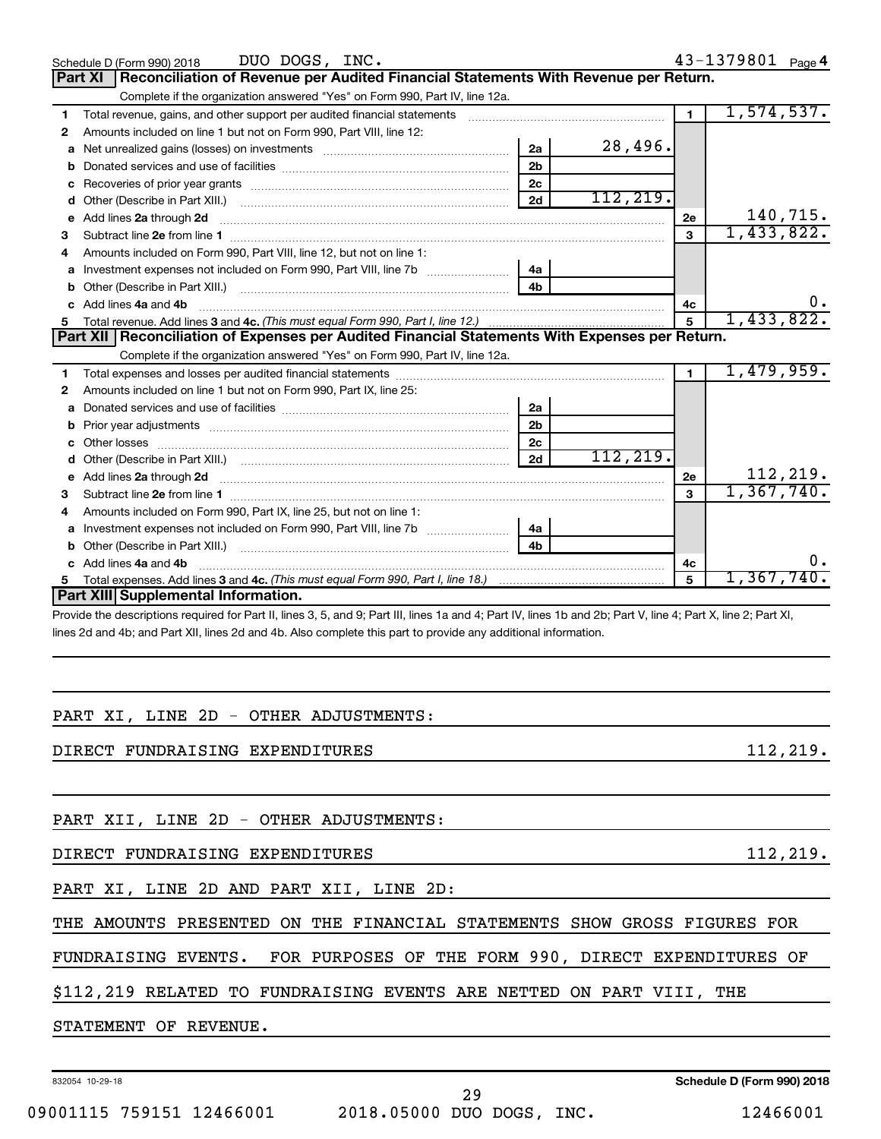|   | DUO DOGS, INC.<br>Schedule D (Form 990) 2018                                                                                                                                                                                        |                |           |                | 43-1379801 Page 4 |
|---|-------------------------------------------------------------------------------------------------------------------------------------------------------------------------------------------------------------------------------------|----------------|-----------|----------------|-------------------|
|   | Reconciliation of Revenue per Audited Financial Statements With Revenue per Return.<br>Part XI                                                                                                                                      |                |           |                |                   |
|   | Complete if the organization answered "Yes" on Form 990, Part IV, line 12a.                                                                                                                                                         |                |           |                |                   |
| 1 | Total revenue, gains, and other support per audited financial statements                                                                                                                                                            |                |           | $\blacksquare$ | 1,574,537.        |
| 2 | Amounts included on line 1 but not on Form 990, Part VIII, line 12:                                                                                                                                                                 |                |           |                |                   |
| a |                                                                                                                                                                                                                                     | 2a             | 28,496.   |                |                   |
| b |                                                                                                                                                                                                                                     | 2 <sub>b</sub> |           |                |                   |
|   |                                                                                                                                                                                                                                     | 2c             |           |                |                   |
| d |                                                                                                                                                                                                                                     | 2d             | 112, 219. |                |                   |
| e | Add lines 2a through 2d                                                                                                                                                                                                             |                |           | 2e             | 140,715.          |
| з |                                                                                                                                                                                                                                     |                |           | 3              | 1,433,822.        |
| 4 | Amounts included on Form 990, Part VIII, line 12, but not on line 1:                                                                                                                                                                |                |           |                |                   |
| a |                                                                                                                                                                                                                                     | 4a             |           |                |                   |
|   |                                                                                                                                                                                                                                     | 4 <sub>h</sub> |           |                |                   |
|   | Add lines 4a and 4b                                                                                                                                                                                                                 |                |           | 4с             | 0.                |
| 5 |                                                                                                                                                                                                                                     |                |           | 5              | 1,433,822.        |
|   | Part XII   Reconciliation of Expenses per Audited Financial Statements With Expenses per Return.                                                                                                                                    |                |           |                |                   |
|   |                                                                                                                                                                                                                                     |                |           |                |                   |
|   | Complete if the organization answered "Yes" on Form 990, Part IV, line 12a.                                                                                                                                                         |                |           |                |                   |
| 1 |                                                                                                                                                                                                                                     |                |           | $\blacksquare$ | 1,479,959.        |
| 2 | Amounts included on line 1 but not on Form 990, Part IX, line 25:                                                                                                                                                                   |                |           |                |                   |
| a |                                                                                                                                                                                                                                     | 2a             |           |                |                   |
| b |                                                                                                                                                                                                                                     | 2 <sub>b</sub> |           |                |                   |
|   |                                                                                                                                                                                                                                     | 2c             |           |                |                   |
| d |                                                                                                                                                                                                                                     | 2d             | 112, 219. |                |                   |
| e |                                                                                                                                                                                                                                     |                |           | 2e             | 112,219.          |
| з | Add lines 2a through 2d <b>contained a contained a contained a contained a</b> contained a contained a contained a contained a contained a contained a contained a contained a contained a contained a contained a contained a cont |                |           | $\mathbf{a}$   | 1,367,740.        |
| 4 | Amounts included on Form 990, Part IX, line 25, but not on line 1:                                                                                                                                                                  |                |           |                |                   |
| a |                                                                                                                                                                                                                                     | 4а             |           |                |                   |
|   |                                                                                                                                                                                                                                     | 4 <sub>b</sub> |           |                |                   |
|   | Add lines 4a and 4b                                                                                                                                                                                                                 |                |           | 4 <sub>c</sub> | $0$ .             |
| 5 |                                                                                                                                                                                                                                     |                |           | 5              | 1,367,740.        |
|   | Part XIII Supplemental Information.                                                                                                                                                                                                 |                |           |                |                   |

lines 2d and 4b; and Part XII, lines 2d and 4b. Also complete this part to provide any additional information.

### PART XI, LINE 2D - OTHER ADJUSTMENTS:

DIRECT FUNDRAISING EXPENDITURES 112,219.

PART XII, LINE 2D - OTHER ADJUSTMENTS:

DIRECT FUNDRAISING EXPENDITURES **112,219.** (112,219)

PART XI, LINE 2D AND PART XII, LINE 2D:

THE AMOUNTS PRESENTED ON THE FINANCIAL STATEMENTS SHOW GROSS FIGURES FOR

FUNDRAISING EVENTS. FOR PURPOSES OF THE FORM 990, DIRECT EXPENDITURES OF

\$112,219 RELATED TO FUNDRAISING EVENTS ARE NETTED ON PART VIII, THE

STATEMENT OF REVENUE.

832054 10-29-18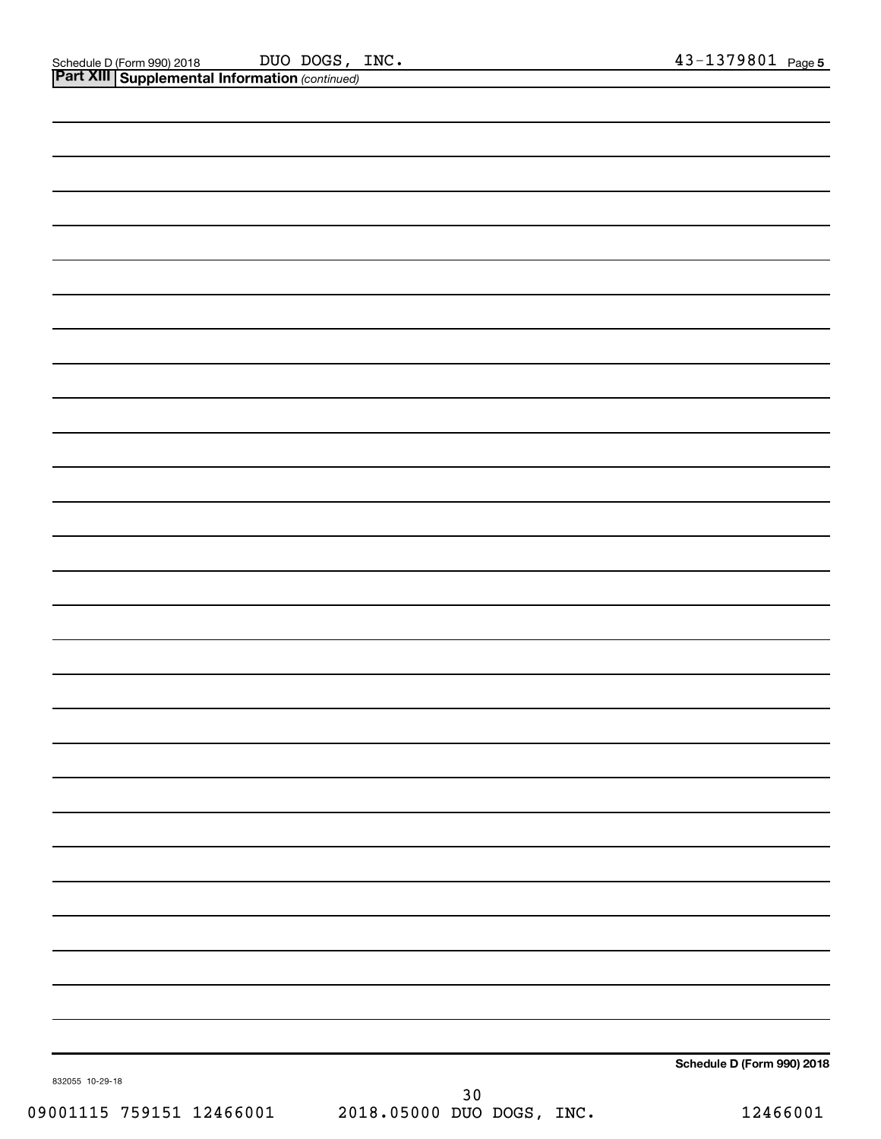|                          |                                 | Schedule D (Form 990) 2018 |
|--------------------------|---------------------------------|----------------------------|
| 832055 10-29-18          |                                 |                            |
|                          | 30<br>2018.05000 DUO DOGS, INC. |                            |
| 09001115 759151 12466001 |                                 | 12466001                   |
|                          |                                 |                            |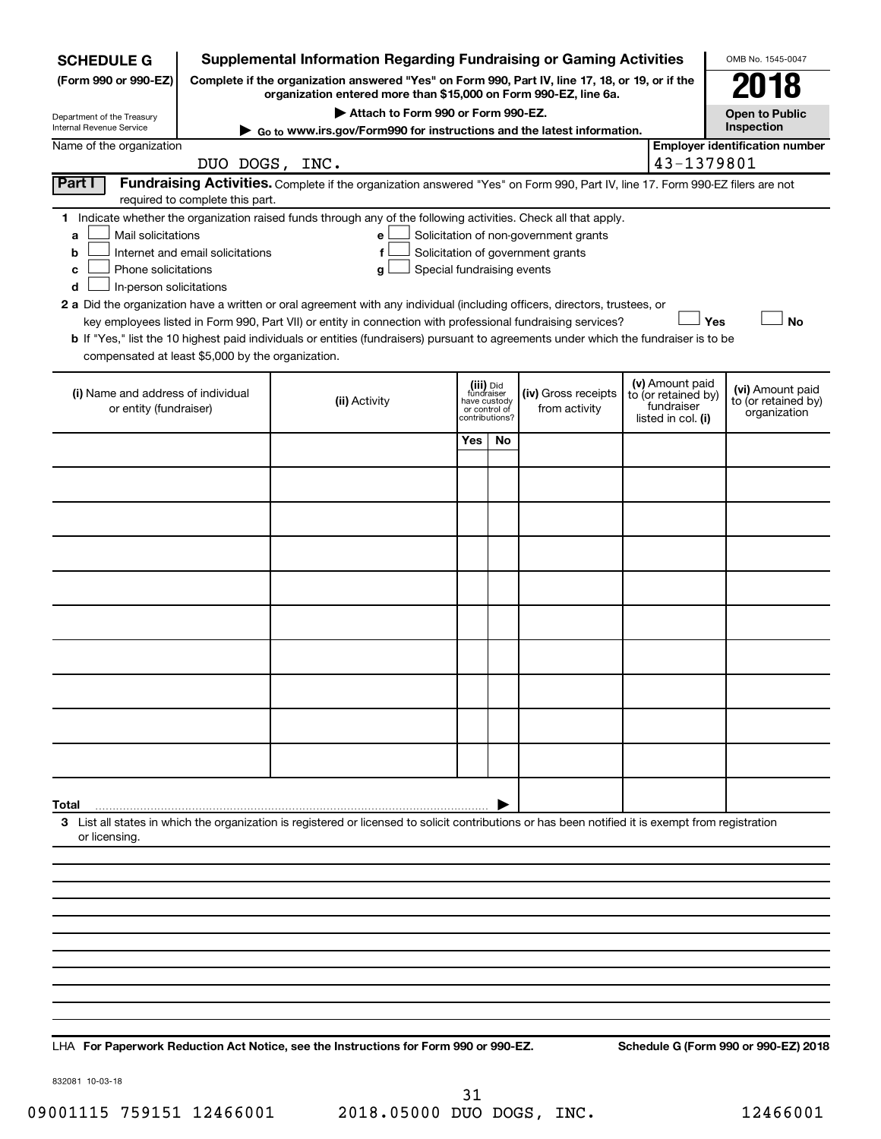| <b>SCHEDULE G</b>                                                                                                                                                                                                                                                                                                                                                                                                                                                                                                                                                                                                                                                                                                                                                                                                                                   | <b>Supplemental Information Regarding Fundraising or Gaming Activities</b>           |                                                                                                                                                                     |                                                           |               |                                      |  |                                                                            | OMB No. 1545-0047                                       |
|-----------------------------------------------------------------------------------------------------------------------------------------------------------------------------------------------------------------------------------------------------------------------------------------------------------------------------------------------------------------------------------------------------------------------------------------------------------------------------------------------------------------------------------------------------------------------------------------------------------------------------------------------------------------------------------------------------------------------------------------------------------------------------------------------------------------------------------------------------|--------------------------------------------------------------------------------------|---------------------------------------------------------------------------------------------------------------------------------------------------------------------|-----------------------------------------------------------|---------------|--------------------------------------|--|----------------------------------------------------------------------------|---------------------------------------------------------|
| (Form 990 or 990-EZ)                                                                                                                                                                                                                                                                                                                                                                                                                                                                                                                                                                                                                                                                                                                                                                                                                                |                                                                                      | Complete if the organization answered "Yes" on Form 990, Part IV, line 17, 18, or 19, or if the<br>organization entered more than \$15,000 on Form 990-EZ, line 6a. |                                                           |               |                                      |  |                                                                            | 018                                                     |
| Department of the Treasury                                                                                                                                                                                                                                                                                                                                                                                                                                                                                                                                                                                                                                                                                                                                                                                                                          |                                                                                      | Attach to Form 990 or Form 990-EZ.                                                                                                                                  |                                                           |               |                                      |  |                                                                            | <b>Open to Public</b>                                   |
| Internal Revenue Service                                                                                                                                                                                                                                                                                                                                                                                                                                                                                                                                                                                                                                                                                                                                                                                                                            | Inspection<br>Go to www.irs.gov/Form990 for instructions and the latest information. |                                                                                                                                                                     |                                                           |               |                                      |  |                                                                            |                                                         |
| Name of the organization                                                                                                                                                                                                                                                                                                                                                                                                                                                                                                                                                                                                                                                                                                                                                                                                                            | DUO DOGS, INC.                                                                       |                                                                                                                                                                     |                                                           |               |                                      |  | 43-1379801                                                                 | <b>Employer identification number</b>                   |
| Part I<br>Fundraising Activities. Complete if the organization answered "Yes" on Form 990, Part IV, line 17. Form 990-EZ filers are not<br>required to complete this part.                                                                                                                                                                                                                                                                                                                                                                                                                                                                                                                                                                                                                                                                          |                                                                                      |                                                                                                                                                                     |                                                           |               |                                      |  |                                                                            |                                                         |
| 1 Indicate whether the organization raised funds through any of the following activities. Check all that apply.<br>Mail solicitations<br>Solicitation of non-government grants<br>a<br>е<br>Internet and email solicitations<br>Solicitation of government grants<br>$\mathbf f$<br>b<br>Phone solicitations<br>Special fundraising events<br>с<br>g<br>In-person solicitations<br>d<br>2 a Did the organization have a written or oral agreement with any individual (including officers, directors, trustees, or<br>Yes<br><b>No</b><br>key employees listed in Form 990, Part VII) or entity in connection with professional fundraising services?<br>b If "Yes," list the 10 highest paid individuals or entities (fundraisers) pursuant to agreements under which the fundraiser is to be<br>compensated at least \$5,000 by the organization. |                                                                                      |                                                                                                                                                                     |                                                           |               |                                      |  |                                                                            |                                                         |
| (i) Name and address of individual<br>or entity (fundraiser)                                                                                                                                                                                                                                                                                                                                                                                                                                                                                                                                                                                                                                                                                                                                                                                        |                                                                                      | (ii) Activity                                                                                                                                                       | (iii) Did<br>fundraiser<br>have custody<br>contributions? | or control of | (iv) Gross receipts<br>from activity |  | (v) Amount paid<br>to (or retained by)<br>fundraiser<br>listed in col. (i) | (vi) Amount paid<br>to (or retained by)<br>organization |
|                                                                                                                                                                                                                                                                                                                                                                                                                                                                                                                                                                                                                                                                                                                                                                                                                                                     |                                                                                      |                                                                                                                                                                     | Yes                                                       | No            |                                      |  |                                                                            |                                                         |
|                                                                                                                                                                                                                                                                                                                                                                                                                                                                                                                                                                                                                                                                                                                                                                                                                                                     |                                                                                      |                                                                                                                                                                     |                                                           |               |                                      |  |                                                                            |                                                         |
|                                                                                                                                                                                                                                                                                                                                                                                                                                                                                                                                                                                                                                                                                                                                                                                                                                                     |                                                                                      |                                                                                                                                                                     |                                                           |               |                                      |  |                                                                            |                                                         |
|                                                                                                                                                                                                                                                                                                                                                                                                                                                                                                                                                                                                                                                                                                                                                                                                                                                     |                                                                                      |                                                                                                                                                                     |                                                           |               |                                      |  |                                                                            |                                                         |
|                                                                                                                                                                                                                                                                                                                                                                                                                                                                                                                                                                                                                                                                                                                                                                                                                                                     |                                                                                      |                                                                                                                                                                     |                                                           |               |                                      |  |                                                                            |                                                         |
|                                                                                                                                                                                                                                                                                                                                                                                                                                                                                                                                                                                                                                                                                                                                                                                                                                                     |                                                                                      |                                                                                                                                                                     |                                                           |               |                                      |  |                                                                            |                                                         |
|                                                                                                                                                                                                                                                                                                                                                                                                                                                                                                                                                                                                                                                                                                                                                                                                                                                     |                                                                                      |                                                                                                                                                                     |                                                           |               |                                      |  |                                                                            |                                                         |
|                                                                                                                                                                                                                                                                                                                                                                                                                                                                                                                                                                                                                                                                                                                                                                                                                                                     |                                                                                      |                                                                                                                                                                     |                                                           |               |                                      |  |                                                                            |                                                         |
|                                                                                                                                                                                                                                                                                                                                                                                                                                                                                                                                                                                                                                                                                                                                                                                                                                                     |                                                                                      |                                                                                                                                                                     |                                                           |               |                                      |  |                                                                            |                                                         |
|                                                                                                                                                                                                                                                                                                                                                                                                                                                                                                                                                                                                                                                                                                                                                                                                                                                     |                                                                                      |                                                                                                                                                                     |                                                           |               |                                      |  |                                                                            |                                                         |
|                                                                                                                                                                                                                                                                                                                                                                                                                                                                                                                                                                                                                                                                                                                                                                                                                                                     |                                                                                      |                                                                                                                                                                     |                                                           |               |                                      |  |                                                                            |                                                         |
| Total                                                                                                                                                                                                                                                                                                                                                                                                                                                                                                                                                                                                                                                                                                                                                                                                                                               |                                                                                      |                                                                                                                                                                     |                                                           |               |                                      |  |                                                                            |                                                         |
| or licensing.                                                                                                                                                                                                                                                                                                                                                                                                                                                                                                                                                                                                                                                                                                                                                                                                                                       |                                                                                      | 3 List all states in which the organization is registered or licensed to solicit contributions or has been notified it is exempt from registration                  |                                                           |               |                                      |  |                                                                            |                                                         |
|                                                                                                                                                                                                                                                                                                                                                                                                                                                                                                                                                                                                                                                                                                                                                                                                                                                     |                                                                                      |                                                                                                                                                                     |                                                           |               |                                      |  |                                                                            |                                                         |
|                                                                                                                                                                                                                                                                                                                                                                                                                                                                                                                                                                                                                                                                                                                                                                                                                                                     |                                                                                      |                                                                                                                                                                     |                                                           |               |                                      |  |                                                                            |                                                         |
|                                                                                                                                                                                                                                                                                                                                                                                                                                                                                                                                                                                                                                                                                                                                                                                                                                                     |                                                                                      |                                                                                                                                                                     |                                                           |               |                                      |  |                                                                            |                                                         |
|                                                                                                                                                                                                                                                                                                                                                                                                                                                                                                                                                                                                                                                                                                                                                                                                                                                     |                                                                                      |                                                                                                                                                                     |                                                           |               |                                      |  |                                                                            |                                                         |
|                                                                                                                                                                                                                                                                                                                                                                                                                                                                                                                                                                                                                                                                                                                                                                                                                                                     |                                                                                      |                                                                                                                                                                     |                                                           |               |                                      |  |                                                                            |                                                         |
|                                                                                                                                                                                                                                                                                                                                                                                                                                                                                                                                                                                                                                                                                                                                                                                                                                                     |                                                                                      |                                                                                                                                                                     |                                                           |               |                                      |  |                                                                            |                                                         |
|                                                                                                                                                                                                                                                                                                                                                                                                                                                                                                                                                                                                                                                                                                                                                                                                                                                     |                                                                                      |                                                                                                                                                                     |                                                           |               |                                      |  |                                                                            |                                                         |
|                                                                                                                                                                                                                                                                                                                                                                                                                                                                                                                                                                                                                                                                                                                                                                                                                                                     |                                                                                      |                                                                                                                                                                     |                                                           |               |                                      |  |                                                                            |                                                         |
|                                                                                                                                                                                                                                                                                                                                                                                                                                                                                                                                                                                                                                                                                                                                                                                                                                                     |                                                                                      |                                                                                                                                                                     |                                                           |               |                                      |  |                                                                            |                                                         |

**For Paperwork Reduction Act Notice, see the Instructions for Form 990 or 990-EZ. Schedule G (Form 990 or 990-EZ) 2018** LHA

832081 10-03-18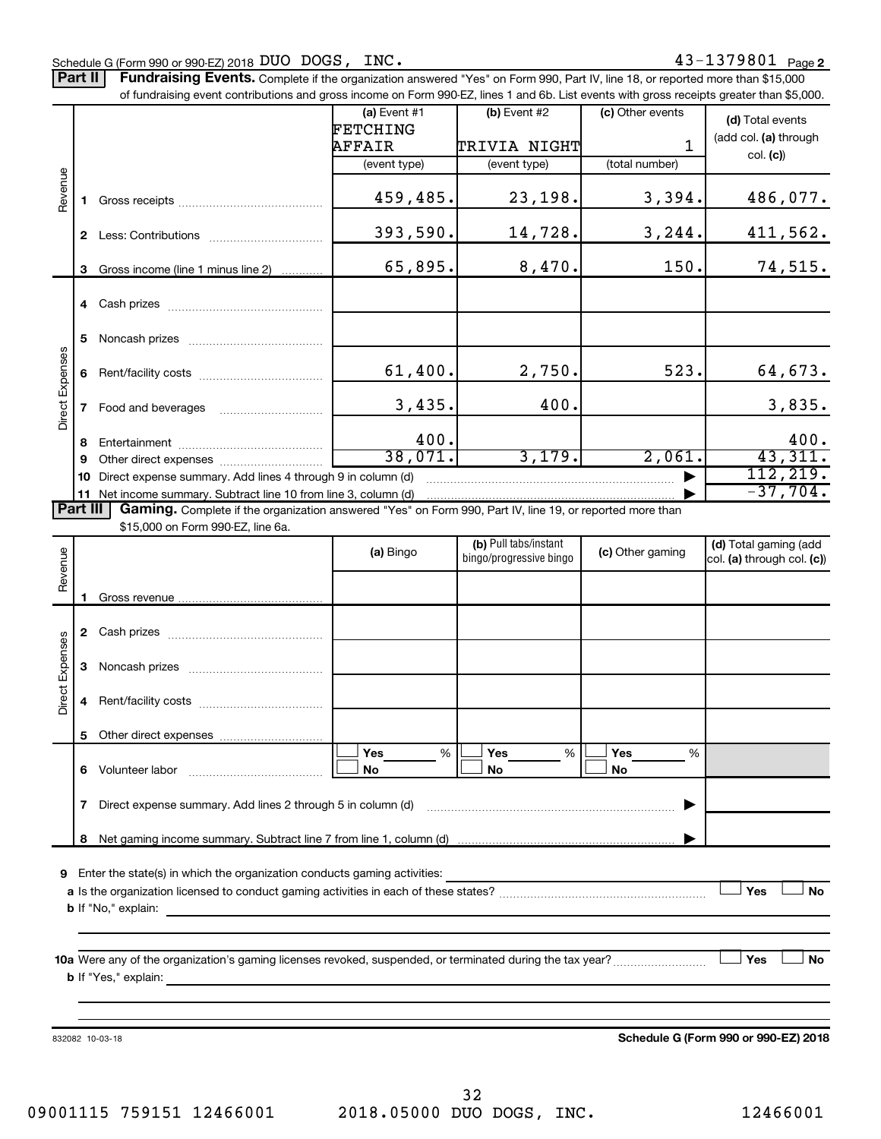Part II | Fundraising Events. Complete if the organization answered "Yes" on Form 990, Part IV, line 18, or reported more than \$15,000

|                 |              | of fundraising event contributions and gross income on Form 990-EZ, lines 1 and 6b. List events with gross receipts greater than \$5,000. |                 |                                                  |                  |                                                     |
|-----------------|--------------|-------------------------------------------------------------------------------------------------------------------------------------------|-----------------|--------------------------------------------------|------------------|-----------------------------------------------------|
|                 |              |                                                                                                                                           | $(a)$ Event #1  | (b) Event #2                                     | (c) Other events | (d) Total events                                    |
|                 |              |                                                                                                                                           | <b>FETCHING</b> |                                                  |                  | (add col. (a) through                               |
|                 |              |                                                                                                                                           | <b>AFFAIR</b>   | <b>TRIVIA NIGHT</b>                              | 1                | col. (c)                                            |
|                 |              |                                                                                                                                           | (event type)    | (event type)                                     | (total number)   |                                                     |
| Revenue         | 1.           |                                                                                                                                           | 459,485.        | 23,198.                                          | 3,394.           | 486,077.                                            |
|                 |              |                                                                                                                                           |                 |                                                  |                  |                                                     |
|                 |              |                                                                                                                                           | 393,590.        | 14,728.                                          | 3, 244.          | 411,562.                                            |
|                 | 3            | Gross income (line 1 minus line 2)                                                                                                        | 65,895.         | 8,470.                                           | 150.             | 74,515.                                             |
|                 |              |                                                                                                                                           |                 |                                                  |                  |                                                     |
|                 | 5            |                                                                                                                                           |                 |                                                  |                  |                                                     |
| Direct Expenses | 6            |                                                                                                                                           | 61,400.         | 2,750.                                           | 523.             | 64,673.                                             |
|                 | $\mathbf{7}$ | Food and beverages                                                                                                                        | 3,435.          | 400.                                             |                  | 3,835.                                              |
|                 | 8            |                                                                                                                                           | 400.            |                                                  |                  | 400.                                                |
|                 | 9            |                                                                                                                                           | 38,071.         | 3,179.                                           | 2,061.           | 43,311.                                             |
|                 | 10           | Direct expense summary. Add lines 4 through 9 in column (d)                                                                               |                 |                                                  |                  | 112, 219.                                           |
|                 |              | 11 Net income summary. Subtract line 10 from line 3, column (d)                                                                           |                 |                                                  |                  | $-37,704.$                                          |
| <b>Part III</b> |              | Gaming. Complete if the organization answered "Yes" on Form 990, Part IV, line 19, or reported more than                                  |                 |                                                  |                  |                                                     |
|                 |              | \$15,000 on Form 990-EZ, line 6a.                                                                                                         |                 |                                                  |                  |                                                     |
| Revenue         |              |                                                                                                                                           | (a) Bingo       | (b) Pull tabs/instant<br>bingo/progressive bingo | (c) Other gaming | (d) Total gaming (add<br>col. (a) through col. (c)) |
|                 |              |                                                                                                                                           |                 |                                                  |                  |                                                     |
|                 |              |                                                                                                                                           |                 |                                                  |                  |                                                     |
|                 |              |                                                                                                                                           |                 |                                                  |                  |                                                     |
| Direct Expenses | 3            |                                                                                                                                           |                 |                                                  |                  |                                                     |
|                 |              |                                                                                                                                           |                 |                                                  |                  |                                                     |
|                 |              | 5 Other direct expenses                                                                                                                   |                 |                                                  |                  |                                                     |
|                 |              |                                                                                                                                           | Yes<br>%        | Yes<br>%                                         | Yes<br>%         |                                                     |
|                 |              |                                                                                                                                           | No              | No                                               | No               |                                                     |
|                 | 7            | Direct expense summary. Add lines 2 through 5 in column (d)                                                                               |                 |                                                  |                  |                                                     |
|                 |              |                                                                                                                                           |                 |                                                  |                  |                                                     |
|                 |              |                                                                                                                                           |                 |                                                  |                  |                                                     |
|                 |              | 9 Enter the state(s) in which the organization conducts gaming activities:                                                                |                 |                                                  |                  |                                                     |
|                 |              |                                                                                                                                           |                 |                                                  |                  | Yes<br>No                                           |
|                 |              | <b>b</b> If "No," explain:                                                                                                                |                 |                                                  |                  |                                                     |
|                 |              | <u> 1989 - Johann Stoff, deutscher Stoff, der Stoff, der Stoff, der Stoff, der Stoff, der Stoff, der Stoff, der S</u>                     |                 |                                                  |                  |                                                     |
|                 |              |                                                                                                                                           |                 |                                                  |                  |                                                     |
|                 |              |                                                                                                                                           |                 |                                                  |                  | Yes<br>No.                                          |
|                 |              |                                                                                                                                           |                 |                                                  |                  |                                                     |
|                 |              |                                                                                                                                           |                 |                                                  |                  |                                                     |
|                 |              |                                                                                                                                           |                 |                                                  |                  |                                                     |
|                 |              | 832082 10-03-18                                                                                                                           |                 |                                                  |                  | Schedule G (Form 990 or 990-EZ) 2018                |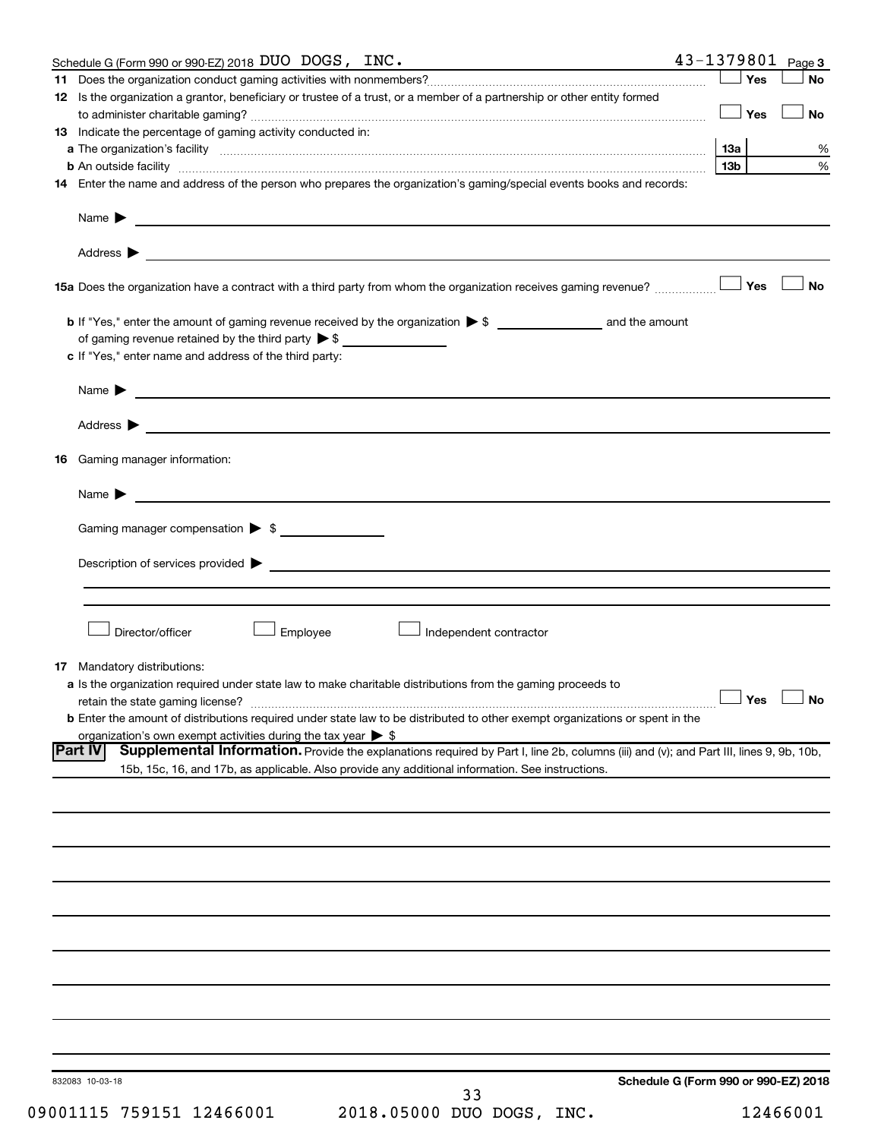|    | Schedule G (Form 990 or 990-EZ) 2018 DUO DOGS, INC.                                                                                                                                                                            | $43 - 1379801$ Page 3 |                                      |
|----|--------------------------------------------------------------------------------------------------------------------------------------------------------------------------------------------------------------------------------|-----------------------|--------------------------------------|
|    |                                                                                                                                                                                                                                | ∣ Yes                 | <b>No</b>                            |
|    | 12 Is the organization a grantor, beneficiary or trustee of a trust, or a member of a partnership or other entity formed                                                                                                       |                       |                                      |
|    |                                                                                                                                                                                                                                | Yes                   | No                                   |
|    | 13 Indicate the percentage of gaming activity conducted in:                                                                                                                                                                    |                       |                                      |
|    |                                                                                                                                                                                                                                | 13а                   | %                                    |
|    | <b>b</b> An outside facility <i>www.communicality www.communicality.communicality www.communicality www.communicality.communicality www.communicality.com</i>                                                                  | 13 <sub>b</sub>       | %                                    |
|    | 14 Enter the name and address of the person who prepares the organization's gaming/special events books and records:                                                                                                           |                       |                                      |
|    |                                                                                                                                                                                                                                |                       |                                      |
|    |                                                                                                                                                                                                                                |                       |                                      |
|    | Name $\blacktriangleright$<br><u>and the control of the control of the control of the control of the control of the control of the control of</u>                                                                              |                       |                                      |
|    |                                                                                                                                                                                                                                |                       |                                      |
|    |                                                                                                                                                                                                                                |                       |                                      |
|    |                                                                                                                                                                                                                                |                       |                                      |
|    |                                                                                                                                                                                                                                |                       | <b>No</b>                            |
|    |                                                                                                                                                                                                                                |                       |                                      |
|    |                                                                                                                                                                                                                                |                       |                                      |
|    | of gaming revenue retained by the third party $\triangleright$ \$                                                                                                                                                              |                       |                                      |
|    | c If "Yes," enter name and address of the third party:                                                                                                                                                                         |                       |                                      |
|    |                                                                                                                                                                                                                                |                       |                                      |
|    | Name $\blacktriangleright$<br><u> 1989 - Andrea Stadt Britain, amerikansk politiker (</u>                                                                                                                                      |                       |                                      |
|    |                                                                                                                                                                                                                                |                       |                                      |
|    | Address ><br><u> 1989 - John Harry Harry Harry Harry Harry Harry Harry Harry Harry Harry Harry Harry Harry Harry Harry Harry H</u>                                                                                             |                       |                                      |
|    |                                                                                                                                                                                                                                |                       |                                      |
| 16 | Gaming manager information:                                                                                                                                                                                                    |                       |                                      |
|    |                                                                                                                                                                                                                                |                       |                                      |
|    | <u> 1989 - Johann Barbara, martin amerikan basal dan berasal dalam basal dalam basal dalam basal dalam basal dala</u><br>Name $\blacktriangleright$                                                                            |                       |                                      |
|    |                                                                                                                                                                                                                                |                       |                                      |
|    | Gaming manager compensation > \$                                                                                                                                                                                               |                       |                                      |
|    |                                                                                                                                                                                                                                |                       |                                      |
|    | Description of services provided states and the contract of the contract of the contract of the contract of the contract of the contract of the contract of the contract of the contract of the contract of the contract of th |                       |                                      |
|    |                                                                                                                                                                                                                                |                       |                                      |
|    |                                                                                                                                                                                                                                |                       |                                      |
|    |                                                                                                                                                                                                                                |                       |                                      |
|    | Director/officer<br>Employee<br>Independent contractor                                                                                                                                                                         |                       |                                      |
|    |                                                                                                                                                                                                                                |                       |                                      |
|    | <b>17</b> Mandatory distributions:                                                                                                                                                                                             |                       |                                      |
|    | a Is the organization required under state law to make charitable distributions from the gaming proceeds to                                                                                                                    |                       |                                      |
|    | retain the state gaming license?                                                                                                                                                                                               |                       | $\Box$ Yes $\Box$ No                 |
|    | <b>b</b> Enter the amount of distributions required under state law to be distributed to other exempt organizations or spent in the                                                                                            |                       |                                      |
|    | organization's own exempt activities during the tax year $\triangleright$ \$                                                                                                                                                   |                       |                                      |
|    | <b>Part IV</b><br>Supplemental Information. Provide the explanations required by Part I, line 2b, columns (iii) and (v); and Part III, lines 9, 9b, 10b,                                                                       |                       |                                      |
|    | 15b, 15c, 16, and 17b, as applicable. Also provide any additional information. See instructions.                                                                                                                               |                       |                                      |
|    |                                                                                                                                                                                                                                |                       |                                      |
|    |                                                                                                                                                                                                                                |                       |                                      |
|    |                                                                                                                                                                                                                                |                       |                                      |
|    |                                                                                                                                                                                                                                |                       |                                      |
|    |                                                                                                                                                                                                                                |                       |                                      |
|    |                                                                                                                                                                                                                                |                       |                                      |
|    |                                                                                                                                                                                                                                |                       |                                      |
|    |                                                                                                                                                                                                                                |                       |                                      |
|    |                                                                                                                                                                                                                                |                       |                                      |
|    |                                                                                                                                                                                                                                |                       |                                      |
|    |                                                                                                                                                                                                                                |                       |                                      |
|    |                                                                                                                                                                                                                                |                       |                                      |
|    |                                                                                                                                                                                                                                |                       |                                      |
|    |                                                                                                                                                                                                                                |                       |                                      |
|    |                                                                                                                                                                                                                                |                       |                                      |
|    |                                                                                                                                                                                                                                |                       |                                      |
|    |                                                                                                                                                                                                                                |                       |                                      |
|    |                                                                                                                                                                                                                                |                       |                                      |
|    |                                                                                                                                                                                                                                |                       |                                      |
|    | 832083 10-03-18<br>33                                                                                                                                                                                                          |                       | Schedule G (Form 990 or 990-EZ) 2018 |
|    |                                                                                                                                                                                                                                |                       |                                      |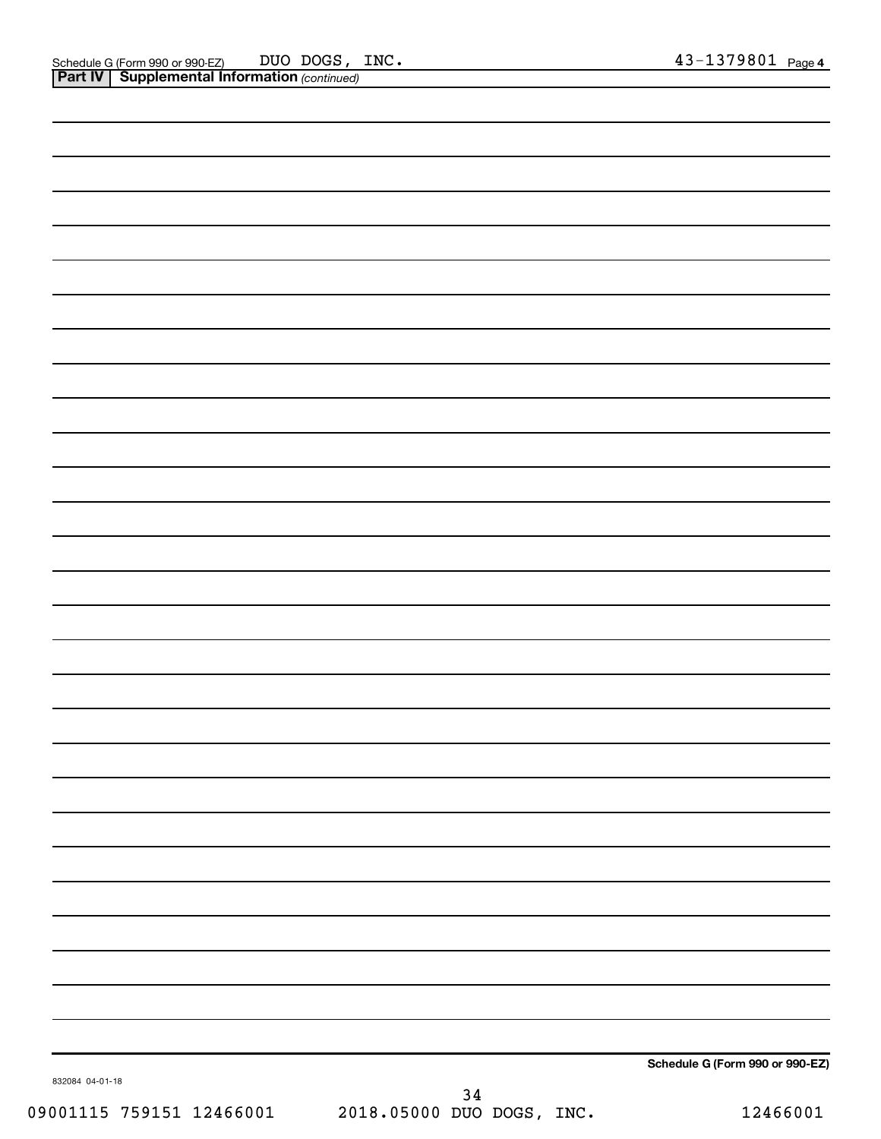|                 |      | Schedule G (Form 990 or 990-EZ) |
|-----------------|------|---------------------------------|
| 832084 04-01-18 | $34$ |                                 |

09001115 759151 12466001 2018.05000 DUO DOGS, INC. 12466001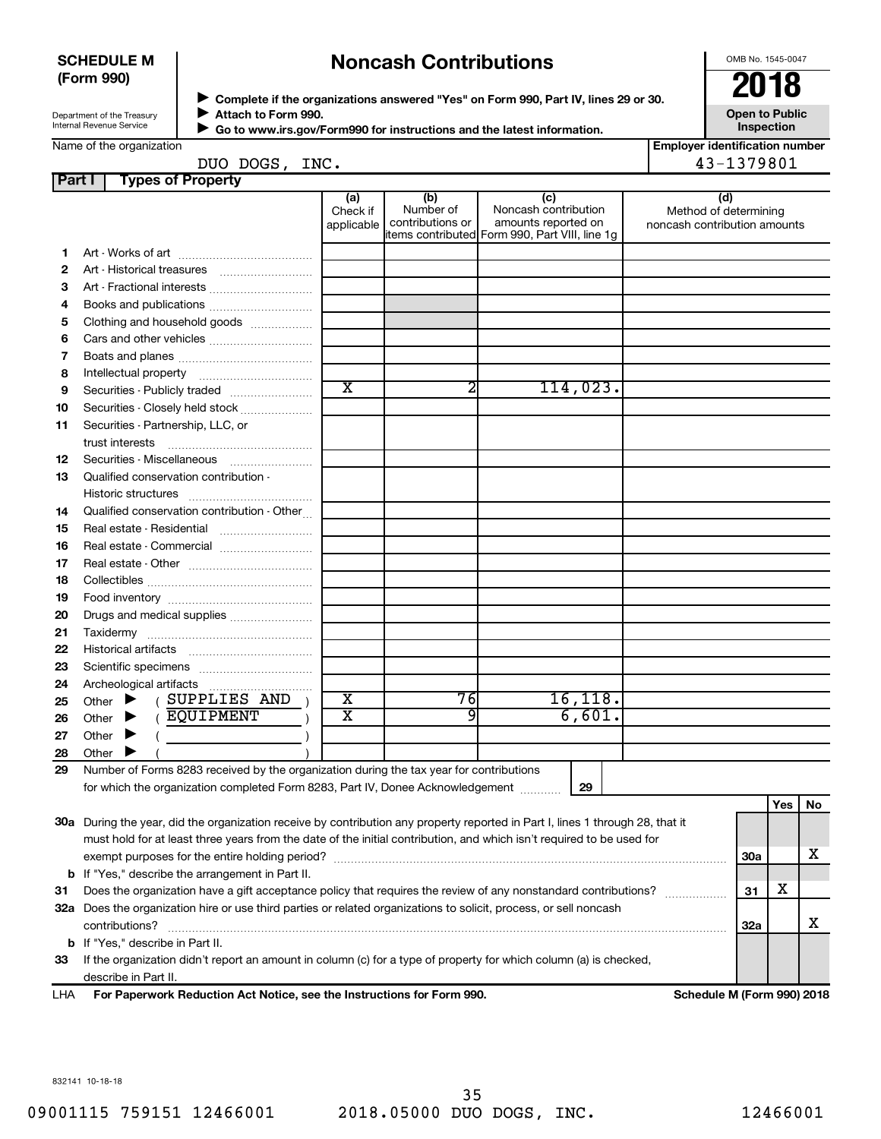#### **SCHEDULE M (Form 990)**

## **Noncash Contributions**

OMB No. 1545-0047

| Department of the Treasury |  |
|----------------------------|--|
| Internal Revenue Service   |  |

◆ Complete if the organizations answered "Yes" on Form 990, Part IV, lines 29 or 30.<br>▶ Complete if the organizations answered "Yes" on Form 990, Part IV, lines 29 or 30. **Attach to Form 990. Go to www.irs.gov/Form990 for instructions and the latest information.** J  $\blacktriangleright$ 

**Open to Public Inspection**

| <b>Employer identification number</b> |  |
|---------------------------------------|--|

Name of the organization

#### DUO DOGS, INC. 43-1379801

| Part I | <b>Types of Property</b>                                                                                                       |                               |                                      |                                                                                                       |                                                              |            |     |    |
|--------|--------------------------------------------------------------------------------------------------------------------------------|-------------------------------|--------------------------------------|-------------------------------------------------------------------------------------------------------|--------------------------------------------------------------|------------|-----|----|
|        |                                                                                                                                | (a)<br>Check if<br>applicable | (b)<br>Number of<br>contributions or | (c)<br>Noncash contribution<br>amounts reported on<br>items contributed  Form 990, Part VIII, line 1g | (d)<br>Method of determining<br>noncash contribution amounts |            |     |    |
| 1.     |                                                                                                                                |                               |                                      |                                                                                                       |                                                              |            |     |    |
| 2      | Art - Historical treasures                                                                                                     |                               |                                      |                                                                                                       |                                                              |            |     |    |
| З      | Art - Fractional interests                                                                                                     |                               |                                      |                                                                                                       |                                                              |            |     |    |
| 4      | Books and publications                                                                                                         |                               |                                      |                                                                                                       |                                                              |            |     |    |
| 5      | Clothing and household goods                                                                                                   |                               |                                      |                                                                                                       |                                                              |            |     |    |
| 6      | Cars and other vehicles                                                                                                        |                               |                                      |                                                                                                       |                                                              |            |     |    |
| 7      |                                                                                                                                |                               |                                      |                                                                                                       |                                                              |            |     |    |
| 8      |                                                                                                                                |                               |                                      |                                                                                                       |                                                              |            |     |    |
| 9      | Securities - Publicly traded                                                                                                   | $\overline{\text{x}}$         | 2                                    | 114,023.                                                                                              |                                                              |            |     |    |
| 10     | Securities - Closely held stock                                                                                                |                               |                                      |                                                                                                       |                                                              |            |     |    |
| 11     | Securities - Partnership, LLC, or                                                                                              |                               |                                      |                                                                                                       |                                                              |            |     |    |
|        | trust interests                                                                                                                |                               |                                      |                                                                                                       |                                                              |            |     |    |
| 12     | Securities - Miscellaneous                                                                                                     |                               |                                      |                                                                                                       |                                                              |            |     |    |
| 13     | Qualified conservation contribution -                                                                                          |                               |                                      |                                                                                                       |                                                              |            |     |    |
|        |                                                                                                                                |                               |                                      |                                                                                                       |                                                              |            |     |    |
| 14     | Qualified conservation contribution - Other                                                                                    |                               |                                      |                                                                                                       |                                                              |            |     |    |
| 15     | Real estate - Residential                                                                                                      |                               |                                      |                                                                                                       |                                                              |            |     |    |
| 16     | Real estate - Commercial                                                                                                       |                               |                                      |                                                                                                       |                                                              |            |     |    |
| 17     |                                                                                                                                |                               |                                      |                                                                                                       |                                                              |            |     |    |
| 18     |                                                                                                                                |                               |                                      |                                                                                                       |                                                              |            |     |    |
| 19     |                                                                                                                                |                               |                                      |                                                                                                       |                                                              |            |     |    |
| 20     | Drugs and medical supplies                                                                                                     |                               |                                      |                                                                                                       |                                                              |            |     |    |
| 21     |                                                                                                                                |                               |                                      |                                                                                                       |                                                              |            |     |    |
| 22     |                                                                                                                                |                               |                                      |                                                                                                       |                                                              |            |     |    |
| 23     |                                                                                                                                |                               |                                      |                                                                                                       |                                                              |            |     |    |
| 24     |                                                                                                                                |                               |                                      |                                                                                                       |                                                              |            |     |    |
| 25     | ( SUPPLIES AND<br>Other $\blacktriangleright$                                                                                  | X                             | 76                                   | 16, 118.                                                                                              |                                                              |            |     |    |
| 26     | (EQUIPMENT<br>Other $\blacktriangleright$                                                                                      | X                             | 9                                    | 6,601.                                                                                                |                                                              |            |     |    |
| 27     | Other $\blacktriangleright$                                                                                                    |                               |                                      |                                                                                                       |                                                              |            |     |    |
| 28     | Other $\blacktriangleright$                                                                                                    |                               |                                      |                                                                                                       |                                                              |            |     |    |
| 29     | Number of Forms 8283 received by the organization during the tax year for contributions                                        |                               |                                      |                                                                                                       |                                                              |            |     |    |
|        | for which the organization completed Form 8283, Part IV, Donee Acknowledgement                                                 |                               |                                      | 29                                                                                                    |                                                              |            |     |    |
|        |                                                                                                                                |                               |                                      |                                                                                                       |                                                              |            | Yes | No |
|        | 30a During the year, did the organization receive by contribution any property reported in Part I, lines 1 through 28, that it |                               |                                      |                                                                                                       |                                                              |            |     |    |
|        | must hold for at least three years from the date of the initial contribution, and which isn't required to be used for          |                               |                                      |                                                                                                       |                                                              |            |     |    |
|        |                                                                                                                                |                               |                                      |                                                                                                       |                                                              | <b>30a</b> |     | х  |
| b      | If "Yes," describe the arrangement in Part II.                                                                                 |                               |                                      |                                                                                                       |                                                              |            |     |    |
| 31     | Does the organization have a gift acceptance policy that requires the review of any nonstandard contributions?                 |                               |                                      |                                                                                                       |                                                              | 31         | х   |    |
|        | 32a Does the organization hire or use third parties or related organizations to solicit, process, or sell noncash              |                               |                                      |                                                                                                       |                                                              |            |     |    |
|        | contributions?                                                                                                                 |                               |                                      |                                                                                                       |                                                              | 32a        |     | х  |
| b      | If "Yes," describe in Part II.                                                                                                 |                               |                                      |                                                                                                       |                                                              |            |     |    |
| 33     | If the organization didn't report an amount in column (c) for a type of property for which column (a) is checked,              |                               |                                      |                                                                                                       |                                                              |            |     |    |
|        | describe in Part II.                                                                                                           |                               |                                      |                                                                                                       |                                                              |            |     |    |

**For Paperwork Reduction Act Notice, see the Instructions for Form 990. Schedule M (Form 990) 2018** LHA

832141 10-18-18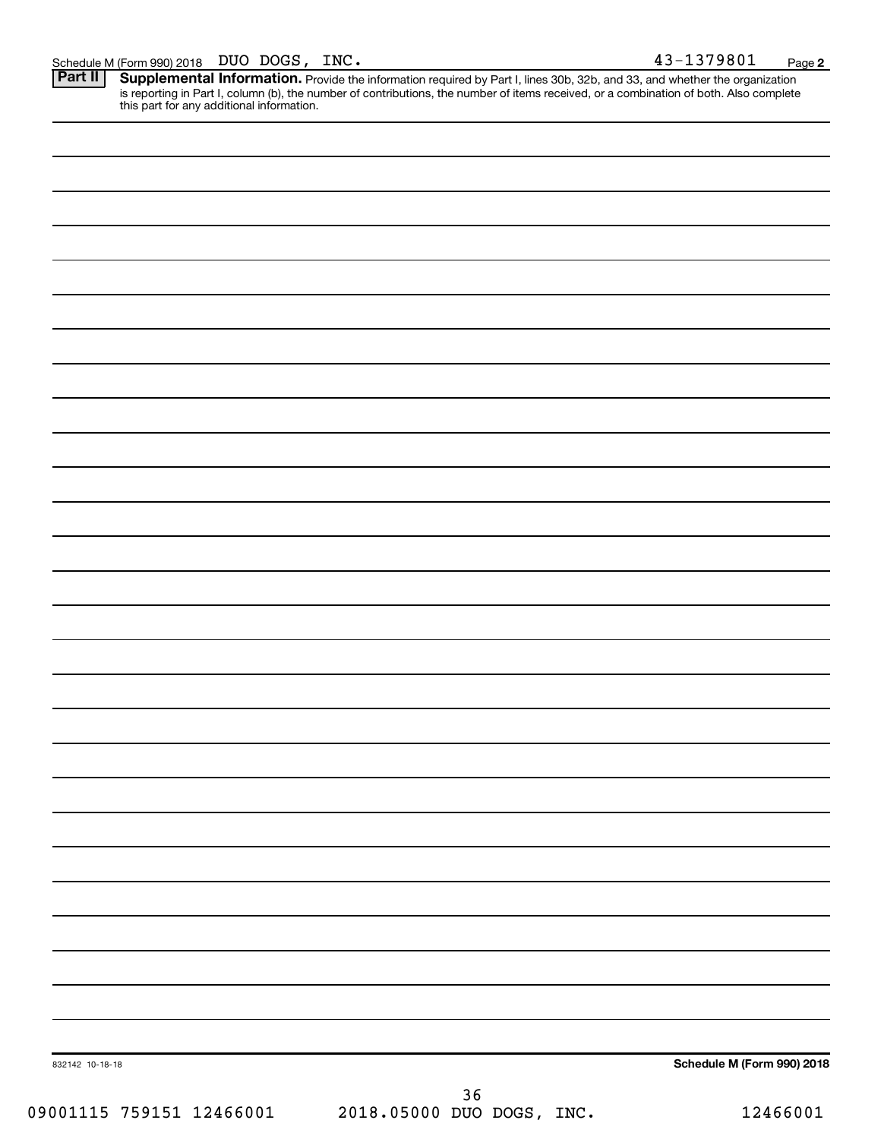Provide the information required by Part I, lines 30b, 32b, and 33, and whether the organization is reporting in Part I, column (b), the number of contributions, the number of items received, or a combination of both. Also complete this part for any additional information. **Part II Supplemental Information.** 

| 832142 10-18-18          |                           | Schedule M (Form 990) 2018 |
|--------------------------|---------------------------|----------------------------|
|                          | $36$                      |                            |
| 09001115 759151 12466001 | 2018.05000 DUO DOGS, INC. | 12466001                   |
|                          |                           |                            |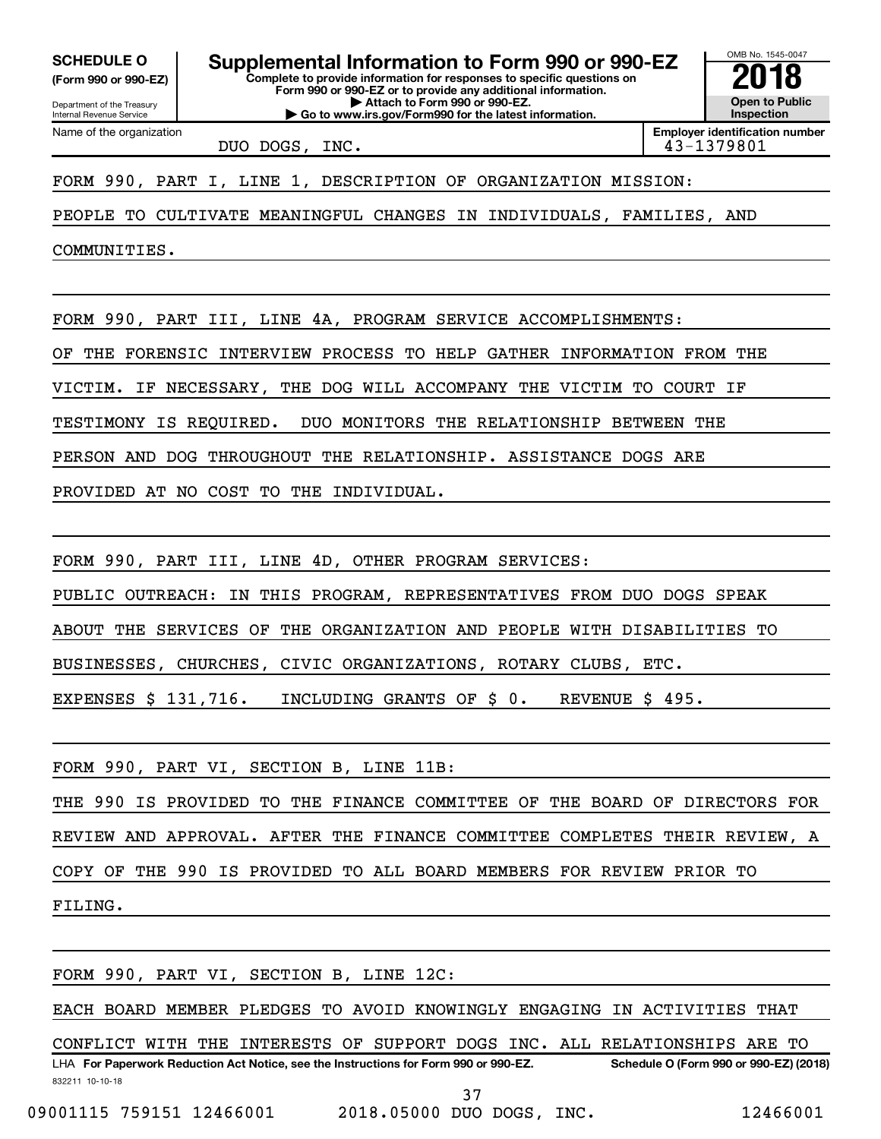**(Form 990 or 990-EZ)**

Department of the Treasury Internal Revenue Service

Name of the organization

**Complete to provide information for responses to specific questions on Form 990 or 990-EZ or to provide any additional information. | Attach to Form 990 or 990-EZ. | Go to www.irs.gov/Form990 for the latest information.** SCHEDULE O **Supplemental Information to Form 990 or 990-EZ 2018**<br>(Form 990 or 990-EZ) Complete to provide information for responses to specific questions on

OMB No. 1545-0047 **Open to Public Inspection**

DUO DOGS, INC. 43-1379801

**Employer identification number**

FORM 990, PART I, LINE 1, DESCRIPTION OF ORGANIZATION MISSION:

PEOPLE TO CULTIVATE MEANINGFUL CHANGES IN INDIVIDUALS, FAMILIES, AND

COMMUNITIES.

FORM 990, PART III, LINE 4A, PROGRAM SERVICE ACCOMPLISHMENTS:

OF THE FORENSIC INTERVIEW PROCESS TO HELP GATHER INFORMATION FROM THE

VICTIM. IF NECESSARY, THE DOG WILL ACCOMPANY THE VICTIM TO COURT IF

TESTIMONY IS REQUIRED. DUO MONITORS THE RELATIONSHIP BETWEEN THE

PERSON AND DOG THROUGHOUT THE RELATIONSHIP. ASSISTANCE DOGS ARE

PROVIDED AT NO COST TO THE INDIVIDUAL.

FORM 990, PART III, LINE 4D, OTHER PROGRAM SERVICES:

PUBLIC OUTREACH: IN THIS PROGRAM, REPRESENTATIVES FROM DUO DOGS SPEAK

ABOUT THE SERVICES OF THE ORGANIZATION AND PEOPLE WITH DISABILITIES TO

BUSINESSES, CHURCHES, CIVIC ORGANIZATIONS, ROTARY CLUBS, ETC.

EXPENSES \$ 131,716. INCLUDING GRANTS OF \$ 0. REVENUE \$ 495.

FORM 990, PART VI, SECTION B, LINE 11B: THE 990 IS PROVIDED TO THE FINANCE COMMITTEE OF THE BOARD OF DIRECTORS FOR REVIEW AND APPROVAL. AFTER THE FINANCE COMMITTEE COMPLETES THEIR REVIEW, A COPY OF THE 990 IS PROVIDED TO ALL BOARD MEMBERS FOR REVIEW PRIOR TO FILING.

FORM 990, PART VI, SECTION B, LINE 12C:

EACH BOARD MEMBER PLEDGES TO AVOID KNOWINGLY ENGAGING IN ACTIVITIES THAT

832211 10-10-18 LHA For Paperwork Reduction Act Notice, see the Instructions for Form 990 or 990-EZ. Schedule O (Form 990 or 990-EZ) (2018) CONFLICT WITH THE INTERESTS OF SUPPORT DOGS INC. ALL RELATIONSHIPS ARE TO

09001115 759151 12466001 2018.05000 DUO DOGS, INC. 12466001

37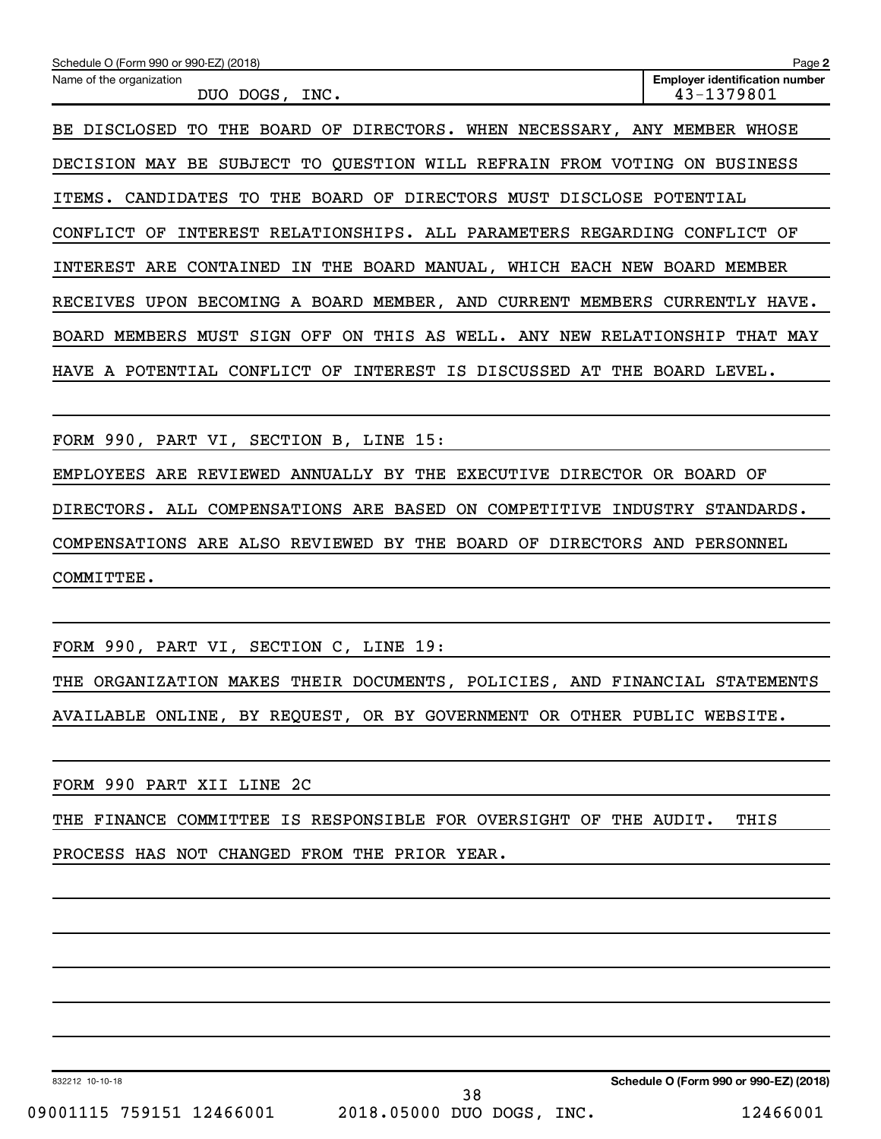| Schedule O (Form 990 or 990-EZ) (2018)                                               | Page 2                                              |
|--------------------------------------------------------------------------------------|-----------------------------------------------------|
| Name of the organization<br>DOGS,<br>INC.<br>DUO                                     | <b>Employer identification number</b><br>43-1379801 |
| THE BOARD OF DIRECTORS. WHEN NECESSARY, ANY MEMBER WHOSE<br>BE.<br>DISCLOSED<br>TO.  |                                                     |
| TO QUESTION WILL REFRAIN FROM VOTING<br><b>DECISION</b><br>SUBJECT<br>MAY<br>BE      | <b>BUSINESS</b><br>ON.                              |
| THE BOARD OF<br>DIRECTORS MUST DISCLOSE POTENTIAL<br>ITEMS.<br>CANDIDATES TO         |                                                     |
| ALL PARAMETERS<br>CONFLICT<br>OF<br>INTEREST<br>RELATIONSHIPS.<br>REGARDING          | CONFLICT<br>OF                                      |
| THE<br>BOARD MANUAL,<br>WHICH<br>INTEREST ARE<br>CONTAINED<br>EACH NEW<br>IN         | BOARD<br>MEMBER                                     |
| BECOMING A BOARD MEMBER, AND CURRENT MEMBERS<br><b>RECEIVES</b><br>UPON              | CURRENTLY HAVE.                                     |
| OFF<br>THIS AS<br>MEMBERS<br>MUST<br>SIGN<br>ON.<br>WELL.<br>ANY NEW<br><b>BOARD</b> | RELATIONSHIP<br>THAT<br>MAY                         |
| CONFLICT OF<br>INTEREST<br>IS DISCUSSED<br>AT<br>HAVE A POTENTIAL<br>THE             | BOARD<br>LEVEL.                                     |
|                                                                                      |                                                     |
|                                                                                      |                                                     |

FORM 990, PART VI, SECTION B, LINE 15:

EMPLOYEES ARE REVIEWED ANNUALLY BY THE EXECUTIVE DIRECTOR OR BOARD OF DIRECTORS. ALL COMPENSATIONS ARE BASED ON COMPETITIVE INDUSTRY STANDARDS. COMPENSATIONS ARE ALSO REVIEWED BY THE BOARD OF DIRECTORS AND PERSONNEL COMMITTEE.

FORM 990, PART VI, SECTION C, LINE 19:

THE ORGANIZATION MAKES THEIR DOCUMENTS, POLICIES, AND FINANCIAL STATEMENTS AVAILABLE ONLINE, BY REQUEST, OR BY GOVERNMENT OR OTHER PUBLIC WEBSITE.

FORM 990 PART XII LINE 2C

THE FINANCE COMMITTEE IS RESPONSIBLE FOR OVERSIGHT OF THE AUDIT. THIS

PROCESS HAS NOT CHANGED FROM THE PRIOR YEAR.

832212 10-10-18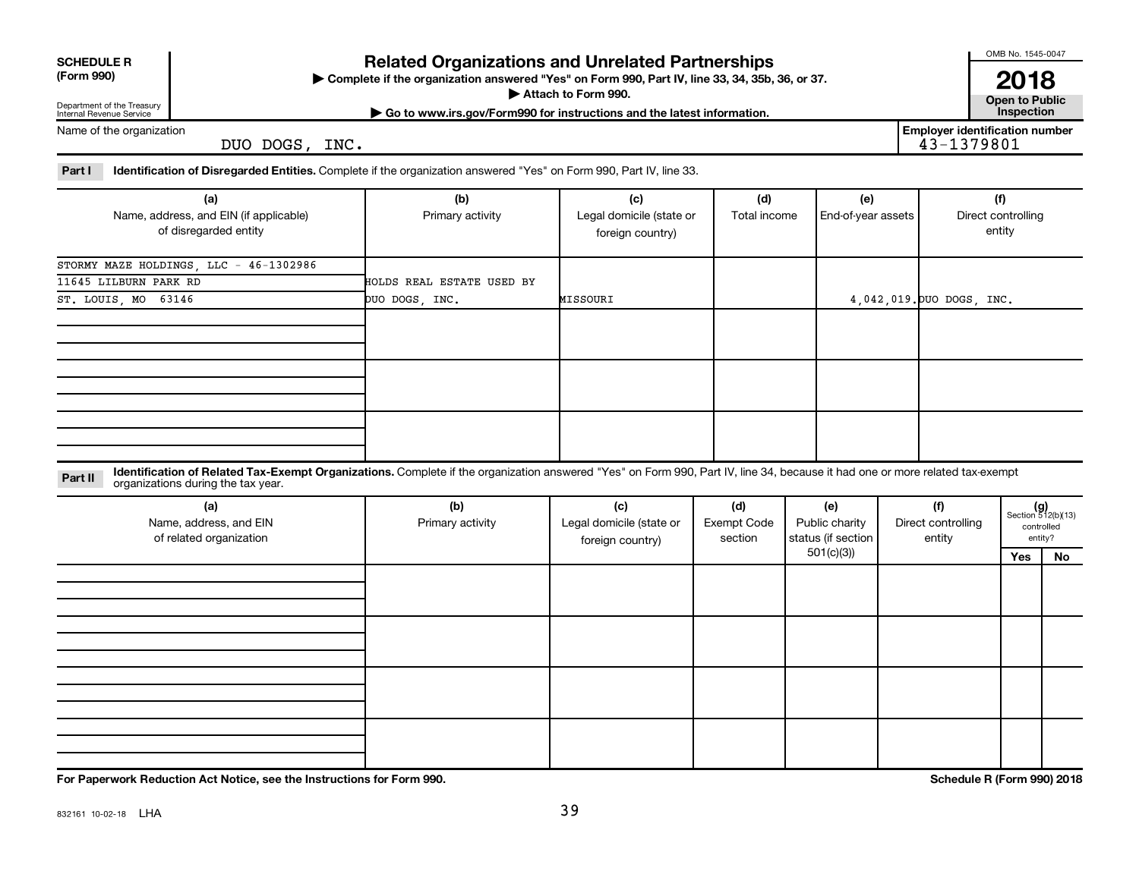| <b>SCHEDULE R</b> |  |  |
|-------------------|--|--|
|                   |  |  |

## **Related Organizations and Unrelated Partnerships**

**(Form 990) Complete if the organization answered "Yes" on Form 990, Part IV, line 33, 34, 35b, 36, or 37.** |

**Attach to Form 990. Contract to Public** 

OMB No. 1545-0047

**| Go to www.irs.gov/Form990 for instructions and the latest information. Inspection 2018**<br>Open to Public

**Employer identification number**

Department of the Treasury Internal Revenue Service Name of the organization

DUO DOGS, INC.

Part I ldentification of Disregarded Entities. Complete if the organization answered "Yes" on Form 990, Part IV, line 33.

| (a)                                    | (b)                       | (c)                      | (d)          | (e)                | (f)                       |
|----------------------------------------|---------------------------|--------------------------|--------------|--------------------|---------------------------|
| Name, address, and EIN (if applicable) | Primary activity          | Legal domicile (state or | Total income | End-of-year assets | Direct controlling        |
| of disregarded entity                  |                           | foreign country)         |              |                    | entity                    |
|                                        |                           |                          |              |                    |                           |
| STORMY MAZE HOLDINGS, LLC - 46-1302986 |                           |                          |              |                    |                           |
| 11645 LILBURN PARK RD                  | HOLDS REAL ESTATE USED BY |                          |              |                    |                           |
| ST. LOUIS, MO 63146                    | DUO DOGS, INC.            | MISSOURI                 |              |                    | 4,042,019. DUO DOGS, INC. |
|                                        |                           |                          |              |                    |                           |
|                                        |                           |                          |              |                    |                           |
|                                        |                           |                          |              |                    |                           |
|                                        |                           |                          |              |                    |                           |
|                                        |                           |                          |              |                    |                           |
|                                        |                           |                          |              |                    |                           |
|                                        |                           |                          |              |                    |                           |
|                                        |                           |                          |              |                    |                           |
|                                        |                           |                          |              |                    |                           |

**Part II** Identification of Related Tax-Exempt Organizations. Complete if the organization answered "Yes" on Form 990, Part IV, line 34, because it had one or more related tax-exempt<br>Part II acconizations during the tax ye organizations during the tax year.

| (a)<br>Name, address, and EIN<br>of related organization | (b)<br>Primary activity | (c)<br>Legal domicile (state or<br>foreign country) | (d)<br><b>Exempt Code</b><br>section | (e)<br>Public charity<br>status (if section | (f)<br>Direct controlling<br>entity | $(g)$<br>Section 512(b)(13)<br>controlled | entity? |
|----------------------------------------------------------|-------------------------|-----------------------------------------------------|--------------------------------------|---------------------------------------------|-------------------------------------|-------------------------------------------|---------|
|                                                          |                         |                                                     |                                      | 501(c)(3))                                  |                                     | Yes                                       | No      |
|                                                          |                         |                                                     |                                      |                                             |                                     |                                           |         |
|                                                          |                         |                                                     |                                      |                                             |                                     |                                           |         |
|                                                          |                         |                                                     |                                      |                                             |                                     |                                           |         |
|                                                          |                         |                                                     |                                      |                                             |                                     |                                           |         |
|                                                          |                         |                                                     |                                      |                                             |                                     |                                           |         |
|                                                          |                         |                                                     |                                      |                                             |                                     |                                           |         |
|                                                          |                         |                                                     |                                      |                                             |                                     |                                           |         |
|                                                          |                         |                                                     |                                      |                                             |                                     |                                           |         |
|                                                          |                         |                                                     |                                      |                                             |                                     |                                           |         |
|                                                          |                         |                                                     |                                      |                                             |                                     |                                           |         |
|                                                          |                         |                                                     |                                      |                                             |                                     |                                           |         |
|                                                          |                         |                                                     |                                      |                                             |                                     |                                           |         |

**For Paperwork Reduction Act Notice, see the Instructions for Form 990. Schedule R (Form 990) 2018**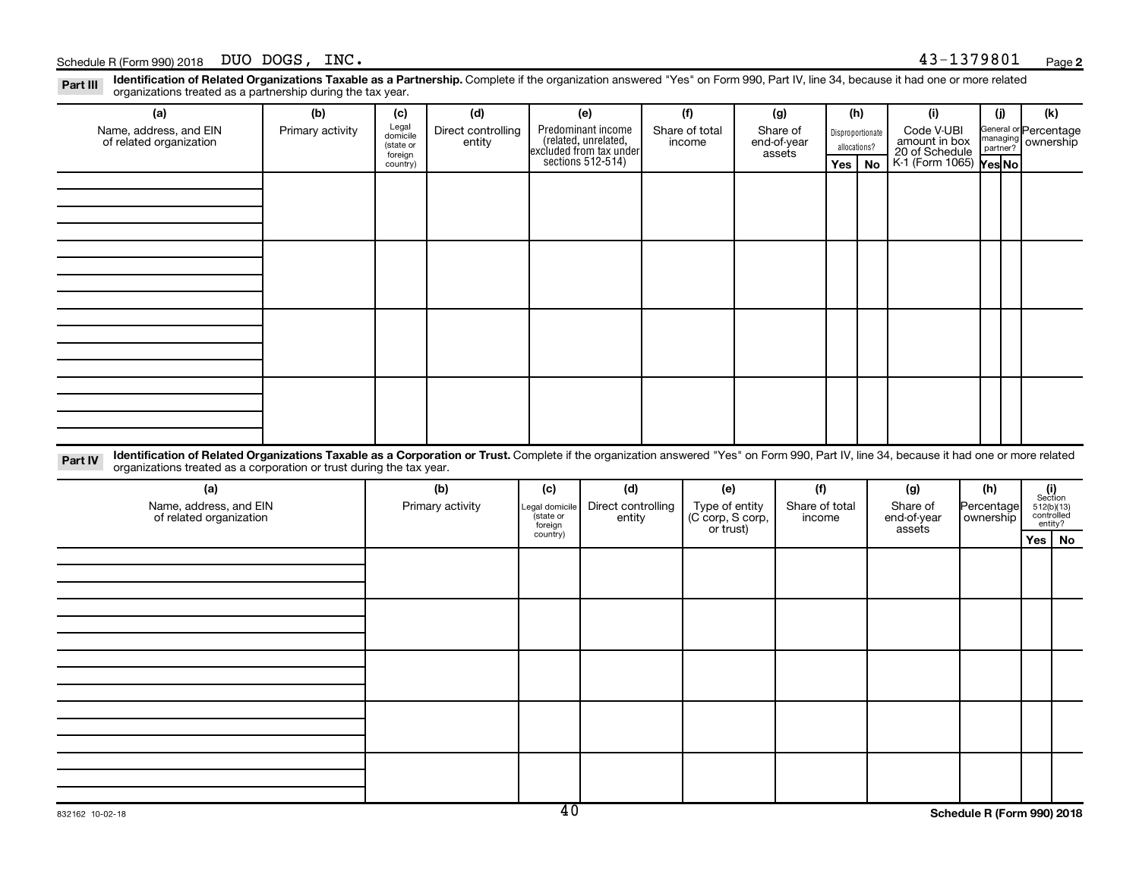Disproportionate allocations? Legal domicile (state or foreign country) General or Percentage managing partner? Section 512(b)(13) controlled entity? Legal domicile (state or foreign country) Part III Identification of Related Organizations Taxable as a Partnership. Complete if the organization answered "Yes" on Form 990, Part IV, line 34, because it had one or more related<br>Read to the organizations tracted as **(a) (b) (c) (d) (e) (f) (g) (h) (i) (j) (k) Yes No Yes No** K-1 (Form 1065) Part IV Identification of Related Organizations Taxable as a Corporation or Trust. Complete if the organization answered "Yes" on Form 990, Part IV, line 34, because it had one or more related **(a) (b) (c) (d) (e) (f) (g) (h) (i) Yes No** Predominant income (related, unrelated, excluded from tax under sections 512-514) Schedule R (Form 990) 2018 DUO DOGS,  $INC.$ organizations treated as a partnership during the tax year. Name, address, and EIN of related organization Primary activity  $\left| \begin{array}{c} \text{Legal} \\ \text{demi} \end{array} \right|$  Direct controlling entity Share of total income Share of end-of-year assets Code V-UBI<br>amount in box 20 of Schedule ownership organizations treated as a corporation or trust during the tax year. Name, address, and EIN of related organization Primary activity |Legal domicile | Direct controlling entity Type of entity (C corp, S corp, or trust) Share of total income Share of end-of-year assets Percentage ownership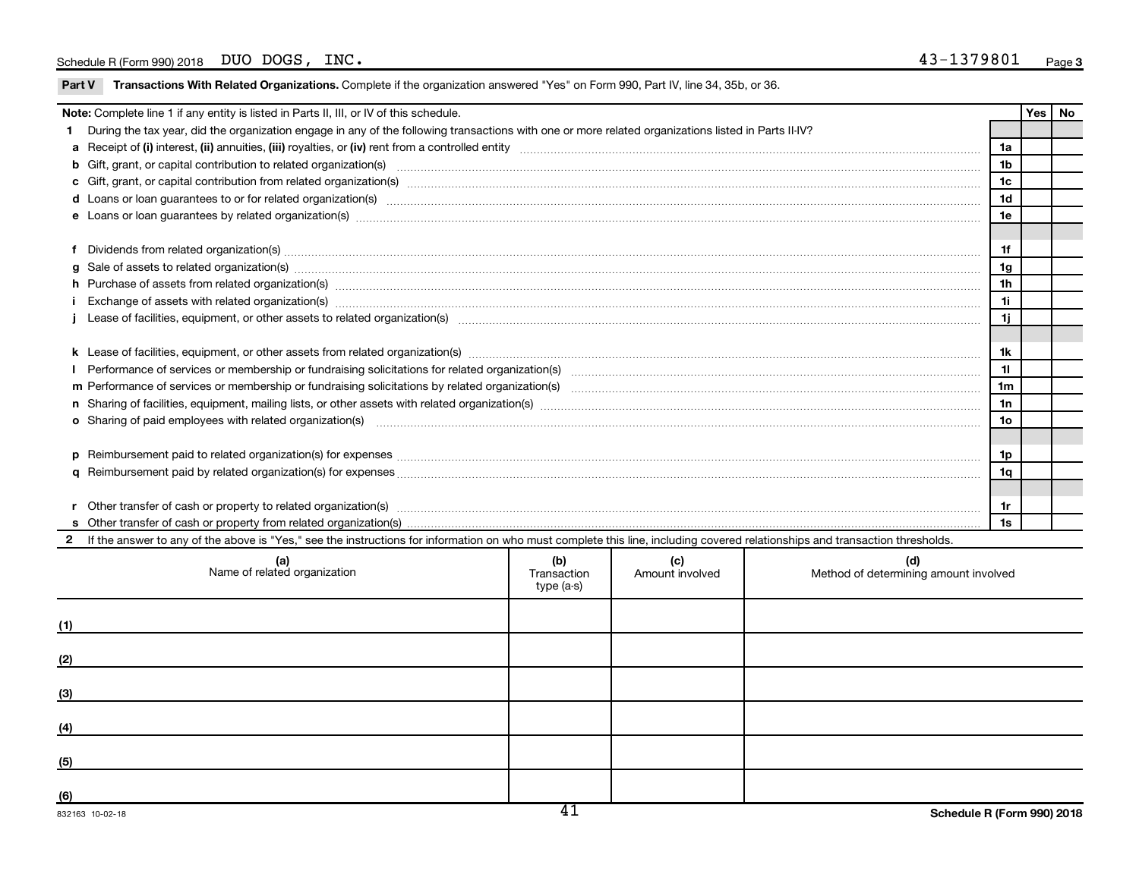|    | Note: Complete line 1 if any entity is listed in Parts II, III, or IV of this schedule.                                                                                                                                        |     |     |     |                 | Yes | No |
|----|--------------------------------------------------------------------------------------------------------------------------------------------------------------------------------------------------------------------------------|-----|-----|-----|-----------------|-----|----|
|    | During the tax year, did the organization engage in any of the following transactions with one or more related organizations listed in Parts II-IV?                                                                            |     |     |     |                 |     |    |
|    |                                                                                                                                                                                                                                |     |     |     | 1a              |     |    |
|    |                                                                                                                                                                                                                                |     |     |     | 1 <sub>b</sub>  |     |    |
|    |                                                                                                                                                                                                                                |     |     |     | 1c              |     |    |
|    | d Loans or loan guarantees to or for related organization(s) www.communically.com/www.communically.com/www.communically.com/www.communically.com/www.communically.com/www.communically.com/www.communically.com/www.communical |     |     |     | 1 <sub>d</sub>  |     |    |
|    |                                                                                                                                                                                                                                |     |     |     | 1e              |     |    |
|    |                                                                                                                                                                                                                                |     |     |     |                 |     |    |
|    | Dividends from related organization(s) machinesis and contract and contract and contract and contract and contract and contract and contract and contract and contract and contract and contract and contract and contract and |     |     |     | 1f              |     |    |
|    | g Sale of assets to related organization(s) www.assets.com/www.assets.com/www.assets.com/www.assets.com/www.assets.com/www.assets.com/www.assets.com/www.assets.com/www.assets.com/www.assets.com/www.assets.com/www.assets.co |     |     |     | 1g              |     |    |
|    | h Purchase of assets from related organization(s) manufactured content to content the content of assets from related organization(s) manufactured content to content the content of a set of assets from related organization( |     |     |     | 1 <sub>h</sub>  |     |    |
|    | Exchange of assets with related organization(s) www.wallen.com/www.wallen.com/www.wallen.com/www.wallen.com/www.wallen.com/www.wallen.com/www.wallen.com/www.wallen.com/www.wallen.com/www.wallen.com/www.wallen.com/www.walle |     |     |     | 11              |     |    |
|    |                                                                                                                                                                                                                                |     |     |     | 1j              |     |    |
|    |                                                                                                                                                                                                                                |     |     |     |                 |     |    |
|    |                                                                                                                                                                                                                                |     |     |     | 1k              |     |    |
|    |                                                                                                                                                                                                                                |     |     |     | 11              |     |    |
|    |                                                                                                                                                                                                                                |     |     |     | 1 <sub>m</sub>  |     |    |
|    |                                                                                                                                                                                                                                |     |     |     | 1n              |     |    |
|    |                                                                                                                                                                                                                                |     |     |     | 10 <sub>o</sub> |     |    |
|    |                                                                                                                                                                                                                                |     |     |     |                 |     |    |
|    |                                                                                                                                                                                                                                |     |     |     | 1p              |     |    |
|    | 1q                                                                                                                                                                                                                             |     |     |     |                 |     |    |
|    |                                                                                                                                                                                                                                |     |     |     |                 |     |    |
|    | Other transfer of cash or property to related organization(s) CONCORRECT DESCRIPTION CONTENTS OF DETAILS AND RE<br>1r                                                                                                          |     |     |     |                 |     |    |
| 1s |                                                                                                                                                                                                                                |     |     |     |                 |     |    |
|    | 2 If the answer to any of the above is "Yes," see the instructions for information on who must complete this line, including covered relationships and transaction thresholds.                                                 |     |     |     |                 |     |    |
|    | (a)                                                                                                                                                                                                                            | (b) | (c) | (d) |                 |     |    |

| (a)<br>Name of related organization | (D)<br>Transaction<br>type (a-s) | <b>c)</b><br>Amount involved | (d)<br>Method of determining amount involved |
|-------------------------------------|----------------------------------|------------------------------|----------------------------------------------|
| (1)                                 |                                  |                              |                                              |
| (2)                                 |                                  |                              |                                              |
| (3)                                 |                                  |                              |                                              |
| (4)                                 |                                  |                              |                                              |
| (5)                                 |                                  |                              |                                              |
| (6)                                 | $\overline{14}$                  |                              |                                              |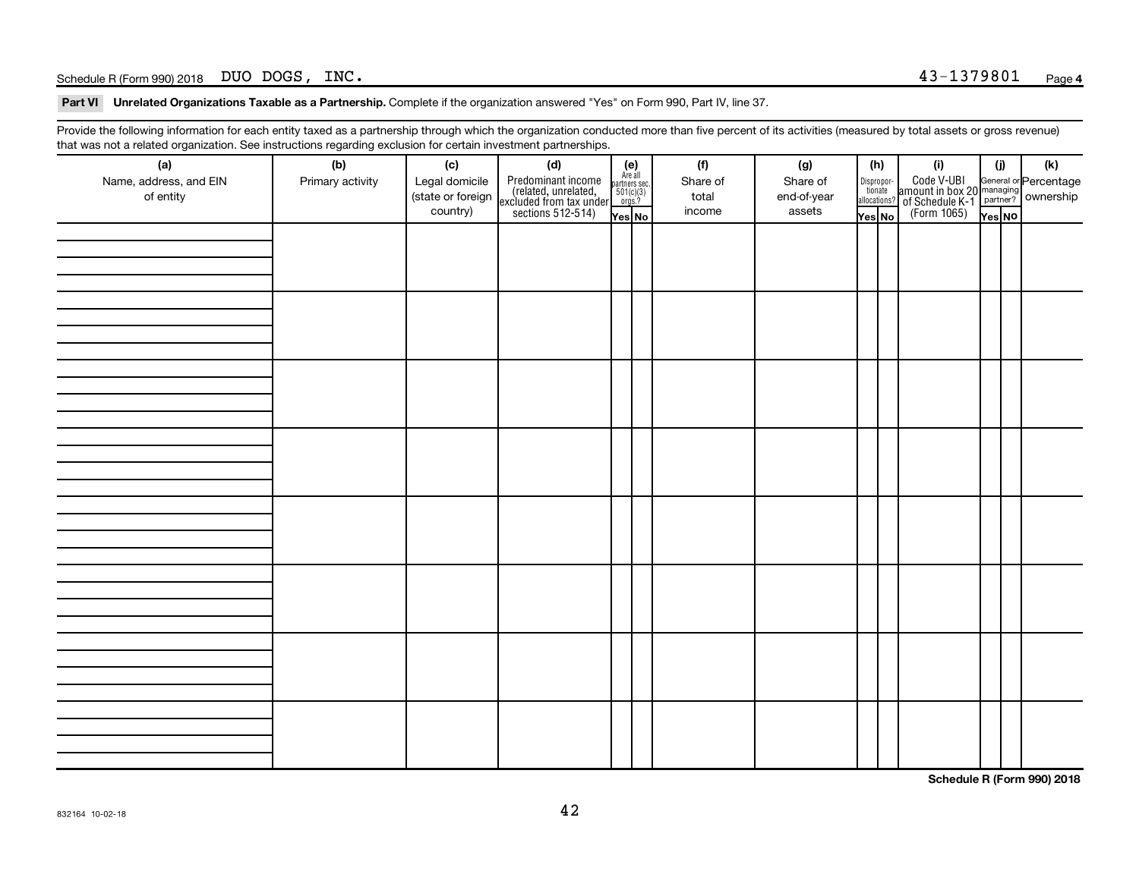#### Schedule R (Form 990) 2018 DUO DOGS,  $INC.$

Part VI Unrelated Organizations Taxable as a Partnership. Complete if the organization answered "Yes" on Form 990, Part IV, line 37.

Provide the following information for each entity taxed as a partnership through which the organization conducted more than five percent of its activities (measured by total assets or gross revenue) that was not a related organization. See instructions regarding exclusion for certain investment partnerships.

| (a)                                 | (b)              | (c)                                             | mat mac not a rolated organization. Oce included by regarding exercision for contain invectment partneremper<br>(d) |                                                                    | (f)                         | (g)                               |        | (h)                                                                                                                                       | (i)                                                                                                  | (i)    | $(\mathsf{k})$ |  |  |  |
|-------------------------------------|------------------|-------------------------------------------------|---------------------------------------------------------------------------------------------------------------------|--------------------------------------------------------------------|-----------------------------|-----------------------------------|--------|-------------------------------------------------------------------------------------------------------------------------------------------|------------------------------------------------------------------------------------------------------|--------|----------------|--|--|--|
| Name, address, and EIN<br>of entity | Primary activity | Legal domicile<br>(state or foreign<br>country) | Predominant income<br>(related, unrelated,<br>excluded from tax under<br>sections 512-514)                          | (e)<br>Are all<br>partners sec.<br>$501(c)(3)$<br>orgs.?<br>Yes No | Share of<br>total<br>income | Share of<br>end-of-year<br>assets | Yes No | $\fbox{\parbox{0.5cm}{\begin{tabular}{ l l } \hline Disproportion} \\ \hline \text{tion} \\ \hline allocations? \\ \hline \end{tabular}}$ | Code V-UBI<br>amount in box 20 managing<br>of Schedule K-1<br>(Form 1065)<br>$\overline{Y}_{res}$ No | Yes No |                |  |  |  |
|                                     |                  |                                                 |                                                                                                                     |                                                                    |                             |                                   |        |                                                                                                                                           |                                                                                                      |        |                |  |  |  |
|                                     |                  |                                                 |                                                                                                                     |                                                                    |                             |                                   |        |                                                                                                                                           |                                                                                                      |        |                |  |  |  |
|                                     |                  |                                                 |                                                                                                                     |                                                                    |                             |                                   |        |                                                                                                                                           |                                                                                                      |        |                |  |  |  |
|                                     |                  |                                                 |                                                                                                                     |                                                                    |                             |                                   |        |                                                                                                                                           |                                                                                                      |        |                |  |  |  |
|                                     |                  |                                                 |                                                                                                                     |                                                                    |                             |                                   |        |                                                                                                                                           |                                                                                                      |        |                |  |  |  |
|                                     |                  |                                                 |                                                                                                                     |                                                                    |                             |                                   |        |                                                                                                                                           |                                                                                                      |        |                |  |  |  |
|                                     |                  |                                                 |                                                                                                                     |                                                                    |                             |                                   |        |                                                                                                                                           |                                                                                                      |        |                |  |  |  |
|                                     |                  |                                                 |                                                                                                                     |                                                                    |                             |                                   |        |                                                                                                                                           |                                                                                                      |        |                |  |  |  |
|                                     |                  |                                                 |                                                                                                                     |                                                                    |                             |                                   |        |                                                                                                                                           |                                                                                                      |        |                |  |  |  |
|                                     |                  |                                                 |                                                                                                                     |                                                                    |                             |                                   |        |                                                                                                                                           |                                                                                                      |        |                |  |  |  |
|                                     |                  |                                                 |                                                                                                                     |                                                                    |                             |                                   |        |                                                                                                                                           |                                                                                                      |        |                |  |  |  |
|                                     |                  |                                                 |                                                                                                                     |                                                                    |                             |                                   |        |                                                                                                                                           |                                                                                                      |        |                |  |  |  |
|                                     |                  |                                                 |                                                                                                                     |                                                                    |                             |                                   |        |                                                                                                                                           |                                                                                                      |        |                |  |  |  |
|                                     |                  |                                                 |                                                                                                                     |                                                                    |                             |                                   |        |                                                                                                                                           |                                                                                                      |        |                |  |  |  |
|                                     |                  |                                                 |                                                                                                                     |                                                                    |                             |                                   |        |                                                                                                                                           |                                                                                                      |        |                |  |  |  |
|                                     |                  |                                                 |                                                                                                                     |                                                                    |                             |                                   |        |                                                                                                                                           |                                                                                                      |        |                |  |  |  |
|                                     |                  |                                                 |                                                                                                                     |                                                                    |                             |                                   |        |                                                                                                                                           |                                                                                                      |        |                |  |  |  |
|                                     |                  |                                                 |                                                                                                                     |                                                                    |                             |                                   |        |                                                                                                                                           |                                                                                                      |        |                |  |  |  |
|                                     |                  |                                                 |                                                                                                                     |                                                                    |                             |                                   |        |                                                                                                                                           |                                                                                                      |        |                |  |  |  |
|                                     |                  |                                                 |                                                                                                                     |                                                                    |                             |                                   |        |                                                                                                                                           |                                                                                                      |        |                |  |  |  |
|                                     |                  |                                                 |                                                                                                                     |                                                                    |                             |                                   |        |                                                                                                                                           |                                                                                                      |        |                |  |  |  |
|                                     |                  |                                                 |                                                                                                                     |                                                                    |                             |                                   |        |                                                                                                                                           |                                                                                                      |        |                |  |  |  |
|                                     |                  |                                                 |                                                                                                                     |                                                                    |                             |                                   |        |                                                                                                                                           |                                                                                                      |        |                |  |  |  |
|                                     |                  |                                                 |                                                                                                                     |                                                                    |                             |                                   |        |                                                                                                                                           |                                                                                                      |        |                |  |  |  |
|                                     |                  |                                                 |                                                                                                                     |                                                                    |                             |                                   |        |                                                                                                                                           |                                                                                                      |        |                |  |  |  |

**Schedule R (Form 990) 2018**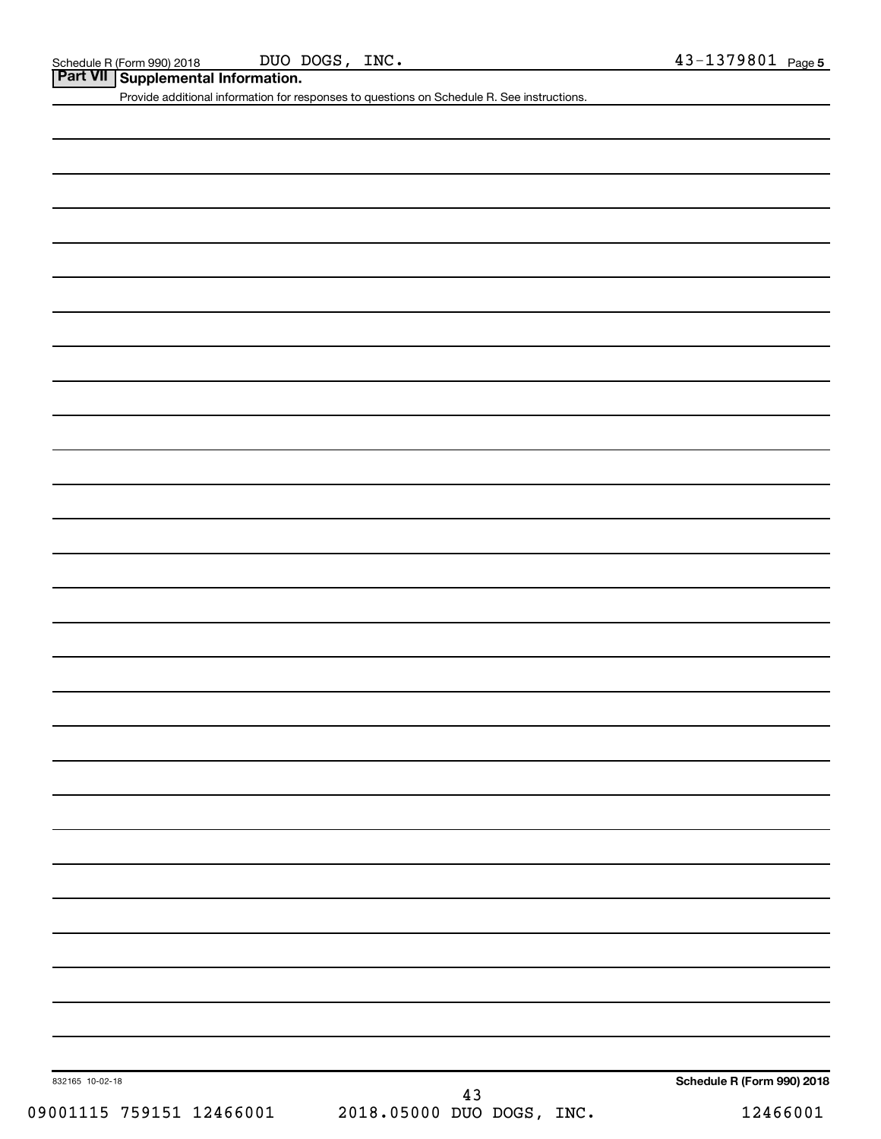DUO DOGS, INC.

**Part VII Supplemental Information.**

Provide additional information for responses to questions on Schedule R. See instructions.

832165 10-02-18

09001115 759151 12466001 2018.05000 DUO DOGS, INC. 12466001 43

**Schedule R (Form 990) 2018**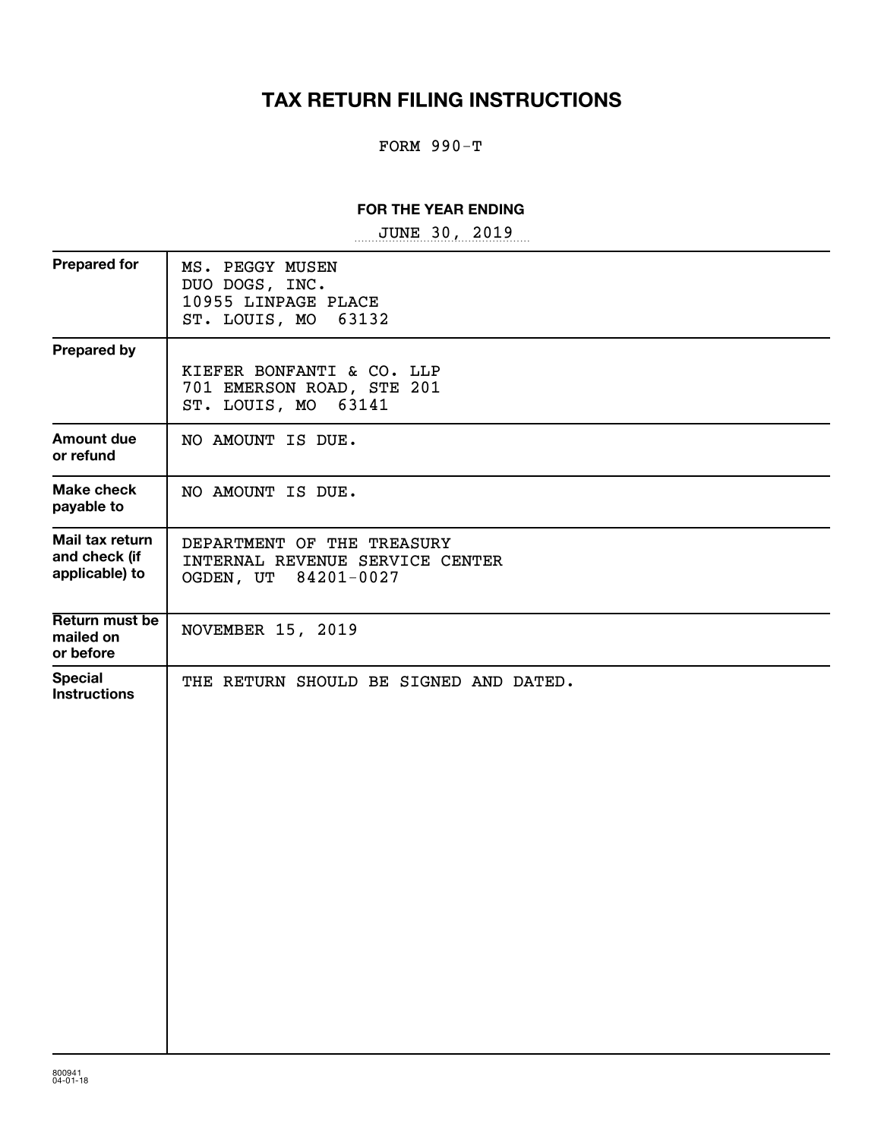# **TAX RETURN FILING INSTRUCTIONS**

### FORM 990-T

#### **FOR THE YEAR ENDING**

~~~~~~~~~~~~~~~~~ JUNE 30, 2019

| <b>Prepared for</b>                                | MS. PEGGY MUSEN<br>DUO DOGS, INC.<br>10955 LINPAGE PLACE<br>63132<br>ST. LOUIS, MO    |
|----------------------------------------------------|---------------------------------------------------------------------------------------|
| <b>Prepared by</b>                                 | KIEFER BONFANTI & CO. LLP<br>701 EMERSON ROAD, STE 201<br>ST. LOUIS, MO 63141         |
| <b>Amount due</b><br>or refund                     | NO AMOUNT IS DUE.                                                                     |
| <b>Make check</b><br>payable to                    | NO AMOUNT IS DUE.                                                                     |
| Mail tax return<br>and check (if<br>applicable) to | DEPARTMENT OF THE TREASURY<br>INTERNAL REVENUE SERVICE CENTER<br>OGDEN, UT 84201-0027 |
| Return must be<br>mailed on<br>or before           | NOVEMBER 15, 2019                                                                     |
| <b>Special</b><br><b>Instructions</b>              | THE RETURN SHOULD BE SIGNED AND DATED.                                                |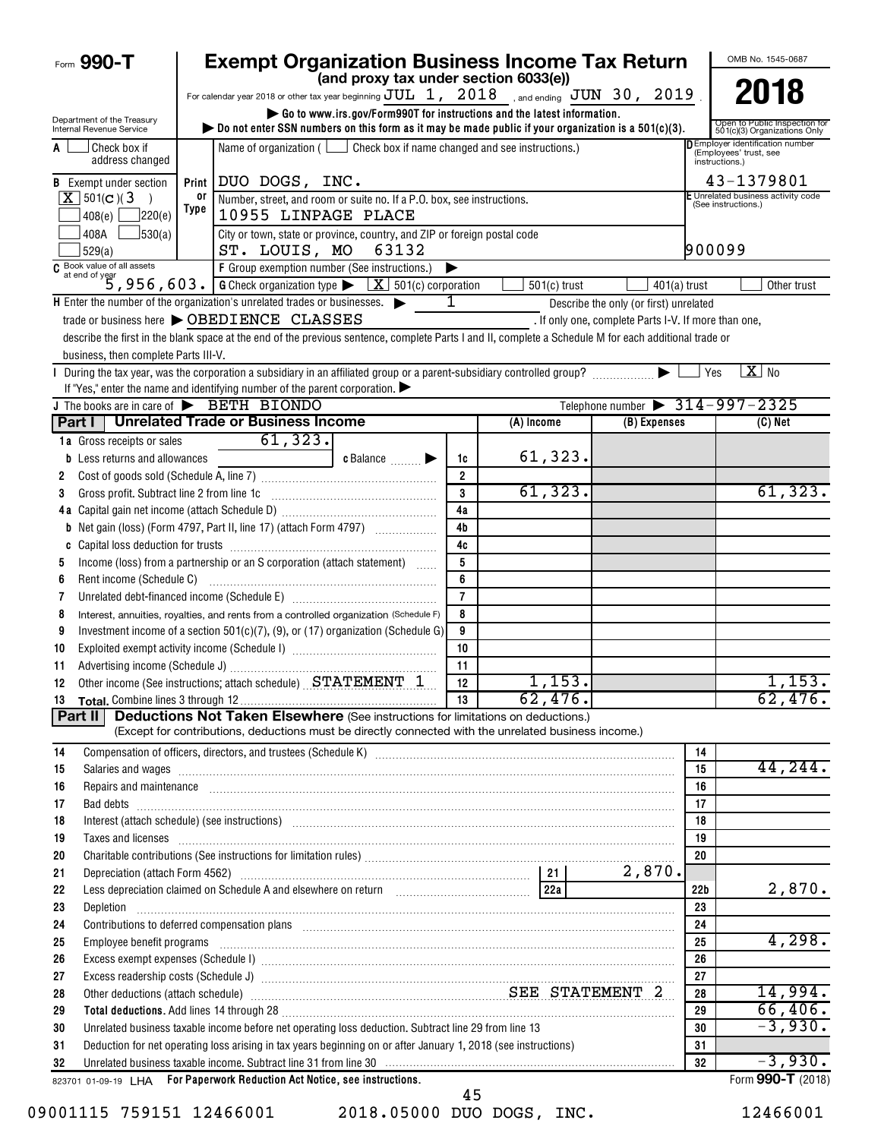| Form 990-T                                             |            | <b>Exempt Organization Business Income Tax Return</b>                                                                                                                                                                                                                                                                                                                                                                                                    |                |                |                                                                                    |                 | OMB No. 1545-0687                                             |
|--------------------------------------------------------|------------|----------------------------------------------------------------------------------------------------------------------------------------------------------------------------------------------------------------------------------------------------------------------------------------------------------------------------------------------------------------------------------------------------------------------------------------------------------|----------------|----------------|------------------------------------------------------------------------------------|-----------------|---------------------------------------------------------------|
|                                                        |            | (and proxy tax under section 6033(e))<br>For calendar year 2018 or other tax year beginning $JUL$ 1, $2018$ , and ending $JUN$ 30, 2019                                                                                                                                                                                                                                                                                                                  |                |                |                                                                                    |                 | 2018                                                          |
|                                                        |            | Go to www.irs.gov/Form990T for instructions and the latest information.                                                                                                                                                                                                                                                                                                                                                                                  |                |                |                                                                                    |                 |                                                               |
| Department of the Treasury<br>Internal Revenue Service |            | bo not enter SSN numbers on this form as it may be made public if your organization is a $501(c)(3)$ .                                                                                                                                                                                                                                                                                                                                                   |                |                |                                                                                    |                 | Open to Public Inspection for<br>501(c)(3) Organizations Only |
| Check box if<br>A<br>address changed                   |            | Name of organization ( $\Box$ Check box if name changed and see instructions.)                                                                                                                                                                                                                                                                                                                                                                           |                |                | <b>DEmployer identification number</b><br>(Employees' trust, see<br>instructions.) |                 |                                                               |
| <b>B</b> Exempt under section                          |            | Print   DUO DOGS, INC.                                                                                                                                                                                                                                                                                                                                                                                                                                   |                |                |                                                                                    |                 | 43-1379801                                                    |
| $X$ 501(c)(3)                                          | or<br>Type | Number, street, and room or suite no. If a P.O. box, see instructions.                                                                                                                                                                                                                                                                                                                                                                                   |                |                |                                                                                    |                 | E Unrelated business activity code<br>(See instructions.)     |
| 7220(e)<br>408(e)                                      |            | 10955 LINPAGE PLACE                                                                                                                                                                                                                                                                                                                                                                                                                                      |                |                |                                                                                    |                 |                                                               |
| 408A<br>J530(a)<br>529(a)                              |            | City or town, state or province, country, and ZIP or foreign postal code<br>ST. LOUIS, MO 63132                                                                                                                                                                                                                                                                                                                                                          |                |                |                                                                                    | 900099          |                                                               |
|                                                        |            | $\begin{array}{l l} \hline \textbf{G} & \textbf{Book value of all assets} \\ \hline \textbf{G} & \textbf{at end of year} \\ \hline \end{array} \textbf{S} \textbf{S} \textbf{S} \textbf{S} \textbf{S} \textbf{S} \textbf{S} \textbf{S} \textbf{S} \textbf{S} \textbf{S} \textbf{S} \textbf{S} \textbf{S} \textbf{S} \textbf{S} \textbf{S} \textbf{S} \textbf{S} \textbf{S} \textbf{S} \textbf{S} \textbf{S} \textbf{S} \textbf{S} \textbf{S} \textbf{S}$ |                |                |                                                                                    |                 |                                                               |
|                                                        |            |                                                                                                                                                                                                                                                                                                                                                                                                                                                          |                | $501(c)$ trust | $401(a)$ trust                                                                     |                 | Other trust                                                   |
|                                                        |            | $\mathsf H$ Enter the number of the organization's unrelated trades or businesses. $\blacktriangleright$                                                                                                                                                                                                                                                                                                                                                 | 1              |                | Describe the only (or first) unrelated                                             |                 |                                                               |
|                                                        |            | trade or business here > OBEDIENCE CLASSES                                                                                                                                                                                                                                                                                                                                                                                                               |                |                | . If only one, complete Parts I-V. If more than one,                               |                 |                                                               |
|                                                        |            | describe the first in the blank space at the end of the previous sentence, complete Parts I and II, complete a Schedule M for each additional trade or                                                                                                                                                                                                                                                                                                   |                |                |                                                                                    |                 |                                                               |
| business, then complete Parts III-V.                   |            |                                                                                                                                                                                                                                                                                                                                                                                                                                                          |                |                |                                                                                    | Yes             | $X$ No                                                        |
|                                                        |            | If "Yes," enter the name and identifying number of the parent corporation. $\blacktriangleright$                                                                                                                                                                                                                                                                                                                                                         |                |                |                                                                                    |                 |                                                               |
| J The books are in care of BETH BIONDO                 |            |                                                                                                                                                                                                                                                                                                                                                                                                                                                          |                |                | Telephone number $\triangleright$ 314-997-2325                                     |                 |                                                               |
| Part I                                                 |            | <b>Unrelated Trade or Business Income</b>                                                                                                                                                                                                                                                                                                                                                                                                                |                | (A) Income     | $(B)$ Expenses                                                                     |                 | (C) Net                                                       |
| 1a Gross receipts or sales                             |            | 61, 323.                                                                                                                                                                                                                                                                                                                                                                                                                                                 |                |                |                                                                                    |                 |                                                               |
| Less returns and allowances<br>b                       |            | $c$ Balance $\Box$                                                                                                                                                                                                                                                                                                                                                                                                                                       | 1c             | 61,323.        |                                                                                    |                 |                                                               |
| 2                                                      |            |                                                                                                                                                                                                                                                                                                                                                                                                                                                          | $\overline{2}$ |                |                                                                                    |                 |                                                               |
| Gross profit. Subtract line 2 from line 1c<br>3        |            |                                                                                                                                                                                                                                                                                                                                                                                                                                                          | 3              | 61,323.        |                                                                                    |                 | 61, 323.                                                      |
|                                                        |            |                                                                                                                                                                                                                                                                                                                                                                                                                                                          | 4a             |                |                                                                                    |                 |                                                               |
|                                                        |            |                                                                                                                                                                                                                                                                                                                                                                                                                                                          | 4 <sub>b</sub> |                |                                                                                    |                 |                                                               |
|                                                        |            |                                                                                                                                                                                                                                                                                                                                                                                                                                                          | 4c<br>5        |                |                                                                                    |                 |                                                               |
| 5                                                      |            | Income (loss) from a partnership or an S corporation (attach statement)                                                                                                                                                                                                                                                                                                                                                                                  | 6              |                |                                                                                    |                 |                                                               |
| Rent income (Schedule C)<br>6<br>7                     |            |                                                                                                                                                                                                                                                                                                                                                                                                                                                          | $\overline{7}$ |                |                                                                                    |                 |                                                               |
| 8                                                      |            | Interest, annuities, royalties, and rents from a controlled organization (Schedule F)                                                                                                                                                                                                                                                                                                                                                                    | 8              |                |                                                                                    |                 |                                                               |
| 9                                                      |            | Investment income of a section 501(c)(7), (9), or (17) organization (Schedule G)                                                                                                                                                                                                                                                                                                                                                                         | 9              |                |                                                                                    |                 |                                                               |
| 10                                                     |            |                                                                                                                                                                                                                                                                                                                                                                                                                                                          | 10             |                |                                                                                    |                 |                                                               |
| 11                                                     |            |                                                                                                                                                                                                                                                                                                                                                                                                                                                          | 11             |                |                                                                                    |                 |                                                               |
| 12                                                     |            | Other income (See instructions; attach schedule) STATEMENT 1                                                                                                                                                                                                                                                                                                                                                                                             | 12             | 1,153.         |                                                                                    |                 | 1,153.                                                        |
|                                                        |            |                                                                                                                                                                                                                                                                                                                                                                                                                                                          | 13             | 62, 476.       |                                                                                    |                 | 62,476.                                                       |
| Part II                                                |            | <b>Deductions Not Taken Elsewhere</b> (See instructions for limitations on deductions.)                                                                                                                                                                                                                                                                                                                                                                  |                |                |                                                                                    |                 |                                                               |
|                                                        |            | (Except for contributions, deductions must be directly connected with the unrelated business income.)                                                                                                                                                                                                                                                                                                                                                    |                |                |                                                                                    |                 |                                                               |
| 14                                                     |            |                                                                                                                                                                                                                                                                                                                                                                                                                                                          |                |                |                                                                                    | 14              | 44, 244.                                                      |
| 15<br>16                                               |            | Salaries and wages <b>construents and wages construents are all the construents and wages construents and wages</b>                                                                                                                                                                                                                                                                                                                                      |                |                |                                                                                    | 15<br>16        |                                                               |
| 17                                                     |            | Repairs and maintenance <i>[1] [1] [1] [1] [1] [1] [1] [1] [1] [1]</i> [1] <b>[1] [1]</b> [1] <b>[1] [1] [1] [1] [1] [1] [1] [1] [1] [1] [1] [1] [1] [1] [1] [1] [1] [1] [1] [1] [1] [1] [1]</b>                                                                                                                                                                                                                                                         |                |                |                                                                                    | 17              |                                                               |
| 18                                                     |            | Interest (attach schedule) (see instructions) www.communications.communications.communications.communications.                                                                                                                                                                                                                                                                                                                                           |                |                |                                                                                    | 18              |                                                               |
| 19                                                     |            | Taxes and licenses <b>commissions</b> and <b>licenses contract the contract of the contract of the contract of the contract of the contract of the contract of the contract of the contract of the contract of the contract of the </b>                                                                                                                                                                                                                  |                |                |                                                                                    | 19              |                                                               |
| 20                                                     |            |                                                                                                                                                                                                                                                                                                                                                                                                                                                          |                |                |                                                                                    | 20              |                                                               |
| 21                                                     |            |                                                                                                                                                                                                                                                                                                                                                                                                                                                          |                |                | 2,870.                                                                             |                 |                                                               |
| 22                                                     |            |                                                                                                                                                                                                                                                                                                                                                                                                                                                          |                |                |                                                                                    | 22 <sub>b</sub> | 2,870.                                                        |
| 23<br>Depletion                                        |            |                                                                                                                                                                                                                                                                                                                                                                                                                                                          |                |                |                                                                                    | 23              |                                                               |
| 24                                                     |            | Contributions to deferred compensation plans [11] manufactured and manufactured contributions to deferred compensation plans                                                                                                                                                                                                                                                                                                                             |                |                |                                                                                    | 24              |                                                               |
| 25                                                     |            | Employee benefit programs with an accommodation of the contract of the contract of the contract of the contract of the contract of the contract of the contract of the contract of the contract of the contract of the contrac                                                                                                                                                                                                                           |                |                |                                                                                    | 25              | 4,298.                                                        |
| 26                                                     |            |                                                                                                                                                                                                                                                                                                                                                                                                                                                          |                |                |                                                                                    | 26<br>27        |                                                               |
| 27<br>28                                               |            | Other deductions (attach schedule) Material Material Material Material SEE STATEMENT 2                                                                                                                                                                                                                                                                                                                                                                   |                |                |                                                                                    | 28              | 14,994.                                                       |
| 29                                                     |            | Total deductions. Add lines 14 through 28 [11] manufactures in the contract of the contract of the contract of the contract of the contract of the contract of the contract of the contract of the contract of the contract of                                                                                                                                                                                                                           |                |                |                                                                                    | 29              | 66,406.                                                       |
| 30                                                     |            | Unrelated business taxable income before net operating loss deduction. Subtract line 29 from line 13                                                                                                                                                                                                                                                                                                                                                     |                |                |                                                                                    | 30              | $-3,930.$                                                     |
| 31                                                     |            | Deduction for net operating loss arising in tax years beginning on or after January 1, 2018 (see instructions)                                                                                                                                                                                                                                                                                                                                           |                |                |                                                                                    | 31              |                                                               |
| 32                                                     |            | Unrelated business taxable income. Subtract line 31 from line 30 manufactured contains and contained business taxable income. Subtract line 31 from line 30 manufactured contains and the United States of the United States a                                                                                                                                                                                                                           |                |                |                                                                                    | 32              | $-3,930.$                                                     |
|                                                        |            | 823701 01-09-19 LHA For Paperwork Reduction Act Notice, see instructions.                                                                                                                                                                                                                                                                                                                                                                                |                |                |                                                                                    |                 | Form 990-T (2018)                                             |
|                                                        |            |                                                                                                                                                                                                                                                                                                                                                                                                                                                          | 45             |                |                                                                                    |                 |                                                               |

09001115 759151 12466001 2018.05000 DUO DOGS, INC. 12466001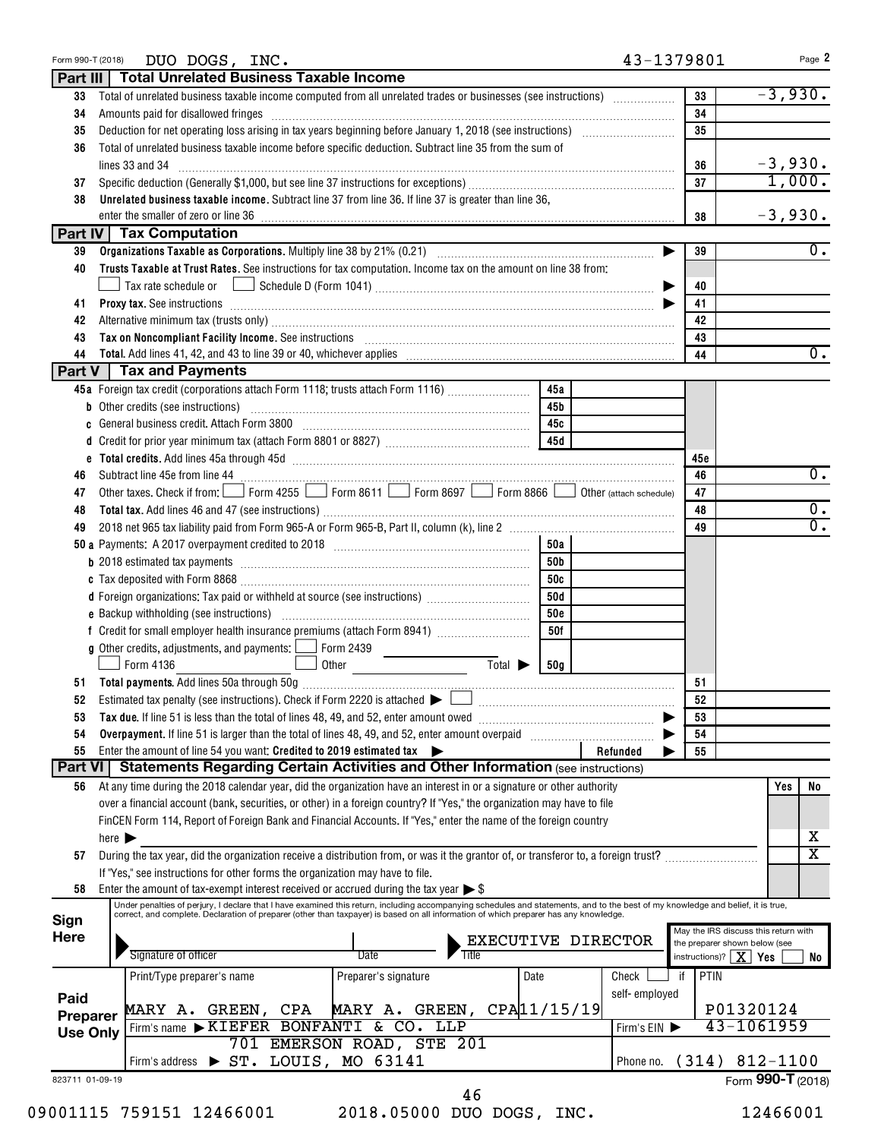| Form 990-T (2018) | DUO DOGS, INC.                                                                                                                                                                                                                 | 43-1379801          | Page 2                                 |
|-------------------|--------------------------------------------------------------------------------------------------------------------------------------------------------------------------------------------------------------------------------|---------------------|----------------------------------------|
|                   | Part III   Total Unrelated Business Taxable Income                                                                                                                                                                             |                     |                                        |
| 33                | Total of unrelated business taxable income computed from all unrelated trades or businesses (see instructions)                                                                                                                 | 33                  | $-3,930.$                              |
| 34                | Amounts paid for disallowed fringes                                                                                                                                                                                            | 34                  |                                        |
| 35                |                                                                                                                                                                                                                                | 35                  |                                        |
| 36                | Total of unrelated business taxable income before specific deduction. Subtract line 35 from the sum of                                                                                                                         |                     |                                        |
|                   | lines 33 and 34                                                                                                                                                                                                                | 36                  | $-3,930.$                              |
| 37                |                                                                                                                                                                                                                                | 37                  | 1,000.                                 |
| 38                | Unrelated business taxable income. Subtract line 37 from line 36. If line 37 is greater than line 36,                                                                                                                          |                     |                                        |
|                   |                                                                                                                                                                                                                                | 38                  | $-3,930.$                              |
|                   | Part IV Tax Computation                                                                                                                                                                                                        |                     |                                        |
| 39                |                                                                                                                                                                                                                                | 39                  | $\overline{0}$ .                       |
| 40                | Trusts Taxable at Trust Rates. See instructions for tax computation. Income tax on the amount on line 38 from:                                                                                                                 |                     |                                        |
|                   |                                                                                                                                                                                                                                | 40                  |                                        |
| 41                | Proxy tax. See instructions information and contact the contract of the contract of the contract of the contract of the contract of the contract of the contract of the contract of the contract of the contract of the contra | 41                  |                                        |
| 42                | Alternative minimum tax (trusts only) [11] Alternative manufacture minimum and the minimum and the minimum and the minimum and the minimum and the minimum and the minimum and the minimum and the minimum and the minimum and | 42                  |                                        |
| 43                | Tax on Noncompliant Facility Income. See instructions [11] The manufacture in the contract on Noncompliant Facility Income. See instructions [11] The manufacture income of the set of the set of the set of the set of the se | 43                  |                                        |
| 44                |                                                                                                                                                                                                                                | 44                  | $\overline{0}$ .                       |
|                   | Part V   Tax and Payments                                                                                                                                                                                                      |                     |                                        |
|                   | 45a Foreign tax credit (corporations attach Form 1118; trusts attach Form 1116)<br>45a                                                                                                                                         |                     |                                        |
|                   | <b>b</b> Other credits (see instructions)<br>45b                                                                                                                                                                               |                     |                                        |
|                   | 45с                                                                                                                                                                                                                            |                     |                                        |
|                   | 45d                                                                                                                                                                                                                            |                     |                                        |
|                   |                                                                                                                                                                                                                                |                     |                                        |
|                   |                                                                                                                                                                                                                                | 45c                 | $\overline{0}$ .                       |
| 46                | Subtract line 45e from line 44 [11] Torm 1255 [12] Form 8611 [22] Form 8697 [22] Form 8866 [22] Other (attach schedule)                                                                                                        | 46                  |                                        |
| 47                |                                                                                                                                                                                                                                | 47                  |                                        |
| 48                |                                                                                                                                                                                                                                | 48                  | $\overline{0}$ .                       |
| 49                |                                                                                                                                                                                                                                | 49                  | $\overline{0}$ .                       |
|                   | 50a                                                                                                                                                                                                                            |                     |                                        |
|                   | 50b                                                                                                                                                                                                                            |                     |                                        |
|                   | 50c                                                                                                                                                                                                                            |                     |                                        |
|                   | 50d<br>d Foreign organizations: Tax paid or withheld at source (see instructions)                                                                                                                                              |                     |                                        |
|                   | <b>50c</b>                                                                                                                                                                                                                     |                     |                                        |
|                   | 50f                                                                                                                                                                                                                            |                     |                                        |
|                   | <b>g</b> Other credits, adjustments, and payments: $\Box$<br>Form 2439                                                                                                                                                         |                     |                                        |
|                   | $\overline{\mathrm{Total}}$<br>Form 4136<br>Other<br>50 <sub>g</sub>                                                                                                                                                           |                     |                                        |
|                   |                                                                                                                                                                                                                                | 51                  |                                        |
| 52                | Estimated tax penalty (see instructions). Check if Form 2220 is attached $\blacktriangleright \perp$<br>a se provincia de la construcción de la construcción de la construcción de la construcción de la construcción          | 52                  |                                        |
| 53                |                                                                                                                                                                                                                                | 53                  |                                        |
| 54                | Overpayment. If line 51 is larger than the total of lines 48, 49, and 52, enter amount overpaid                                                                                                                                | 54                  |                                        |
| 55                | Enter the amount of line 54 you want: Credited to 2019 estimated tax                                                                                                                                                           | 55<br>Refunded      |                                        |
|                   | Part VI   Statements Regarding Certain Activities and Other Information (see instructions)                                                                                                                                     |                     |                                        |
|                   | At any time during the 2018 calendar year, did the organization have an interest in or a signature or other authority                                                                                                          |                     | No                                     |
| 56                |                                                                                                                                                                                                                                |                     | Yes                                    |
|                   | over a financial account (bank, securities, or other) in a foreign country? If "Yes," the organization may have to file                                                                                                        |                     |                                        |
|                   | FinCEN Form 114, Report of Foreign Bank and Financial Accounts. If "Yes," enter the name of the foreign country                                                                                                                |                     |                                        |
|                   | here $\blacktriangleright$                                                                                                                                                                                                     |                     | х                                      |
| 57                | During the tax year, did the organization receive a distribution from, or was it the grantor of, or transferor to, a foreign trust?                                                                                            |                     | $\overline{\mathtt{x}}$                |
|                   | If "Yes," see instructions for other forms the organization may have to file.                                                                                                                                                  |                     |                                        |
| 58                | Enter the amount of tax-exempt interest received or accrued during the tax year $\triangleright$ \$                                                                                                                            |                     |                                        |
|                   | Under penalties of perjury, I declare that I have examined this return, including accompanying schedules and statements, and to the best of my knowledge and belief, it is true, correct, and complete. Declaration of prepare |                     |                                        |
| Sign              |                                                                                                                                                                                                                                |                     | May the IRS discuss this return with   |
| <b>Here</b>       | EXECUTIVE DIRECTOR                                                                                                                                                                                                             |                     | the preparer shown below (see          |
|                   | Signature of officer<br>Date                                                                                                                                                                                                   |                     | instructions)? $\mid X \mid Yes$<br>No |
|                   | Print/Type preparer's name<br>Preparer's signature<br>Date                                                                                                                                                                     | PTIN<br>Check<br>if |                                        |
| Paid              |                                                                                                                                                                                                                                | self-employed       |                                        |
| <b>Preparer</b>   | MARY A. GREEN, $CPA 11/15/19$<br>MARY A. GREEN, CPA                                                                                                                                                                            |                     | P01320124                              |
| <b>Use Only</b>   | Firm's name KIEFER BONFANTI & CO. LLP                                                                                                                                                                                          | Firm's EIN          | 43-1061959                             |
|                   | 701 EMERSON ROAD, STE 201                                                                                                                                                                                                      |                     |                                        |
|                   | Firm's address > ST. LOUIS, MO 63141                                                                                                                                                                                           | Phone no.           | $(314) 812 - 1100$                     |
| 823711 01-09-19   |                                                                                                                                                                                                                                |                     | Form 990-T (2018)                      |
|                   | 46                                                                                                                                                                                                                             |                     |                                        |
|                   | 09001115 759151 12466001<br>2018.05000 DUO DOGS, INC.                                                                                                                                                                          |                     | 12466001                               |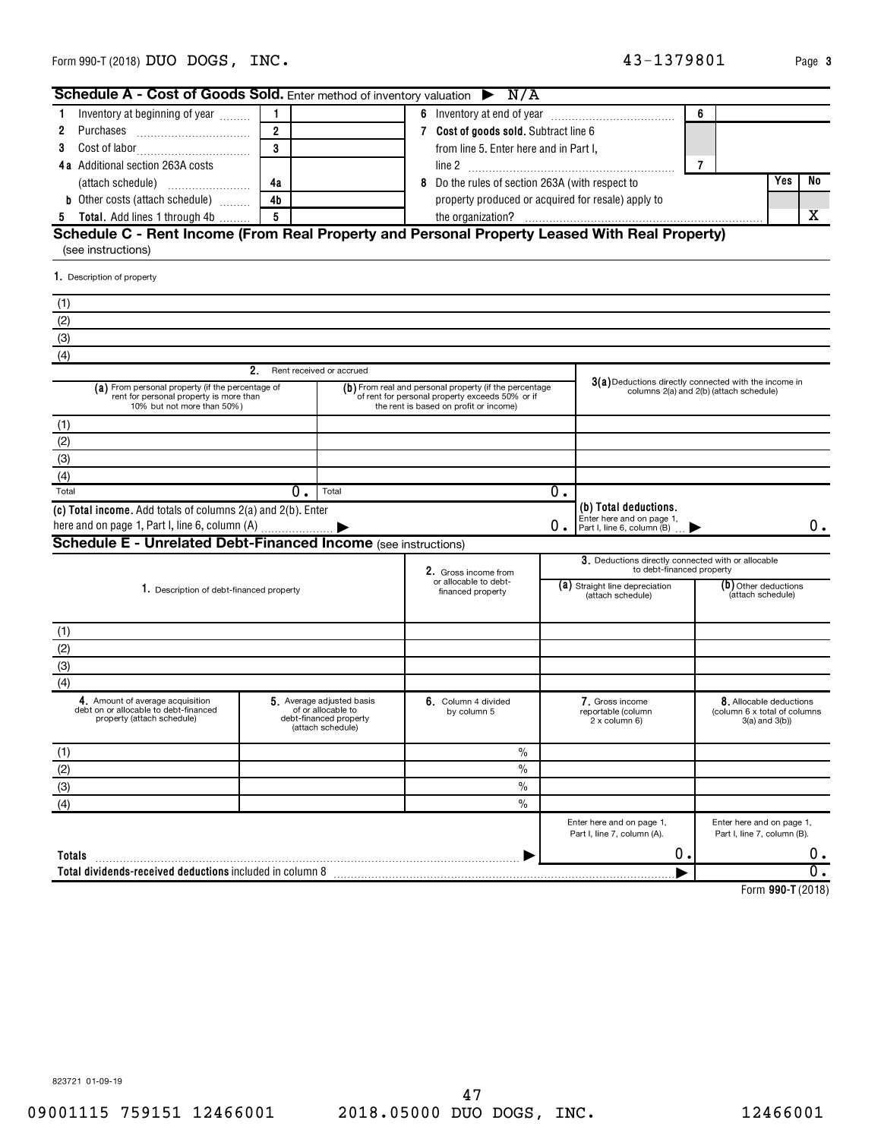823721 01-09-19

**Totals**

(4)

| 5 Total. Add lines 1 through 4b                                                                                           | 5  |                                                                                                | the organization?                                                                                                                                   |                                                         |                                                                                  | x                                                                                                |
|---------------------------------------------------------------------------------------------------------------------------|----|------------------------------------------------------------------------------------------------|-----------------------------------------------------------------------------------------------------------------------------------------------------|---------------------------------------------------------|----------------------------------------------------------------------------------|--------------------------------------------------------------------------------------------------|
| Schedule C - Rent Income (From Real Property and Personal Property Leased With Real Property)<br>(see instructions)       |    |                                                                                                |                                                                                                                                                     |                                                         |                                                                                  |                                                                                                  |
| 1. Description of property                                                                                                |    |                                                                                                |                                                                                                                                                     |                                                         |                                                                                  |                                                                                                  |
| (1)                                                                                                                       |    |                                                                                                |                                                                                                                                                     |                                                         |                                                                                  |                                                                                                  |
| (2)                                                                                                                       |    |                                                                                                |                                                                                                                                                     |                                                         |                                                                                  |                                                                                                  |
| (3)                                                                                                                       |    |                                                                                                |                                                                                                                                                     |                                                         |                                                                                  |                                                                                                  |
| (4)                                                                                                                       |    |                                                                                                |                                                                                                                                                     |                                                         |                                                                                  |                                                                                                  |
|                                                                                                                           | 2. | Rent received or accrued                                                                       |                                                                                                                                                     |                                                         |                                                                                  |                                                                                                  |
| (a) From personal property (if the percentage of<br>rent for personal property is more than<br>10% but not more than 50%) |    |                                                                                                | (b) From real and personal property (if the percentage<br>of rent for personal property exceeds 50% or if<br>the rent is based on profit or income) |                                                         |                                                                                  | 3(a) Deductions directly connected with the income in<br>columns 2(a) and 2(b) (attach schedule) |
| (1)                                                                                                                       |    |                                                                                                |                                                                                                                                                     |                                                         |                                                                                  |                                                                                                  |
| (2)                                                                                                                       |    |                                                                                                |                                                                                                                                                     |                                                         |                                                                                  |                                                                                                  |
| (3)                                                                                                                       |    |                                                                                                |                                                                                                                                                     |                                                         |                                                                                  |                                                                                                  |
| (4)                                                                                                                       |    |                                                                                                |                                                                                                                                                     |                                                         |                                                                                  |                                                                                                  |
| Total                                                                                                                     | 0. | Total                                                                                          |                                                                                                                                                     | $\overline{0}$ .                                        |                                                                                  |                                                                                                  |
| (c) Total income. Add totals of columns 2(a) and 2(b). Enter<br>here and on page 1, Part I, line 6, column (A)            |    |                                                                                                |                                                                                                                                                     | $0$ .                                                   | (b) Total deductions.<br>Enter here and on page 1,<br>Part I, line 6, column (B) | 0.                                                                                               |
| <b>Schedule E - Unrelated Debt-Financed Income (see instructions)</b>                                                     |    |                                                                                                |                                                                                                                                                     |                                                         |                                                                                  |                                                                                                  |
|                                                                                                                           |    |                                                                                                | 2. Gross income from                                                                                                                                |                                                         | 3. Deductions directly connected with or allocable<br>to debt-financed property  |                                                                                                  |
| 1. Description of debt-financed property                                                                                  |    |                                                                                                | financed property                                                                                                                                   | or allocable to debt-<br>(a) Straight line depreciation |                                                                                  | $(b)$ Other deductions<br>(attach schedule)                                                      |
| (1)                                                                                                                       |    |                                                                                                |                                                                                                                                                     |                                                         |                                                                                  |                                                                                                  |
| (2)                                                                                                                       |    |                                                                                                |                                                                                                                                                     |                                                         |                                                                                  |                                                                                                  |
| (3)                                                                                                                       |    |                                                                                                |                                                                                                                                                     |                                                         |                                                                                  |                                                                                                  |
| (4)                                                                                                                       |    |                                                                                                |                                                                                                                                                     |                                                         |                                                                                  |                                                                                                  |
| 4. Amount of average acquisition<br>debt on or allocable to debt-financed<br>property (attach schedule)                   |    | 5. Average adjusted basis<br>of or allocable to<br>debt-financed property<br>(attach schedule) | 6. Column 4 divided<br>by column 5                                                                                                                  |                                                         | 7. Gross income<br>reportable (column<br>2 x column 6)                           | 8. Allocable deductions<br>(column 6 x total of columns<br>$3(a)$ and $3(b)$                     |
| (1)                                                                                                                       |    |                                                                                                | $\frac{0}{0}$                                                                                                                                       |                                                         |                                                                                  |                                                                                                  |
| (2)                                                                                                                       |    |                                                                                                | $\%$                                                                                                                                                |                                                         |                                                                                  |                                                                                                  |
| (3)                                                                                                                       |    |                                                                                                | $\frac{0}{0}$                                                                                                                                       |                                                         |                                                                                  |                                                                                                  |

**Total dividends-received deductions** included in column 8 |

| Inventory at beginning of year          |                                                                                                                | 6.                                                 | 6 |            |                                                         |  |  |  |
|-----------------------------------------|----------------------------------------------------------------------------------------------------------------|----------------------------------------------------|---|------------|---------------------------------------------------------|--|--|--|
| 2                                       | 2                                                                                                              | Cost of goods sold. Subtract line 6                |   |            |                                                         |  |  |  |
| 3.                                      | 3                                                                                                              | from line 5. Enter here and in Part I.             |   |            |                                                         |  |  |  |
| <b>4a</b> Additional section 263A costs |                                                                                                                |                                                    |   |            |                                                         |  |  |  |
|                                         | 4a                                                                                                             | Do the rules of section 263A (with respect to<br>8 |   | <b>Yes</b> | No                                                      |  |  |  |
| <b>b</b> Other costs (attach schedule)  | 4b                                                                                                             | property produced or acquired for resale) apply to |   |            |                                                         |  |  |  |
| Total. Add lines 1 through 4b<br>5      | 5                                                                                                              |                                                    |   |            |                                                         |  |  |  |
| 1. Description of property              |                                                                                                                |                                                    |   |            |                                                         |  |  |  |
| (1)                                     |                                                                                                                |                                                    |   |            |                                                         |  |  |  |
| (2)                                     |                                                                                                                |                                                    |   |            |                                                         |  |  |  |
| (3)                                     |                                                                                                                |                                                    |   |            |                                                         |  |  |  |
| (4)                                     |                                                                                                                |                                                    |   |            |                                                         |  |  |  |
|                                         | 2                                                                                                              | Rent received or accrued                           |   |            |                                                         |  |  |  |
|                                         | $(h)$ From real and nersonal property (if the nercentage<br>$(a)$ From nersonal property (if the nercentage of |                                                    |   |            | $3(a)$ Deductions directly connected with the income in |  |  |  |

 $\blacktriangleright$ 

N/A

**Schedule A - Cost of Goods Sold.** Enter method of inventory valuation

**990-T**  Form (2018)

 $\overline{0}$  .

Enter here and on page 1, Part I, line 7, column (B).

 $\begin{array}{ccc} 0 \end{array}$  .

Enter here and on page 1, Part I, line 7, column (A).

 $\frac{1}{\sqrt{2}}$ 

~~~~~~~~~~~~~~~~~~~~~~~~~~~~~~~~~~~~~~~~~ |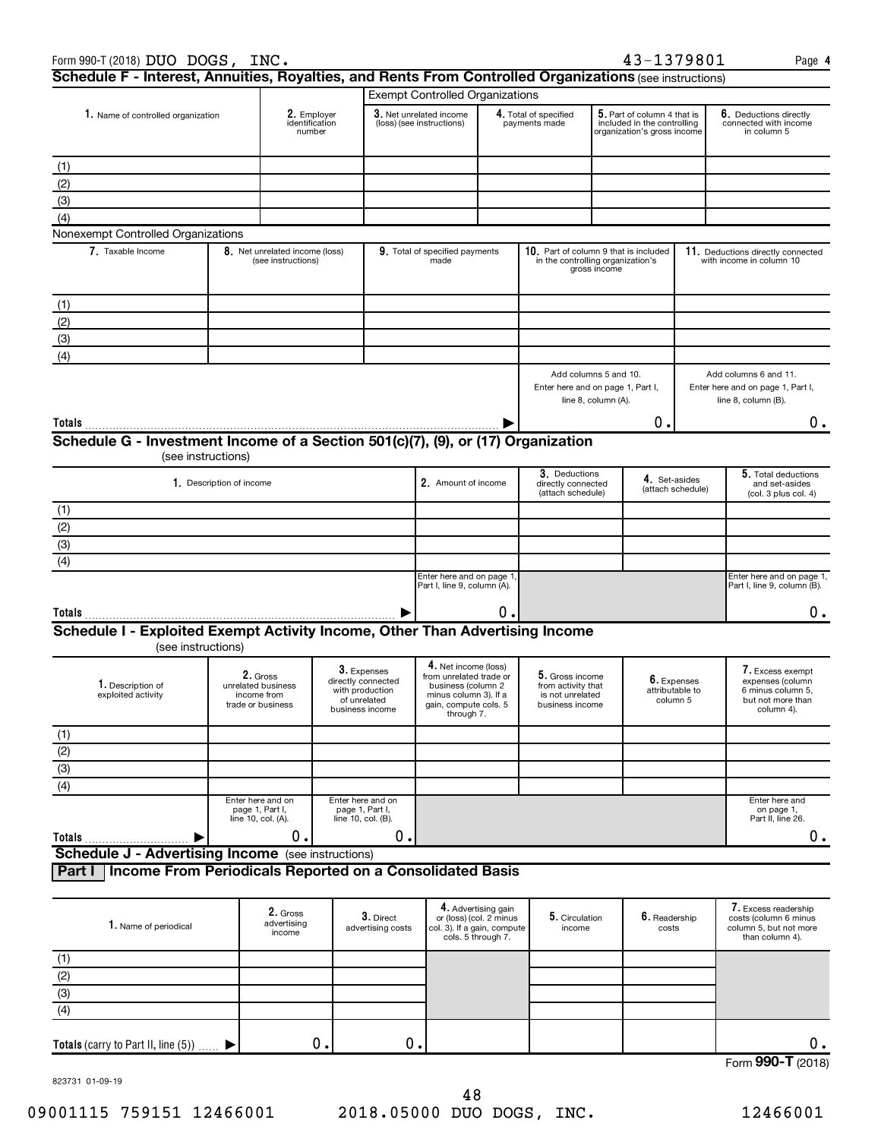| Form 990-T (2018) DUO DOGS, INC.                                                                        |  |                                                                                                                                                               |    |                                                                                                |                                                                                                                                       |                                                                      |                                                                              |                                                                                           | 43-1379801                                 |                                                                | Page 4                                                                                       |
|---------------------------------------------------------------------------------------------------------|--|---------------------------------------------------------------------------------------------------------------------------------------------------------------|----|------------------------------------------------------------------------------------------------|---------------------------------------------------------------------------------------------------------------------------------------|----------------------------------------------------------------------|------------------------------------------------------------------------------|-------------------------------------------------------------------------------------------|--------------------------------------------|----------------------------------------------------------------|----------------------------------------------------------------------------------------------|
| Schedule F - Interest, Annuities, Royalties, and Rents From Controlled Organizations (see instructions) |  |                                                                                                                                                               |    |                                                                                                |                                                                                                                                       |                                                                      |                                                                              |                                                                                           |                                            |                                                                |                                                                                              |
| 1. Name of controlled organization<br>2. Employer<br>identification<br>number                           |  |                                                                                                                                                               |    | <b>Exempt Controlled Organizations</b><br>3. Net unrelated income<br>(loss) (see instructions) |                                                                                                                                       | 4. Total of specified<br>payments made                               |                                                                              | 5. Part of column 4 that is<br>included in the controlling<br>organization's gross income |                                            | 6. Deductions directly<br>connected with income<br>in column 5 |                                                                                              |
| (1)                                                                                                     |  |                                                                                                                                                               |    |                                                                                                |                                                                                                                                       |                                                                      |                                                                              |                                                                                           |                                            |                                                                |                                                                                              |
| (2)                                                                                                     |  |                                                                                                                                                               |    |                                                                                                |                                                                                                                                       |                                                                      |                                                                              |                                                                                           |                                            |                                                                |                                                                                              |
| (3)                                                                                                     |  |                                                                                                                                                               |    |                                                                                                |                                                                                                                                       |                                                                      |                                                                              |                                                                                           |                                            |                                                                |                                                                                              |
| (4)                                                                                                     |  |                                                                                                                                                               |    |                                                                                                |                                                                                                                                       |                                                                      |                                                                              |                                                                                           |                                            |                                                                |                                                                                              |
| Nonexempt Controlled Organizations                                                                      |  |                                                                                                                                                               |    |                                                                                                |                                                                                                                                       |                                                                      |                                                                              |                                                                                           |                                            |                                                                |                                                                                              |
| 7. Taxable Income                                                                                       |  | 8. Net unrelated income (loss)<br>(see instructions)                                                                                                          |    |                                                                                                | 9. Total of specified payments<br>made                                                                                                |                                                                      | 10. Part of column 9 that is included<br>in the controlling organization's   | gross income                                                                              |                                            |                                                                | 11. Deductions directly connected<br>with income in column 10                                |
| (1)                                                                                                     |  |                                                                                                                                                               |    |                                                                                                |                                                                                                                                       |                                                                      |                                                                              |                                                                                           |                                            |                                                                |                                                                                              |
| (2)                                                                                                     |  |                                                                                                                                                               |    |                                                                                                |                                                                                                                                       |                                                                      |                                                                              |                                                                                           |                                            |                                                                |                                                                                              |
| (3)                                                                                                     |  |                                                                                                                                                               |    |                                                                                                |                                                                                                                                       |                                                                      |                                                                              |                                                                                           |                                            |                                                                |                                                                                              |
| (4)                                                                                                     |  |                                                                                                                                                               |    |                                                                                                |                                                                                                                                       |                                                                      |                                                                              |                                                                                           |                                            |                                                                |                                                                                              |
|                                                                                                         |  |                                                                                                                                                               |    |                                                                                                |                                                                                                                                       |                                                                      | Add columns 5 and 10.<br>Enter here and on page 1, Part I,                   | line 8, column (A).                                                                       |                                            |                                                                | Add columns 6 and 11.<br>Enter here and on page 1, Part I,<br>line 8, column (B).            |
| Totals                                                                                                  |  |                                                                                                                                                               |    |                                                                                                |                                                                                                                                       |                                                                      |                                                                              |                                                                                           | Ο.                                         |                                                                | 0.                                                                                           |
| Schedule G - Investment Income of a Section 501(c)(7), (9), or (17) Organization                        |  |                                                                                                                                                               |    |                                                                                                |                                                                                                                                       |                                                                      |                                                                              |                                                                                           |                                            |                                                                |                                                                                              |
| (see instructions)                                                                                      |  |                                                                                                                                                               |    |                                                                                                |                                                                                                                                       |                                                                      |                                                                              |                                                                                           |                                            |                                                                |                                                                                              |
| 1. Description of income                                                                                |  |                                                                                                                                                               |    |                                                                                                | 2. Amount of income                                                                                                                   |                                                                      | 3. Deductions<br>directly connected<br>(attach schedule)                     | 4. Set-asides<br>(attach schedule)                                                        |                                            | 5. Total deductions<br>and set-asides<br>(col. 3 plus col. 4)  |                                                                                              |
| (1)                                                                                                     |  |                                                                                                                                                               |    |                                                                                                |                                                                                                                                       |                                                                      |                                                                              |                                                                                           |                                            |                                                                |                                                                                              |
| (2)                                                                                                     |  |                                                                                                                                                               |    |                                                                                                |                                                                                                                                       |                                                                      |                                                                              |                                                                                           |                                            |                                                                |                                                                                              |
| $\overline{(3)}$                                                                                        |  |                                                                                                                                                               |    |                                                                                                |                                                                                                                                       |                                                                      |                                                                              |                                                                                           |                                            |                                                                |                                                                                              |
| $\overline{(4)}$                                                                                        |  |                                                                                                                                                               |    |                                                                                                |                                                                                                                                       |                                                                      |                                                                              |                                                                                           |                                            |                                                                |                                                                                              |
|                                                                                                         |  |                                                                                                                                                               |    |                                                                                                | Enter here and on page 1,<br>Part I, line 9, column (A).                                                                              |                                                                      |                                                                              |                                                                                           |                                            | Enter here and on page 1,<br>Part I, line 9, column (B).       |                                                                                              |
| Totals                                                                                                  |  |                                                                                                                                                               |    |                                                                                                |                                                                                                                                       | 0                                                                    |                                                                              |                                                                                           |                                            |                                                                | $0 \cdot$                                                                                    |
| Schedule I - Exploited Exempt Activity Income, Other Than Advertising Income                            |  |                                                                                                                                                               |    |                                                                                                |                                                                                                                                       |                                                                      |                                                                              |                                                                                           |                                            |                                                                |                                                                                              |
| (see instructions)                                                                                      |  |                                                                                                                                                               |    |                                                                                                |                                                                                                                                       |                                                                      |                                                                              |                                                                                           |                                            |                                                                |                                                                                              |
| 1. Description of<br>exploited activity                                                                 |  | 3. Expenses<br>2. Gross<br>directly connected<br>unrelated business<br>with production<br>income from<br>of unrelated<br>trade or business<br>business income |    |                                                                                                | 4. Net income (loss)<br>from unrelated trade or<br>business (column 2<br>minus column 3). If a<br>gain, compute cols. 5<br>through 7. |                                                                      | 5. Gross income<br>from activity that<br>is not unrelated<br>business income |                                                                                           | 6. Expenses<br>attributable to<br>column 5 |                                                                | 7. Excess exempt<br>expenses (column<br>6 minus column 5,<br>but not more than<br>column 4). |
|                                                                                                         |  |                                                                                                                                                               |    |                                                                                                |                                                                                                                                       |                                                                      |                                                                              |                                                                                           |                                            |                                                                |                                                                                              |
| $rac{(1)}{(2)}$<br>(3)<br>(4)                                                                           |  |                                                                                                                                                               |    |                                                                                                |                                                                                                                                       |                                                                      |                                                                              |                                                                                           |                                            |                                                                |                                                                                              |
|                                                                                                         |  |                                                                                                                                                               |    |                                                                                                |                                                                                                                                       |                                                                      |                                                                              |                                                                                           |                                            |                                                                |                                                                                              |
|                                                                                                         |  |                                                                                                                                                               |    |                                                                                                |                                                                                                                                       |                                                                      |                                                                              |                                                                                           |                                            |                                                                |                                                                                              |
|                                                                                                         |  | Enter here and on<br>page 1, Part I,                                                                                                                          |    | Enter here and on<br>page 1, Part I,                                                           |                                                                                                                                       |                                                                      |                                                                              |                                                                                           |                                            |                                                                | Enter here and<br>on page 1,                                                                 |
|                                                                                                         |  | line 10, col. (A).                                                                                                                                            |    | line 10, col. (B).                                                                             |                                                                                                                                       |                                                                      |                                                                              |                                                                                           |                                            |                                                                | Part II, line 26.                                                                            |
| Totals                                                                                                  |  | 0.                                                                                                                                                            |    | 0.                                                                                             |                                                                                                                                       |                                                                      |                                                                              |                                                                                           |                                            |                                                                | $0$ .                                                                                        |
| <b>Schedule J - Advertising Income</b> (see instructions)                                               |  |                                                                                                                                                               |    |                                                                                                |                                                                                                                                       |                                                                      |                                                                              |                                                                                           |                                            |                                                                |                                                                                              |
| Income From Periodicals Reported on a Consolidated Basis<br>Part I                                      |  |                                                                                                                                                               |    |                                                                                                |                                                                                                                                       |                                                                      |                                                                              |                                                                                           |                                            |                                                                |                                                                                              |
| 1. Name of periodical                                                                                   |  | 2. Gross<br>advertising<br>income                                                                                                                             |    | 3. Direct<br>advertising costs                                                                 | col. 3). If a gain, compute                                                                                                           | 4. Advertising gain<br>or (loss) (col. 2 minus<br>cols. 5 through 7. | 5. Circulation<br>income                                                     |                                                                                           | 6. Readership<br>costs                     |                                                                | 7. Excess readership<br>costs (column 6 minus<br>column 5, but not more<br>than column 4).   |
|                                                                                                         |  |                                                                                                                                                               |    |                                                                                                |                                                                                                                                       |                                                                      |                                                                              |                                                                                           |                                            |                                                                |                                                                                              |
|                                                                                                         |  |                                                                                                                                                               |    |                                                                                                |                                                                                                                                       |                                                                      |                                                                              |                                                                                           |                                            |                                                                |                                                                                              |
| $rac{(1)}{(2)}$<br>(3)<br>(4)                                                                           |  |                                                                                                                                                               |    |                                                                                                |                                                                                                                                       |                                                                      |                                                                              |                                                                                           |                                            |                                                                |                                                                                              |
|                                                                                                         |  |                                                                                                                                                               |    |                                                                                                |                                                                                                                                       |                                                                      |                                                                              |                                                                                           |                                            |                                                                |                                                                                              |
| Totals (carry to Part II, line (5))                                                                     |  |                                                                                                                                                               | 0. |                                                                                                | 0.                                                                                                                                    |                                                                      |                                                                              |                                                                                           |                                            |                                                                | О.<br>$\overline{\phantom{a}}$                                                               |

Form (2018) **990-T**

823731 01-09-19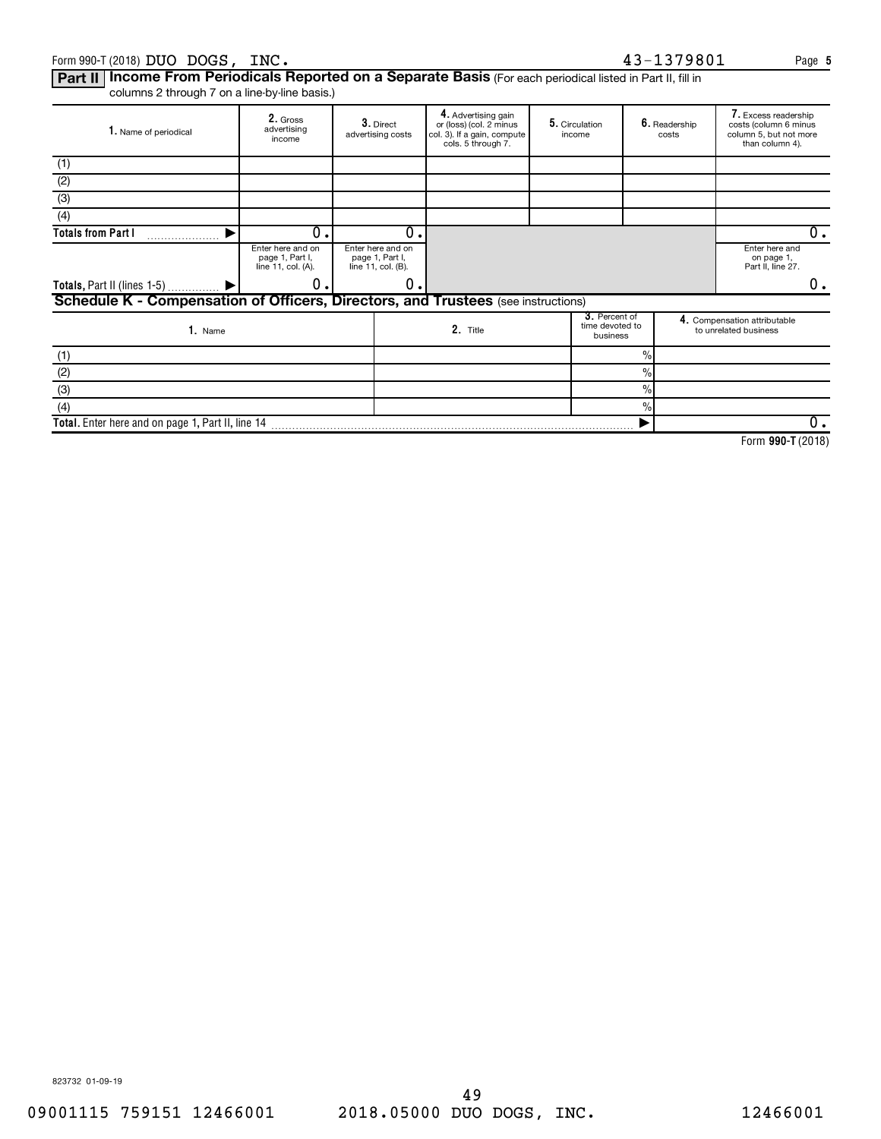#### Form 990-T (2018) Page DUO DOGS, INC. 43-1379801

Part II | Income From Periodicals Reported on a Separate Basis (For each periodical listed in Part II, fill in

columns 2 through 7 on a line-by-line basis.)

| 1. Name of periodical                                                             | 2. Gross<br>advertising<br>income                          | 3. Direct<br>advertising costs                             |    | 4. Advertising gain<br>or (loss) (col. 2 minus<br>col. 3). If a gain, compute<br>cols. 5 through 7. | 5. Circulation<br>income |  | 6. Readership<br>costs                       | 7. Excess readership<br>costs (column 6 minus<br>column 5, but not more<br>than column 4). |                                                       |
|-----------------------------------------------------------------------------------|------------------------------------------------------------|------------------------------------------------------------|----|-----------------------------------------------------------------------------------------------------|--------------------------|--|----------------------------------------------|--------------------------------------------------------------------------------------------|-------------------------------------------------------|
| (1)                                                                               |                                                            |                                                            |    |                                                                                                     |                          |  |                                              |                                                                                            |                                                       |
| (2)                                                                               |                                                            |                                                            |    |                                                                                                     |                          |  |                                              |                                                                                            |                                                       |
| (3)                                                                               |                                                            |                                                            |    |                                                                                                     |                          |  |                                              |                                                                                            |                                                       |
| (4)                                                                               |                                                            |                                                            |    |                                                                                                     |                          |  |                                              |                                                                                            |                                                       |
| <b>Totals from Part I</b>                                                         | 0.                                                         |                                                            | 0. |                                                                                                     |                          |  |                                              |                                                                                            | 0.                                                    |
|                                                                                   | Enter here and on<br>page 1, Part I,<br>line 11, col. (A). | Enter here and on<br>page 1, Part I,<br>line 11, col. (B). |    |                                                                                                     |                          |  |                                              |                                                                                            | Enter here and<br>on page 1,<br>Part II, line 27.     |
| <b>Totals, Part II (lines 1-5)</b>                                                | О.                                                         |                                                            | 0. |                                                                                                     |                          |  |                                              |                                                                                            | 0.                                                    |
| Schedule K - Compensation of Officers, Directors, and Trustees (see instructions) |                                                            |                                                            |    |                                                                                                     |                          |  |                                              |                                                                                            |                                                       |
| 1. Name                                                                           |                                                            |                                                            |    | 2. Title                                                                                            |                          |  | 3. Percent of<br>time devoted to<br>business |                                                                                            | 4. Compensation attributable<br>to unrelated business |
| (1)                                                                               |                                                            |                                                            |    |                                                                                                     |                          |  | $\%$                                         |                                                                                            |                                                       |
| (2)                                                                               |                                                            |                                                            |    |                                                                                                     |                          |  | $\frac{0}{0}$                                |                                                                                            |                                                       |
| (3)                                                                               |                                                            |                                                            |    |                                                                                                     |                          |  | $\frac{9}{6}$                                |                                                                                            |                                                       |
| (4)                                                                               |                                                            |                                                            |    |                                                                                                     |                          |  | $\frac{9}{6}$                                |                                                                                            |                                                       |
| Total. Enter here and on page 1, Part II, line 14                                 |                                                            |                                                            |    |                                                                                                     |                          |  |                                              |                                                                                            |                                                       |
|                                                                                   |                                                            |                                                            |    |                                                                                                     |                          |  |                                              |                                                                                            | $F = 0.005E/0.010$                                    |

**990-T**  Form (2018)

**5**

823732 01-09-19